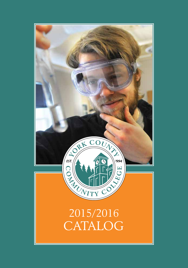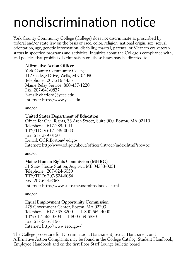# nondiscrimination notice

York County Community College (College) does not discriminate as proscribed by federal and/or state law on the basis of race, color, religion, national origin, sex, sexual orientation, age, genetic information, disability, marital, parental or Vietnam era veteran status in specified programs and activities. Inquiries about the College's compliance with, and policies that prohibit discrimination on, these bases may be directed to:

# **Affirmative Action Officer**

York County Community College 112 College Drive, Wells, ME 04090 Telephone: 207-216-4435 Maine Relay Service: 800-457-1220 Fax: 207-641-0837 E-mail: eharford@yccc.edu Internet: http://www.yccc.edu

and/or

### **United States Department of Education**

Office for Civil Rights, 33 Arch Street, Suite 900, Boston, MA 02110 Telephone: 617-289-0111 TTY/TDD: 617-289-0063 Fax: 617-289-0150 E-mail: OCR.Boston@ed.gov Internet: http:/www.ed.gov/about/offices/list/ocr/index.html?src=oc

and/or

# **Maine Human Rights Commission (MHRC)**

51 State House Station, Augusta, ME 04333-0051 Telephone: 207-624-6050 TTY/TDD: 207-624-6064 Fax: 207-624-6063 Internet: http://www.state.me.us/mhrc/index.shtml

and/or

# **Equal Employment Opportunity Commission**

475 Government Center, Boston, MA 02203 Telephone: 617-565-3200 1-800-669-4000 TTY: 617-565-3204 1-800-669-6820 Fax: 617-565-3196 Internet: http://www.eeoc.gov/

The College procedure for Discrimination, Harassment, sexual Harassment and Affirmative Action Complaints may be found in the College Catalog, Student Handbook, Employee Handbook and on the first floor Staff Lounge bulletin board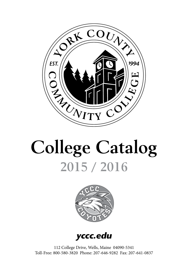

# **College Catalog 2015 / 2016**



**yccc.edu**

112 College Drive, Wells, Maine 04090-5341 Toll-Free: 800-580-3820 Phone: 207-646-9282 Fax: 207-641-0837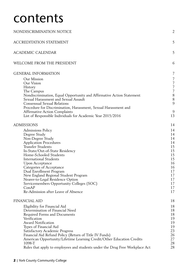# contents

| NONDISCRIMINATION NOTICE                                                     | $\overline{2}$ |
|------------------------------------------------------------------------------|----------------|
| <b>ACCREDITATION STATEMENT</b>                                               | 5              |
| <b>ACADEMIC CALENDAR</b>                                                     | 5              |
| WELCOME FROM THE PRESIDENT                                                   | 6              |
| <b>GENERAL INFORMATION</b>                                                   | 7              |
| Our Mission                                                                  | 7              |
| Our Vision                                                                   | $\overline{7}$ |
| History                                                                      | $\overline{7}$ |
| The Campus                                                                   | $\overline{7}$ |
| Nondiscrimination, Equal Opportunity and Affirmative Action Statement        | $8\,$          |
| Sexual Harassment and Sexual Assault                                         | $8\,$          |
| Consensual Sexual Relations                                                  | $\overline{9}$ |
| Procedure for Discrimination, Harassment, Sexual Harassment and              |                |
| <b>Affirmative Action Complaints</b>                                         | 9              |
| List of Responsible Individuals for Academic Year 2015/2016                  | 13             |
| ADMISSIONS                                                                   | 14             |
| Admissions Policy                                                            | 14             |
| Degree Study                                                                 | 14             |
| Non-Degree Study                                                             | 14             |
| <b>Application Procedures</b>                                                | 14             |
| Transfer Students                                                            | 15             |
| In-State/Out-of-State Residency                                              | 15             |
| Home-Schooled Students                                                       | 15             |
| <b>International Students</b>                                                | 15             |
| Upon Acceptance                                                              | 16             |
| Categories of Acceptance                                                     | 16             |
| Dual Enrollment Program                                                      | 17<br>17       |
| New England Regional Student Program<br>Nearer-to-Legal Residence Option     | 17             |
| Servicemembers Opportunity Colleges (SOC)                                    | 17             |
| ConAP                                                                        | 17             |
| Re-Admission after Leave of Absence                                          | 17             |
| <b>FINANCIAL AID</b>                                                         | 18             |
|                                                                              | 18             |
| Eligibility for Financial Aid<br>Determination of Financial Need             | 18             |
| Required Forms and Documents                                                 | 18             |
| Verification                                                                 | 19             |
| <b>Award Notification</b>                                                    | 19             |
| Types of Financial Aid                                                       | 19             |
| <b>Satisfactory Academic Progress</b>                                        | 23             |
| Financial Aid Refund Policy (Return of Title IV Funds)                       | 26             |
| American Opportunity/Lifetime Learning Credit/Other Education Credits        | 27             |
| 1098-T                                                                       | 28             |
| Rules that apply to employees and students under the Drug Free Workplace Act | 28             |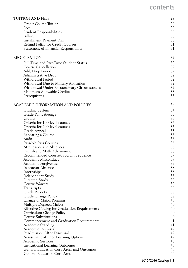# contents

| <b>TUITION AND FEES</b>                                                 | 29       |
|-------------------------------------------------------------------------|----------|
| <b>Credit Course Tuition</b>                                            | 29       |
| Fees                                                                    | 29       |
| <b>Student Responsibilities</b>                                         | 30       |
| Billing                                                                 | 30       |
| Installment Payment Plan                                                | 30       |
| Refund Policy for Credit Courses                                        | 31       |
| Statement of Financial Responsibility                                   | 31       |
| <b>REGISTRATION</b>                                                     | 32       |
| Full-Time and Part-Time Student Status                                  | 32       |
| Course Cancellation                                                     | 32       |
| Add/Drop Period                                                         | 32       |
| Administrative Drop                                                     | 32       |
| Withdrawal Period                                                       | 32       |
| Withdrawal Due to Military Activation                                   | 32       |
| Withdrawal Under Extraordinary Circumstances                            | 32       |
| Maximum Allowable Credits                                               | 33       |
| Prerequisites                                                           | 33       |
| ACADEMIC INFORMATION AND POLICIES                                       | 34       |
| Grading System                                                          | 34       |
| Grade Point Average                                                     | 35       |
| Credits                                                                 | 35       |
| Criteria for 100-level courses                                          | 35       |
| Criteria for 200-level courses                                          | 35       |
| Grade Appeal                                                            | 35       |
| Repeating a Course                                                      | 36       |
| Audit                                                                   | 36       |
| Pass/No Pass Courses<br><b>Attendance and Absences</b>                  | 36<br>36 |
| English and Math Advisement                                             | 36       |
| Recommended Course/Program Sequence                                     | 37       |
| Academic Misconduct                                                     | 37       |
| Academic Forgiveness                                                    | 37       |
| <b>Instructor Absences</b>                                              | 38       |
| Internships                                                             | 38       |
| Independent Study                                                       | 38       |
| Directed Study                                                          | 39       |
| Course Waivers                                                          | 39       |
| Transcripts                                                             | 39       |
| Grade Reports                                                           | 39       |
| Grade Change Policy                                                     | 39       |
| Change of Major/Program                                                 | 40       |
| Multiple Degrees/Majors                                                 | 40       |
| <b>Effective Catalog for Graduation Requirements</b>                    | 40       |
| Curriculum Change Policy                                                | 40       |
| <b>Course Substitutions</b><br>Commencement and Graduation Requirements | 40<br>41 |
| Academic Standing                                                       | 41       |
| Academic Dismissal                                                      | 42       |
| Readmission After Dismissal                                             | 42       |
| Assessment of Prior Learning Options                                    | 42       |
| Academic Services                                                       | 45       |
| <b>Institutional Learning Outcomes</b>                                  | 46       |
| General Education Core Areas and Outcomes                               | 46       |
| <b>General Education Core Areas</b>                                     | 46       |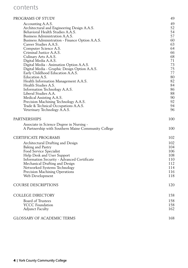# contents

# PROGRAMS OF STUDY 49

| Accounting A.A.S.                                   | 49  |
|-----------------------------------------------------|-----|
| Architectural and Engineering Design A.A.S.         | 52  |
| Behavioral Health Studies A.A.S.                    | 54  |
| Business Administration A.A.S.                      | 57  |
| Business Administration - Finance Option A.A.S.     | 60  |
| Career Studies A.A.S.                               | 63  |
| Computer Science A.S.                               | 64  |
| Criminal Justice A.A.S.                             | 66  |
| Culinary Arts A.A.S.                                | 68  |
| Digital Media A.A.S.                                | 71  |
| Digital Media - Animation Option A.A.S.             | 73  |
| Digital Media - Graphic Design Option A.A.S.        | 75  |
| Early Childhood Education A.A.S.                    | 77  |
| Education A.S.                                      | 80  |
| Health Information Management A.A.S.                | 82  |
| Health Studies A.S.                                 | 84  |
| Information Technology A.A.S.                       | 86  |
| Liberal Studies A.A.                                | 88  |
| Medical Assisting A.A.S.                            | 90  |
| Precision Machining Technology A.A.S.               | 92  |
| Trade & Technical Occupations A.A.S.                | 94  |
| Veterinary Technology A.A.S.                        | 96  |
| PARTNERSHIPS                                        | 100 |
| Associate in Science Degree in Nursing -            |     |
| A Partnership with Southern Maine Community College | 100 |
|                                                     |     |
| CERTIFICATE PROGRAMS                                | 102 |
| Architectural Drafting and Design                   | 102 |
| Baking and Pastry                                   | 104 |
| Food Service Specialist                             | 106 |
| Help Desk and User Support                          | 108 |
| Information Security - Advanced Certificate         | 110 |
| Mechanical Drafting and Design                      | 112 |
| Networked Systems Technology                        | 114 |
| Precision Machining Operations                      | 116 |
| Web Development                                     | 118 |
| COURSE DESCRIPTIONS                                 | 120 |
| COLLEGE DIRECTORY                                   | 158 |
|                                                     |     |
| <b>Board of Trustees</b>                            | 158 |
| <b>YCCC</b> Foundation                              | 158 |
| <b>Adjunct Faculty</b>                              | 162 |
| <b>GLOSSARY OF ACADEMIC TERMS</b>                   | 168 |
|                                                     |     |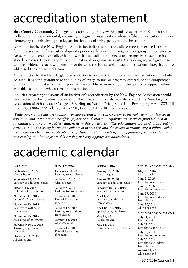# accreditation statement

**York County Community College** is accredited by the New England Association of Schools and Colleges, a non-governmental, nationally recognized organization whose affiliated institutions include elementary schools through collegiate institutions offering post-graduate instruction.

Accreditation by the New England Association indicates that the college meets or exceeds criteria for the assessment of institutional quality periodically applied through a peer group review process. An accredited school or college is one which has available the necessary resources to achieve its stated purposes through appropriate educational programs, is substantially doing so, and gives reasonable evidence that it will continue to do so in the foreseeable future. Institutional integrity is also addressed through accreditation.

Accreditation by the New England Association is not partial but applies to the institution as a whole. As such, it is not a guarantee of the quality of every course or program offered, or the competence of individual graduates. Rather, it provides reasonable assurance about the quality of opportunities available to students who attend the institution.

Inquiries regarding the status of an institution's accreditation by the New England Association should be directed to the administrative staff of the college. Individuals may also contact the New England Association of Schools and Colleges, 3 Burlington Woods Drive, Suite 100, Burlington, MA 01803. Toll Free: (855) 886-3272, Tel: (781)425-7700, Fax: (781)425-1001, www.neasc.org.

*While every effort has been made to ensure accuracy, the college reserves the right to make changes at any time with respect to course offerings, degree and program requirements, services provided, cost of attendance, or any other subject addressed in this publication. The information provided in this publication is provided solely for the convenience of the reader, and the college disclaims any liability, which may otherwise be incurred. Acceptance of students into a new program, approved after publication of this catalog, will be subject to this catalog and any appropriate addendums.*

# academic calendar

#### *FALL 2015*

**September 8, 2015** Classes begin

**September 15, 2015** Last day to add/drop classes

**October 12, 2015** Columbus Day, no classes

**November 11, 2015** Veteran's Day, no classes

**November 13, 2015** Last day to withdraw from classes

**November 25, 2015** No classes after 4:00pm

**November 26-29, 2015** Thanksgiving recess, no classes

**December 19, 2015** All classes end

#### *WINTER 2016*

**December 31, 2015** Last day to add classes

**January 4, 2016** Classes begin

**January 5, 2016** Last day to drop classes

**January 09, 2016** Potential snow day if needed

**January 12, 2016** Last day to withdraw from classes

**January 15, 2016** All classes end

**January 16, 2016** Potential snow day if needed

#### *SPRING 2016*

**January 19, 2016** Classes begin **January 26, 2016**

Last day to add/drop classes

**February 15 - 21, 2016** Winter break, no classes

**April 1, 2016** Last day to withdraw from classes

**April 18 - 24, 2016** Spring break, no classes

**May 13, 2016** All classes end

**May 14, 2016** Commencement, 10:00am

#### *SUMMER SESSION 1 2016*

**May 31, 2016** Classes begin **June 1, 2016** Last day to add classes **June 3, 2016** Last day to drop classes **June 17, 2016**

Last day to withdraw from classes

**June 30,2016** All classes end

*SUMMER SESSION 2 2016* **July 11, 2016** Classes begin **July 12, 2016**

Last day to add classes **July 15, 2016** Last day to drop classes **July 29, 2016** Last day to withdraw from classes **August 11, 2016** All classes end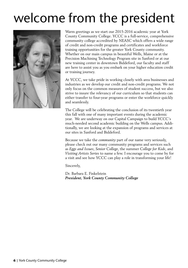# welcome from the president



Warm greetings as we start our 2015-2016 academic year at York County Community College. YCCC is a full-service, comprehensive community college accredited by NEASC which offers a wide range of credit and non-credit programs and certificates and workforce training opportunities for the greater York County community. Whether on our main campus in beautiful Wells, Maine or at the Precision Machining Technology Program site in Sanford or at our new training center in downtown Biddeford, our faculty and staff are here to assist you as you embark on your higher education credit or training journey.

At YCCC, we take pride in working closely with area businesses and industries as we develop our credit and non-credit programs. We not only focus on the common measures of student success, but we also strive to insure the relevancy of our curriculum so that students can either transfer to four-year programs or enter the workforce quickly and seamlessly.

The College will be celebrating the conclusion of its twentieth year this fall with one of many important events during the academic year. We are underway on our Capital Campaign to build YCCC's much-needed second academic building on the Wells campus. Additionally, we are looking at the expansion of programs and services at our sites in Sanford and Biddeford.

Because we take the *community* part of our name very seriously, please check out our many community programs and services such as *Eggs and Issues*, *Senior College*, the summer *College for Kids*, and *Visiting Artists Series* to name a few. I encourage you to come by for a visit and see how YCCC can play a role in transforming your life!

Sincerely,

Dr. Barbara E. Finkelstein *President, York County Community College*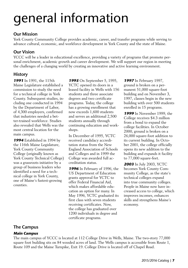# general information

# Our Mission

York County Community College provides academic, career, and transfer programs while serving to advance cultural, economic, and workforce development in York County and the state of Maine.

# Our Vision

YCCC will be a leader in educational excellence, providing a variety of programs that promote personal enrichment, academic growth and career development. We will support our region in meeting the challenges of a changing world by creating an innovative and active learning environment.

# History

**1991** In 1991, the 115th Maine Legislature established a commission to study the need for a technical college in York County. Subsequent studies, including one conducted in 1994 by the Department of Labor, of 4,300 employers, confirmed that industries needed a better-trained workforce. Studies also revealed that Wells was the most central location for the main campus.

**1994** Established in 1994 by the 116th Maine Legislature, York County Community College (originally known as York County Technical College) was a grassroots initiative by a group of business leaders who identified a need for a technical college in York County, one of Maine's fastest-growing counties.

**1995** On September 5, 1995, YCTC opened its doors in a leased facility in Wells with 156 students and three associate degrees and two certificate programs. Today, the college has a growing enrollment that now exceeds 1,600 students and serves an additional 2,500 students annually through continuing education and workshops.

In December of 1995, YCTC received candidacy accreditation status from the New England Association of Schools and Colleges and in 1999 the College was awarded full accreditation status.

**1996** In February of 1996, the US Department of Education grants approval for YCTC to offer Federal Financial Aid, which makes affordable education an option for many. In May 1996, YCTC graduated its first class with seven students receiving certificates. Now, the college has graduated over 1200 individuals in degree and certificate programs.

**1997** In February 1997, ground is broken on a permanent 51,000 square-foot building and on November 3, 1997, classes begin in the new building with over 500 students enrolled in 15 programs.

**1999** In November 1999, the College receives \$4.3 million from a bond to expand the college facilities. In October 2000, ground is broken on a 26,000 square-foot addition to its current building. In October 2001, the college officially opens its new addition to the building and expands it facility to 77,000 square-feet.

**2003** In July 2003, YCTC becomes York County Community College, as the state's technical colleges expand into true community colleges. People in Maine now have increased access to college, which improves incomes, enhances skills and strengthens Maine's economy.

# The Campus

# **Main Campus**

The main campus of YCCC is located at 112 College Drive in Wells, Maine. The two-story 77,000 square foot building sits on 84 wooded acres of land. The Wells campus is accessible from Route 1, Route 109 and the Maine Turnpike, Exit 19. College Drive is located off of Chapel Road.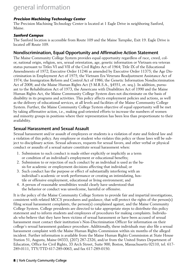# general information

#### **Precision Machining Technology Center**

The Precision Machining Technology Center is located at 1 Eagle Drive in neighboring Sanford, Maine.

#### **Sanford Campus**

The Sanford location is accessible from Route 109 and the Maine Turnpike, Exit 19. Eagle Drive is located off Route 109.

# Nondiscrimination, Equal Opportunity and Affirmative Action Statement

The Maine Community College System provides equal opportunity regardless of race, creed, color, national origin, religion, sex, sexual orientation, age, genetic information or Vietnam era veteran status pursuant to Titles VI and VII of the Civil Rights Act of 1964; Title IX of the Educational Amendments of 1972; Executive Order 11246 as amended by Executive Order 11375; the Age Discrimination in Employment Act of 1975; the Vietnam Era Veterans Readjustment Assistance Act of 1974; the Immigration Reform and Control Act of 1986; the Genetic Information Nondiscrimination Act of 2008; and the Maine Human Rights Act (5 M.R.S.A., §4551, et. seq.). In addition, pursuant to the Rehabilitation Act of 1973, the Americans with Disabilities Act of 1990 and the Maine Human Rights Act, the Maine Community College System does not discriminate on the basis of disability in its programs and activities. This policy affects employment policies and actions, as well as the delivery of educational services, at all levels and facilities of the Maine Community College System. Further, the Maine Community College System objective of equal opportunity will be met by taking affirmative action, i.e., making goal-oriented efforts to increase the numbers of women and minority groups in positions where their representation has been less than proportionate to their availability.

# Sexual Harassment and Sexual Assault

Sexual harassment and/or assault of employees or students is a violation of state and federal law and a violation of this policy. Any employee or student who violates this policy or those laws will be subject to disciplinary action. Sexual advances, requests for sexual favors, and other verbal or physical conduct or assaults of a sexual nature constitute sexual harassment when:

- 1. Submission to such conduct is made either explicitly or implicitly as a term or condition of an individual's employment or educational benefits;
- 2. Submission to or rejection of such conduct by an individual is used as the basis for academic or employment decisions affecting that individual; or
- 3. Such conduct has the purpose or effect of substantially interfering with an individual's academic or work performance or creating an intimidating, hostile or offensive employment, educational or living environment; and
- 4. A person of reasonable sensibilities would clearly have understood that the behavior or conduct was unwelcome, harmful or offensive.

It is the policy of the Maine Community College System to provide fair and impartial investigations, consistent with related MCCS procedures and guidance, that will protect the rights of the person(s) filing sexual harassment complaints, the person(s) complained against, and the Maine Community College System. College presidents are directed to take appropriate steps to distribute this policy statement and to inform students and employees of procedures for making complaints. Individuals who believe that they have been victims of sexual harassment or have been accused of sexual harassment must contact their institution's Non-Discrimination Officer for information on their college's sexual harassment guidance procedure. Additionally, these individuals may also file a sexual harassment complaint with the Maine Human Rights Commission within six months of the alleged incident. Further information is available from the Maine Human Rights Commission at State House Station 51, Augusta, Maine 04333, (207) 287-2326, and/or from the United States Department of Education, Office for Civil Rights, 33 Arch Street, Suite 900, Boston, Massachusetts 02110, tel. 617- 289-0111, TTY/TTD 617-289-0063, and fax 617-289-0150.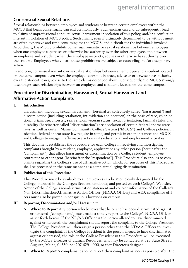# Consensual Sexual Relations

Sexual relationships between employees and students or between certain employees within the MCCS that begin consensually can end acrimoniously. Such endings can and do subsequently lead to claims of unprofessional conduct, sexual harassment in violation of this policy, and/or a conflict of interest in violation of MCCS policy. Such claims, even if ultimately determined to be without merit, are often expensive and time-consuming for the MCCS, and difficult for the individuals involved. Accordingly, the MCCS prohibits consensual romantic or sexual relationships between employees when one employee supervises or otherwise has authority over the other employee, and between an employee and a student when the employee instructs, advises or otherwise has authority over the student. Employees who violate these prohibitions are subject to counseling and/or disciplinary action.

In addition, consensual romantic or sexual relationships between an employee and a student located on the same campus, even when the employee does not instruct, advise or otherwise have authority over the student, can give rise to the same claims described above. Consequently, the MCCS strongly discourages such relationships between an employee and a student located on the same campus.

# Procedure for Discrimination, Harassment, Sexual Harassment and Affirmative Action Complaints

#### **I. Introduction**

Harassment, including sexual harassment, (hereinafter collectively called "harassment") and discrimination (including retaliation, intimidation and coercion) on the basis of race, color, national origin, age, ancestry, sex, religion, veteran status, sexual orientation, familial status and disability (hereinafter called "discrimination") are a violation of certain federal and/or state laws, as well as certain Maine Community College System ("MCCS") and College policies. In addition, federal and/or state law require in some, and permit in other, instances the MCCS and Colleges to engage in affirmative action in its educational and employment activities.

This document establishes the Procedure for each College in receiving and investigating complaints brought by a student, employee, applicant or any other person (hereinafter the "complainant") that allege harassment or discrimination by a College student, employee, contractor or other agent (hereinafter the "respondent"). This Procedure also applies to complaints regarding the College's use of affirmative action which, for purposes of this Procedure, shall be processed in the same manner as a complaint alleging discrimination.

#### **II. Publication of this Procedure**

This Procedure must be available to all employees in a location clearly designated by the College; included in the College's Student handbook; and posted on each College's Web site. Notice of the College's non-discrimination statement and contact information of the College's Non-Discrimination/Affirmative Action Officer (ND/AA Officer) and ADA compliance officers must also be posted in conspicuous locations on campus.

#### **III. Reporting Discrimination and/or Harassment**

- **A. Where to Report** Any person who believes that he or she has been discriminated against or harassed ("complainant") must make a timely report to the College's ND/AA Officer as set forth herein. If the ND/AA Officer is the person alleged to have discriminated against or harassed, the complainant should report the complaint to the College President. The College President will then assign a person other than the ND/AA Officer to investigate the complaint. If the College President is the person alleged to have discriminated against or harassed, the role of the College President in this Procedure will be executed by the MCCS Director of Human Resources, who may be contacted at 323 State Street, Augusta, Maine, 04330; ph: 207-629-4000, or that Director's designee.
- **B. When to Report** A complainant should report their complaint as soon as possible after the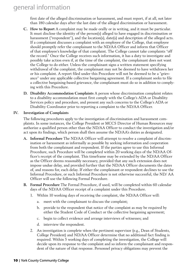# general information

first date of the alleged discrimination or harassment, and must report, if at all, not later than 180 calendar days after the last date of the alleged discrimination or harassment.

- **C. How to Report** A complaint may be made orally or in writing, and it must be particular. It must disclose the identity of the person(s) alleged to have engaged in discrimination or harassment ("respondent"), and the location(s), date(s) and description of the alleged acts. If a complainant discusses a complaint with an employee of the College, that employee should promptly refer the complainant to the ND/AA Officer and inform that Officer of that employee's knowledge of that complaint. The College cannot take complaints "off the record." Once the College receives such information, it has a duty to investigate and possibly take action even if, at the time of the complaint, the complainant does not want the College to do either. Unless the complainant signs a written statement specifying withdrawal of the complaint, the complainant may not be deemed to have withdrawn her or his complaint. A report filed under this Procedure will not be deemed to be a "grievance" under any applicable collective bargaining agreement. If a complainant seeks to file a collective bargaining-based grievance, the complainant must do so in addition to complying with this Procedure.
- **D. Disability Accommodation Complaints** A person whose discrimination complaint relates to a disability accommodation must first comply with the College's ADA or Disability Services policy and procedure, and present any such concerns to the College's ADA or Disability Coordinator prior to reporting a complaint to the ND/AA Officer.

#### **IV. Investigation of Complaints**

The following procedures apply to the investigation of discrimination and harassment complaints. In some instances, the College President or MCCS Director of Human Resources may authorize a qualified person other than the ND/AA Officer to conduct the investigation and/or act upon its findings, which person shall then assume the ND/AA's duties as designated.

- **A. Informal Procedure** The ND/AA Officer will attempt to resolve a complaint of discrimination or harassment as informally as possible by seeking information and cooperation from both the complainant and respondent. If the parties agree to use this Informal Procedure, such Procedure will be completed within 20 working days of the ND/AA Officer's receipt of the complaint. This timeframe may be extended by the ND/AA Officer as the Officer deems reasonably necessary, provided that any such extension does not impose undue delay, and provided further that the ND/AA Officer documents the dates of, and reasons for, each delay. If either the complainant or respondent declines to use the Informal Procedure, or such Informal Procedure is not otherwise successful, the ND/ AA Officer will use the following Formal Procedure.
- **B. Formal Procedure** The Formal Procedure, if used, will be completed within 60 calendar days of the ND/AA Officer receipt of a complaint under this Procedure.
	- 1. Within 10 working days of receiving the complaint, the ND/AA Officer will:
		- a. meet with the complainant to discuss the complaint;
		- b. provide to the respondent that notice of the complaint as may be required by either the Student Code of Conduct or the collective bargaining agreement;
		- c. begin to collect evidence and arrange interviews of witnesses; and
		- d. interview the respondent.
	- 2. An investigation is complete when the pertinent supervisor (e.g., Dean of Students, College President) and ND/AA Officer determine that no additional fact finding is required. Within 5 working days of completing the investigation, the College will decide upon its response to the complaint and so inform the complainant and respondent of the nature of that response. Personnel privacy obligations may prevent the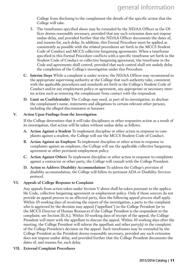College from disclosing to the complainant the details of the specific action that the College will take.

- 3. The timeframes specified above may be extended by the ND/AA Officer as the Officer deems reasonably necessary, provided that any such extension does not impose undue delay, and provided further that the ND/AA Officer documents the dates of, and reasons for, each delay. In addition, this Formal Procedure must be applied as consistently as possible with the related procedures set forth in the MCCS Student Code of Conduct and MCCS collective bargaining agreements. When a timeframe specified in this Formal Procedure conflicts with a specific timeframe set forth in the Student Code of Conduct or collective bargaining agreement, the timeframe in the Code and agreements shall control, provided that such control shall not unduly delay the completion of the College's investigation under this Procedure.
- **C. Interim Steps** While a complaint is under review, the ND/AA Officer may recommend to the appropriate supervising authority at the College that such authority take, consistent with the applicable procedures and standards set forth in the College's Student Code of Conduct and/or any employment policy or agreement, any appropriate or necessary interim action such as removing the complainant from contact with the respondent.
- **D. Limit on Confidentiality** The College may need, as part of its investigation, to disclose the complainant's name, statements and allegations to certain relevant other persons, including the alleged discriminator or harasser.

#### **V. Action Upon Findings from the Investigation**

If the College determines that it will take disciplinary or other responsive action as a result of its investigation, that action will be taken without undue delay as follows.

- **A. Action Against a Student** To implement discipline or other action in response to complaints against a student, the College will use the MCCS Student Code of Conduct.
- **B. Action Against an Employee** To implement discipline or other action in response to complaints against an employee, the College will use the applicable collective bargaining agreement or other pertinent employment policy.
- **C. Action Against Others** To implement discipline or other action in response to complaints against a contractor or other party, the College will consult with the College President.
- **D. Action to Address Disability Accommodations** To address the College's provision of disability accommodation, the College will follow its pertinent ADA or Disability Services protocol.

#### **VI. Appeals of College Response to Complaint**

Any appeals from action taken under Section V above shall be taken pursuant to the applicable Code, collective bargaining agreement or employment policy. Only if those sources do not provide an appeal process to an affected party, then the following appeal process shall apply. Within 10 working days of receiving the report of the investigation, a party to the complaint who is aggrieved by the decision may appeal ("appellant") to the College President (or to the MCCS Director of Human Resources if the College President is the respondent to the complaint; see Section III.A.). Within 10 working days of receipt of the appeal, the College President will meet with the appellant to discuss the appeal. Within 10 working days after the meeting, the College President will inform the appellant and other party(s) to the complaint of the College President's decision on the appeal. Such timeframes may be extended by the College President as the President deems reasonably necessary, provided any such extension does not impose undue delay, and provided further that the College President documents the dates of, and reasons for, each delay.

**VII. External Complaint Procedures**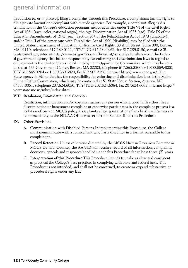# general information

In addition to, or in place of, filing a complaint through this Procedure, a complainant has the right to file a private lawsuit or a complaint with outside agencies. For example, a complaint alleging discrimination in the College's education programs and/or activities under Title VI of the Civil Rights Act of 1964 (race, color, national origin), the Age Discrimination Act of 1975 (age), Title IX of the Education Amendments of 1972 (sex), Section 504 of the Rehabilitation Act of 1973 (disability), and/or Title II of the Americans with Disabilities Act of 1990 (disability) may be filed with the United States Department of Education, Office for Civil Rights, 33 Arch Street, Suite 900, Boston, MA 02110, telephone 617.289.0111, TTY/TDD 617.289.0063, fax 617.289.0150, e-mail OCR. Boston@ed.gov, internet http://www.ed.gov/about/offices/list/ocr/index.html?src=oc. The Federal government agency that has the responsibility for enforcing anti-discrimination laws in regard to employment is the United States Equal Employment Opportunity Commission, which may be contacted at 475 Government Center, Boston, MA 02203, telephone 617.565.3200 or 1.800.669.4000, TTY 617.565.3204 or 1.800.669.6820, fax 617.565.3196, internet http:// www.eeoc.gov/. The State agency in Maine that has the responsibility for enforcing anti-discrimination laws is the Maine Human Rights Commission, which may be contacted at 51 State House Station, Augusta, ME 04333-0051, telephone 207.624.6050, TTY/TDD 207.624.6064, fax 207.624.6063, internet http:// www.state.me.us/mhrc/index.shtml.

#### **VIII. Retaliation, Intimidation and Coercion**

Retaliation, intimidation and/or coercion against any person who in good faith either files a discrimination or harassment complaint or otherwise participates in the complaint process is a violation of law and MCCS policy. Complaints alleging retaliation of any kind shall be reported immediately to the ND/AA Officer as set forth in Section III of this Procedure.

#### **IX. Other Provisions**

- **A. Communication with Disabled Persons** In implementing this Procedure, the College must communicate with a complainant who has a disability in a format accessible to the complainant.
- **B. Record Retention** Unless otherwise directed by the MCCS Human Resources Director or MCCS General Counsel, the AA/ND will retain a record of all information, complaints, decisions, appeals and responses handled under this Procedure for at least three (3) years.
- **C. Interpretation of this Procedure** This Procedure intends to make as clear and consistent as practical the College's best practices in complying with state and federal laws. This Procedure is not intended, and shall not be construed, to create or expand substantive or procedural rights under any law.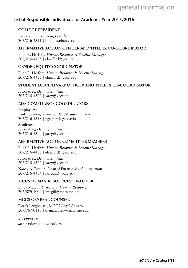# general information

# List of Responsible Individuals for Academic Year 2015/2016

#### **COLLEGE PRESIDENT**

Barbara E. Finkelstein, *President* 207/216-4311 | bfinkelstein@yccc.edu

#### **AFFIRMATIVE ACTION OFFICER AND TITLE IX CO-COORDINATOR**

Ellen R. Harford, *Human Resource & Benefits Manager* 207/216-4435 | eharford@yccc.edu

#### **GENDER EQUITY COORDINATOR**

Ellen R. Harford, *Human Resource & Benefits Manager* 207/216-4435 | eharford@yccc.edu

#### **STUDENT DISCIPLINARY OFFICER AND TITLE IX CO-COORDINATOR**

Jason Arey, *Dean of Students* 207/216-4399 | jarey@yccc.edu

#### **ADA COMPLIANCE COORDINATORS**

#### **Employees:**

Paula Gagnon, *Vice-President/Academic Dean* 207/216-4318 | pgagnon@yccc.edu

#### **Students:**

Jason Arey, *Dean of Students* 207/216-4399 | jarey@yccc.edu

#### **AFFIRMATIVE ACTION COMMITTEE MEMBERS**

Ellen R. Harford, *Human Resource & Benefits Manager* 207/216-4435 | eharford@yccc.edu

Jason Arey, *Dean of Students* 207/216-4399 | jarey@yccc.edu

Nancy A. Drouin, *Dean of Finance & Administration* 207/216-4434 | ndrouin@yccc.edu

#### **MCCS HUMAN RESOURCES DIRECTOR**

Linda McGill, *Director of Human Resources* 207/629-4009 | lmcgill@mccs.me.edu

#### **MCCS GENERAL COUNSEL**

Derek Langhauser, *MCCS Legal Counsel* 207/767-0116 | dlanghauser@mccs.me.edu

#### *REFERENCES:*

*MCCS Policies 201, 202 and 501.1*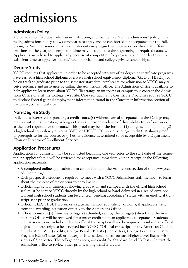# admissions

# Admissions Policy

YCCC is a modified open admissions institution, and maintains a "rolling admissions" policy. This rolling admissions policy allows candidates to apply and be considered for acceptance for the Fall, Spring, or Summer semester. Although students may begin their degree or certificate at different times of the year, the completion time may be subject to the sequencing of required courses. Applicants are advised to apply early because of competition for programs, and in order to ensure sufficient time to apply for federal/state financial aid and college/private scholarships.

# Degree Study

YCCC requires that applicants, in order to be accepted into any of its degree or certificate programs, have earned a high school diploma or a state high school equivalency diploma (GED or HISET), or be on track to graduate prior to the semester start date. Applicants for admission to YCCC may receive guidance and assistance by calling the Admissions Office. The Admissions Office is available to help applicants learn more about YCCC. To arrange an interview or campus tour contact the Admissions Office or visit the College's website. One year qualifying Certificate Programs requires YCCC to disclose federal gainful employment information found in the Consumer Information section of the www.yccc.edu website.

# Non-Degree Study

Individuals interested in pursuing a credit course(s) without formal acceptance to the College may register without application, as long as they can provide evidence of their ability to perform work at the level required for the course. This proof may be in the form of (1) a high school diploma, (2) a high school equivalency diploma (GED or HISET), (3) previous college credit that shows proof of prerequisite for the course, or (4) other evidence determined to be acceptable by a Department Chair or Director of Enrollment Services.

# Application Procedures

Applications for admission may be submitted beginning one year prior to the start date of the semester. An applicant's file will be reviewed for acceptance immediately upon receipt of the following application materials:

- A completed online application form can be found on the Admissions section of the www.yccc. edu home page.
- Each prospective student is required to meet with a YCCC Admissions staff member to learn about their choice of major prior to enrollment.
- Official high school transcript showing graduation and stamped with the official high school seal must be sent to YCCC directly by the high school or hand-delivered in a sealed envelope. Current high school students can be granted "pending acceptance" status with an unofficial transcript sent prior to graduation.
- Official GED, HISET scores, or a state high school equivalency diploma, if applicable, sent from the awarding institution directly to the Admissions Office.
- Official transcript(s) from any college(s) attended, sent by the college(s) directly to the Admissions Office will be reviewed for transfer credit upon an applicant's acceptance. Students with Associates or Bachelor's degree official transcripts will not be required to submit an official high school transcript to be accepted into YCCC \*Official transcript for any American Council on Education (ACE) credits, College Board AP Tests (3 or better), College Level Examination Program (CLEP) tests (50 or better) or International Baccalaureate Higher Level Exams with scores of 5 or better. The college does not grant credit for Standard Level IB Tests. Contact the admissions office to review other prior learning transfer credits.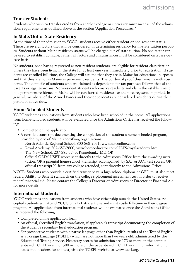# Transfer Students

Students who wish to transfer credits from another college or university must meet all of the admissions requirements as outlined above in the section "Application Procedures."

# In-State/Out-of-State Residency

At the time of their admission to YCCC, students receive either resident or non-resident status. There are several factors that will be considered in determining residency for in-state tuition purposes. Students without Maine residency status will be charged out-of-state tuition. No one factor can be used to establish domicile; rather, all factors and circumstances must be considered on a case-bycase basis.

No students, once having registered as non-resident students, are eligible for resident classification unless they have been living in the state for at least one year immediately prior to registration. If students are enrolled full-time, the College will assume that they are in Maine for educational purposes and that they are not in Maine as permanent residents. The burden of proof thus remains with students. The domicile of students who are claimed as dependents for tax purposes follows that of the parents or legal guardians. Non-resident students who marry residents and claim the establishment of a permanent residence in Maine will be considered residents for the next registration period. In general, members of the Armed Forces and their dependents are considered residents during their period of active duty.

# Home-Schooled Students

YCCC welcomes applications from students who have been schooled in the home. All applications from home-schooled students will be evaluated once the Admissions Office has received the following:

- Completed online application.
- A certified transcript documenting the completion of the student's home-schooled program, provided by one of Maine's certifying organizations:
	- North Atlantic Regional School, 800-869-2051, www.narsonline.com
	- Royal Academy, 207-657-2800, www.homeeducator.com/HEFS/royalacademy.htm
	- The New School, 207-985-3745, Kennebunk, ME, OR
	- Official GED/HISET scores sent directly to the Admissions Office from the awarding institution, OR a parental home-school transcript accompanied by SAT or ACT test scores, OR official transcript(s) from any college attended, sent directly to the Admissions Office.

**NOTE:** Students who provide a certified transcript vs. a high school diploma or GED must also meet federal Ability to Benefit standards on the college's placement assessment test in order to receive federal financial aid. Please contact the College's Director of Admissions or Director of Financial Aid for more details.

### International Students

YCCC welcomes applications from students who have citizenship outside the United States. Accepted students will attend YCCC on a F-1 student visa and must study full-time in their degree program. All applications from international students will be evaluated once the Admissions Office has received the following:

- Completed online application form.
- An official, (certified English translation, if applicable) transcript documenting the completion of the student's secondary level education program.
- For prospective students with a native language other than English: results of the Test of English as a Foreign Language (TOEFL) which are not more than two years old, administered by the Educational Testing Service. Necessary scores for admission are 173 or more on the computer-based TOEFL exam, or 500 or more on the paper-based TOEFL exam. For information on dates and locations for the test, visit the TOEFL website at www.toefl.org.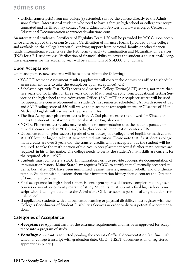# admissions

• Official transcript(s) from any college(s) attended, sent by the college directly to the Admissions Office. International students who need to have a foreign high school or college transcript translated and certified may contact World Education Services at www.wes.org or Center for Educational Documentation at www.cedevaluations.com.

An international student's Certificate of Eligibility Form I-20 will be provided by YCCC upon acceptance and receipt of the Foreign Student Certification of Finances Forms (provided by the college, and available on the college's website), verifying support from personal, family, or other financial funds. International students use the I-20 form to apply to Immigration and Naturalization Services (INS) for a F-1 student visa. Verification of financial ability to cover the student's educational/ living/ travel expenses for the academic year will be a minimum of \$14,000 U.S. dollars.

# Upon Acceptance

Upon acceptance, new students will be asked to submit the following:

- YCCC Placement Assessment results (applicants will contact the Admissions office to schedule an assessment date to take the Accuplacer upon acceptance), OR
- Scholastic Aptitude Test (SAT) scores or American College Testing(ACT) scores, not more than five years old for English or three years old for Math, sent directly from Educational Testing Service or the high school to the Admissions Office. (SAT, ACT or Accuplacer scores will be used for appropriate course placement in a student's first semester schedule.) SAT Math score of 525 and SAT Reading score of 550 will waive the placement test requirement. ACT scores of 22 in Math and English will also waive the placement test.
- The first Accuplacer placement test is free. A 2nd placement test is allowed for \$5/section unless the student has started a remedial math or English course.
- **NOTE:** Placement test results may result in a recommendation that the student pursues some remedial course work at YCCC and/or his/her local adult education center. -OR-
- Documentation of prior success (grade of C or better) in a college-level English or math course at a 100 level or higher, taken at an accredited institution. Please note that if a student's college math credits are over 3 years old, the transfer credits will be accepted, but the student will be required to take the math portion of the Accuplacer placement test if further math courses are required in his or her major. The college needs to verify the student's math skills are current for the required class. -AND-
- Students must complete a YCCC Immunization Form to provide appropriate documentation of immunization history. Maine State Law requires YCCC to certify that all formally accepted students, born after 1956 have been immunized against measles, mumps, rubella, and diphtheria/ tetanus. Students with questions about their immunization history should contact the Director of Enrollment Services.
- Final acceptance for high school seniors is contingent upon satisfactory completion of high school courses or any other current program of study. Students must submit a final high school transcript with date of graduation to the Admissions Office as soon as possible after graduation from high school.
- If applicable, students with a documented learning or physical disability must register with the College's Coordinator of Student Disabilities Services in order to discuss potential accommodations.

# Categories of Acceptance

- **Acceptance:** Applicant has met the entrance requirements and has been approved for acceptance into a program of study.
- **Pending:** Applicant is admitted pending the receipt of official documentation (i.e. final high school or college transcript with graduation date, GED, HISET, documentation of registered apprenticeship, etc.).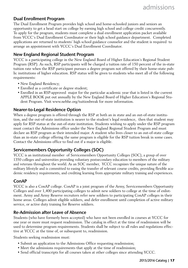# Dual Enrollment Program

The Dual Enrollment Program provides high school and home-schooled juniors and seniors an opportunity to get a head start on college by earning high school and college credit concurrently. To apply for the program, students must complete a dual enrollment application packet available from YCCC's Dual Enrollment Coordinator or their high school guidance department. Completed applications are returned to students' high school guidance counselor and the student is required to arrange an appointment with YCCC's Dual Enrollment Coordinator.

### New England Regional Student Program

YCCC is a participating college in the New England Board of Higher Education's Regional Student Program (RSP). As such, RSP participants will be charged a tuition rate of 150 percent of the in-state tuition rate when the RSP participant pursues a degree program not offered by their home-state public institutions of higher education. RSP status will be given to students who meet all of the following requirements:

- New England Residency;
- Enrolled as a certificate or degree student;
- Enrolled in an RSP-approved major for the particular academic year that is listed in the current APPLE BOOK put out annually by the New England Board of Higher Education's Regional Student Program. Visit www.nebhe.org/tuitionbreak for more information.

### Nearer-to-Legal Residence Option

When a degree program is offered through the RSP at both an in state and an out-of-state institution, and the out-of-state institution is nearer to the student's legal residence, then that student may apply for RSP status at the out-of-state institution. Students wishing to apply under the RSP program must contact the Admissions office under the New England Regional Student Program and must declare an RSP program as their intended major. A student who lives closer to an out-of-state college than an in-state college offering the same program is eligible for the RSP tuition break in some cases. Contact the Admissions office to find out if a major is eligible.

# Servicemembers Opportunity Colleges (SOC)

YCCC is an institutional member of Servicemembers Opportunity Colleges (SOC), a group of over 1350 colleges and universities providing voluntary postsecondary education to members of the military and veterans throughout the world. As an SOC member, YCCC recognizes the unique nature of the military lifestyle and is committed to easing the transfer of relevant course credits, providing flexible academic residency requirements, and crediting learning from appropriate military training and experiences.

# ConAP

YCCC is also a ConAP college. ConAP is a joint program of the Army, Servicemembers Opportunity Colleges and over 1,400 participating colleges to admit new soldiers to college at the time of enlistment. Army and Army Reserve recruiters refer new soldiers to participating ConAP colleges in their home areas. Colleges admit eligible soldiers, and defer enrollment until completion of active military service, or active duty training for Reserve soldiers.

### Re-Admission after Leave of Absence

Students (who have formerly been accepted) who have not been enrolled in courses at YCCC for one year or more must request readmission. The catalog in effect at the time of readmission will be used to determine program requirements. Students shall be subject to all rules and regulations effective at YCCC at the time of, or subsequent to, readmission.

Students seeking readmission must:

- Submit an application to the Admissions Office requesting readmission;
- Meet the admissions requirements that apply at the time of readmission;
- Send official transcripts for all courses taken at other colleges since attending YCCC.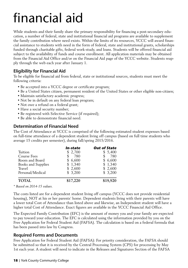# financial aid

While students and their family share the primary responsibility for financing a post-secondary education, a number of federal, state and institutional financial aid programs are available to supplement the family contribution where need exists. Within the limits of its resources, YCCC will award financial assistance to students with need in the form of federal, state and institutional grants, scholarships funded through charitable gifts, federal work-study, and loans. Students will be offered financial aid subject to the availability of funds and course enrollment. All application materials may be obtained from the Financial Aid Office and/or on the Financial Aid page of the YCCC website. Students reapply through the web each year after January 1.

# Eligibility for Financial Aid

To be eligible for financial aid from federal, state or institutional sources, students must meet the following criteria:

- Be accepted into a YCCC degree or certificate program;
- Be a United States citizen, permanent resident of the United States or other eligible non-citizen;
- Maintain satisfactory academic progress;
- Not be in default on any federal loan program;
- Not owe a refund on a federal grant;
- Have a social security number;
- Be registered with Selective Service (if required);
- Be able to demonstrate financial need.

# Determination of Financial Need

The Cost of Attendance at YCCC is comprised of the following estimated student expenses based on full-time attendance of a dependent student living off campus (based on full time students who average 15 credits per semester), during fall/spring 2015/2016.

|                    | In-state | <b>Out of State</b> |
|--------------------|----------|---------------------|
| Tuition            | \$2,700  | \$5,400             |
| Course Fees        | -780     | 780                 |
| Room and Board     | \$6,600  | \$6,600             |
| Books and Supplies | \$1,340  | \$1,340             |
| Travel             | \$2,600  | \$2,600             |
| Personal/Medical   | \$3,200  | \$3,200             |
| <b>TOTAL</b>       | \$17,220 | \$19,920            |

*\* Based on 2014-15 values.*

The costs listed are for a dependent student living off campus (YCCC does not provide residential housing), NOT at his or her parents' home. Dependent students living with their parents will have a lower total Cost of Attendance than listed above and likewise, an Independent student will have a higher total Cost of Attendance. Exact figures are available in the YCCC Financial Aid Office.

The Expected Family Contribution (EFC) is the amount of money you and your family are expected to pay toward your education. The EFC is calculated using the information provided by you on the Free Application for Federal Student Aid (FAFSA). The calculation is based on a federal formula that has been passed into law by Congress.

# Required Forms and Documents

Free Application for Federal Student Aid (FAFSA): For priority consideration, the FAFSA should be submitted so that it is received by the Central Processing System (CPS) for processing by May 1st each year. A student will need to indicate in the Releases and Signatures Section of the FAFSA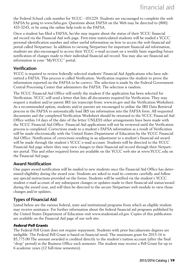the Federal School code number for YCCC - 031229. Students are encouraged to complete the web FAFSA by going to www.fafsa.gov. Questions about FAFSA on the Web may be directed to (800) 433-3243, or by using the online help tools in the FAFSA.

Once a student has filed a FAFSA, he/she may inquire about the status of their YCCC financial aid record via the Financial Aid web page. First-time matriculated students will be mailed a YCCC personal identification number and other useful information on how to access the web financial aid portal called Netpartner. In addition to viewing Netpartner for important financial aid information, students are also encouraged to access their YCCC e-mail account on a weekly basis regarding future notification of changes made to their individual financial aid record. You may also see financial aid information in your "MyYCCC" portal.

### Verification

YCCC is required to review federally selected students' Financial Aid Applications who have submitted a FAFSA. This process is called Verification. Verification requires the student to prove the information reported on the FAFSA to be correct. The selection is made by the Federal Government Central Processing Center that administers the FAFSA. The selection is random.

The YCCC Financial Aid Office will notify the student if the application has been selected for Verification. YCCC will send a letter that lists all documents required for Verification. They may request a student and/or parent IRS tax transcript from: www.irs.gov and the Verification Worksheet. As a recommended option, students and/or parents are encouraged to utilize the IRS Data Retrieval process in the FAFSA to automatically load IRS tax information into the FAFSA form. All requested documents and the completed Verification Worksheet should be returned to the YCCC Financial Aid Office within 14 days of the date of the letter UNLESS other arrangements have been made with the YCCC Financial Aid Office. Financial Aid applications will not be reviewed until the Verification process is completed. Corrections made to a student's FAFSA information as a result of Verification will be made electronically with the United States Department of Education by the YCCC Financial Aid Office. Notification of corrections resulting in an adjustment to a student's financial aid award will be made through the student's YCCC e-mail account. Students will be directed to the YCCC Financial Aid page where they may view changes to their financial aid record through their Netpartner portal. This and other required forms are available on the YCCC web site at www.YCCC.edu on the Financial Aid page.

# Award Notification

One paper award notification will be mailed to new students once the Financial Aid Office has determined eligibility during the award year. Students are asked to read its contents carefully and follow any special instructions provided on the forms. Students will be notified via the student's YCCC student e-mail account of any subsequent changes or updates made to their financial aid status/award during the award year, and will then be directed to the secure Netpartner web module to view those changes and/or updates.

# Types of Financial Aid

Listed below are the various federal, state and institutional programs from which an eligible student may receive assistance. For further information about the federal financial aid programs published by the United States Department of Education visit www.studentaid.ed.gov. Copies of this publication are available on the Financial Aid page of our web site.

#### **Federal Pell Grants**

The Federal Pell Grant does not require repayment. Students with prior baccalaureate degrees are ineligible. The Federal Pell Grant is based on financial need. The maximum grant for 2015-16 is \$5,775.00 The amount awarded is credited directly to the student's tuition account (after the final "drop" period) in the Business Office each semester. The student may receive a Pell Grant for up to 6 academic years (12 full-time semesters).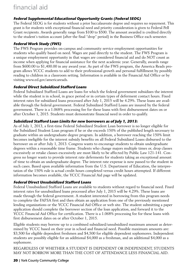### **Federal Supplemental Educational Opportunity Grants (Federal SEOG)**

The Federal SEOG is for students without a prior baccalaureate degree and requires no repayment. This grant is for students with exceptional financial need and priority consideration is given to Federal Pell Grant recipients. Awards generally range from \$100 to \$500. The amount awarded is credited directly to the student's tuition account (after the final "drop" period) in the Business Office each semester.

### **Federal Work Study (FWS)**

The FWS Program provides on-campus and community service employment opportunities for students who qualify based on need. Wages are paid directly to the student. The FWS Program is a unique employment opportunity in that wages are considered financial aid and do NOT count as income when applying for financial assistance for the next academic year. Generally, awards range from \$600.00 to \$1,400.00 in any award year. As part of the FWS program, the America Reads program allows YCCC students to add to their professional growth and personal fulfillment by possibly reading to children in a classroom setting. Information is available in the Financial Aid Office or by visiting www.ed.gov/americareads.

### **Federal Direct Subsidized Stafford Loans**

Federal Subsidized Stafford Loans are loans for which the federal government subsidizes the interest while the student is in school, in grace period or in certain types of deferment contact hours. Fixed interest rates for subsidized loans processed after July 1, 2015 will be 4.29%. These loans are available through the federal government. Federal Subsidized Stafford Loans are insured by the federal government. There is a 1.068% processing fee for these loans with first disbursement dates on or after October 1, 2015. Students must demonstrate financial need in order to qualify.

#### **Subsidized Stafford Loan Limits for new borrowers as of July 1, 2013:**

As of July 1, 2013, a first-time Federal Subsidized Student Loan borrower is no longer eligible for the Subsidized Student Loan program if he or she exceeds 150% of the published length necessary to graduate within an undergraduate degree program. In addition, a borrower reaching the 150% limit becomes ineligible for the interest subsidy benefits on all Federal Subsidized Loans disbursed to the borrower on or after July 1, 2013. Congress wants to encourage students to obtain undergraduate degrees within a reasonable time frame. Students who change majors multiple times or, drop classes excessively or retake classes excessively are most likely to be affected by Public Law 121-141. Congress no longer wants to provide interest rate deferments for students taking an exceptional amount of time to obtain an undergraduate degree. The interest rate expense is now passed to the student in such cases. Based upon available information from the U.S. Department of Education, the interpretation of the 150% rule is actual credit hours completed versus credit hours attempted. If different information becomes available, the YCCC Financial Aid page will be updated.

### **Federal Direct Unsubsidized Stafford Loans**

Federal Unsubsidized Stafford Loans are available to students without regard to financial need. Fixed interest rates for unsubsidized loans processed after July 1, 2015 will be 4.29%. These loans are made through the federal government. A student interested in borrowing from this program needs to complete the FAFSA first and then obtain an application from one of the previously mentioned lending organizations or the YCCC Financial Aid Office or web site. The student submitting a paper application should complete the borrower section of the loan application, and forward it to the YCCC Financial Aid Office for certification. There is a 1.068% processing fee for these loans with first disbursement dates on or after October 1, 2015.

Eligible students may borrow up to a combined subsidized/unsubsidized maximum amount as determined by YCCC based on their year in school and financial need. Possible maximum amounts are: \$3,500 for eligible dependent freshmen and \$4,500 for eligible dependent sophomores. Independent students are possibly eligible for an additional \$4,000 as a freshman, and an additional \$4,000 as a sophomore.

REGARDLESS OF WHETHER A STUDENT IS DEPENDENT OR INDEPENDENT, STUDENTS MAY NOT BORROW MORE THAN THE COST OF ATTENDANCE LESS FINANCIAL AID.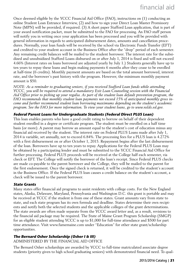Once deemed eligible by the YCCC Financial Aid Office (FAO), instructions on (1) conducting an online Student Loan Entrance Interview, (2) and how to sign your Direct Loan Master Promissory Note (MPN) will be provided, if required. (3) A short paper Stafford Loan application, that is part of your award notification packet, must be submitted to the FAO for processing. An FAO staff person will notify you in writing once your application has been processed and you will be provided with general information in regards to anticipated disbursement dates, amounts and cancellation procedures. Normally, your loan funds will be received by the school via Electronic Funds Transfer (EFT) and credited to your student account in the Business Office after the "drop" period of each semester. Any remaining credit balances will be mailed to the student borrower. The interest rate for the subsidized and unsubsidized Stafford Loans disbursed on or after July 1, 2014 is fixed and will not exceed 4.66% (Interest rates on loans borrowed are adjusted yearly by July 1.) Students generally have up to ten years to repay these loans and begin making payments 6 months after they cease to be enrolled at half-time (6 credits). Monthly payment amounts are based on the total amount borrowed, interest rate, and the borrower's past history with the program. However, the minimum monthly payment amount is \$50.

*NOTE: As a reminder to graduating seniors, if you received Stafford Loan funds while attending YCCC, you will be required to attend a mandatory Exit Loan Counseling session with the Financial Aid Office prior to picking up your regalia. As part of the student loan default prevention program, the FAO recommends that monthly student loan payments not exceed 15% of anticipated monthly gross income and further recommend student loan borrowing maximums depending on the student's academic program. See the FAO for more information. To view your student loans, go to www.nslds.ed.gov.*

#### **Federal Parent Loans for Undergraduate Students (Federal Direct PLUS Loan)**

This loan enables parents who have a good credit rating to borrow on behalf of their dependent student enrolled in a degree or certificate program. The student must be enrolled on a half time basis (or more). A parent may borrow an amount equal to the student's cost of education minus any financial aid received by the student. The interest rate on Federal PLUS Loans made after July 1, 2014 is variable, set annually, not to exceed 6.84%. The processing fees for a PLUS loan is 4.272% with a first disbursement on or after October 1, 2015. Repayment begins after the last disbursement of the loan. Borrowers have up to ten years to repay. Applications for the Federal PLUS Loan may be obtained by a participating lender and must be submitted to the YCCC Financial Aid Office for further processing. Federal PLUS proceeds will be received at the College half each semester, via check or EFT. The College will notify the borrower of the loan's receipt. Since Federal PLUS checks are made co-payable to the parent borrower and the College, they will be mailed to the parent for the first endorsement. Once the signed check is returned, it will be credited to the student's account in the Business Office. If the Federal PLUS loan causes a credit balance on the student's account, a check will be issued to the parent borrower.

#### **State Grants**

Many states offer financial aid programs to assist residents with college costs. For the New England states, Alaska, Delaware, Maryland, Pennsylvania and Washington D.C. this grant is portable and may be received at YCCC if the student is from one of these states. Grant amounts vary from state to state, and each state program has its own formula and deadline. States determine their own recipients and notify both the selected students and the applicable colleges of the grant determinations. The state awards are often made separate from the YCCC award letter and, as a result, revisions to the financial aid package may be required. The State of Maine Grant Program Scholarship (SMGP) for an eligible student attending YCCC is up to \$1,000 for full-time attendance and \$500 for part time attendance. Visit www.famemaine.com under "Education" for other state grant/scholarship opportunities.

### **The Bernard Osher Scholarship (Osher I & III)**

ADMINISTERED BY THE FINANCIAL AID OFFICE

The Bernard Osher scholarships are awarded by YCCC to full-time matriculated associate degree students (priority given to high school graduating seniors) with demonstrated financial need. To qual-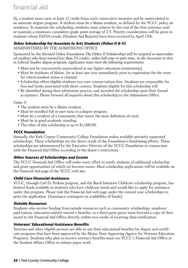ify, a student must carry at least 12 credit hours each consecutive semester and be matriculated in an associate degree program. A student must be a Maine resident, as defined by the YCCC policy on residency. To maintain the scholarship, students must achieve by the end of the first semester and/ or maintain a minimum cumulative grade point average of 2.5. Priority consideration will be given to students whose FAFSA results (Student Aid Reports) have been received by April 15th.

### **Osher Scholarship for Associate in Arts Students (Osher II & V)**

ADMINISTERED BY THE ADMISSIONS OFFICE

Sponsored by the Bernard Osher Foundation *The Osher II Scholarships will be targeted to matriculated students who have earned less than 24 credits, either full-time or part-time, in the Associate in Arts in Liberal Studies degree program. Applicants must meet the following requirements:*

- Must not be concurrently matriculated at any higher education institution(s).
- Must be residents of Maine, for at least one year immediately prior to registration for the term for which resident status is claimed.
- Scholarship offers eligible students two core courses tuition-free. Students are responsible for fees and books associated with these courses. Students eligible for this scholarship will
- Be identified during their admissions process, and awarded the scholarship upon their formal acceptance. Please forward all inquiries about this scholarship to the Admissions Office.

#### *Osher V:*

- The student must be a Maine resident.
- Must be enrolled full or part-time in a degree program.
- Must be a resident of a community that meets the state definition of rural.
- Must be in good academic standing.
- The value of this scholarship is up to \$1,000.00.

#### **YCCC Foundation**

Annually, the York County Community College Foundation makes available privately supported scholarships. These scholarships are the direct result of the Foundation's fundraising efforts. These scholarships are administered by the Executive Director of the YCCC Foundation in conjunction with the Financial Aid Office according to the donor's restrictions.

#### **Other Sources of Scholarships and Grants**

The YCCC Financial Aid Office will make every effort to notify students of additional scholarship and grant opportunities of which we become aware. Most scholarship applications will be available on the Financial Aid page of the YCCC web site.

#### **Child Care Financial Assistance**

YCCC, through Carl D. Perkins program, and the Rural Initiative Childcare scholarship program, has limited funds available to students who have childcare needs and would like to apply for assistance under this program. Please visit the Financial Aid web page under the current year scholarships to print the application. (Assistance contingent on availability of funds).

#### **Outside Resources**

Students who receive funding from outside resources such as community scholarships, employer paid tuition, education-related veteran's benefits, or a third party payer must forward a copy of their award to the Financial Aid Office directly within two weeks of receiving their notification.

#### **Veterans' Educational Assistance Benefits**

Veterans and other eligible persons are able to use their educational benefits for degree and certificate programs that have been approved by the Maine State Approving Agency for Veterans Education Programs. Students who plan to receive veteran's benefits must see YCCC's Financial Aid Office in the Student Affairs Office to initiate paper work.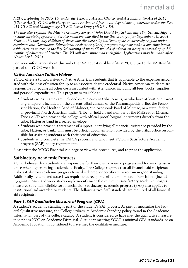*NEW: Beginning in 2015-16, under the Veteran's Access, Choice, and Accountability Act of 2014 (Choice Act"), YCCC will charge in-state tuition and fees to all dependents of veterans under the Post-911 GI Bill and Montgomery GI Bill-Active Duty (MGIB-AD).*

*The law also expands the Marine Gunnery Sergeant John David Fry Scholarship (Fry Scholarship) to include surviving spouses of Service members who died in the line of duty after September 10, 2001. Prior to this law, only children of those who die were eligible. Some spouses currently eligible under Survivors and Dependents Educational Assistance (DEA) program may now make a one-time irrevocable election to receive the Fry Scholarship of up to 45 months of education benefits instead of up 36 months of educational benefits. The VA will determine who is eligible. Applications may be made after November 3, 2014.*

For more information about this and other VA educational benefits at YCCC, go to the VA Benefits part of the YCCC web site.

#### **Native American Tuition Waiver**

YCCC offers a tuition waiver to Native American students that is applicable to the expenses associated with the cost of tuition for up to an associate degree credential. Native American students are responsible for paying all other costs associated with attendance, including all fees, books, supplies and personal expenditures. This program is available to:

- Students whose names are included on the current tribal census, or who have at least one parent or grandparent included on the current tribal census, of the Passamaquoddy Tribe, the Penobscot Nation, the Houlton Band of Maliseet, the Aroostook Band of Micmac, or a state, federal, or provincial North American Indian Tribe, or held a band number of the Maliseet or Micmac Tribes AND who provide the college with official proof (original document) directly from the tribe, Nation or band in a sealed envelope.
- Students who provide a statement of support identifying all financial assistance provided by the tribe, Nation, or bank. This must be official documentation provided by the Tribal office responsible for assisting students with their cost of education.
- Students who complete the FAFSA process, and who meet YCCC's Satisfactory Academic Progress (SAP) policy requirements.

Please visit the YCCC Financial Aid page to view the procedures, and to print the application.

#### Satisfactory Academic Progress

YCCC believes that students are responsible for their own academic progress and for seeking assistance when experiencing academic difficulty. The College requires that all financial aid recipients make satisfactory academic progress toward a degree, or certificate to remain in good standing. Additionally, federal and state laws require that recipients of federal or state financial aid (including grants, loans, and work study employment) meet the minimum satisfactory academic progress measures to remain eligible for financial aid. Satisfactory academic progress (SAP) also applies to institutional aid awarded to students. The following two SAP standards are required of all financial aid recipients.

#### **Part 1. SAP Qualitative Measure of Progress (GPA)**

A student's academic standing is part of the student's SAP process. As part of measuring the federal Qualitative measure, the College utilizes its Academic Standing policy found in the Academic Information part of the college catalog. A student is considered to have met the qualitative measure if he/she is NOT on Academic Dismissal. A student meeting YCCC's minimal GPA standards, or on Academic Probation, is considered to have met the qualitative measure.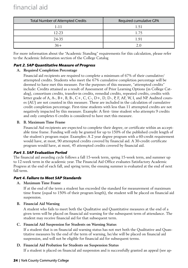| <b>Total Number of Attempted Credits</b> | Required cumulative GPA |  |
|------------------------------------------|-------------------------|--|
| 1-11                                     | 1.51                    |  |
| 12-23                                    | 1.75                    |  |
| 24-35                                    | 1.91                    |  |
| $36+$                                    | ን በ                     |  |

For more information about the "Academic Standing" requirements for this calculation, please refer to the Academic Information section of the College Catalog

### **Part 2. SAP Quantitative Measure of Progress**

#### **A. Required Completion Percentage**

Financial aid recipients are required to complete a minimum of 67% of their cumulative/ attempted credits. Students who meet the 67% cumulative completion percentage will be deemed to have met this measure. For the purposes of this measure, "attempted credits" include: Credits attained as a result of Assessment of Prior Learning Options (in College Catalog), consortium credits, transfer-in credits, remedial credits, repeated credits, credits with letter grade of A, A-, B + , B, B-, C + , C, C-, D + , D, D-, P, F, AF, W, I, and NP. Audited courses (AU) are not counted in this measure. These are included in the calculation of cumulative credit completion percentage. First-time students with less than 11 attempted credits are not negatively impacted by this measure. Example: A first- time student who attempts 9 credits and only completes 6 credits is considered to have met this measure.

#### **B. B. Maximum Time Frame**

Financial Aid recipients are expected to complete their degree, or certificate within an acceptable time frame. Funding will only be granted for up to 150% of the published credit length of the student's program major. Examples: A 2 year degree program with a 60-credit requirement would have, at most, 90 attempted credits covered by financial aid. A 30-credit certificate program would have, at most, 45 attempted credits covered by financial aid.

### **Part 3. SAP Evaluation Period**

The financial aid awarding cycle follows a fall 15-week term, spring 15-week term, and summer up to 12-week term in the academic year. The Financial Aid Office evaluates Satisfactory Academic Progress at the end of each fall, and spring term; the ensuing summer is evaluated at the end of next fall term.

### **Part 4. Failure to Meet SAP Standards**

#### **A. Maximum Time Frame**

If at the end of the term a student has exceeded the standard for measurement of maximum time frame (equal to 150% of their program length), the student will be placed on financial aid suspension.

#### **B. Financial Aid Warning**

A student who fails to meet both the Qualitative and Quantitative measures at the end of a given term will be placed on financial aid warning for the subsequent term of attendance. The student may receive financial aid for that subsequent term.

#### **C. Financial Aid Suspension for Students on Warning Status**

If a student that is on financial aid warning status has not met both the Qualitative and Quantitative measures by the end of the term of warning, he/she will be placed on financial aid suspension, and will not be eligible for financial aid for subsequent terms.

### **D. Financial Aid Probation for Students on Suspension Status**

If a student is placed on financial aid suspension and is successfully granted an appeal (see ap-

#### **24** | York County Community College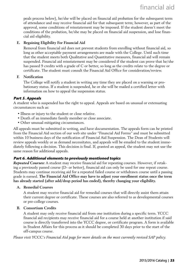peals process below), he/she will be placed on financial aid probation for the subsequent term of attendance and may receive financial aid for that subsequent term; however, as part of the approval, some conditions of reinstatement may be imposed. If the student doesn't meet the conditions of the probation, he/she may be placed on financial aid suspension, and lose financial aid eligibility.

#### **E. Regaining Eligibility For Financial Aid**

Removal from financial aid does not prevent students from enrolling without financial aid, so long as other acceptable payment arrangements are made with the College. Until such time that the student meets both Qualitative and Quantitative measures, financial aid will remain suspended. Financial aid reinstatement may be considered if the student can prove that he/she has passed 9 credits with a grade of C or better, so long as the credits relate to the degree or certificate. The student must consult the Financial Aid Office for consideration/review.

#### **F. Notification**

The College will notify a student in writing any time they are placed on a warning or probationary status. If a student is suspended, he or she will be mailed a certified letter with information on how to appeal the suspension status.

#### **Part 5. Appeals**

A student who is suspended has the right to appeal. Appeals are based on unusual or extenuating circumstances such as:

- Illness or injury to the student or close relative.
- Death of an immediate family member or close associate.
- Other unusual mitigating circumstances.

All appeals must be submitted in writing, and have documentation. The appeals form can be printed from the Financial Aid section of our web site under "Financial Aid Forms" and must be submitted within 10 business days of the notification of Financial Aid Suspension. The Dean of Students will review appeals weekly or as demand necessitates, and appeals will be emailed to the student immediately following a decision. This decision is final. If, granted an appeal, the student may not use the same reason for additional appeals.

#### **Part 6. Additional elements to previously mentioned topics**

*Repeated Courses:* A student may receive financial aid for repeating courses. However, if retaking a previously passed course (D- or better), financial aid can only be used for one repeat course. Students may continue receiving aid for a repeated failed course or withdrawn course until a passing grade is earned. **The Financial Aid Office may have to adjust your enrollment status once the term has already started (after add/drop period has ended), thereby changing your eligibility.**

#### **A. Remedial Courses**

A student may receive financial aid for remedial courses that will directly assist them attain their current degree or certificate. These courses are also referred to as developmental courses or pre-college courses.

#### **B. Consortium Credits**

A student may only receive financial aid from one institution during a specific term. YCCC financial aid recipients may receive financial aid for a course held at another institution if said course is directly transferred into the YCCC degree, or certificate program. A form is available in Student Affairs for this process as it should be completed 30 days prior to the start of the off-campus course.

*Please visit YCCC's Financial Aid page for more details on the most currently revised SAP policy.*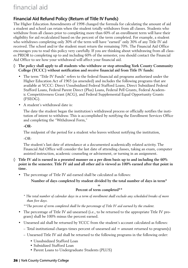# Financial Aid Refund Policy (Return of Title IV Funds)

The Higher Education Amendments of 1998 changed the formula for calculating the amount of aid a student and school can retain when the student totally withdraws from all classes. Students who withdraw from all classes prior to completing more than 60% of an enrollment term will have their eligibility for aid recalculated based on the percent of the term completed. For example, a student who withdraws completing only 30% of the term will have "earned" only 30% of any Title IV aid received. The school and/or the student must return the remaining 70%. The Financial Aid Office encourages you to read this policy very carefully. If you are thinking about withdrawing from all classes PRIOR to completing up to and including 60% of the semester, you should contact the Financial Aid Office to see how your withdrawal will affect your financial aid.

- **◊ The policy shall apply to all students who withdraw or stop attending York County Community College (YCCC) without notification and receive financial aid from Title IV funds:**
	- The term "Title IV Funds" refers to the federal financial aid programs authorized under the Higher Education Act of 1965 (as amended) and includes the following programs that are available at YCCC: Direct Unsubsidized Federal Stafford Loans, Direct Subsidized Federal Stafford Loans, Federal Parent Direct (Plus) Loans, Federal Pell Grants, Federal Academic Competitiveness Grant (ACG), and Federal Supplemental Equal Opportunity Grants (FSEOG).
	- A student's withdrawal date is:

The date the student began the institution's withdrawal process or officially notifies the institution of intent to withdraw. This is accomplished by notifying the Enrollment Services Office and completing the "Withdrawal Form,"

**-OR-**

The midpoint of the period for a student who leaves without notifying the institution,

-OR-

The student's last date of attendance at a documented academically related activity. The Financial Aid Office will consider the last date of attending classes, taking an exam, computer assisted instruction, academic counseling or advisement, or turning in an assignment.

- **◊ Title IV aid is earned in a prorated manner on a per diem basis up to and including the 60% point in the semester. Title IV aid and all other aid is viewed as 100% earned after that point in time.**
	- The percentage of Title IV aid earned shall be calculated as follows:

**Number of days completed by student divided by the total number of days in term\***

#### **= Percent of term completed\*\***

- *\* The total number of calendar days in a term of enrollment shall exclude any scheduled breaks of more than five days.*
- *\*\*The percent of term completed shall be the percentage of Title IV aid earned by the student.*
- The percentage of Title IV aid unearned (i.e., to be returned to the appropriate Title IV program) shall be 100% minus the percent earned.
- Unearned aid shall be returned by YCCC from the student's account calculated as follows:
	- $-$  Total institutional charges times percent of unearned aid  $=$  amount returned to program(s)
	- Unearned Title IV aid shall be returned to the following programs in the following order:
		- Unsubsidized Stafford Loan
		- Subsidized Stafford Loan
		- Parent Loans to Undergraduate Students (PLUS)

#### **26** | York County Community College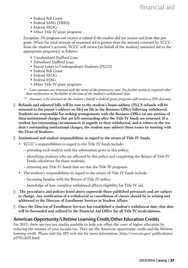- Federal Pell Grant
- Federal SSSG (TRIO)
- Federal SEOG
- Other Title IV grant programs

*Exception: No program can receive a refund if the student did not receive aid from that program.* When the total amount of unearned aid is greater than the amount returned by YCCC from the student's account, YCCC will return (on behalf of the student) unearned aid to the appropriate program(s) as follows:

- Unsubsidized Stafford Loan
- Subsidized Stafford Loan
- Parent Loans to Undergraduate Students (PLUS)
- Federal Pell Grant
- Federal SEOG
- Federal SSSG
- Other Title IV grant programs
- *\* Loan amounts are returned with the terms of the promissory note. No further action is required other than notification to the holder of the loan of the student's withdrawal date.*
- *\*\* Amounts to be returned on the student's behalf to federal grant programs will receive a 50% discount.*
- **◊ Refunds and adjusted bills will be sent to the student's home address (PLUS refunds will be returned to the parent's address on file) on file in the Business Office following withdrawal. Students are responsible for making arrangements with the Business Office on any portion of their institutional charges that are left outstanding after the Title IV funds are returned. If a student has extenuating circumstances in regards to their withdrawal, and it relates to the student's outstanding institutional charges, the student may address those issues by meeting with the Dean of Students.**
- **◊ Institutional and student responsibilities in regard to the return of Title IV funds:** 
	- YCCC's responsibilities in regard to the Title IV funds include:
		- providing each student with the information given in this policy;
		- identifying students who are affected by this policy and completing the Return of Title IV Funds calculation for those students;
		- returning any Title IV funds that are due the Title IV programs.
	- The student's responsibilities in regard to the return of Title IV funds include:
		- becoming familiar with the Return of Title IV policy;
		- knowledge of how complete withdrawal affects eligibility for Title IV aid.
- **◊ The procedures and policies listed above supersede those published previously and are subject to change. Any notification of a withdrawal or cancellation of classes should be in writing and addressed to the Director of Enrollment Services in Student Affairs.**
- **◊ Once the Director of Enrollment Services has established a student's withdrawal date, that date will be forwarded and utilized by the Financial Aid Office for all Title IV recalculations.**

### American Opportunity/Lifetime Learning Credit/Other Education Credits

For 2015, there are two tax credits available to help you offset the costs of higher education by reducing the amount of your income tax. They are the American opportunity credit and the lifetime learning credit. Please visit the IRS web site for more information: http://www.irs.gov/ publications/ p970/ch03.html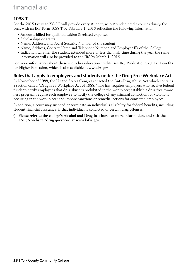# financial aid

# 1098-T

For the 2015 tax year, YCCC will provide every student, who attended credit courses during the year, with an IRS Form 1098-T by February 1, 2016 reflecting the following information:

- Amounts billed for qualified tuition & related expenses
- Scholarships or grants
- Name, Address, and Social Security Number of the student
- Name, Address, Contact Name and Telephone Number, and Employer ID of the College
- Indication whether the student attended more or less than half time during the year the same information will also be provided to the IRS by March 1, 2016.

For more information about these and other education credits, see IRS Publication 970, Tax Benefits for Higher Education, which is also available at www.irs.gov.

# Rules that apply to employees and students under the Drug Free Workplace Act

In November of 1988, the United States Congress enacted the Anti-Drug Abuse Act which contains a section called "Drug Free Workplace Act of 1988." The law requires employers who receive federal funds to notify employees that drug abuse is prohibited in the workplace; establish a drug free awareness program; require each employee to notify the college of any criminal conviction for violations occurring in the work place; and impose sanctions or remedial actions for convicted employees.

In addition, a court may suspend or terminate an individual's eligibility for federal benefits, including student financial assistance, if that individual is convicted of certain drug offenses.

**◊ Please refer to the college's Alcohol and Drug brochure for more information, and visit the FAFSA website "drug question" at www.fafsa.gov.**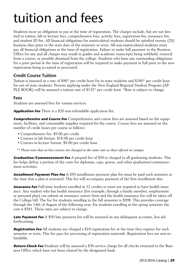# tuition and fees

Students incur an obligation to pay at the time of registration. The charges include, but are not limited to tuition, lab or lecture fees, comprehensive fees, activity fees, registration fee, insurance fee, and student ID fee. All financial obligations for matriculated students should be satisfied twenty (20) business days prior to the start date of the semester or term. All non-matriculated students must pay all financial obligations at the time of registration. Failure to make full payment to the Business Office for any and all charges may result in grades and academic transcripts being withheld, removal from a course, or possible dismissal from the college. Students who have any outstanding obligations for a prior period at the time of registration will be required to make payment in full prior to the new registration being accepted or processed.

# Credit Course Tuition

Tuition is assessed at a rate of \$90\* per credit hour for in-state students and \$180\* per credit hour for out-of state students. Persons applying under the New England Regional Student Program (AP-PLE BOOK) will be assessed a tuition rate of \$135\* per credit hour. \*Rate is subject to change.

### Fees

Students are assessed fees for various services.

**Application Fee** There is a \$20 non-refundable application fee.

**Comprehensive and Course Fee** Comprehensive and course fees are assessed based on the equipment, facilities, and consumable supplies required for the course. Course fees are assessed on the number of credit hours per course as follows:

- Comprehensive fee: \$9.00 per credit
- Courses in lab format: \$18.00 per credit hour
- Courses in lecture format: \$9.00 per credit hour
- *\*\* Please note that on-line courses are charged at the same rate as those offered on campus.*

**Graduation/Commencement Fee** A prepaid fee of \$50 is charged to all graduating students. This fee helps defray a portion of the costs for diplomas, caps, gowns, and other graduation/commencement activities.

**Installment Payment Plan Fee** A \$50 installment payment plan fee must be paid each semester at the time that a plan is activated. This fee will accompany payment of the first installment due.

**Insurance Fee** Full-time students enrolled in 12 credits or more are required to have health insurance. Any student who has health insurance (for example, through a family member, employment or personal plan) can submit an insurance waiver form and the health insurance fee will be taken off the College bill. The fee for students enrolling in the fall semester is \$998. This provides coverage through the 14th of August of the following year. For students enrolling in the spring semester the cost is \$581. These rates are subject to change.

**Late Payment Fee** A \$50 late payment fee will be assessed on any delinquent accounts, less aid forthcoming.

**Registration Fee** All students are charged a \$10 registration fee at the time they register for each semester or term. This fee pays for processing of registration materials. Registration fees are non-refundable.

**Return Check Fee** Students will be assessed a \$30 service charge for all checks returned to the Business Office which have not been cleared by the designated bank.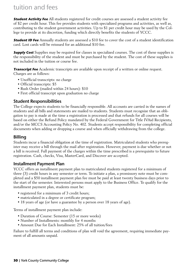# tuition and fees

**Student Activity Fee** All students registered for credit courses are assessed a student activity fee of \$2 per credit hour. This fee provides students with specialized programs and activities, as well as, contributing to the student government activities. Up to \$1 per credit hour may be used by the College to provide at its discretion, funding which directly benefits the students of YCCC.

**Student ID Fee** Annually students are assessed a \$10 fee to cover the cost of a student identification card. Lost cards will be reissued for an additional \$10 fee.

**Supply Cost** Supplies may be required for classes in specialized courses. The cost of these supplies is the responsibility of the student and must be purchased by the student. The cost of these supplies is not included in the tuition or course fee.

**Transcript Fee** Academic transcripts are available upon receipt of a written or online request. Charges are as follows:

- Unofficial transcripts: no charge
- Official transcripts: \$5
- Rush Order (mailed within 24 hours): \$10
- First official transcript upon graduation no charge

### Student Responsibilities

The College expects students to be financially responsible. All accounts are carried in the names of students and all bills and statements are mailed to students. Students must recognize that an obligation to pay is made at the time a registration is processed and that refunds for all courses will be based on either the Refund Policy mandated by the Federal Government for Title IVAid Recipients, and/or the MCCS Accounting Policy No. 402. Students accept responsibility for completing official documents when adding or dropping a course and when officially withdrawing from the college.

# Billing

Students incur a financial obligation at the time of registration. Matriculated students who preregister may receive a bill through the mail after registration. However, payment is due whether or not a bill is received. Full payment of the charges within the time prescribed is a prerequisite to future registration. Cash, checks, Visa, MasterCard, and Discover are accepted.

### Installment Payment Plan

YCCC offers an installment payment plan to matriculated students registered for a minimum of three (3) credit hours in any semester or term. To initiate a plan, a promissory note must be completed and a \$50 installment payment plan fee must be paid at least twenty business days prior to the start of the semester. Interested persons must apply to the Business Office. To qualify for the installment payment plan, students must be:

- registered for a minimum of 3 credit hours;
- matriculated in a degree or certificate program;
- 18 years of age (or have a guarantee by a person over 18 years of age).

Terms of installment payment plan include:

- Duration of Course: Semester (15 or more weeks)
- Number of Installments: monthly for 4 months
- Amount Due for Each Installment: 25% of all tuition/fees

Failure to fulfill all terms and conditions of plan will void the agreement, requiring immediate payment of all amounts unpaid.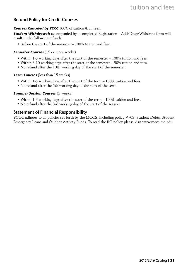# tuition and fees

# Refund Policy for Credit Courses

#### **Courses Canceled by YCCC** 100% of tuition & all fees.

**Student Withdrawals** accompanied by a completed Registration – Add/Drop/Withdraw form will result in the following refunds:

• Before the start of the semester – 100% tuition and fees.

#### **Semester Courses** (15 or more weeks)

- Within 1-5 working days after the start of the semester 100% tuition and fees.
- Within 6-10 working days after the start of the semester 50% tuition and fees.
- No refund after the 10th working day of the start of the semester.

#### **Term Courses** (less than 15 weeks)

- Within 1-5 working days after the start of the term 100% tuition and fees.
- No refund after the 5th working day of the start of the term.

#### **Summer Session Courses** (5 weeks)

- Within 1-3 working days after the start of the term 100% tuition and fees.
- No refund after the 3rd working day of the start of the session.

### Statement of Financial Responsibility

YCCC adheres to all policies set forth by the MCCS, including policy #709: Student Debts, Student Emergency Loans and Student Activity Funds. To read the full policy please visit www.mcce.me.edu.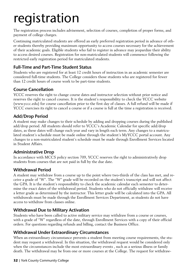# registration

The registration process includes advisement, selection of courses, completion of proper forms, and payment of college charges.

Continuing matriculated students are offered an early preferred registration period in advance of other students thereby providing maximum opportunity to access courses necessary for the achievement of their academic goals. Eligible students who fail to register in advance may jeopardize their ability to access desired courses. Registration for non-matriculated students will commence following the restricted early registration period for matriculated students.

# Full-Time and Part-Time Student Status

Students who are registered for at least 12 credit hours of instruction in an academic semester are considered full-time students. The College considers those students who are registered for fewer than 12 credit hours of course work to be part-time students.

# Course Cancellation

YCCC reserves the right to change course dates and instructor selection without prior notice and reserves the right to cancel courses. It is the student's responsibility to check the YCCC website (www.yccc.edu) for course cancellation prior to the first day of classes. A full refund will be made if YCCC exercises its right to cancel a course or if a course is full at the time a registration is received.

# Add/Drop Period

A student may make changes to their schedule by adding and dropping courses during the published add/drop period. All students should refer to YCCC's Academic Calendar for specific add/drop dates, as these dates will change each year and vary in length each term. Any changes to a matriculated student's schedule must be made online through the student's MyYCCC portal account. Any changes to a non-matriculated student's schedule must be made through Enrollment Services located in Student Affairs.

# Administrative Drop

In accordance with MCCS policy section 709, YCCC reserves the right to administratively drop students from courses that are not paid in full by the due date.

# Withdrawal Period

A student may withdraw from a course up to the point where two-thirds of the class has met, and receive a grade of "W". The "W" grade will be recorded on the student's transcript and will not affect the GPA. It is the student's responsibility to check the academic calendar each semester to determine the exact dates of the withdrawal period. Students who do not officially withdraw will receive a letter grade as determined by the instructor. This letter grade will be calculated into the GPA. All withdrawals must be made through the Enrollment Services Department, as students do not have access to withdraw from classes online.

# Withdrawal Due to Military Activation

Students who have been called to active military service may withdraw from a course or courses, with a grade of "W" regardless of the date, through Enrollment Services with a copy of their official orders. For questions regarding refunds and billing, contact the Business Office.

# Withdrawal Under Extraordinary Circumstances

When an extraordinary circumstance prevents a student from meeting course requirements, the student may request a withdrawal. In this situation, the withdrawal request would be considered only when the circumstances include the most extraordinary events , such as a serious illness or family death. The withdrawal may be from one or more courses at the College. The request for withdraw-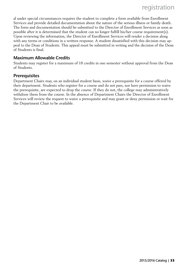al under special circumstances requires the student to complete a form available from Enrollment Services and provide detailed documentation about the nature of the serious illness or family death. The form and documentation should be submitted to the Director of Enrollment Services as soon as possible after it is determined that the student can no longer fulfill his/her course requirement(s). Upon reviewing the information, the Director of Enrollment Services will render a decision along with any terms or conditions in a written response. A student dissatisfied with this decision may appeal to the Dean of Students. This appeal must be submitted in writing and the decision of the Dean of Students is final.

# Maximum Allowable Credits

Students may register for a maximum of 18 credits in one semester without approval from the Dean of Students.

### **Prerequisites**

Department Chairs may, on an individual student basis, waive a prerequisite for a course offered by their department. Students who register for a course and do not pass, nor have permission to waive the prerequisite, are expected to drop the course. If they do not, the college may administratively withdraw them from the course. In the absence of Department Chairs the Director of Enrollment Services will review the request to waive a prerequisite and may grant or deny permission or wait for the Department Chair to be available.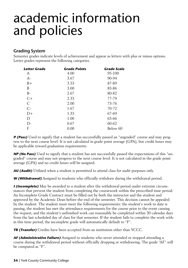# academic information and policies

# Grading System

Semester grades indicate levels of achievement and appear as letters with plus or minus options. Letter grades represent the following categories.

| Letter Grade | <b>Grade Points</b> | <b>Grade Scale</b> |
|--------------|---------------------|--------------------|
| А            | 4.00                | 95-100             |
| $A-$         | 3.67                | 90-94              |
| $B+$         | 3.33                | 87-89              |
| B            | 3.00                | 83-86              |
| $B-$         | 2.67                | 80-82              |
| $C+$         | 2.33                | 77-79              |
| C            | 2.00                | 73-76              |
| $C-$         | 1.67                | 70-72              |
| D+           | 1.33                | 67-69              |
| D            | 1.00                | 63-66              |
| D-           | 0.67                | 60-62              |
| F            | 0.00                | Below 60           |

**P (Pass)** Used to signify that a student has successfully passed an "ungraded" course and may progress to the next course level. It is not calculated in grade point average (GPA), but credit hours may be applicable toward graduation requirements.

**NP (No Pass)** Used to signify that a student has not successfully passed the expectations of this "ungraded" course and may not progress to the next course level. It is not calculated in the grade point average (GPA) and no credit hours will be assigned.

**AU (Audit)** Utilized when a student is permitted to attend class for audit purposes only.

**W (Withdrawal)** Assigned to students who officially withdraw during the withdrawal period.

**I (Incomplete)** May be awarded to a student after the withdrawal period under extreme circumstances that prevent the student from completing the coursework within the prescribed time period. An Incomplete Grade Contract must be filled out by both the instructor and the student and approved by the Academic Dean before the end of the semester. This decision cannot be appealed by the student. The student must meet the following requirements: the student's work to date is passing, the student has met the attendance requirements for the course prior to the event causing the request, and the student's unfinished work can reasonably be completed within 30 calendar days from the last scheduled day of class for that semester. If the student fails to complete the work within this time period, the incomplete grade will automatically default to "F".

**TR (Transfer)** Credits have been accepted from an institution other than YCCC.

**AF (Administrative Failure)** Assigned to students who never attended or stopped attending a course during the withdrawal period without officially dropping or withdrawing. The grade "AF" will be computed as "F".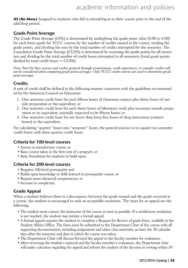**NS (No Show)** Assigned to students who fail to attend/log-in to their course prior to the end of the add/drop period.

### Grade Point Average

The Grade Point Average (GPA) is determined by multiplying the grade point value (0.00 to 4.00) for each letter grade for YCCC courses by the number of credits earned in the course, totaling the grade points, and dividing the sum by the total number of credits attempted for the semester. The Cumulative Grade Point Average (CGPA) is determined by summing the grade points for all semesters and dividing by the total number of credit hours attempted in all semesters (total grade points divided by total credit hours = CGPA).

*Note: Pass/No Pass courses and credits granted through examinations, work experiences, or transfer credits will not be considered when computing grade point averages. Only YCCC credit courses are used to determine grade point averages.*

### **Credits**

A unit of credit shall be defined in the following manner consistent with the guidelines recommended by the American Council on Education:

- 1. One semester credit hour for each fifteen hours of classroom contact plus thirty hours of outside preparation or the equivalent; or
- 2. One semester credit hour for each thirty hours of laboratory work plus necessary outside preparation or its equivalent, normally expected to be fifteen hours; or
- 3. One semester credit hour for not fewer than forty-five hours of shop instruction (contact hours) or the equivalent.

For calculating "quarter" hours into "semester" hours, the general practice is to equate two semester credit hours with three quarter credit hours.

### Criteria for 100-level courses

- Survey or introductory course; or
- Basic course taken in the first year of a program; or
- Basic foundation for students to build upon.

### Criteria for 200-level courses

- Requires 100-level prerequisite and
- Builds upon knowledge or skills learned in prerequisite course; or
- Require more advanced competencies; or
- Increase in complexity.

### Grade Appeal

When a student believes there is a discrepancy between the grade earned and the grade received in a course, the student is encouraged to seek an acceptable resolution. The steps for an appeal are the following:

- The student must contact the instructor of the course as soon as possible. If a satisfactory resolution is not reached, the student may initiate a formal appeal.
- A formal appeal requires the student to complete a Request for Review of grade form, available in the Student Affairs Office. The form must be submitted to the Department Chair of the course with all supporting documentation, including assignments and other class materials, no later the 30 calendar days after the semester end date in which the course was taken.
- The Department Chair will discuss/forward the appeal to the faculty member for evaluation.
- After reviewing the student's material and the faculty member's evaluation, the Department chair will make a decision regarding the appeal and inform the student of the decision in writing within 30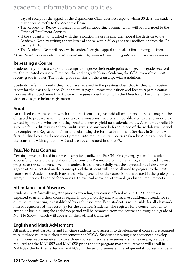days of receipt of the appeal. If the Department Chair does not respond within 30 days, the student may appeal directly to the Academic Dean.

- The Request for Review of Grade form and all supporting documentation will be forwarded to the Office of Enrollment Services.
- If the student is not satisfied with the resolution, he or she may then appeal the decision to the Academic Dean by writing a short letter of appeal within 30 days of their notification from the Department Chair.
- The Academic Dean will review the student's original appeal and make a final binding decision.
- *\* Department Chair includes Acting or designated Department Chairs during sabbaticals and summer session.*

### Repeating a Course

Students may repeat a course to attempt to improve their grade point average. The grade received for the repeated course will replace the earlier grade(s) in calculating the GPA, even if the most recent grade is lower. The initial grade remains on the transcript with a notation.

Students forfeit any credit they may have received in the previous class; that is, they will receive credit for the class only once. Students must pay all associated tuition and fees to repeat a course. Courses attempted more than twice will require consultation with the Director of Enrollment Services or designee before registration.

### Audit

An audited course is one in which a student is enrolled, has paid all tuition and fees, but may not be obligated to prepare assignments or take examinations. Faculty are not obligated to grade work presented by students who are auditing. Audited courses yield no academic credit. A student enrolled in a course for credit may switch to "audit" status at any time before the end of the withdrawal period by completing a Registration Form and submitting the form to Enrollment Services in Student Affairs. Audited courses do not meet prerequisite requirements. Courses taken by Audit are noted on the transcript with a grade of AU and are not calculated in the GPA.

### Pass/No Pass Courses

Certain courses, as listed in course descriptions, utilize the Pass/No Pass grading system. If a student successfully meets the expectations of the course, a P is notated on the transcript, and the student may progress to the next course level. If a student has not successfully met the expectations of the course, a grade of NP is notated on the transcript and the student will not be allowed to progress to the next course level. Academic credit is awarded, when passed, but the course is not calculated in the grade point average. Only credit earned for courses 100 level and above count towards graduation requirements.

### Attendance and Absences

Students must formally register prior to attending any course offered at YCCC. Students are expected to attend their courses regularly and punctually and will receive additional attendance requirements in writing, as established by each instructor. Each student is responsible for all classwork missed regardless of the reason(s) for the absence. Students who register for a course, and fail to attend or log in during the add/drop period will be removed from the course and assigned a grade of NS (No Show), which will appear on their official transcript.

### English and Math Advisement

All matriculated part-time and full-time students who assess into developmental courses are required to take those courses in their first semester at YCCC. Students assessing into sequenced developmental courses are required to take those courses in successive semesters. For example, a student required to take MAT-092 and MAT-098 prior to their program math requirement will enroll in MAT-092 the first semester and MAT-098 in the second semester. Developmental courses are iden-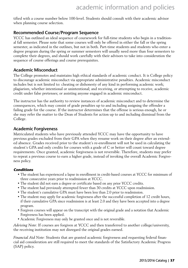tified with a course number below 100-level. Students should consult with their academic advisor when planning course selection.

### Recommended Course/Program Sequence

YCCC has outlined an ideal sequence of coursework for full-time students who begin in a traditional fall semester. Please note that some courses will only be offered in either the fall or the spring semester, as indicated in the outlines, but not in both. Part-time students and students who enter a degree program during the spring or summer semesters will usually need more than four semesters to complete their degrees, and should work carefully with their advisors to take into consideration the sequence of course offerings and course prerequisites.

### Academic Misconduct

The College promotes and maintains high ethical standards of academic conduct. It is College policy to discourage academic misconduct via appropriate administrative penalties. Academic misconduct includes but is not limited to: cheating or dishonesty of any kind in performing academic work; plagiarism, whether intentional or unintentional; and receiving, or attempting to receive, academic credit under false pretenses; or assisting anyone engaged in academic misconduct.

The instructor has the authority to review instances of academic misconduct and to determine the consequences, which may consist of grade penalties up to and including assigning the offender a failing grade for the course. If the instructor determines that the offense is serious enough, he or she may refer the matter to the Dean of Students for action up to and including dismissal from the College.

#### Academic Forgiveness

Matriculated students who have previously attended YCCC may have the opportunity to have previous grades excluded from their GPA when they resume work on their degree after an extended absence. Grades received prior to the student's re-enrollment will not be used in calculating the student's GPA and only credits for courses with a grade of C or better will count toward degree requirements. Once granted, academic forgiveness is not reversible. Therefore, students may prefer to repeat a previous course to earn a higher grade, instead of invoking the overall Academic Forgiveness policy.

#### **Conditions**

- The student has experienced a lapse in enrollment in credit-based courses at YCCC for minimum of three consecutive years prior to readmission at YCCC.
- The student did not earn a degree or certificate based on any prior YCCC credits.
- The student had previously attempted fewer than 30 credits at YCCC upon readmission.
- The student's cumulative GPA must have been less than 2.0 prior to readmission.
- The student may apply for academic forgiveness after the successful completion of 12 credit hours, if their cumulative GPA since readmission is at least 2.0 and they have been accepted into a degree program.
- Forgiven courses will appear on the transcript with the original grade and a notation that Academic Forgiveness has been applied.
- Academic Forgiveness may only be granted once and is not reversible.

*Advising Note:* If courses are forgiven at YCCC and then transferred to another college/university, the receiving institution may not disregard the original grades earned.

*Financial Aid Note:* Students that are granted academic forgiveness and requesting federal financial aid consideration are still required to meet the standards of the Satisfactory Academic Progress (SAP) policy.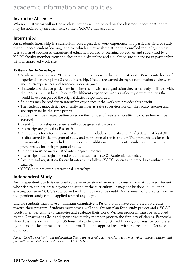#### Instructor Absences

When an instructor will not be in class, notices will be posted on the classroom doors or students may be notified by an email sent to their YCCC email account.

### Internships

An academic internship is a curriculum-based practical work experience in a particular field of study that enhances student learning, and for which a matriculated student is enrolled for college credit. It is a form of sponsored experiential education guided by learning objectives and supervised by a YCCC faculty member from the chosen field/discipline and a qualified site supervisor in partnership with an approved work site.

#### **Criteria for Internships**

- Academic internships at YCCC are semester experiences that require at least 135 work-site hours of experiential learning for a 3 credit internship. Credits are earned through a combination of the worksite hours/experiences and academic work assigned.
- If a student wishes to participate in an internship with an organization they are already affiliated with, the internship must be a substantially different experience with significantly different duties than would have been part of the original duties/responsibilities.
- Students may be paid for an internship experience if the work site provides this benefit.
- The student cannot designate a family member as a site supervisor nor can the faculty sponsor and site supervisor be the same person.
- Students will be charged tuition based on the number of registered credits; no course fees will be assessed.
- Credit for internship experience will not be given retroactively.
- Internships are graded as Pass or Fail.
- Prerequisites for internships will at a minimum include a cumulative GPA of 3.0, with at least 30 credits earned in the program of study and permission of the instructor. The prerequisites for each program of study may include more rigorous or additional requirements, students must meet the prerequisites for their program of study.
- Students must be matriculated into a degree program.
- Internships must begin and end within the standard YCCC Academic Calendar.
- Payment and registration for credit internships follows YCCC policies and procedures outlined in the Catalog.
- YCCC does not offer international internships.

### Independent Study

An Independent Study is designed to be an extension of an existing course for matriculated students who wish to explore areas beyond the scope of the curriculum. It may not be done in lieu of an existing course in YCCC's catalog and will count as elective credit. A maximum of 3 credits from an independent study can be applied toward any degree.

Eligible students must have a minimum cumulative GPA of 3.5 and have completed 30 credits toward their program. Students must have a well thought-out plan for a study project and a YCCC faculty member willing to supervise and evaluate their work. Written proposals must be approved by the Department Chair and sponsoring faculty member prior to the first day of classes. Proposals should assume a minimum of 135 hours of student work for 3 credit hours, and must be completed by the end of the approved academic term. The final approval rests with the Academic Dean, or designee.

*Notes: Credits received from Independent Study are generally not transferable to most other colleges. Tuition and fees will be charged in accordance with YCCC policy.*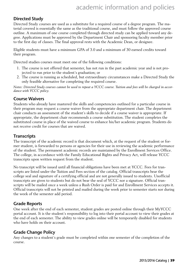### Directed Study

Directed Study courses are used as a substitute for a required course of a degree program. The material covered is essentially the same as the traditional course, and must follow the approved course outline. A maximum of one course completed through directed study can be applied toward any degree. Applications must be approved by the Department Chair and sponsoring faculty member prior to the first day of classes. The final approval rests with the Academic Dean, or designee.

Eligible students must have a minimum GPA of 3.0 and a minimum of 30 earned credits toward their program.

Directed studies courses must meet one of the following conditions:

- 1. The course is not offered that semester, has not run in the past academic year and is not projected to run prior to the student's graduation; or
- 2. The course is running as scheduled, but extraordinary circumstances make a Directed Study the only feasible alternative for completing the required course.

*Notes: Directed Study courses cannot be used to repeat a YCCC course. Tuition and fees will be charged in accordance with YCCC policy.*

### Course Waivers

Students who already have mastered the skills and competencies outlined for a particular course in their program may request a course waiver from the appropriate department chair. The department chair conducts an assessment of the student's skills to decide if a course waiver is appropriate. If appropriate, the department chair recommends a course substitution. The student completes the substituted course in place of the waived course to enhance his/her academic program. Students do not receive credit for courses that are waived.

### **Transcripts**

The transcript of the academic record is that document which, at the request of the student or former student, is forwarded to persons or agencies for their use in reviewing the academic performance of the student. The permanent academic records are maintained by the Enrollment Services Office. The college, in accordance with the Family Educational Rights and Privacy Act, will release YCCC transcripts upon written request from the student.

No transcript will be issued until all financial obligations have been met at YCCC. Fees for transcripts are listed under the Tuition and Fees section of the catalog. Official transcripts bear the college seal and signature of a certifying official and are not generally issued to students. Unofficial transcripts are given to students but do not bear the seal of YCCC nor a signature. Official transcripts will be mailed once a week unless a Rush Order is paid for and Enrollment Services accepts it. Official transcripts will not be printed and mailed during the week prior to semester starts nor during the week of the semester add period.

### Grade Reports

One week after the end of each semester, student grades are posted online through their MyYCCC portal account. It is the student's responsibility to log into their portal account to view their grades at the end of each semester. The ability to view grades online will be temporarily disabled for students who have holds on their account.

### Grade Change Policy

Any changes to a student's grade must be completed within one semester of the completion of the course.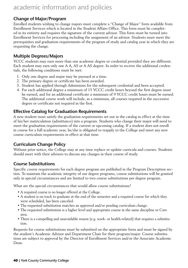### Change of Major/Program

Enrolled students wishing to change majors must complete a "Change of Major" form available from Enrollment Services which is located in the Student Affairs Office. This form must be completed in its entirety and requires the signature of the current advisor. This form must be turned into Enrollment Services for processing including the assignment of an advisor. Students must meet the prerequisites and graduation requirements of the program of study and catalog year in which they are requesting the change.

### Multiple Degrees/Majors

YCCC students may earn more than one academic degree or credential provided they are different. Each student may earn only one A A, AS or A AS degree. In order to receive the additional credentials, the following conditions must be met:

- 1. Only one degree and major may be pursued at a time.
- 2. The primary degree or certificate has been awarded.
- 3. Student has applied through Admissions for the subsequent credential and been accepted.
- 4. For each additional degree a minimum of 15 YCCC credit hours beyond the first degree must be earned, and for an additional certificate a minimum of 9 YCCC credit hours must be earned. The additional course work will include, as a minimum, all courses required in the successive degree or certificate not required in the first.

### Effective Catalog for Graduation Requirements

A new student must satisfy the graduation requirements set out in the catalog in effect at the time of his/her matriculation (admittance) into a program. Students who change their major will need to meet the graduation requirements of the current or upcoming catalog. If a student does not enroll in course for a full academic year, he/she is obligated to reapply to the College and meet any new course curriculum requirements in effect at that time.

### Curriculum Change Policy

Without prior notice, the College may at any time replace or update curricula and courses. Students should meet with their advisors to discuss any changes in their course of study.

### Course Substitutions

Specific course requirements for each degree program are published in the Program Description section. To maintain the academic integrity of our degree programs, course substitutions will be granted only in special circumstances and are limited to two course substitutions per degree program.

What are the special circumstances that would allow course substitutions?

- A required course is no longer offered at the College.
- A student is on track to graduate at the end of the semester and a required course for which they were scheduled, has been canceled.
- The requested substitution matches an approved and/or pending curriculum change.
- The requested substitution is a higher level and appropriate course in the same discipline or Core area.
- There is a compelling and unavoidable reason (e.g. work- or health-related) that requires a substitution.

Requests for course substitutions must be submitted on the appropriate form and must be signed by the student's Academic Advisor and Department Chair for their program/major. Course substitutions are subject to approval by the Director of Enrollment Services and/or the Associate Academic Dean.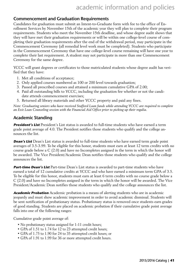### Commencement and Graduation Requirements

Candidates for graduation must submit an Intent-to-Graduate form with fee to the office of Enrollment Services by November 15th of the academic year they will plan to complete their program requirements. Students who meet the November 15th deadline, and whose degree audit shows that they will have met their graduation requirements or will be within one college-level course of completing their graduation requirements after the end of the withdrawal period, may participate in the Commencement Ceremony (all remedial level work must be completed). Students who participate in the Commencement Ceremony that have one college-level course remaining will have one year to complete their last requirement. A student may not participate in more than one Commencement Ceremony for the same degree.

YCCC will grant degrees or certificates to those matriculated students whose degree audit has verified that they have:

- 1. Met all conditions of acceptance;
- 2. Only applied courses numbered as 100 or 200 level towards graduation;
- 3. Passed all prescribed courses and attained a minimum cumulative GPA of 2.00;
- 4. Paid all outstanding bills to YCCC, including the graduation fee whether or not the candidate attends commencement exercises;
- 5. Returned all library materials and other YCCC property and paid any fines.

*Note: Graduating seniors who have received Stafford Loan funds while attending YCCC are required to complete an Exit Loan Counseling session with the Financial Aid Office prior to picking up their regalia.*

### Academic Standing

**President's List** President's List status is awarded to full-time students who have earned a term grade point average of 4.0. The President notifies those students who qualify and the college announces the list.

**Dean's List** Dean's List status is awarded to full-time students who have earned term grade point averages of 3.5-3.99. To be eligible for this honor, students must earn at least 12 term credits with no course grade below a C (2.0) and have no Incompletes assigned in the term in which the honor will be awarded. The Vice President/Academic Dean notifies those students who qualify and the college announces the list.

**Part-time Dean's List** Part-time Dean's List status is awarded to part-time students who have earned a total of 12 cumulative credits at YCCC and who have earned a minimum term GPA of 3.5. To be eligible for this honor, students must earn at least 6 term credits with no course grade below a C (2.0) and have no Incompletes assigned in the term in which the honor will be awarded. The Vice President/Academic Dean notifies those students who qualify and the college announces the list.

**Academic Probation** Academic probation is a means of alerting students who are in academic jeopardy and must show academic improvement in order to avoid academic dismissal. Students will be sent notification of probationary status. Probationary status is removed once students earn grades of good standing. Students are placed on academic probation if their cumulative grade point average falls into one of the following ranges:

Cumulative grade point average of:

- No probationary status assigned for 1-11 credit hours;
- GPA of 1.51 to 1.74 for 12 to 23 attempted credit hours;
- GPA of 1.75 to 1.90 for 24 to 35 attempted credit hours; or
- GPA of 1.91 to 1.99 for 36 or more attempted credit hours.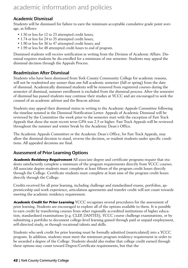### Academic Dismissal

Students will be dismissed for failure to earn the minimum acceptable cumulative grade point average, as follows:

- 1.50 or less for 12 to 23 attempted credit hours;
- 1.74 or less for 24 to 35 attempted credit hours;
- 1.90 or less for 36 to 47 attempted credit hours; and
- 1.99 or less for 48 attempted credit hours to end of program.

Dismissed students will receive notification in writing from the Division of Academic Affairs. Dismissal requires students be dis-enrolled for a minimum of one semester. Students may appeal the dismissal decision through the Appeals Process.

### Readmission After Dismissal

Students who have been dismissed from York County Community College for academic reasons, will not be readmitted any sooner than one full academic semester (fall or spring) from the date of dismissal. Academically dismissed students will be removed from registered courses during the semester of dismissal, summer enrollment is excluded from the dismissal process. After the semester of dismissal has passed students may continue their studies at YCCC and are encouraged to seek the counsel of an academic advisor and the Beacon advisor.

Students may appeal their dismissal status in writing to the Academic Appeals Committee following the timeline notated in the Dismissal Notification Letter. Appeals of Academic Dismissal will be reviewed by the Committee the week prior to the semester start with the exception of Fast Track Appeals that show the most recent term GPA was 2.5 or higher. Fast Track Appeals will be reviewed throughout the summer and winter break by the Academic Dean's Office.

The Academic Appeals Committee or the Academic Dean's Office, for Fast Track Appeals, may allow the dismissal decision to stand, reverse the decision, or readmit students under specific conditions. All appealed decisions are final.

### Assessment of Prior Learning Options

**Academic Residency Requirement** All associate degree and certificate programs require that students satisfactorily complete a minimum of the program requirements directly from YCCC courses. All associate degree students must complete at least fifteen of the program credit hours directly through the College. Certificate students must complete at least nine of the program credit hours directly through the College.

Credits received for all prior learning, including challenge and standardized exams, portfolios, apprenticeship and work experience, articulation agreements and transfer credit will not count towards meeting the academic residency requirement.

**Academic Credit for Prior Learning** YCCC recognizes several procedures for the assessment of prior learning. Students are encouraged to explore all of the options available to them. It is possible to earn credit by transferring courses from other regionally accredited institutions of higher education, standardized examinations (e.g. CLEP, DANTES), YCCC course challenge examinations, or by submitting a portfolio to document college-level learning gained through paid or unpaid employment, self-directed study, or through vocational talents and skills.

Students who seek credit for prior learning must be formally admitted (matriculated) into a YCCC program. In addition, students must meet the minimum program residency requirement in order to be awarded a degree of the College. Students should also realize that college credit earned through these options may count toward Degree/Certificate requirements, but that the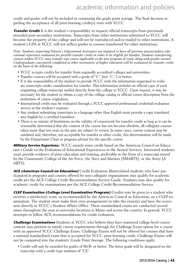credit and grades will not be included in computing the grade point average. The final decision regarding the acceptance of all prior learning credit(s) rests with YCCC.

**Transfer Credit** It is the student's responsibility to request official transcripts from previously attended post-secondary institutions. Transcripts from other institutions submitted to YCCC will become the property of the college and will not be reproduced and/or mailed to other institutions. A student's GPA at YCCC will not reflect grades in courses transferred for other institutions.

*Note: Students requesting Veteran's Educational Assistance are required to have all previous postsecondary educational experience evaluated for possible transfer credit in order to be eligible for benefits. Students transferring courses within YCCC may transfer any course applicable to the new program of study along with grades earned.*  Undergraduate coursework completed at other institutions of higher education will be evaluated for transfer credit *on the basis of the following:*

- YCCC accepts credits for transfer from regionally accredited colleges and universities.
- Transfer courses will be accepted with a grade of "C" (not "C-") or better.
- It is the responsibility of the student to provide YCCC with the information requested to evaluate transcripts under consideration for transfer. This information includes an official copy of each originating college transcript mailed directly from the college to YCCC. Upon request, it may be necessary for the student to obtain a copy of the college catalog or official course description from the institution of course origination.
- International credit may be evaluated through a YCCC approved professional credential evaluation service at the student's expense.
- Any student submitting transcripts in a language other than English must provide a copy translated into English by a certified translator.
- There is no statute of limitations on the validity of coursework for transfer credit as long as it can be reasonably determined that the content of the course has not become obsolete; all collegiate courses taken more than ten years in the past are subject to review. In some cases, course content may be outdated and, therefore, not acceptable for transfer or other credit, this determination will be made by the Department Chair or program advisor for the specific course.

**Military Service Experienc**e YCCC awards some credit based on the American Council on Education's Guide to the Evaluation of Educational Experiences in the Armed Services. Interested students must provide evidence of prior education and training, preferably in the form of a transcript issued by the Community College of the Air Force, the Navy and Marines (SMARTS), or the Army (A ARTS).

**ACE (American Council on Education)** Credit Evaluation Matriculated students who have participated in programs and courses offered by non-collegiate organizations may qualify for academic credit per the ACE College Credit Recommendation Service Guide. Students may also qualify for academic credit for examinations per the ACE College Credit Recommendation Service.

**CLEP Examination (College Level Examination Program)** Credits may be given to a student who receives a satisfactory score, as recommended by the American Council on Education, on a CLEP examination. The student must make their own arrangements to take the exam(s) and have the scores sent directly to YCCC's Student Affairs Office. These standardized exams are conducted several times throughout the year at university locations in Maine and across the country. In general, YCCC attempts to follow ACE recommendations for credit evaluation.

**Challenge Examinations** Students at YCCC who believe they have mastered college-level course content may petition to satisfy course requirements through the Challenge Exam option for a course with an approved YCCC Challenge Exam. Challenge Exams will not be offered for courses that have a national standardized exam that is accepted for YCCC prior learning credit. Challenge Exams will not be computed into the students' Grade Point Average. The following conditions apply:

• Credit will only be awarded for grades of 80/B- or better. The letter grade will be designated on the transcript with a credit type notation of "CE".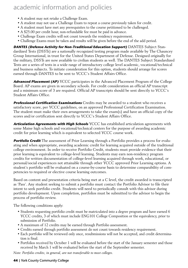- A student may not retake a Challenge Exam.
- A student may not use a Challenge Exam to repeat a course previously taken for credit.
- A student must have met any prerequisites to the course petitioned to be challenged.
- A \$25.00 per credit hour, non-refundable fee must be paid in advance.
- Challenge Exam credits will not count towards the residency requirement.
- Challenge Exams must be taken and results will be given before the end of the add period.

**DANTES (Defense Activity for Non-Traditional Education Support)** DANTES Subject Standardized Tests (DSSTs) are a nationally recognized testing program made available by The Chauncey Group International, in trust for the United States Department of Defense. Designed originally for the military, DSSTs are now available to civilian students as well. The DANTES Subject Standardized Tests are a series of tests in a wide range of introductory college level academic, vocational/technical and business subjects. To initiate consideration for this option, students should arrange for scores earned through DANTES to be sent to YCCC's Student Affairs Office.

**Advanced Placement (AP)** YCCC participates in the Advanced Placement Program of the College Board. AP exams are given in secondary schools. For credit consideration an official AP transcript and a minimum score of 3 are required. Official AP transcripts should be sent directly to YCCC's Student Affairs Office.

**Professional Certification Examinations** Credits may be awarded to a student who receives a satisfactory score, per YCCC guidelines, on an approved Professional Certification Examination. The student must make their own arrangements to take the exam(s) and have an official copy of the scores and/or certification sent directly to YCCC's Student Affairs Office.

**Articulation Agreements with High Schools** YCCC has established articulation agreements with some Maine high schools and vocational/technical centers for the purpose of awarding academic credit for prior learning which is equivalent to selected YCCC course work.

**Portfolio Credit** The assessment of Prior Learning through a Portfolio provides a process for evaluating and when appropriate, awarding academic credit for learning acquired outside of the traditional college environment. In order to receive Portfolio Credit, students must provide evidence that their prior learning is equivalent to college-level learning. Students may earn non-residency program credits for written documentation of college-level learning acquired through work, educational, or personal/social experiences not attainable through other YCCC approved Prior Learning options. A student's portfolio will be evaluated on a course-by-course basis to determine comparability of competencies to required or elective course learning outcomes.

Based on content and presentation criteria being met at a C level, the credit awarded is transcripted as 'Pass'. Any student seeking to submit a portfolio must contact the Portfolio Advisor to file their intent to seek portfolio credit. Students will need to periodically consult with this advisor during portfolio development. Upon completion, portfolios must be submitted to the advisor to begin the process of portfolio review.

The following conditions apply:

- Students requesting portfolio credit must be matriculated into a degree program and have earned 6 YCCC credits, 3 of which must include ENG101 College Composition or the equivalency, prior to submission of Portfolio.
- A maximum of 12 credits may be earned through Portfolio assessment.
- Credits earned through portfolio assessment do not count towards residency requirement.
- Each portfolio will be reviewed only once, resubmissions will not be accepted, and credit determination is final.
- Portfolios received by October 1 will be evaluated before the start of the January semester and those received by March 1 will be evaluated before the start of the September semester.

*Note: Portfolio credits, in general, are not transferable to most colleges.*

#### **44** | York County Community College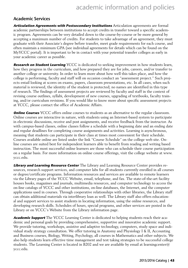### Academic Services

**Articulation Agreements with Postsecondary Institutions** Articulation agreements are formal academic partnerships between institutions to accept credits in transfer toward a specific academic program. Agreements can be very detailed down to the course-by-course or be more general by accepting a maximum number of credits. For students to take advantage of an agreement, they must graduate with their Associate's degree before transfer, meet grade requirements for each course, and often maintain a minimum GPA (see individual agreements for details which can be found on the MyYCCC portal). It is important to be in contact with your potential transfer colleges as early in your academic career as possible.

**Research on Student Learning** YCCC is dedicated to seeking improvement in how students learn, how they progress in the curriculum, and how prepared they are for jobs, careers, and/or transfer to another college or university. In order to learn more about how well this takes place, and how the college is performing, faculty and staff will on occasion conduct an "assessment project." Such projects entail looking at scores on exams, papers, classroom presentations, etc. In all cases, when such material is reviewed, the identity of the student is protected; no names are identified in this type of research. The findings of assessment projects are reviewed by faculty and staff in the context of revising course outlines, syllabi, development of new courses, upgrading of textbooks, faculty training, and/or curriculum revisions. If you would like to know more about specific assessment projects at YCCC, please contact the office of Academic Affairs.

**Online Courses** YCCC offers online courses to students as an alternative to the regular classroom. Online courses are interactive in nature, with students using an Internet-based system to participate in electronic discussions, receive and post assignments, and receive feedback from the instructor. As with campus-based classes, online classes follow a schedule with a beginning date and an ending date and regular deadlines for completing course assignments and activities. Learning is asynchronous, meaning that students can participate in their class at times most convenient for their schedule. Courses available online are listed under the link "Course Schedule" on the college web site. Online courses are suited best for independent learners able to benefit from reading and writing based instruction. The most successful online learners are those who can schedule their course participation on a regular basis. For more information on online course offerings, visit the college website at www. yccc.edu.

**Library and Learning Resource Center** The Library and Learning Resource Center provides resources, research support services, and computer labs for all students currently enrolled in all courses or degree/certificate programs. Information resources and services are available to remote learners via the Library pages of the YCCC Website, email, telephone, and fax. The state-of-the-art facility houses books, magazines and journals, multimedia resources, and computer technology to access the on-line catalogs of YCCC and other institutions, on-line databases, the Internet, and the computer applications used in courses. Through cooperative relationships with other libraries, the Library staff can obtain additional materials via interlibrary loan as well. The Library staff also offers educational and support services to assist students in locating information, using the online resources, and developing research skills. Schedules of hours, special programs, and other services are posted in the Library or on YCCC's Website from the Library information page.

**Academic Support** The YCCC Learning Center is dedicated to helping students reach their academic and personal goals by providing comprehensive, supportive and innovative academic support. We provide tutoring, workshops, assistive and adaptive technology, computers, study space and individual study strategy consultation. We offer tutoring in Anatomy and Physiology I & II, Accounting and Business courses, Biology, Writing, Psychology, all courses in Mathematics and other subjects. We also help students learn effective time management and test taking strategies to be successful college students. The Learning Center is located in B202 and we are available by email at learningcenter@ yccc.edu.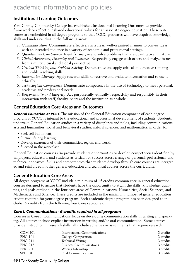### Institutional Learning Outcomes

York County Community College has established Institutional Learning Outcomes to provide a framework to reflect our shared educational values for an associate degree education. These outcomes are embedded in all degree programs so that YCCC graduates will have acquired knowledge, skills and understanding in the following areas:

- *1. Communication* Communicate effectively in a clear, well-organized manner to convey ideas with an intended audience in a variety of academic and professional settings.
- *2. Quantitative Competence* Identify, analyze and solve problems that are quantitative in nature.
- *3. Global Awareness, Diversity and Tolerance* Respectfully engage with others and analyze issues from a multicultural and global perspective.
- *4. Critical Thinking and Problem-Solving* Demonstrate and apply critical and creative thinking and problem solving skills.
- *5. Information Literacy* Apply research skills to retrieve and evaluate information and to use it ethically.
- *6. Technological Competence* Demonstrate competence in the use of technology to meet personal, academic and professional needs.
- *7. Responsibility and Integrity* Act purposefully, ethically, respectfully and responsibly in their interaction with staff, faculty, peers and the institution as a whole.

### General Education Core Areas and Outcomes

**General Education at YCCC** The mission of the General Education component of each degree program at YCCC is integral to the educational and professional development of students. Students undertake General Education studies in a variety of disciplines and fields, including communications, arts and humanities, social and behavioral studies, natural sciences, and mathematics, in order to:

- Seek self-fulfillment;
- Pursue lifelong learning;
- Develop awareness of their communities, region, and world;
- Succeed in the workplace.

General Education courses also provide students opportunities to develop competencies identified by employers, educators, and students as critical for success across a range of personal, professional, and technical endeavors. Skills and competencies that students develop through core courses are integrated and reinforced in other general education and technical courses across the curriculum.

### General Education Core Areas

All degree programs at YCCC include a minimum of 15 credits common core in general education courses designed to assure that students have the opportunity to attain the skills, knowledge, qualities, and goals outlined in the four core areas of Communications, Humanities, Social Sciences, and Mathematics and Science. These credits are included in the minimum number of general education credits required for your degree program. Each academic degree program has been designed to include 15 credits from the following four Core categories.

#### **Core I. Communications - 6 credits required in all programs**

Courses in Core I: Communications focus on developing communication skills in writing and speaking. All courses include explicit instruction in writing and/or oral communication. Some courses provide instruction in research skills; all include activities or assignments that require research.

| <b>COM 201</b> | Interpersonal Communications   | 3 credits |
|----------------|--------------------------------|-----------|
| <b>ENG 101</b> | College Composition            | 3 credits |
| <b>ENG 211</b> | <b>Technical Writing</b>       | 3 credits |
| <b>ENG 212</b> | <b>Business Communications</b> | 3 credits |
| <b>ENG 290</b> | Writing Internship             | 3 credits |
| <b>SPE 101</b> | Oral Communications            | 3 credits |

#### **46** | York County Community College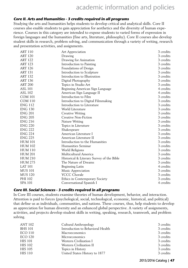#### **Core II. Arts and Humanities - 3 credits required in all programs**

Studying the arts and humanities helps students to develop critical and analytical skills. Core II courses also enable students to gain appreciation for aesthetics and the diversity of human experience. Courses in this category are intended to expose students to varied forms of expression in foreign languages and the humanities (fine arts, literature, philosophy). Core II courses also develop student skills in research, problem solving, and communication through a variety of writing, research and presentation activities, and assignments.

| <b>ART 110</b> | Art Appreciation                          | 3 credits |
|----------------|-------------------------------------------|-----------|
| <b>ART 120</b> | Drawing                                   | 3 credits |
| <b>ART 122</b> | Drawing for Animation                     | 3 credits |
| <b>ART 123</b> | Introduction to Painting                  | 3 credits |
| <b>ART 126</b> | Foundations of Design                     | 3 credits |
| <b>ART 131</b> | Introduction to Sculpture                 | 3 credits |
| <b>ART 132</b> | Introduction to Illustration              | 3 credits |
| <b>ART 136</b> | Digital Photography                       | 3 credits |
| <b>ART 200</b> | Topics in Studio Art                      | 3 credits |
| <b>ASL 101</b> | Beginning American Sign Language          | 4 credits |
| <b>ASL 102</b> | American Sign Language II                 | 4 credits |
| <b>COM 101</b> | Introduction to Film                      | 3 credits |
| <b>COM 110</b> | Introduction to Digital Filmmaking        | 3 credits |
| <b>ENG 112</b> | Introduction to Literature                | 3 credits |
| <b>ENG 130</b> | World Literature                          | 3 credits |
| <b>ENG 201</b> | <b>Creative Writing</b>                   | 3 credits |
| <b>ENG 205</b> | <b>Creative Non-Fiction</b>               | 3 credits |
| <b>ENG 216</b> | Nature Writing                            | 3 credits |
| <b>ENG 220</b> | Topics in Literature                      | 3 credits |
| <b>ENG 222</b> | Shakespeare                               | 3 credits |
| <b>ENG 224</b> | American Literature I                     | 3 credits |
| <b>ENG 225</b> | American Literature II                    | 3 credits |
| <b>HUM 101</b> | Introduction to the Humanities            | 3 credits |
| <b>HUM 102</b> | Humanities Seminar                        | 3 credits |
| <b>HUM 110</b> | World Religions                           | 3 credits |
| <b>HUM 201</b> | Multicultural America                     | 3 credits |
| <b>HUM 210</b> | Historical & Literary Survey of the Bible | 3 credits |
| <b>HUM 275</b> | The Nature of Dreams                      | 3 credits |
| <b>LAT 101</b> | Beginning Latin                           | 4 credits |
| <b>MUS 101</b> | Music Appreciation                        | 3 credits |
| <b>MUS 120</b> | <b>YCCC Chorale</b>                       | 3 credits |
| PHI 102        | <b>Ethics in Contemporary Society</b>     | 3 credits |
| SPA 101        | Conversational Spanish I                  | 4 credits |
|                |                                           |           |

#### **Core III. Social Sciences - 3 credits required in all programs**

In Core III courses, students examine theories of human development, behavior, and interaction. Attention is paid to forces (psychological, social, technological, economic, historical, and political) that define us as individuals, communities, and nations. These courses, thus, help students to develop an appreciation for human diversity and an enhanced global perspective. A variety of assignments, activities, and projects develop student skills in writing, speaking, research, teamwork, and problem solving.

| ANT 102        | Cultural Anthropology             | 3 credits |
|----------------|-----------------------------------|-----------|
| <b>BHS 101</b> | Introduction to Behavioral Health | 3 credits |
| ECO 110        | Macroeconomics                    | 3 credits |
| ECO 120        | Microeconomics                    | 3 credits |
| HIS 101        | Western Civilization I            | 3 credits |
| HIS 102        | Western Civilization II           | 3 credits |
| HIS 105        | Topics in History                 | 3 credits |
| HIS 110        | United States History to 1877     | 3 credits |
|                |                                   |           |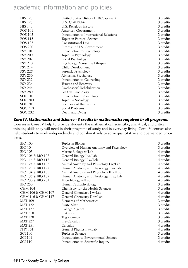| <b>HIS 120</b> | United States History II 1877-present   | 3 credits |
|----------------|-----------------------------------------|-----------|
| <b>HIS 125</b> | U.S. Civil Rights                       | 3 credits |
| <b>HIS 140</b> | U.S. Religious History                  | 3 credits |
| <b>POS 101</b> | American Government                     | 3 credits |
| <b>POS 105</b> | Introduction to International Relations | 3 credits |
| <b>POS 115</b> | Topics in Political Science             | 3 credits |
| <b>POS 125</b> | Constitutional Law                      | 3 credits |
| <b>POS 290</b> | Internship U.S. Government              | 3 credits |
| <b>PSY 101</b> | Introduction to Psychology              | 3 credits |
| <b>PSY 200</b> | Topics in Psychology                    | 3 credits |
| <b>PSY 202</b> | Social Psychology                       | 3 credits |
| <b>PSY 210</b> | Psychology Across the Lifespan          | 3 credits |
| <b>PSY 214</b> | Child Development                       | 3 credits |
| <b>PSY 226</b> | Forensic Psychology                     | 3 credits |
| <b>PSY 230</b> | Abnormal Psychology                     | 3 credits |
| <b>PSY 232</b> | Introduction to Counseling              | 3 credits |
| <b>PSY 234</b> | Trauma and Recovery                     | 3 credits |
| <b>PSY 244</b> | Psychosocial Rehabilitation             | 3 credits |
| <b>PSY 280</b> | Positive Psychology                     | 3 credits |
| SOC 101        | Introduction to Sociology               | 3 credits |
| SOC 200        | Topics in Sociology                     | 3 credits |
| <b>SOC 201</b> | Sociology of the Family                 | 3 credits |
| SOC 210        | Social Problems                         | 3 credits |
| <b>SOC 232</b> | Death and Dying                         | 3 credits |
|                |                                         |           |

#### **Core IV. Mathematics and Science - 3 credits in mathematics required in all programs** Courses in Core IV help to provide students the mathematical, scientific, analytical, and critical thinking skills they will need in their programs of study and in everyday living. Core IV courses also help students to work independently and collaboratively to solve quantitative and open-ended problems.

| <b>BIO 100</b>    | Topics in Biology                        | 3 credits |
|-------------------|------------------------------------------|-----------|
| <b>BIO 104</b>    | Overview of Human Anatomy and Physiology | 3 credits |
| <b>BIO 105</b>    | Marine Biology w/Lab                     | 4 credits |
| BIO 106 & BIO 107 | General Biology I w/Lab                  | 4 credits |
| BIO 116 & BIO 117 | General Biology II w/Lab                 | 4 credits |
| BIO 124 & BIO 125 | Animal Anatomy and Physiology I w/Lab    | 4 credits |
| BIO 126 & BIO 127 | Human Anatomy and Physiology I w/Lab     | 4 credits |
| BIO 134 & BIO 135 | Animal Anatomy and Physiology II w/Lab   | 4 credits |
| BIO 136 & BIO 137 | Human Anatomy and Physiology II w/Lab    | 4 credits |
| BIO 230 & BIO 231 | Microbiology w/Lab                       | 4 credits |
| <b>BIO 250</b>    | Human Pathophysiology                    | 3 credits |
| <b>CHM 104</b>    | Chemistry for the Health Sciences        | 3 credits |
| CHM 106 & CHM 107 | General Chemistry I w/Lab                | 4 credits |
| CHM 116 & CHM 117 | General Chemistry II w/Lab               | 4 credits |
| <b>MAT 109</b>    | Elements of Mathematics                  | 3 credits |
| <b>MAT 122</b>    | Finite Math                              | 3 credits |
| <b>MAT 127</b>    | College Algebra                          | 3 credits |
| <b>MAT 210</b>    | <b>Statistics</b>                        | 3 credits |
| <b>MAT 220</b>    | Trigonometry                             | 3 credits |
| <b>MAT 227</b>    | Pre-Calculus                             | 3 credits |
| <b>MAT 251</b>    | Calculus                                 | 4 credits |
| <b>PHY 151</b>    | General Physics I w/Lab                  | 4 credits |
| <b>SCI 100</b>    | Topics in Science                        | 3 credits |
| <b>SCI 101</b>    | Introduction to Environmental Science    | 3 credits |
| <b>SCI 110</b>    | Introduction to Scientific Inquiry       | 4 credits |
|                   |                                          |           |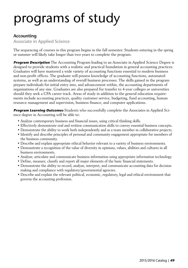#### Accounting

Associate in Applied Science

The sequencing of courses in this program begins in the fall semester. Students entering in the spring or summer will likely take longer than two years to complete the program.

**Program Description** The Accounting Program leading to an Associate in Applied Science Degree is designed to provide students with a realistic and practical foundation in general accounting practices. Graduates will have mastered a wide variety of accounting functions essential to modern business and non-profit offices. The graduate will possess knowledge of accounting functions, automated systems, as well as an understanding of overall business processes. The skills gained in the program prepare individuals for initial entry into, and advancement within, the accounting departments of organizations of any size. Graduates are also prepared for transfer to 4-year colleges or universities should they seek a CPA career track. Areas of study in addition to the general education requirements include accounting practices, quality customer service, budgeting, fund accounting, human resource management and supervision, business finance, and computer applications.

**Program Learning Outcomes** Students who successfully complete the Associates in Applied Science degree in Accounting will be able to:

- Analyze contemporary business and financial issues, using critical thinking skills.
- Effectively demonstrate oral and written communication skills to convey essential business concepts.
- Demonstrate the ability to work both independently and as a team member in collaborative projects.
- Identify and describe principles of personal and community engagement appropriate for members of the business community.
- Describe and explain appropriate ethical behavior relevant to a variety of business environments.
- Demonstrate a recognition of the value of diversity in opinions, values, abilities and cultures in all business environments.
- Analyze, articulate and communicate business information using appropriate information technology.
- Define, measure, classify and report all major elements of the basic financial statements.
- Demonstrate the ability to record, analyze, interpret, and communicate accounting data for decision making and compliance with regulatory/governmental agencies.
- Describe and explain the relevant political, economic, regulatory, legal and ethical environment that governs the accounting profession.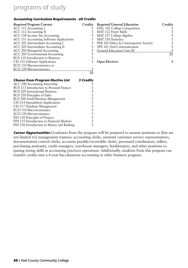#### **Accounting Curriculum Requirements - 60 Credits**

| <b>Required Program Courses</b>           | Credits          | <b>Required General Education</b>     | Credits |
|-------------------------------------------|------------------|---------------------------------------|---------|
| ACC 111 Accounting I                      | 3                | <b>ENG 101 College Composition</b>    | 3       |
| ACC 112 Accounting II                     | 3                | MAT 122 Finite Math                   | 3       |
| ACC 150 Income Tax Accounting             | 3                | MAT 127 College Algebra               | 3       |
| ACC 151 Accounting Software Applications  | 3                | <b>MAT 210 Statistics</b>             |         |
| ACC 201 Intermediate Accounting I         | 3                | PHI 102 Ethics & Contemporary Society | 3       |
| ACC 202 Intermediate Accounting II        | 3                | SPE 101 Oral Communication            | 3       |
| ACC 204 Managerial Accounting             | 3                | <b>General Education Core III</b>     | 3       |
| ACC 205 Governmental Accounting           | 3                |                                       | 21      |
| BUS 110 Introduction to Business          | 3                |                                       |         |
| CIS 115 Software Applications             | 3                | <b>Open Electives:</b>                | 3       |
| ECO 110 Macroeconomics or                 |                  |                                       |         |
| <b>ECO 120 Microeconomics</b>             |                  |                                       |         |
|                                           | $\overline{33}$  |                                       |         |
| <b>Choose from Program Elective List</b>  | <b>3 Credits</b> |                                       |         |
| ACC 290 Accounting Internship             | 3                |                                       |         |
| BUS 113 Introduction to Personal Finance  | 3                |                                       |         |
| <b>BUS 205 International Business</b>     | 3                |                                       |         |
| BUS 250 Principles of Sales               | 3                |                                       |         |
| BUS 260 Small Business Management         | 3                |                                       |         |
| CIS 214 Spreadsheet Applications          | 3                |                                       |         |
| CIS 217 Database Management               | 3                |                                       |         |
| ECO 110 Macroeconomics                    | 3                |                                       |         |
| ECO 120 Microeconomics                    | 3                |                                       |         |
| FIN 110 Principles of Finance             | 3                |                                       |         |
| FIN 115 Introduction to Financial Markets | 3                |                                       |         |
| FIN 120 Introduction to Money and Banking | 3                |                                       |         |

**Career Opportunities** Graduates from the program will be prepared to assume positions as (but are not limited to) management trainees, accounting clerks, assistant customer service representatives, documentation control clerks, accounts payable/receivable clerks, personnel coordinators, tellers, purchasing assistants, credit managers, warehouse managers, bookkeepers, and other positions requiring strong skills in accounting practices operations. Additionally, students from this program can transfer credits into a 4-year baccalaureate accounting or other business program.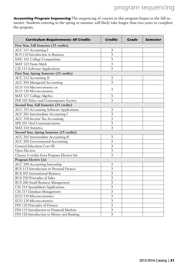**Accounting Program Sequencing** The sequencing of courses in this program begins in the fall semester. Students entering in the spring or summer will likely take longer than two years to complete the program.

| <b>Curriculum Requirements: 60 Credits</b>          | <b>Credits</b> | Grade | Semester |
|-----------------------------------------------------|----------------|-------|----------|
| First Year, Fall Semester (15 credits)              |                |       |          |
| ACC 111 Accounting I                                | 3              |       |          |
| BUS 110 Introduction to Business                    | 3              |       |          |
| ENG 101 College Composition                         | 3              |       |          |
| MAT 122 Finite Math                                 | 3              |       |          |
| CIS 115 Software Applications                       | 3              |       |          |
| First Year, Spring Semester (15 credits)            |                |       |          |
| ACC 112 Accounting II                               | 3              |       |          |
| ACC 204 Managerial Accounting                       | 3              |       |          |
| ECO 110 Macroeconomics or<br>ECO 120 Microeconomics | 3              |       |          |
| MAT 127 College Algebra                             | 3              |       |          |
| PHI 102 Ethics and Contemporary Society             | 3              |       |          |
| Second Year, Fall Semester (15 credits)             |                |       |          |
| ACC 151 Accounting Software Applications            | 3              |       |          |
| ACC 201 Intermediate Accounting I                   | 3              |       |          |
| ACC 150 Income Tax Accounting                       | 3              |       |          |
| SPE 101 Oral Communications                         | 3              |       |          |
| <b>MAT 210 Statistics</b>                           | 3              |       |          |
| Second Year, Spring Semester (15 credits)           |                |       |          |
| ACC 202 Intermediate Accounting II                  | 3              |       |          |
| ACC 205 Governmental Accounting                     | 3              |       |          |
| General Education Core III                          | 3              |       |          |
| Open Elective                                       | 3              |       |          |
| Choose 3 credits from Program Elective list         | 3              |       |          |
| Program Elective List                               |                |       |          |
| ACC 290 Accounting Internship                       | 3              |       |          |
| BUS 113 Introduction to Personal Finance            | 3              |       |          |
| <b>BUS 205 International Business</b>               | 3              |       |          |
| BUS 250 Principles of Sales                         | 3              |       |          |
| BUS 260 Small Business Management                   | 3              |       |          |
| CIS 214 Spreadsheet Applications                    | 3              |       |          |
| CIS 217 Database Management                         | 3              |       |          |
| ECO 110 Macroeconomics                              | 3              |       |          |
| ECO 120 Microeconomics                              | 3              |       |          |
| FIN 110 Principles of Finance                       | 3              |       |          |
| FIN 115 Introduction to Financial Markets           | 3              |       |          |
| FIN 120 Introduction to Money and Banking           | 3              |       |          |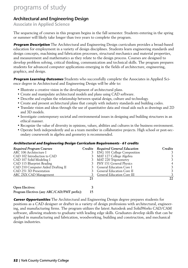### Architectural and Engineering Design

Associate in Applied Science

The sequencing of courses in this program begins in the fall semester. Students entering in the spring or summer will likely take longer than two years to complete the program.

**Program Description** The Architectural and Engineering Design curriculum provides a broad-based education for employment in a variety of design disciplines. Students learn engineering standards and design concepts, machining and fabrication processes, structural mechanics and material properties, and measurement and mathematics as they relate to the design process. Courses are designed to develop problem solving, critical thinking, communication and technical skills. The program prepares students for advanced computer applications emerging in the fields of architecture, engineering, graphics, and design.

**Program Learning Outcomes** Students who successfully complete the Associates in Applied Science degree in Architectural and Engineering Design will be able to:

- Illustrate a creative vision in the development of architectural plans.
- Create and manipulate architectural models and plans using CAD software.
- Describe and explain the relationship between spatial design, culture and technology.
- Create and present architectural plans that comply with industry standards and building codes.
- Translate vision and ideas through the use of quantitative data and visual aids such as drawings and 2D and 3D models.
- Investigate contemporary societal and environmental issues in designing and building structures in an ethical manner.
- Recognize the value of diversity in opinions, values, abilities and cultures in the business environment.
- Operate both independently and as a team member in collaborative projects. High school or post-secondary coursework in algebra and geometry is recommended.

#### **Architectural and Engineering Design Curriculum Requirements - 61 credits**

| <b>Required Program Courses</b>             |    | Credits Required General Education | Credits |
|---------------------------------------------|----|------------------------------------|---------|
| ARC 106 Architecture I                      |    | <b>ENG 101 College Composition</b> |         |
| CAD 102 Introduction to CAD                 |    | MAT 127 College Algebra            |         |
| CAD 107 Solid Modeling I                    |    | MAT 220 Trigonometry               |         |
| CAD 115 Blueprint Reading                   |    | 3 PHY 151 General Physics          | 4       |
| CAD 210 Computer Aided Drafting II          |    | 3 General Education Core I         |         |
| CAD 251 3D Presentation                     |    | 3 General Education Core II        |         |
| ARC 2XX CAD Management                      |    | <b>General Education Core III</b>  |         |
|                                             | 21 |                                    | 22      |
| <b>Open Electives:</b>                      |    |                                    |         |
| Program Electives (any ARC/CAD/PMT prefix): | 15 |                                    |         |

**Career Opportunities** The Architectural and Engineering Design degree prepares students for positions as a CAD designer or drafter in a variety of design professions with architectural, engineering, and manufacturing firms. The program utilizes the latest Autodesk and SolidWorks CAD/CAM software, allowing students to graduate with leading edge skills. Graduates develop skills that can be applied in manufacturing and fabrication, woodworking, building and construction, and mechanical design industries.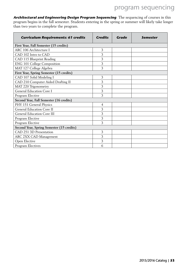**Architectural and Engineering Design Program Sequencing** The sequencing of courses in this program begins in the fall semester. Students entering in the spring or summer will likely take longer than two years to complete the program.

| <b>Curriculum Requirements: 61 credits</b> | <b>Credits</b> | Grade | <b>Semester</b> |
|--------------------------------------------|----------------|-------|-----------------|
| First Year, Fall Semester (15 credits)     |                |       |                 |
| ARC 106 Architecture I                     | 3              |       |                 |
| CAD 102 Intro to CAD                       | 3              |       |                 |
| CAD 115 Blueprint Reading                  | 3              |       |                 |
| ENG 101 College Composition                | 3              |       |                 |
| MAT 127 College Algebra                    | 3              |       |                 |
| First Year, Spring Semester (15 credits)   |                |       |                 |
| CAD 107 Solid Modeling I                   | 3              |       |                 |
| CAD 210 Computer Aided Drafting II         | 3              |       |                 |
| MAT 220 Trigonometry                       | 3              |       |                 |
| General Education Core I                   | 3              |       |                 |
| Program Elective                           | 3              |       |                 |
| Second Year, Fall Semester (16 credits)    |                |       |                 |
| PHY 151 General Physics                    | $\overline{4}$ |       |                 |
| General Education Core II                  | 3              |       |                 |
| General Education Core III                 | 3              |       |                 |
| Program Elective                           | 3              |       |                 |
| Program Elective                           | 3              |       |                 |
| Second Year, Spring Semester (15 credits)  |                |       |                 |
| CAD 251 3D Presentation                    | 3              |       |                 |
| ARC 2XX CAD Management                     | 3              |       |                 |
| Open Elective                              | 3              |       |                 |
| Program Electives                          | 6              |       |                 |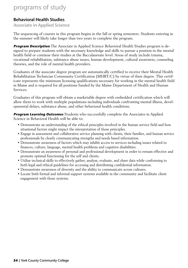### Behavioral Health Studies

Associate in Applied Science

The sequencing of courses in this program begins in the fall or spring semesters. Students entering in the summer will likely take longer than two years to complete the program.

**Program Description** The Associate in Applied Science Behavioral Health Studies program is designed to prepare students with the necessary knowledge and skills to pursue a position in the mental health field or continue their studies at the Baccalaureate level. Areas of study include trauma, vocational rehabilitation, substance abuse issues, human development, cultural awareness, counseling theories, and the role of mental health providers.

Graduates of the associate degree program are automatically certified to receive their Mental Health Rehabilitation Technician Community Certification (MHRT/C) by virtue of their degree. This certificate represents the minimum licensing qualifications necessary for working in the mental health field in Maine and is required for all positions funded by the Maine Department of Health and Human Services.

Graduates of this program will obtain a marketable degree with embedded certification which will allow them to work with multiple populations including individuals confronting mental illness, developmental delays, substance abuse, and other behavioral health conditions.

**Program Learning Outcomes** Students who successfully complete the Associates in Applied Science in Behavioral Health will be able to:

- Demonstrate an understanding of the ethical principles involved in the human service field and how situational factors might impact the interpretation of those principles.
- Engage in assessment and collaborative service planning with clients, their families, and human service professionals by clearly communicating strengths and needs based information.
- Demonstrate awareness of factors which may inhibit access to services including issues related to finances, culture, language, mental health problems and cognitive disabilities.
- Demonstrate an awareness of personal and professional development in order to remain effective and promote optimal functioning for the self and clients.
- Utilize technical skills to effectively gather, analyze, evaluate, and share data while conforming to both legal and ethical guidelines for accessing and distributing confidential information.
- Demonstrate awareness of diversity and the ability to communicate across cultures.
- Locate both formal and informal support systems available in the community and facilitate client engagement with those systems.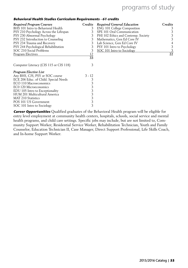|  | Behavioral Health Studies Curriculum Requirements - 61 credits |  |  |  |  |
|--|----------------------------------------------------------------|--|--|--|--|
|--|----------------------------------------------------------------|--|--|--|--|

| <b>Required Program Courses</b>        | Credits  | <b>Required General Education</b>   | Credits |
|----------------------------------------|----------|-------------------------------------|---------|
| BHS 101 Intro to Behavioral Health     | 3        | <b>ENG 101 College Composition</b>  | 3       |
| PSY 210 Psychology Across the Lifespan |          | SPE 101 Oral Communication          | 3       |
| PSY 230 Abnormal Psychology            | 3        | PHI 102 Ethics and Contemp. Society | 3       |
| PSY 232 Introduction to Counseling     | 3        | Mathematics, Gen Ed Core IV         | 3       |
| PSY 234 Trauma and Recovery            | 3        | Lab Science, Gen Ed Core IV         | 4       |
| PSY 244 Psychological Rehabilitation   | 3        | PSY 101 Intro to Psychology         | 3       |
| SOC 210 Social Problems                | 3        | SOC 101 Intro to Sociology          | 3       |
| Program Electives                      | 12       |                                     | 22      |
|                                        | 33       |                                     |         |
| Computer Literacy (CIS 115 or CIS 118) | 3        |                                     |         |
| Program Elective List                  |          |                                     |         |
| Any BHS, CJS, PSY or SOC course        | $3 - 12$ |                                     |         |
| ECE 206 Educ. of Child. Special Needs  | 3        |                                     |         |
| ECO 110 Macroeconomics                 | 3        |                                     |         |
| EC0 120 Microeconomics                 | 3        |                                     |         |
| EDU 105 Intro to Exceptionality        | 3        |                                     |         |
| HUM 201 Multicultural America          | 3        |                                     |         |
| <b>MAT 210 Statistics</b>              | 3        |                                     |         |
| POS 101 US Government                  | 3        |                                     |         |
| SOC 101 Intro to Sociology             | 3        |                                     |         |

**Career Opportunities** Qualified graduates of the Behavioral Health program will be eligible for entry level employment at community health centers, hospitals, schools, social service and mental health programs, and child care settings. Specific jobs may include, but are not limited to, Community Support Worker, Residential Service Worker, Rehabilitation Technician, Youth and Family Counselor, Education Technician II, Case Manager, Direct Support Professional, Life Skills Coach, and In-home Support Worker.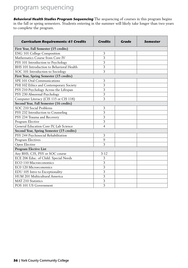**Behavioral Health Studies Program Sequencing** The sequencing of courses in this program begins in the fall or spring semesters. Students entering in the summer will likely take longer than two years to complete the program.

| <b>Curriculum Requirements: 61 Credits</b> | <b>Credits</b> | Grade | Semester |
|--------------------------------------------|----------------|-------|----------|
| First Year, Fall Semester (15 credits)     |                |       |          |
| ENG 101 College Composition                | 3              |       |          |
| Mathematics Course from Core IV            | 3              |       |          |
| PSY 101 Introduction to Psychology         | 3              |       |          |
| BHS 101 Introduction to Behavioral Health  | 3              |       |          |
| SOC 101 Introduction to Sociology          | 3              |       |          |
| First Year, Spring Semester (15 credits)   |                |       |          |
| SPE 101 Oral Communications                | 3              |       |          |
| PHI 102 Ethics and Contemporary Society    | 3              |       |          |
| PSY 210 Psychology Across the Lifespan     | 3              |       |          |
| PSY 230 Abnormal Psychology                | 3              |       |          |
| Computer Literacy (CIS 115 or CIS 118)     | 3              |       |          |
| Second Year, Fall Semester (16 credits)    |                |       |          |
| SOC 210 Social Problems                    | 3              |       |          |
| PSY 232 Introduction to Counseling         | 3              |       |          |
| PSY 234 Trauma and Recovery                | 3              |       |          |
| Program Elective                           | 3              |       |          |
| General Education Core IV, Lab Science     | 4              |       |          |
| Second Year, Spring Semester (15 credits)  |                |       |          |
| PSY 244 Psychosocial Rehabilitation        | 3              |       |          |
| Program Electives                          | 9              |       |          |
| Open Elective                              | 3              |       |          |
| <b>Program Elective List</b>               |                |       |          |
| Any BHS, CJS, PSY or SOC course            | $3-12$         |       |          |
| ECE 206 Educ. of Child. Special Needs      | 3              |       |          |
| ECO 110 Macroeconomics                     | 3              |       |          |
| EC0 120 Microeconomics                     | 3              |       |          |
| EDU 105 Intro to Exceptionality            | 3              |       |          |
| HUM 201 Multicultural America              | 3              |       |          |
| MAT 210 Statistics                         | 3              |       |          |
| POS 101 US Government                      | 3              |       |          |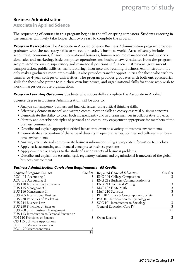### Business Administration

Associate in Applied Science

The sequencing of courses in this program begins in the fall or spring semesters. Students entering in the summer will likely take longer than two years to complete the program.

**Program Description** The Associate in Applied Science Business Administration program provides graduates with the necessary skills to succeed in today's business world. Areas of study include accounting, economics, finance, international business, human resource management and supervision, sales and marketing, basic computer operations and business law. Graduates from the program are prepared to pursue supervisory and managerial positions in financial institutions, government, transportation, public utilities, manufacturing, insurance and retailing. Business Administration not only makes graduates more employable, it also provides transfer opportunities for those who wish to transfer to 4-year colleges or universities. The program provides graduates with both entrepreneurial skills for those who prefer to run their own businesses, and organizational skills for those who wish to work in larger corporate organizations.

#### **Program Learning Outcomes** Students who successfully complete the Associate in Applied

Science degree in Business Administration will be able to:

- Analyze contemporary business and financial issues, using critical thinking skills.
- Effectively demonstrate oral and written communication skills to convey essential business concepts.
- Demonstrate the ability to work both independently and as a team member in collaborative projects.
- Identify and describe principles of personal and community engagement appropriate for members of the business community.
- Describe and explain appropriate ethical behavior relevant to a variety of business environments.
- Demonstrate a recognition of the value of diversity in opinions, values, abilities and cultures in all business environments.
- Analyze, articulate and communicate business information using appropriate information technology.
- Apply basic accounting and financial concepts to business problems.
- Apply quantitative analysis to the study of a wide variety of business problems.
- Describe and explain the essential legal, regulatory, cultural and organizational framework of the global business environment.

#### **Business Administration Curriculum Requirements - 63 Credits**

| Required Program Courses                    | Credits | <b>Required General Education</b>     | Credits |
|---------------------------------------------|---------|---------------------------------------|---------|
| ACC 111 Accounting I                        |         | <b>ENG 101 College Composition</b>    | 3       |
| ACC 112 Accounting II                       |         | ENG 212 Business Communications or    |         |
| BUS 110 Introduction to Business            |         | ENG 211 Technical Writing             | 3       |
| BUS 115 Management I                        |         | MAT 122 Finite Math                   | 3.      |
| BUS 116 Management II                       |         | <b>MAT 210 Statistics</b>             | 3       |
| <b>BUS 205 International Business</b>       |         | PHI 102 Ethics & Contemporary Society | 3       |
| BUS 230 Principles of Marketing             |         | PSY 101 Introduction to Psychology or |         |
| <b>BUS 244 Business Law</b>                 |         | SOC 101 Introduction to Sociology     | 3       |
| BUS 250 Principles of Sales or              |         | General Education Core IV             | 3       |
| BUS 260 Small Business Management           |         |                                       | 21      |
| BUS 113 Introduction to Personal Finance or |         |                                       |         |
| FIN 110 Principles of Finance               |         | <b>Open Elective:</b>                 | 3       |
| CIS 115 Software Applications               |         |                                       |         |
| ECO 110 Macroeconomics or                   |         |                                       |         |
| ECO 120 Microeconomics                      |         |                                       |         |
|                                             | 36      |                                       |         |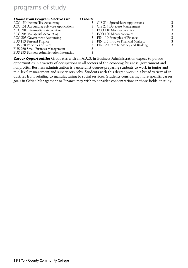| <b>Choose from Program Elective List</b>   | <b>3 Credits</b> |                                    |   |
|--------------------------------------------|------------------|------------------------------------|---|
| ACC 150 Income Tax Accounting              |                  | CIS 214 Spreadsheet Applications   | 3 |
| ACC 151 Accounting Software Applications   |                  | 3 CIS 217 Database Management      | 3 |
| ACC 201 Intermediate Accounting            |                  | ECO 110 Macroeconomics             | 3 |
| ACC 204 Managerial Accounting              |                  | ECO 120 Microeconomics             | 3 |
| ACC 205 Government Accounting              |                  | 3 FIN 110 Principles of Finance    | 3 |
| BUS 113 Personal Finance                   |                  | FIN 115 Intro to Financial Markets | 3 |
| BUS 250 Principles of Sales                |                  | FIN 120 Intro to Money and Banking | 3 |
| BUS 260 Small Business Management          |                  |                                    |   |
| BUS 293 Business Administration Internship |                  |                                    |   |
|                                            |                  |                                    |   |

**Career Opportunities** Graduates with an A.A.S. in Business Administration expect to pursue opportunities in a variety of occupations in all sectors of the economy, business, government and nonprofits. Business administration is a generalist degree-preparing students to work in junior and mid-level management and supervisory jobs. Students with this degree work in a broad variety of industries from retailing to manufacturing to social services. Students considering more specific career goals in Office Management or Finance may wish to consider concentrations in those fields of study.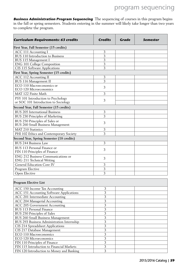**Business Administration Program Sequencing** The sequencing of courses in this program begins in the fall or spring semesters. Students entering in the summer will likely take longer than two years to complete the program.

| <b>Curriculum Requirements: 63 credits</b>                                 | <b>Credits</b> | Grade | Semester |
|----------------------------------------------------------------------------|----------------|-------|----------|
| First Year, Fall Semester (15 credits)                                     |                |       |          |
| ACC 111 Accounting I                                                       | 3              |       |          |
| <b>BUS 110 Introduction to Business</b>                                    | 3              |       |          |
| BUS 115 Management I                                                       | $\overline{3}$ |       |          |
| ENG 101 College Composition                                                | 3              |       |          |
| CIS 115 Software Applications                                              | 3              |       |          |
| First Year, Spring Semester (15 credits)                                   |                |       |          |
| ACC 112 Accounting II                                                      | 3              |       |          |
| <b>BUS 116 Management II</b>                                               | 3              |       |          |
| ECO 110 Macroeconomics or                                                  |                |       |          |
| ECO 120 Microeconomics                                                     | 3              |       |          |
| MAT 122 Finite Math                                                        | 3              |       |          |
| PSY 101 Introduction to Psychology<br>or SOC 101 Introduction to Sociology | 3              |       |          |
| Second Year, Fall Semester (15 credits)                                    |                |       |          |
| <b>BUS 205 International Business</b>                                      | 3              |       |          |
| BUS 230 Principles of Marketing                                            | 3              |       |          |
|                                                                            |                |       |          |
| BUS 250 Principles of Sales or<br><b>BUS 260 Small Business Management</b> | 3              |       |          |
| <b>MAT 210 Statistics</b>                                                  | 3              |       |          |
| PHI 102 Ethics and Contemporary Society                                    | 3              |       |          |
| Second Year, Spring Semester (18 credits)                                  |                |       |          |
| <b>BUS 244 Business Law</b>                                                | 3              |       |          |
| BUS 113 Personal Finance or<br>FIN 110 Principles of Finance               | 3              |       |          |
| ENG 212 Business Communications or<br>ENG 211 Technical Writing            | 3              |       |          |
| General Education Core IV                                                  | 3              |       |          |
| Program Elective                                                           | 3              |       |          |
| Open Elective                                                              | 3              |       |          |
|                                                                            |                |       |          |
| <b>Program Elective List</b>                                               |                |       |          |
| ACC 150 Income Tax Accounting                                              | 3              |       |          |
| ACC 151 Accounting Software Applications                                   | 3              |       |          |
| ACC 201 Intermediate Accounting                                            | 3              |       |          |
| ACC 204 Managerial Accounting                                              | 3              |       |          |
| ACC 205 Government Accounting                                              | 3              |       |          |
| BUS 113 Personal Finance                                                   | 3              |       |          |
| BUS 250 Principles of Sales                                                | 3              |       |          |
| BUS 260 Small Business Management                                          | 3              |       |          |
| BUS 293 Business Administration Internship                                 | 3              |       |          |
| CIS 214 Spreadsheet Applications                                           | 3              |       |          |
| CIS 217 Database Management                                                | 3              |       |          |
| ECO 110 Macroeconomics                                                     | 3              |       |          |
| ECO 120 Microeconomics                                                     | 3              |       |          |
| FIN 110 Principles of Finance                                              | 3              |       |          |
| FIN 115 Introduction to Financial Markets                                  | 3              |       |          |

FIN 115 Introduction to Financial Markets 3<br>FIN 120 Introduction to Money and Banking 3

FIN 120 Introduction to Money and Banking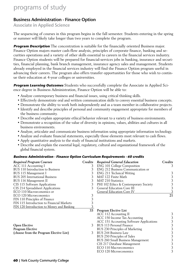### Business Administration - Finance Option

Associate in Applied Science

The sequencing of courses in this program begins in the fall semester. Students entering in the spring or summer will likely take longer than two years to complete the program.

**Program Description** The concentration is suitable for the financially oriented Business major. Finance Option majors master cash-flow analysis, principles of corporate finance, banking and securities operations and a variety of other skills essential to careers in the financial services industry. Finance Option students will be prepared for financial-services jobs in banking, insurance and securities, financial planning, bank branch management, insurance agency sales and management. Students already employed in the financial services industry will find the Finance Option program useful in advancing their careers. The program also offers transfer opportunities for those who wish to continue their education at 4-year colleges or universities.

**Program Learning Outcomes** Students who successfully complete the Associate in Applied Science degree in Business Administration, Finance Option will be able to:

- Analyze contemporary business and financial issues, using critical thinking skills.
- Effectively demonstrate oral and written communication skills to convey essential business concepts.
- Demonstrate the ability to work both independently and as a team member in collaborative projects.
- Identify and describe principles of personal and community engagement appropriate for members of the business community.
- Describe and explain appropriate ethical behavior relevant to a variety of business environments.
- Demonstrate a recognition of the value of diversity in opinions, values, abilities and cultures in all business environments.
- Analyze, articulate and communicate business information using appropriate information technology.
- Analyze and evaluate financial statements, especially those elements most relevant to cash flows.
- Apply quantitative analysis to the study of financial institutions and markets.
- Describe and explain the essential legal, regulatory, cultural and organizational framework of the global financial system.

#### **Business Administration - Finance Option Curriculum Requirements - 60 credits**

| <b>Required Program Courses</b>           | Credits | <b>Required General Education</b>        | Credits |
|-------------------------------------------|---------|------------------------------------------|---------|
| ACC 111 Accounting I                      | 3       | <b>ENG 101 College Composition</b>       | 3       |
| BUS 110 Introduction to Business          | 3       | <b>ENG 212 Business Communication or</b> |         |
| BUS 115 Management I                      | 3       | ENG 211 Technical Writing                | 3       |
| <b>BUS 205 International Business</b>     | 3       | MAT 122 Finite Math                      | 3       |
| BUS 116 Management II                     | 3       | <b>MAT 210 Statistics</b>                |         |
| CIS 115 Software Applications             | 3       | PHI 102 Ethics & Contemporary Society    | 3       |
| CIS 214 Spreadsheet Applications          | 3       | General Education Core III               | 3       |
| ECO 110 Macroeconomics or                 |         | <b>General Education Core IV</b>         |         |
| ECO 120 Microeconomics                    | 3       |                                          | 21      |
| FIN 110 Principles of Finance             | 3       |                                          |         |
| FIN 115 Introduction to Financial Markets | 3       |                                          |         |
| FIN 120 Introduction to Money and Banking | 3       |                                          |         |
|                                           | 33      | <b>Program Elective List</b>             |         |
|                                           |         | ACC 112 Accounting II                    | 3       |
|                                           |         | ACC 150 Income Tax Accounting            | 3       |
|                                           |         | ACC 151 Accounting Software Applications | 3       |
| <b>Open Elective</b>                      | 3       | BUS 113 Personal Finance                 | 3       |
| <b>Program Elective</b>                   |         | BUS 230 Principles of Marketing          | 3       |
| (choose from the Program Elective List)   | 3       | <b>BUS 244 Business Law</b>              | 3       |
|                                           |         | BUS 250 Principles of Sales              | 3       |
|                                           |         | BUS 260 Small Business Management        | 3       |
|                                           |         | CIS 217 Database Management              | 3       |
|                                           |         | ECO 110 Macroeconomics                   | 3       |
|                                           |         | ECO 120 Microeconomics                   | 3       |
|                                           |         |                                          |         |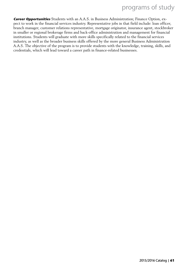**Career Opportunities** Students with an A.A.S. in Business Administration; Finance Option, expect to work in the financial services industry. Representative jobs in that field include: loan officer, branch manager, customer relations representative, mortgage originator, insurance agent, stockbroker in smaller or regional brokerage firms and back-office administration and management for financial institutions. Students will graduate with more skills specifically related to the financial services industry, as well as the broader business skills offered by the more general Business Administration A.A.S. The objective of the program is to provide students with the knowledge, training, skills, and credentials, which will lead toward a career path in finance-related businesses.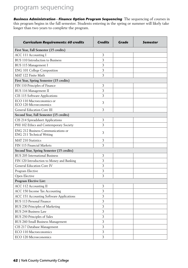**Business Administration - Finance Option Program Sequencing** The sequencing of courses in this program begins in the fall semester. Students entering in the spring or summer will likely take longer than two years to complete the program.

| <b>Curriculum Requirements: 60 credits</b>                      | <b>Credits</b> | Grade | <b>Semester</b> |
|-----------------------------------------------------------------|----------------|-------|-----------------|
| First Year, Fall Semester (15 credits)                          |                |       |                 |
| ACC 111 Accounting I                                            | 3              |       |                 |
| BUS 110 Introduction to Business                                | 3              |       |                 |
| BUS 115 Management I                                            | 3              |       |                 |
| ENG 101 College Composition                                     | 3              |       |                 |
| MAT 122 Finite Math                                             | 3              |       |                 |
| First Year, Spring Semester (15 credits)                        |                |       |                 |
| FIN 110 Principles of Finance                                   | 3              |       |                 |
| BUS 116 Management II                                           | 3              |       |                 |
| CIS 115 Software Applications                                   | 3              |       |                 |
| ECO 110 Macroeconomics or<br>ECO 120 Microeconomics             | 3              |       |                 |
| General Education Core III                                      | 3              |       |                 |
| Second Year, Fall Semester (15 credits)                         |                |       |                 |
| CIS 214 Spreadsheet Applications                                | 3              |       |                 |
| PHI 102 Ethics and Contemporary Society                         | 3              |       |                 |
| ENG 212 Business Communications or<br>ENG 211 Technical Writing | 3              |       |                 |
| <b>MAT 210 Statistics</b>                                       | 3              |       |                 |
| FIN 115 Financial Markets                                       | 3              |       |                 |
| Second Year, Spring Semester (15 credits)                       |                |       |                 |
| <b>BUS 205 International Business</b>                           | 3              |       |                 |
| FIN 120 Introduction to Money and Banking                       | 3              |       |                 |
| <b>General Education Core IV</b>                                | 3              |       |                 |
| Program Elective                                                | 3              |       |                 |
| Open Elective                                                   | 3              |       |                 |
| Program Elective List:                                          |                |       |                 |
| ACC 112 Accounting II                                           | 3              |       |                 |
| ACC 150 Income Tax Accounting                                   | 3              |       |                 |
| ACC 151 Accounting Software Applications                        | 3              |       |                 |
| BUS 113 Personal Finance                                        | 3              |       |                 |
| BUS 230 Principles of Marketing                                 | 3              |       |                 |
| <b>BUS 244 Business Law</b>                                     | 3              |       |                 |
| BUS 250 Principles of Sales                                     | 3              |       |                 |
| BUS 260 Small Business Management                               | 3              |       |                 |
| CIS 217 Database Management                                     | 3              |       |                 |
| ECO 110 Macroeconomics                                          | 3              |       |                 |
| ECO 120 Microeconomics                                          | 3              |       |                 |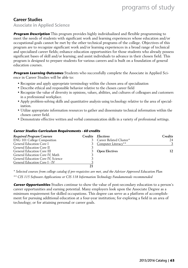### Career Studies

Associate in Applied Science

**Program Description** This program provides highly individualized and flexible programming to meet the needs of students with significant work and learning experiences whose education and/or occupational goals cannot be met by the other technical programs of the college. Objectives of this program are to recognize significant work and/or learning experiences in a broad range of technical and specialized career fields; enhance education opportunities for those students who already possess significant bases of skill and/or learning; and assist individuals to advance in their chosen field. This program is designed to prepare students for various careers and is built on a foundation of general education courses.

**Program Learning Outcomes** Students who successfully complete the Associate in Applied Science in Career Studies will be able to:

- Recognize and apply appropriate terminology within the chosen area of specialization
- Describe ethical and responsible behavior relative to the chosen career field
- Recognize the value of diversity in opinions, values, abilities, and cultures of colleagues and customers in a professional workplace.
- Apply problem-solving skills and quantitative analysis using technology relative to the area of specialization.
- Utilize appropriate information resources to gather and disseminate technical information within the chosen career field.
- Demonstrate effective written and verbal communication skills in a variety of professional settings.

#### **Career Studies Curriculum Requirements - 60 credits**

| <b>Required Program Courses</b>    |    | Credits Electives         | Credits |
|------------------------------------|----|---------------------------|---------|
| <b>ENG 101 College Composition</b> |    | 3 Career Related Cluster* | 24      |
| General Education Core I           |    | 3 Computer Literacy**     |         |
| General Education Core II          |    |                           |         |
| General Education Core III         |    | 3 Open Electives          | 12      |
| General Education Core IV, Math    |    |                           |         |
| General Education Core IV, Science |    |                           |         |
| General Education Core I - IV      |    |                           |         |
|                                    | 21 |                           |         |

*\* Selected courses from college catalog if pre-requisites are met, and the Advisor Approved Education Plan*

*\*\* CIS 115 Software Applications or CIS 118 Information Technology Fundamentals recommended*

**Career Opportunities** Studies continue to show the value of post-secondary education to a person's career opportunities and earning potential. Many employers look upon the Associate Degree as a minimum requirement for skilled occupations. This degree can serve as a platform of accomplishment for pursuing additional education at a four-year institution; for exploring a field in an area of technology; or for attaining personal or career goals.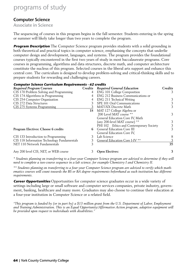#### Computer Science

Associate in Science

The sequencing of courses in this program begins in the fall semester. Students entering in the spring or summer will likely take longer than two years to complete the program.

**Program Description** The Computer Science program provides students with a solid grounding in both theoretical and practical topics in computer science, emphasizing the concepts that underlie computer design and development, languages, and systems. The program provides the foundational courses typically encountered in the first two years of study in most baccalaureate programs. Core courses in programming, algorithms and data structures, discrete math, and computer architecture constitute the nucleus of this program. Selected courses in the liberal arts support and enhance this central core. The curriculum is designed to develop problem-solving and critical-thinking skills and to prepare students for rewarding and challenging careers.

#### **Computer Science Curriculum Requirements - 62 credits**

| <b>Required Program Courses</b>             | Credits | <b>Required General Education</b>       | Credits |
|---------------------------------------------|---------|-----------------------------------------|---------|
| CIS 170 Problem Solving and Programming     | 4       | <b>ENG 101 College Composition</b>      | 3       |
| CIS 174 Algorithms in Programming           |         | ENG 212 Business Communications or      |         |
| CIS 254 Computer Organization               | 4       | ENG 211 Technical Writing               | 3       |
| CIS 272 Data Structures                     |         | SPE 101 Oral Communications             | 3       |
| CIS 275 Systems Programming                 |         | MAT1XX Discrete Math                    | 3       |
|                                             | 18      | MAT 127 College Algebra or              |         |
|                                             |         | 200 Level MAT course **                 | 3       |
|                                             |         | General Education Core IV, Math         |         |
|                                             |         | (any 200-level MAT course) **           | 3       |
|                                             |         | PHI 102 Ethics and Contemporary Society | 3       |
| Program Electives: Choose 6 credits         | 6.      | <b>General Education Core III</b>       | 3       |
|                                             |         | General Education Core IV.              |         |
| CIS 133 Introduction to Programming         |         | Lab Science                             | 8       |
| CIS 118 Information Technology Fundamentals |         | General Education Core I-IV **          |         |
| NET 110 Network Fundamentals                |         |                                         | 35      |
| Any 200 level CIS, NET, or WEB course       |         | <b>Open Electives:</b>                  | 3       |

*\* Students planning on transferring to a four-year Computer Science program are advised to determine if they will need to complete a two-course sequence in a lab science, for example Chemistry I and Chemistry II.*

*\*\* Students planning on transferring to a four-year Computer Science program are advised to verify which mathematics courses will count towards the BS or BA degree requirements beforehand as each institution has different requirements.*

**Career Opportunities** Opportunities for computer science graduates occur in a wide variety of settings including large or small software and computer services companies, private industry, government, banking, healthcare and many more. Graduates may also choose to continue their education at a four-year institution in Computer Science or a related field.

*"This program is funded by (or in part by) a \$13 million grant from the U.S. Department of Labor, Employment and Training Administration. This is an Equal Opportunity/Affirmative Action program, adaptive equipment will be provided upon request to individuals with disabilities."*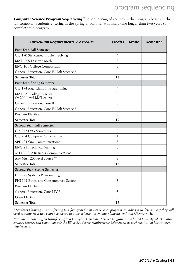**Computer Science Program Sequencing** The sequencing of courses in this program begins in the fall semester. Students entering in the spring or summer will likely take longer than two years to complete the program.

| <b>Curriculum Requirements: 62 credits</b>            | <b>Credits</b> | Grade | Semester |
|-------------------------------------------------------|----------------|-------|----------|
| First Year, Fall Semester                             |                |       |          |
| CIS 170 Structured Problem Solving                    | 4              |       |          |
| MAT 1XX Discrete Math                                 | 3              |       |          |
| ENG 101 College Composition                           | 3              |       |          |
| General Education, Core IV, Lab Science *             | 4              |       |          |
| <b>Semester Total</b>                                 | 14             |       |          |
| <b>First Year, Spring Semester</b>                    |                |       |          |
| CIS 174 Algorithms in Programming                     | 4              |       |          |
| MAT 127 College Algebra<br>Or 200 Level MAT course ** | 3              |       |          |
| General Education, Core III                           | 3              |       |          |
| General Education, Core IV, Lab Science *             | 4              |       |          |
| Program Elective                                      | 3              |       |          |
| <b>Semester Total</b>                                 | 17             |       |          |
| Second Year, Fall Semester                            |                |       |          |
| CIS 272 Data Structures                               | 3              |       |          |
| CIS 254 Computer Organization                         | 4              |       |          |
| SPE 101 Oral Communications                           | 3              |       |          |
| ENG 211 Technical Writing                             | 3              |       |          |
| or ENG 212 Business Communications                    |                |       |          |
| Any MAT 200 level course **                           | 3              |       |          |
| <b>Semester Total</b>                                 | 16             |       |          |
| <b>Second Year, Spring Semester</b>                   |                |       |          |
| CIS 275 Systems Programming                           | 3              |       |          |
| PHI 102 Ethics and Contemporary Society               | 3              |       |          |
| Program Elective                                      | 3              |       |          |
| General Education, Core I-IV **                       | 3              |       |          |
| Open Elective                                         | 3              |       |          |
| <b>Semester Total</b>                                 | 15             |       |          |

*\* Students planning on transferring to a four-year Computer Science program are advised to determine if they will need to complete a two-course sequence in a lab science, for example Chemistry I and Chemistry II.*

*\*\* Students planning on transferring to a four-year Computer Science program are advised to verify which mathematics courses will count towards the BS or BA degree requirements beforehand as each institution has different requirements.*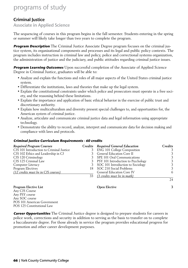### Criminal Justice

Associate in Applied Science

The sequencing of courses in this program begins in the fall semester. Students entering in the spring or summer will likely take longer than two years to complete the program.

**Program Description** The Criminal Justice Associate Degree program focuses on the criminal justice system, its organizational components and processes and its legal and public policy contexts. The program includes instruction in criminal law and policy, police and correctional systems organization, the administration of justice and the judiciary, and public attitudes regarding criminal justice issues.

**Program Learning Outcomes** Upon successful completion of the Associate of Applied Science Degree in Criminal Justice, graduates will be able to:

- Analyze and explain the functions and roles of all major aspects of the United States criminal justice system.
- Differentiate the institutions, laws and theories that make up the legal system.
- Explain the constitutional constraints under which police and prosecutors must operate in a free society, and the reasoning behind these limitations.
- Explain the importance and application of basic ethical behavior in the exercise of public trust and discretionary authority.
- Explain how multiculturalism and diversity present special challenges to, and opportunities for, the American system of criminal justice.
- Analyze, articulate and communicate criminal justice data and legal information using appropriate technology.
- Demonstrate the ability to record, analyze, interpret and communicate data for decision making and compliance with laws and protocols.

#### **Criminal Justice Curriculum Requirements - 60 credits**

| <b>Required Program Courses</b>          | Credits Required General Education   | Credits |
|------------------------------------------|--------------------------------------|---------|
| CJS 101 Introduction to Criminal Justice | 3 ENG 101 College Composition        |         |
| CJS 102 Ethics and Leadership in CJ      | General Education Core II            |         |
| CJS 120 Criminology                      | 3 SPE 101 Oral Communications        | 3       |
| CJS 125 Criminal Law                     | 3 PSY 101 Introduction to Psychology | 3       |
| Computer Literacy                        | 3 SOC 101 Introduction to Sociology  |         |
| Program Electives                        | 18 SOC 210 Social Problems           | 3       |
| [12 credits must be in CJS courses]      | <b>General Education Core IV</b>     | 6       |
|                                          | 33 (3 credits must be in math)       |         |
|                                          |                                      | 24      |

#### **Program Elective List Open Elective 3**

Any CJS Course Any PSY course Any SOC course POS 101 American Government POS 125 Constitutional Law

**Career Opportunities** The Criminal Justice degree is designed to prepare students for careers in police work, corrections and security in addition to serving as the basis to transfer on to complete a baccalaureate degree. For those already in service the program provides educational progress for promotion and other career development purposes.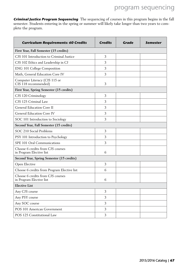**Criminal Justice Program Sequencing** The sequencing of courses in this program begins in the fall semester. Students entering in the spring or summer will likely take longer than two years to complete the program.

| <b>Curriculum Requirements: 60 Credits</b>                    | <b>Credits</b> | Grade | <b>Semester</b> |
|---------------------------------------------------------------|----------------|-------|-----------------|
| First Year, Fall Semester (15 credits)                        |                |       |                 |
| CJS 101 Introduction to Criminal Justice                      | 3              |       |                 |
| CJS 102 Ethics and Leadership in CJ                           | 3              |       |                 |
| <b>ENG 101 College Composition</b>                            | 3              |       |                 |
| Math, General Education Core IV                               | 3              |       |                 |
| Computer Literacy (CIS 115 or<br>CIS 118 recommended)         | 3              |       |                 |
| First Year, Spring Semester (15 credits)                      |                |       |                 |
| CJS 120 Criminology                                           | 3              |       |                 |
| CJS 125 Criminal Law                                          | 3              |       |                 |
| General Education Core II                                     | 3              |       |                 |
| <b>General Education Core IV</b>                              | 3              |       |                 |
| SOC 101 Introduction to Sociology                             | 3              |       |                 |
| Second Year, Fall Semester (15 credits)                       |                |       |                 |
| SOC 210 Social Problems                                       | 3              |       |                 |
| PSY 101 Introduction to Psychology                            | 3              |       |                 |
| SPE 101 Oral Communications                                   | 3              |       |                 |
| Choose 6 credits from CJS courses<br>in Program Elective list | 6              |       |                 |
| Second Year, Spring Semester (15 credits)                     |                |       |                 |
| Open Elective                                                 | 3              |       |                 |
| Choose 6 credits from Program Elective list                   | 6              |       |                 |
| Choose 6 credits from CJS courses<br>in Program Elective list | 6              |       |                 |
| <b>Elective List</b>                                          |                |       |                 |
| Any CJS course                                                | 3              |       |                 |
| Any PSY course                                                | 3              |       |                 |
| Any SOC course                                                | 3              |       |                 |
| POS 101 American Government                                   | 3              |       |                 |
| POS 125 Constitutional Law                                    | 3              |       |                 |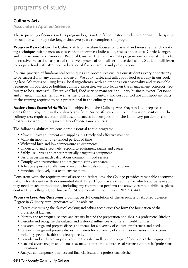### Culinary Arts

Associate in Applied Science

The sequencing of courses in this program begins in the fall semester. Students entering in the spring or summer will likely take longer than two years to complete the program.

**Program Description** The Culinary Arts curriculum focuses on classical and nouvelle French cooking techniques with hands-on classes that encompass knife-skills, stocks and sauces, Garde-Manger, and International and American Regional Cuisine. The Culinary Arts program encourages students to be creative and artistic as part of the development of the full set of classical skills. Students will learn to prepare food with attention to balance of flavors, aroma and presentation.

Routine practice of fundamental techniques and procedures ensures our students every opportunity to be successful in any culinary endeavor. We cook, taste, and talk about food everyday in our cooking labs. We focus on using fresh, local ingredients, with an emphasis on seasonality and sustainable resources. In addition to building culinary expertise, we also focus on the management concepts necessary to be a successful Executive Chef, food service manager or culinary business owner. Personnel and financial management as well as menu design, inventory and cost control are all important parts of the training required to be a professional in the culinary arts.

**Notice about Essential Abilities** The objective of the Culinary Arts Program is to prepare students for employment in the culinary arts field. Successful careers in kitchen-based positions in the culinary arts requires certain abilities, and successful completion of the laboratory portion of the Program's curriculum requires many of those same abilities.

The following abilities are considered essential to the program:

- Move culinary equipment and supplies in a timely and effective manner
- Maintain mobility for extended periods of time
- Withstand high and low temperature environments
- Understand and effectively respond to equipment signals and gauges
- Safely use knives and other potentially dangerous equipment
- Perform certain math calculations common in food service
- Comply with instructions and designated safety standards
- Tolerate exposure to allergens, dyes and chemicals common in a kitchen
- Function effectively in a team environment

Consistent with the requirements of state and federal law, the College provides reasonable accommodations for students with documented disabilities. If you have a disability for which you believe you may need an accommodations, including any required to perform the above described abilities, please contact the College's Coordinator for Students with Disabilities at 207.216.4412.

**Program Learning Outcomes** Upon successful completion of the Associate of Applied Science Degree in Culinary Arts, graduates will be able to:

- Create dishes using the classical cooking and baking techniques that form the foundation of the professional kitchen.
- Identify the techniques, science and artistry behind the preparation of dishes in a professional kitchen.
- Describe and recognize the cultural and historical influences on different world cuisines.
- Research, design and prepare dishes and menus for a diversity of cultural preferences and needs.
- Research, design and prepare dishes and menus for a diversity of contemporary issues and concerns including specific health and dietary needs.
- Describe and apply techniques to ensure the safe handling and storage of food and kitchen equipment.
- Plan and create recipes and menus that match the scale and finances of various commercial/professional institutions.
- Analyze contemporary business and financial issues of a professional kitchen.

#### **68** | York County Community College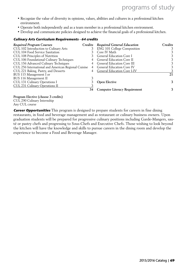- Recognize the value of diversity in opinions, values, abilities and cultures in a professional kitchen environment.
- Operate both independently and as a team member in a professional kitchen environment.
- Develop and communicate policies designed to achieve the financial goals of a professional kitchen.

#### **Culinary Arts Curriculum Requirements - 64 credits**

| Required Program Courses                            |    | Credits Required General Education   | Credits |
|-----------------------------------------------------|----|--------------------------------------|---------|
| CUL 102 Introduction to Culinary Arts               |    | <b>ENG 101 College Composition</b>   |         |
| CUL 104 Food Service Sanitation                     |    | Core IV Math                         |         |
| CUL 108 Principles of Nutrition                     |    | <b>General Education Core I</b>      |         |
| CUL 106 Foundational Culinary Techniques            |    | <b>General Education Core II</b>     |         |
| CUL 156 Advanced Culinary Techniques                |    | <b>General Education Core III</b>    |         |
| CUL 256 International and American Regional Cuisine |    | <b>General Education Core IV</b>     |         |
| CUL 221 Baking, Pastry, and Desserts                |    | <b>General Education Core I-IV</b>   |         |
| BUS 115 Management I or                             |    |                                      | 21      |
| BUS 116 Management II                               |    |                                      |         |
| CUL 131 Culinary Operations I                       |    | <b>Open Elective</b>                 | 3       |
| CUL 231 Culinary Operations II                      |    |                                      |         |
|                                                     | 34 | <b>Computer Literacy Requirement</b> |         |

**Program Elective (choose 3 credits)** CUL 290 Culinary Internship Any CUL course

**Career Opportunities** This program is designed to prepare students for careers in fine dining restaurants, in food and beverage management and as restaurant or culinary business owners. Upon graduation students will be prepared for progressive culinary positions including Garde-Mangers, sauté or pastry chefs and progressing to Sous-Chefs and Executive Chefs. Those wishing to look beyond the kitchen will have the knowledge and skills to pursue careers in the dining room and develop the experience to become a Food and Beverage Manager.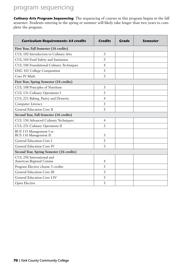**Culinary Arts Program Sequencing** The sequencing of courses in this program begins in the fall semester. Students entering in the spring or summer will likely take longer than two years to complete the program.

| <b>Curriculum Requirements: 64 credits</b>             | <b>Credits</b> | Grade | Semester |
|--------------------------------------------------------|----------------|-------|----------|
| First Year, Fall Semester (16 credits)                 |                |       |          |
| CUL 102 Introduction to Culinary Arts                  | 3              |       |          |
| CUL 104 Food Safety and Sanitation                     | 3              |       |          |
| CUL 106 Foundational Culinary Techniques               | 4              |       |          |
| ENG 101 College Composition                            | 3              |       |          |
| Core IV Math                                           | 3              |       |          |
| First Year, Spring Semester (16 credits)               |                |       |          |
| CUL 108 Principles of Nutrition                        | 3              |       |          |
| CUL 131 Culinary Operations I                          | 3              |       |          |
| CUL 221 Baking, Pastry and Desserts                    | $\overline{4}$ |       |          |
| Computer Literacy                                      | 3              |       |          |
| General Education Core II                              | 3              |       |          |
| Second Year, Fall Semester (16 credits)                |                |       |          |
| CUL 156 Advanced Culinary Techniques                   | 4              |       |          |
| CUL 231 Culinary Operations II                         | 3              |       |          |
| BUS 115 Management I or<br>BUS 116 Management II       | 3              |       |          |
| General Education Core I                               | 3              |       |          |
| General Education Core IV                              | 3              |       |          |
| Second Year, Spring Semester (16 credits)              |                |       |          |
| CUL 256 International and<br>American Regional Cuisine | 4              |       |          |
| Program Elective choose 3 credits                      | 3              |       |          |
| <b>General Education Core III</b>                      | 3              |       |          |
| General Education Core I-IV                            | 3              |       |          |
| Open Elective                                          | 3              |       |          |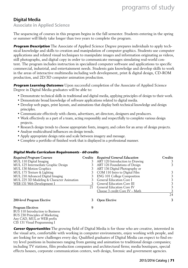### Digital Media

Associate in Applied Science

The sequencing of courses in this program begins in the fall semester. Students entering in the spring or summer will likely take longer than two years to complete the program.

**Program Description** The Associate of Applied Science Degree prepares individuals to apply technical knowledge and skills to creation and manipulation of computer graphics. Students use computer applications and related visual techniques to manipulate images and information originating as videos, still photographs, and digital copy in order to communicate messages simulating real-world content. The program includes instruction in specialized computer software and applications to specific commercial, industrial, and entertainment needs. Students gain knowledge and develop skills to work in the areas of interactive multimedia including web development, print & digital design, CD-ROM production, and 2D/3D computer animation production.

**Program Learning Outcomes** Upon successful completion of the Associate of Applied Science Degree in Digital Media graduates will be able to:

- Demonstrate technical skills in traditional and digital media, applying principles of design to their work.
- Demonstrate broad knowledge of software applications related to digital media.
- Develop web pages, print layouts, and animations that display both technical knowledge and design principles.
- Communicate effectively with clients, advertisers, art directors, designers and producers.
- Work effectively as a part of a team, acting responsibly and respectfully to complete various design projects.
- Research design trends to choose appropriate fonts, imagery, and colors for an array of design projects.
- Analyze multicultural influences on design trends.
- Apply appropriate design ratio and scale between imagery and message.
- Complete a portfolio of finished work that is displayed in a professional manner.

#### **Digital Media Curriculum Requirements - 60 credits**

| <b>Required Program Courses</b>           | Credits | <b>Required General Education</b>  | Credits |
|-------------------------------------------|---------|------------------------------------|---------|
| MUL 110 Digital Imaging                   | 3       | ART 120 Introduction to Drawing    | 3       |
| MUL 125 Intermediate Graphic Design       |         | ART 126 Foundations of Design      | 3       |
| MUL 130 Motion Graphics                   | 3       | ART 136 Digital Photography or     |         |
| MUL 175 Texture & Lighting                |         | COM 110 Intro to Digital Film      |         |
| MUL 210 Advanced Digital Imaging          |         | <b>ENG 101 College Composition</b> | 3       |
| MUL 225 3D Modeling & Character Animation |         | General Education Core I           | 3       |
| WEB 131 Web Development I                 |         | General Education Core III         | 3       |
|                                           | 21      | <b>General Education Core IV</b>   | 3       |
|                                           |         | Choose 3 credit Core IV - Math     |         |
|                                           |         |                                    | 24      |
| 200-level Program Elective                | 3       | <b>Open Elective</b>               | 3       |
| <b>Program Electives</b>                  | 9       |                                    |         |
| BUS 110 Introduction to Business          |         |                                    |         |
| BUS 230 Principles of Marketing           |         |                                    |         |
| Any CAD, MUL or WEB prefix                |         |                                    |         |
| CIS 131 Visual Programming I              |         |                                    |         |

**Career Opportunities** The growing field of Digital Media is for those who are creative, interested in the visual arts, comfortable with working in computer environments, enjoy working with people, and are looking for new challenges every day. Qualified graduates of Digital Media can expect to find entry level positions in businesses ranging from gaming and animation to traditional design companies; including TV stations, film production companies and architectural firms; media boutiques, special effects houses, corporate communication centers, web design, forensic and government agencies.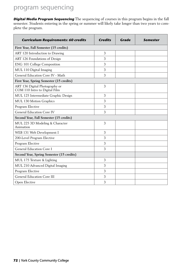**Digital Media Program Sequencing** The sequencing of courses in this program begins in the fall semester. Students entering in the spring or summer will likely take longer than two years to complete the program.

| <b>Curriculum Requirements: 60 credits</b>                      | <b>Credits</b> | Grade | Semester |
|-----------------------------------------------------------------|----------------|-------|----------|
| First Year, Fall Semester (15 credits)                          |                |       |          |
| ART 120 Introduction to Drawing                                 | 3              |       |          |
| ART 126 Foundations of Design                                   | 3              |       |          |
| ENG 101 College Composition                                     | 3              |       |          |
| MUL 110 Digital Imaging                                         | 3              |       |          |
| General Education Core IV - Math                                | 3              |       |          |
| First Year, Spring Semester (15 credits)                        |                |       |          |
| ART 136 Digital Photography or<br>COM 110 Intro to Digital Film | 3              |       |          |
| MUL 125 Intermediate Graphic Design                             | 3              |       |          |
| MUL 130 Motion Graphics                                         | 3              |       |          |
| Program Elective                                                | 3              |       |          |
| General Education Core IV                                       | 3              |       |          |
| Second Year, Fall Semester (15 credits)                         |                |       |          |
| MUL 225 3D Modeling & Character<br>Animation                    | 3              |       |          |
| WEB 131 Web Development I                                       | 3              |       |          |
| 200-Level Program Elective                                      | 3              |       |          |
| Program Elective                                                | 3              |       |          |
| General Education Core I                                        | 3              |       |          |
| Second Year, Spring Semester (15 credits)                       |                |       |          |
| MUL 175 Texture & Lighting                                      | 3              |       |          |
| MUL 210 Advanced Digital Imaging                                | 3              |       |          |
| Program Elective                                                | 3              |       |          |
| <b>General Education Core III</b>                               | 3              |       |          |
| Open Elective                                                   | 3              |       |          |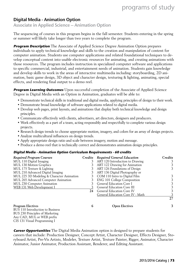### Digital Media - Animation Option

Associate in Applied Science – Animation Option

The sequencing of courses in this program begins in the fall semester. Students entering in the spring or summer will likely take longer than two years to complete the program.

**Program Description** The Associate of Applied Science Degree Animation Option prepares individuals to apply technical knowledge and skills to the creation and manipulation of content for computer animation. Students use computer applications and related foundational techniques to develop conceptual content into usable electronic resources for animating, and creating animations with those resources. The program includes instruction in specialized computer software and applications to specific commercial, industrial, and entertainment needs of animation. Students gain knowledge and develop skills to work in the areas of interactive multimedia including: storyboarding, 2D animation, basic game design, 3D object and character design, texturing & lighting, animating, special effects, and rendering final output to a demo reel.

**Program Learning Outcomes** Upon successful completion of the Associate of Applied Science Degree in Digital Media with an Option in Animation, graduates will be able to:

- Demonstrate technical skills in traditional and digital media, applying principles of design to their work.
- Demonstrate broad knowledge of software applications related to digital media.
- Develop web pages, print layouts, and animations that display both technical knowledge and design principles.
- Communicate effectively with clients, advertisers, art directors, designers and producers.
- Work effectively as a part of a team, acting responsibly and respectfully to complete various design projects.
- Research design trends to choose appropriate motion, imagery, and colors for an array of design projects.
- Analyze multicultural influences on design trends.

Any CAD, MUL or WEB prefix CIS 131 Visual Programming I

- Apply appropriate design ratio and scale between imagery, motion and message.
- Produce a demo reel that is technically correct and demonstrates animation design principles.

#### **Digital Media - Animation Option Curriculum Requirements - 60 credits**

| <b>Required Program Courses</b>           | Credits | <b>Required General Education</b>  | Credits |
|-------------------------------------------|---------|------------------------------------|---------|
| MUL 110 Digital Imaging                   |         | ART 120 Introduction to Drawing    | 3       |
| MUL 130 Motion Graphics                   |         | ART 122 Drawing for Animation      | 3       |
| MUL 175 Texture & Lighting                |         | ART 126 Foundations of Design      | 3.      |
| MUL 210 Advanced Digital Imaging          |         | ART 136 Digital Photography or     |         |
| MUL 225 3D Modeling & Character Animation | 3       | COM 110 Intro to Digital Film      | 3       |
| MUL 265 Advanced Computer Animation       |         | <b>ENG 101 College Composition</b> | 3       |
| MUL 230 Computer Animation                |         | General Education Core I           |         |
| WEB 131 Web Development I                 |         | <b>General Education Core III</b>  | 3       |
|                                           | 24      | <b>General Education Core IV</b>   | 3       |
|                                           |         | General Education Core IV - Math   |         |
|                                           |         |                                    | 27      |
| <b>Program Electives</b>                  | 6       | <b>Open Electives</b>              | 3       |
| BUS 110 Introduction to Business          |         |                                    |         |
| BUS 230 Principles of Marketing           |         |                                    |         |

**Career Opportunities** The Digital Media Animation option is designed to prepare students for careers that include: Production Designer, Concept Artist, Character Designer, Effects Designer, Storyboard Artist, Pre-Vis Artists, Modeler, Texture Artist, Texture Painter, Rigger, Animator, Character Animator, Junior Animator, Production Assistant, Renderer, and Editing Assistant.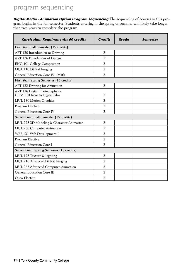**Digital Media - Animation Option Program Sequencing** The sequencing of courses in this program begins in the fall semester. Students entering in the spring or summer will likely take longer than two years to complete the program.

| <b>Curriculum Requirements: 60 credits</b>                      | <b>Credits</b> | <b>Grade</b> | Semester |
|-----------------------------------------------------------------|----------------|--------------|----------|
| First Year, Fall Semester (15 credits)                          |                |              |          |
| ART 120 Introduction to Drawing                                 | 3              |              |          |
| ART 126 Foundations of Design                                   | 3              |              |          |
| ENG 101 College Composition                                     | 3              |              |          |
| MUL 110 Digital Imaging                                         | 3              |              |          |
| General Education Core IV - Math                                | 3              |              |          |
| First Year, Spring Semester (15 credits)                        |                |              |          |
| ART 122 Drawing for Animation                                   | 3              |              |          |
| ART 136 Digital Photography or<br>COM 110 Intro to Digital Film | 3              |              |          |
| MUL 130 Motion Graphics                                         | 3              |              |          |
| Program Elective                                                | 3              |              |          |
| General Education Core IV                                       | 3              |              |          |
| Second Year, Fall Semester (15 credits)                         |                |              |          |
| MUL 225 3D Modeling & Character Animation                       | 3              |              |          |
| MUL 230 Computer Animation                                      | 3              |              |          |
| WEB 131 Web Development I                                       | 3              |              |          |
| Program Elective                                                | 3              |              |          |
| General Education Core I                                        | 3              |              |          |
| Second Year, Spring Semester (15 credits)                       |                |              |          |
| MUL 175 Texture & Lighting                                      | 3              |              |          |
| MUL 210 Advanced Digital Imaging                                | 3              |              |          |
| MUL 265 Advanced Computer Animation                             | 3              |              |          |
| General Education Core III                                      | 3              |              |          |
| Open Elective                                                   | 3              |              |          |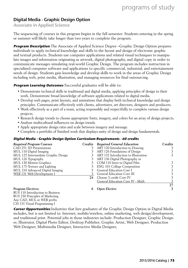### Digital Media - Graphic Design Option

Associate in Applied Science

The sequencing of courses in this program begins in the fall semester. Students entering in the spring or summer will likely take longer than two years to complete the program.

**Program Description** The Associate of Applied Science Degree –Graphic Design Option prepares individuals to apply technical knowledge and skills to the layout and design of electronic graphic and textual products. Students use computer applications and related visual techniques to manipulate images and information originating as artwork, digital photography, and digital copy in order to communicate messages simulating real-world Graphic Design. The program includes instruction in specialized computer software and applications to specific commercial, industrial, and entertainment needs of design. Students gain knowledge and develop skills to work in the areas of Graphic Design including web, print media, illustration, and managing resources for final outsourcing.

**Program Learning Outcomes** Successful graduates will be able to:

- Demonstrate technical skills in traditional and digital media, applying principles of design to their work. Demonstrate broad knowledge of software applications related to digital media.
- Develop web pages, print layouts, and animations that display both technical knowledge and design principles. Communicate effectively with clients, advertisers, art directors, designers and producers.
- Work effectively as a part of a team, acting responsibly and respectfully to complete various design projects.
- Research design trends to choose appropriate fonts, imagery, and colors for an array of design projects.
- Analyze multicultural influences on design trends.
- Apply appropriate design ratio and scale between imagery and message.
- Complete a portfolio of finished work that displays unity of design and design fundamentals.

### **Digital Media - Graphic Design Option Curriculum Requirements - 60 credits**

| <b>Required Program Courses</b>                               |             | Credits Required General Education   | Credits |
|---------------------------------------------------------------|-------------|--------------------------------------|---------|
| CAD 251 3D Presentations                                      |             | ART 120 Introduction to Drawing      |         |
| MUL 110 Digital Imaging                                       |             | ART 126 Foundations of Design        |         |
| MUL 125 Intermediate Graphic Design                           |             | ART 132 Introduction to Illustration | 3.      |
| MUL 126 Typography                                            |             | ART 136 Digital Photography or       |         |
| MUL 130 Motion Graphics                                       |             | 3 COM 110 Intro to Digital Film      | 3       |
| MUL 175 Texture and Lighting                                  |             | <b>ENG 101 College Composition</b>   | 3       |
| MUL 210 Advanced Digital Imaging                              |             | <b>General Education Core I</b>      | 3       |
| WEB 131 Web Development I                                     |             | <b>General Education Core III</b>    | 3       |
|                                                               | 24          | Choose 3 credit Core IV              | 3       |
|                                                               |             | General Education Core IV - Math     |         |
|                                                               |             |                                      | 27      |
| <b>Program Electives:</b><br>BUS 110 Introduction to Business | $\mathbf b$ | <b>Open Elective</b>                 | 3       |

BUS 110 Introduction to Business BUS 230 Principles of Marketing Any CAD, MUL or WEB prefix CIS 131 Visual Programming I

**Career Opportunities** Industries that hire graduates of the Graphic Design Option in Digital Media includes, but is not limited to: Internet, mobile/wireless, online marketing, web design/development, and traditional print. Potential jobs in those industries include: Production Designer, Graphic Designer, Illustrator, Digital Photo Editor, Desktop Publisher, Graphic Artist, Web Designer, Production Web Designer, Multimedia Designer, Interactive Media Designer,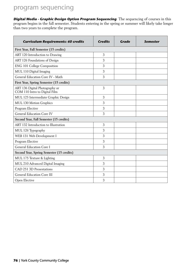**Digital Media - Graphic Design Option Program Sequencing** The sequencing of courses in this program begins in the fall semester. Students entering in the spring or summer will likely take longer than two years to complete the program.

| <b>Curriculum Requirements: 60 credits</b>                      | <b>Credits</b> | Grade | Semester |
|-----------------------------------------------------------------|----------------|-------|----------|
| First Year, Fall Semester (15 credits)                          |                |       |          |
| ART 120 Introduction to Drawing                                 | 3              |       |          |
| ART 126 Foundations of Design                                   | 3              |       |          |
| ENG 101 College Composition                                     | 3              |       |          |
| MUL 110 Digital Imaging                                         | 3              |       |          |
| General Education Core IV - Math                                | 3              |       |          |
| First Year, Spring Semester (15 credits)                        |                |       |          |
| ART 136 Digital Photography or<br>COM 110 Intro to Digital Film | 3              |       |          |
| MUL 125 Intermediate Graphic Design                             | 3              |       |          |
| MUL 130 Motion Graphics                                         | 3              |       |          |
| Program Elective                                                | 3              |       |          |
| General Education Core IV                                       | 3              |       |          |
| Second Year, Fall Semester (15 credits)                         |                |       |          |
| ART 132 Introduction to Illustration                            | 3              |       |          |
| MUL 126 Typography                                              | 3              |       |          |
| WEB 131 Web Development I                                       | 3              |       |          |
| Program Elective                                                | 3              |       |          |
| General Education Core I                                        | 3              |       |          |
| Second Year, Spring Semester (15 credits)                       |                |       |          |
| MUL 175 Texture & Lighting                                      | 3              |       |          |
| MUL 210 Advanced Digital Imaging                                | 3              |       |          |
| CAD 251 3D Presentations                                        | 3              |       |          |
| General Education Core III                                      | 3              |       |          |
| Open Elective                                                   | 3              |       |          |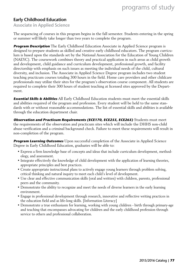### Early Childhood Education

Associate in Applied Science

The sequencing of courses in this program begins in the fall semester. Students entering in the spring or summer will likely take longer than two years to complete the program.

**Program Description** The Early Childhood Education Associate in Applied Science program is designed to prepare students as skilled and creative early childhood educators. The program curriculum is based upon the standards set by the National Association for the Education of Young Children (NAEYC). The coursework combines theory and practical application in such areas as child growth and development, child guidance and curriculum development, professional growth, and facility directorship with emphasis on such issues as meeting the individual needs of the child, cultural diversity, and inclusion. The Associate in Applied Science Degree program includes two student teaching practicum courses totaling 300 hours in the field. Home care providers and other childcare professionals may utilize their sites for the program's observation course component. All students are required to complete their 300 hours of student teaching at licensed sites approved by the Department.

**Essential Skills & Abilities** All Early Childhood Education students must meet the essential skills and abilities required of the program and profession. Every student will be held to the same standards with or without reasonable accommodations. The list of essential skills and abilities is available through the education department chair.

**Observation and Practicum Requirements (ECE170, ECE255, ECE265)** Students must meet the requirements of the observation and practicum sites which will include the DHHS non-child abuse verification and a criminal background check. Failure to meet these requirements will result in non-completion of the program.

**Program Learning Outcomes** Upon successful completion of the Associate in Applied Science Degree in Early Childhood Education, graduates will be able to:

- Express a firm knowledge base of concepts and ideas that include curriculum development, methodology, and assessment.
- Integrate effectively the knowledge of child development with the application of learning theories, appropriate principles and best practices.
- Create appropriate instructional plans to actively engage young learners through problem solving, critical thinking and natural inquiry to meet each child's level of development.
- Use clear and effective communication skills (oral and written) with children, parents, professional peers and the community.
- Demonstrate the ability to recognize and meet the needs of diverse learners in the early learning environment.
- Engage in professional development through research, innovative and reflective writing practices in the education field and as life-long skills. [Information Literacy]
- Demonstrate a true enthusiasm for learning, working with young children birth through primary-age and teaching that encompasses advocating for children and the early childhood profession through service to others and professional collaboration.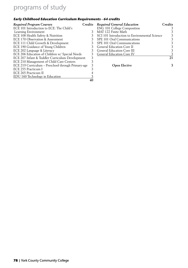### **Early Childhood Education Curriculum Requirements - 64 credits**

| <b>Required Program Courses</b>                    | Credits | <b>Required General Education</b>             | Credits |
|----------------------------------------------------|---------|-----------------------------------------------|---------|
| ECE 101 Introduction to ECE: The Child's           |         | ENG 101 College Composition                   |         |
| Learning Environment                               |         | MAT 122 Finite Math                           |         |
| ECE 108 Health Safety & Nutrition                  |         | SCI 101 Introduction to Environmental Science |         |
| ECE 170 Observation & Assessment                   |         | SPE 101 Oral Communications                   |         |
| ECE 111 Child Growth & Development                 |         | SPE 101 Oral Communications                   |         |
| ECE 190 Guidance of Young Children                 |         | <b>General Education Core II</b>              |         |
| ECE 202 Language & Literacy                        |         | <b>General Education Core III</b>             |         |
| ECE 206 Education of Children w/ Special Needs     |         | <b>General Education Core IV</b>              |         |
| ECE 207 Infant & Toddler Curriculum Development    | 3       |                                               | 21      |
| ECE 210 Management of Child Care Centers           |         |                                               |         |
| ECE 219 Curriculum - Preschool through Primary-age |         | <b>Open Elective</b>                          | 3       |
| ECE 255 Practicum I                                |         |                                               |         |
| ECE 265 Practicum II                               |         |                                               |         |
| EDU 160 Technology in Education                    |         |                                               |         |
|                                                    | 40      |                                               |         |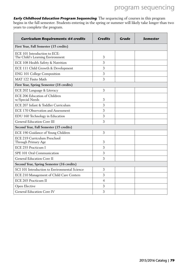**Early Childhood Education Program Sequencing** The sequencing of courses in this program begins in the fall semester. Students entering in the spring or summer will likely take longer than two years to complete the program.

| <b>Curriculum Requirements: 64 credits</b>                       | <b>Credits</b> | Grade | <b>Semester</b> |
|------------------------------------------------------------------|----------------|-------|-----------------|
| First Year, Fall Semester (15 credits)                           |                |       |                 |
| ECE 101 Introduction to ECE:<br>The Child's Learning Environment | 3              |       |                 |
| ECE 108 Health Safety & Nutrition                                | 3              |       |                 |
| ECE 111 Child Growth & Development                               | 3              |       |                 |
| <b>ENG 101 College Composition</b>                               | 3              |       |                 |
| MAT 122 Finite Math                                              | 3              |       |                 |
| First Year, Spring Semester (18 credits)                         |                |       |                 |
| ECE 202 Language & Literacy                                      | 3              |       |                 |
| ECE 206 Education of Children<br>w/Special Needs                 | 3              |       |                 |
| ECE 207 Infant & Toddler Curriculum                              | 3              |       |                 |
| ECE 170 Observation and Assessment                               | 3              |       |                 |
| EDU 160 Technology in Education                                  | 3              |       |                 |
| General Education Core III                                       | 3              |       |                 |
| Second Year, Fall Semester (15 credits)                          |                |       |                 |
| ECE 190 Guidance of Young Children                               | 3              |       |                 |
| ECE 219 Curriculum Preschool<br>Through Primary Age              | 3              |       |                 |
| ECE 255 Practicum I                                              | 3              |       |                 |
| SPE 101 Oral Communication                                       | 3              |       |                 |
| General Education Core II                                        | 3              |       |                 |
| Second Year, Spring Semester (16 credits)                        |                |       |                 |
| SCI 101 Introduction to Environmental Science                    | 3              |       |                 |
| ECE 210 Management of Child Care Centers                         | 3              |       |                 |
| ECE 265 Practicum II                                             | $\overline{4}$ |       |                 |
| Open Elective                                                    | 3              |       |                 |
| General Education Core IV                                        | 3              |       |                 |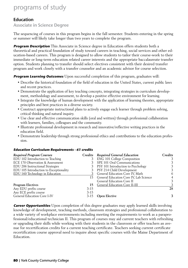### Education

Associate in Science Degree

The sequencing of courses in this program begins in the fall semester. Students entering in the spring or summer will likely take longer than two years to complete the program.

**Program Description** This Associate in Science degree in Education offers students both a theoretical and practical foundation of study toward careers in teaching, social services and other education-based careers. This program is designed to allow students to tailor their course-work to their immediate or long-term education related career interests and the appropriate baccalaureate transfer option. Students planning to transfer should select electives consistent with their desired transfer program and work closely with a transfer counselor and an academic advisor for course selection.

**Program Learning Outcomes** Upon successful completion of this program, graduates will:

- Describe the historical foundation of the field of education in the United States, current public laws and recent practices.
- Demonstrate the application of key teaching concepts, integrating strategies in curriculum development, methodology and assessment, to develop a positive effective environment for learning.
- Integrate the knowledge of human development with the application of learning theories, appropriate principles and best practices in a diverse society.
- Construct appropriate instructional plans to actively engage each learner through problem solving, critical thinking and natural inquiry.
- Use clear and effective communication skills (oral and written) through professional collaboration with learners, families, colleagues and the community.
- Illustrate professional development in research and innovative/reflective writing practices in the education field.
- Demonstrate leadership through strong professional ethics and contributions to the education profession.

#### **Education Curriculum Requirements - 61 credits**

| <b>Required Program Courses</b>        |        | Credits Required General Education        | Credits |
|----------------------------------------|--------|-------------------------------------------|---------|
| EDU 102 Introduction to Teaching       |        | <b>ENG 101 College Composition</b>        |         |
| ECE 170 Observation & Assessment       |        | SPE 101 Oral Communications               |         |
| EDU 206 Instructional Strategies       |        | PSY 101 Introduction to Psychology        |         |
| EDU 105 Introduction to Exceptionality |        | 3 PSY 214 Child Development               | 3       |
| EDU 160 Technology in Education        |        | 3 General Education Core IV, Math         | 6       |
|                                        |        | 15 General Education Core IV, Lab Science |         |
|                                        |        | General Education Core II                 |         |
| <b>Program Electives</b>               |        | 15 General Education Core II-III          |         |
| Any EDU prefix course                  | $3-15$ |                                           | 28      |
| Any ECE prefix course                  | $3-15$ |                                           |         |
| General Education Core I-IV            | $3-15$ | <b>Open Elective</b>                      | 3       |

**Career Opportunities** Upon completion of this degree graduates may apply learned skills involving knowledge of development, teaching methods, classroom strategies and professional collaboration to a wide variety of workplace environments including meeting the requirements to work as a paraprofessional/educational technician II. This program of courses may aid current teachers with refreshing or upgrading their skills while working with their students in the classroom or offer teachers an avenue for recertification credits for a current teaching certificate. Teachers seeking current certificate recertification course approval need to inquire about specific courses with the Maine Department of Education.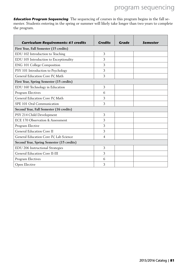**Education Program Sequencing** The sequencing of courses in this program begins in the fall semester. Students entering in the spring or summer will likely take longer than two years to complete the program.

| <b>Curriculum Requirements: 61 credits</b> | <b>Credits</b> | Grade | <b>Semester</b> |
|--------------------------------------------|----------------|-------|-----------------|
| First Year, Fall Semester (15 credits)     |                |       |                 |
| EDU 102 Introduction to Teaching           | 3              |       |                 |
| EDU 105 Introduction to Exceptionality     | 3              |       |                 |
| ENG 101 College Composition                | 3              |       |                 |
| PSY 101 Introduction to Psychology         | 3              |       |                 |
| General Education Core IV, Math            | 3              |       |                 |
| First Year, Spring Semester (15 credits)   |                |       |                 |
| EDU 160 Technology in Education            | 3              |       |                 |
| Program Electives                          | 6              |       |                 |
| General Education Core IV, Math            | 3              |       |                 |
| SPE 101 Oral Communication                 | 3              |       |                 |
| Second Year, Fall Semester (16 credits)    |                |       |                 |
| PSY 214 Child Development                  | 3              |       |                 |
| ECE 170 Observation & Assessment           | 3              |       |                 |
| Program Elective                           | 3              |       |                 |
| <b>General Education Core II</b>           | 3              |       |                 |
| General Education Core IV, Lab Science     | 4              |       |                 |
| Second Year, Spring Semester (15 credits)  |                |       |                 |
| EDU 206 Instructional Strategies           | 3              |       |                 |
| General Education Core II-III              | 3              |       |                 |
| Program Electives                          | 6              |       |                 |
| Open Elective                              | 3              |       |                 |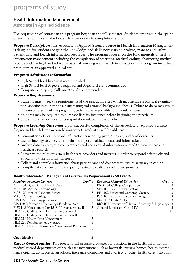### Health Information Management

Associate in Applied Science

The sequencing of courses in this program begins in the fall semester. Students entering in the spring or summer will likely take longer than two years to complete the program.

**Program Description** This Associate in Applied Science degree in Health Information Management is designed for students to gain the knowledge and skills necessary to analyze, manage and utilize patient data and health information resources. The program focuses on the fundamentals of health information management including the compilation of statistics, medical coding, abstracting medical records and the legal and ethical aspects of working with health information. This program includes a practicum at an approved clinical site.

#### **Program Admissions Information**

- High School level biology is recommended.
- High School level Algebra I required and Algebra II are recommended.
- Computer and typing skills are strongly recommended.

#### **Program Requirements**

- Students must meet the requirements of the practicum sites which may include a physical examination, specific immunizations, drug testing and criminal background checks. Failure to do so may result in non-completion of the program. Students are responsible for any related costs.
- Students may be required to purchase liability insurance before beginning the practicum.
- Students are responsible for transportation related to the practicum.

**Program Learning Outcomes** Upon successful completion of the Associate of Applied Science Degree in Health Information Management, graduates will be able to:

- Demonstrate ethical standards of practice concerning patient privacy and confidentiality.
- Use technology to collect, maintain and report healthcare data and information.
- Analyze data to verify the completeness and accuracy of information related to patient care and healthcare records.
- Recognize the roles of various healthcare providers and insurers in order to respond effectively and ethically to their information needs.
- Collect and compile information about patient care and diagnoses to ensure accuracy in coding.
- Compile data and perform data quality reviews to validate coding assignments.

#### **Health Information Management Curriculum Requirements - 60 Credits**

| <b>Required Program Courses</b>                 |    | Credits Required General Education             | Credits |
|-------------------------------------------------|----|------------------------------------------------|---------|
| ALH 101 Dynamics of Health Care                 |    | <b>ENG 101 College Composition</b>             |         |
| MAS 105 Medical Terminology                     |    | SPE 101 Oral Communication                     |         |
| MAS 120 Medical Law and Ethics                  |    | PHI 102 Ethics and Contemp. Society            |         |
| MAS 225 Pharmacology                            |    | PSY 101 Introduction to Psychology             |         |
| CIS 115 Software Applications                   |    | MAT 122 Finite Math                            |         |
| CIS 118 Information Technology Fundamentals     |    | BIO 104 Overview of Human Anatomy & Physiology | 3       |
| BUS 115 Management I or BUS116 Management II    |    | General Education, Core I-IV                   |         |
| HIM 120 Coding and Classification Systems I     |    |                                                | 21      |
| HIM 125 Coding and Classification Systems II    |    |                                                |         |
| HIM 210 Health Data Management                  |    |                                                |         |
| HIM 220 Reimbursement Methods                   |    |                                                |         |
| HIM 290 Health Information Management Practicum |    |                                                |         |
|                                                 | 36 |                                                |         |

| Required Program Courses                     | Credits Required General Education<br>Credits      |   |
|----------------------------------------------|----------------------------------------------------|---|
| ALH 101 Dynamics of Health Care              | 3 ENG 101 College Composition                      |   |
| MAS 105 Medical Terminology                  | 3 SPE 101 Oral Communication                       |   |
| MAS 120 Medical Law and Ethics               | 3 PHI 102 Ethics and Contemp. Society              | 3 |
| MAS 225 Pharmacology                         | 3 PSY 101 Introduction to Psychology               | 3 |
| CIS 115 Software Applications                | 3 MAT 122 Finite Math                              | २ |
| CIS 118 Information Technology Fundamentals  | 3 BIO 104 Overview of Human Anatomy & Physiology 3 |   |
| BUS 115 Management I or BUS116 Management II | 3 General Education, Core I-IV                     |   |
| HIM 120 Coding and Classification Systems I  |                                                    |   |

#### **Open Elective 3**

**Career Opportunities** This program will prepare graduates for positions in the health information/ medical record departments of health care institutions such as hospitals, nursing homes, health maintenance organizations, physician offices, insurance companies and a variety of other health care institutions.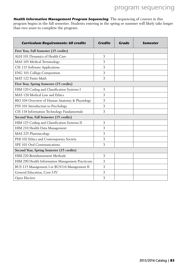**Health Information Management Program Sequencing** The sequencing of courses in this program begins in the fall semester. Students entering in the spring or summer will likely take longer than two years to complete the program.

| <b>Curriculum Requirements: 60 credits</b>      | <b>Credits</b> | Grade | <b>Semester</b> |
|-------------------------------------------------|----------------|-------|-----------------|
| First Year, Fall Semester (15 credits)          |                |       |                 |
| ALH 101 Dynamics of Health Care                 | 3              |       |                 |
| MAS 105 Medical Terminology                     | 3              |       |                 |
| CIS 115 Software Applications                   | 3              |       |                 |
| ENG 101 College Composition                     | 3              |       |                 |
| MAT 122 Finite Math                             | 3              |       |                 |
| First Year, Spring Semester (15 credits)        |                |       |                 |
| HIM 120 Coding and Classification Systems I     | 3              |       |                 |
| MAS 120 Medical Law and Ethics                  | 3              |       |                 |
| BIO 104 Overview of Human Anatomy & Physiology  | 3              |       |                 |
| PSY 101 Introduction to Psychology              | 3              |       |                 |
| CIS 118 Information Technology Fundamentals     | 3              |       |                 |
| Second Year, Fall Semester (15 credits)         |                |       |                 |
| HIM 125 Coding and Classification Systems II    | 3              |       |                 |
| HIM 210 Health Data Management                  | 3              |       |                 |
| MAS 225 Pharmacology                            | 3              |       |                 |
| PHI 102 Ethics and Contemporary Society         | 3              |       |                 |
| SPE 101 Oral Communications                     | 3              |       |                 |
| Second Year, Spring Semester (15 credits)       |                |       |                 |
| HIM 220 Reimbursement Methods                   | 3              |       |                 |
| HIM 290 Health Information Management Practicum | 3              |       |                 |
| BUS 115 Management I or BUS116 Management II    | 3              |       |                 |
| General Education, Core I-IV                    | 3              |       |                 |
| Open Elective                                   | 3              |       |                 |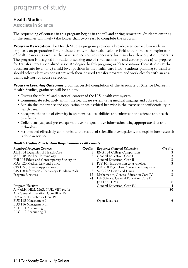### Health Studies

### Associate in Science

The sequencing of courses in this program begins in the fall and spring semesters. Students entering in the summer will likely take longer than two years to complete the program.

**Program Description** The Health Studies program provides a broad-based curriculum with an emphasis on preparation for continued study in the health science field that includes an exploration of health careers, as well as the basic science courses necessary for many health occupation programs. The program is designed for students seeking one of three academic and career paths: a) to prepare for transfer into a specialized associate degree health program; or b) to continue their studies at the Baccalaureate level; or c) a mid-level position in the health-care field. Students planning to transfer should select electives consistent with their desired transfer program and work closely with an academic advisor for course selection.

**Program Learning Outcomes** Upon successful completion of the Associate of Science Degree in Health Studies, graduates will be able to:

- Discuss the cultural and historical context of the U.S. health care system.
- Communicate effectively within the healthcare system using medical language and abbreviations.
- Explain the importance and application of basic ethical behavior in the exercise of confidentiality in health care.
- Recognize the value of diversity in opinions, values, abilities and cultures in the science and health care fields.
- Collect, analyze, and present quantitative and qualitative information using appropriate data and technology.
- Perform and effectively communicate the results of scientific investigations, and explain how research is done in science.

### **Health Studies Curriculum Requirements - 60 credits**

| <b>Required Program Courses</b>             |    | Credits Required General Education        | Credits |
|---------------------------------------------|----|-------------------------------------------|---------|
| ALH 101 Dynamics of Health Care             |    | <b>ENG 101 College Composition</b>        |         |
| MAS 105 Medical Terminology                 |    | 3 General Education, Core I               |         |
| PHI 102 Ethics and Contemporary Society or  |    | General Education, Core II                |         |
| MAS 120 Medical Law and Ethics              |    | 3 PSY 101 Introduction to Psychology      | 3       |
| CIS 115 Software Applications or            |    | PSY 210 Psychology Across the Lifespan or |         |
| CIS 118 Information Technology Fundamentals |    | 3 SOC 232 Death and Dying                 |         |
| <b>Program Electives</b>                    | 12 | Mathematics, General Education Core IV    | 3       |
|                                             |    | 24 Lab Science, General Education Core IV |         |
|                                             |    | (BIO or CHM)                              | 8       |
| <b>Program Electives</b>                    |    | <b>General Education, Core IV</b>         |         |

Any ALH, HIM, MAS, NUR, VET prefix **30** Any General Education, Core III or IV PSY or SOC prefix, or Core IV BUS 115 Management I **Open Electives 6** BUS 116 Management II ACC 111 Accounting I ACC 112 Accounting II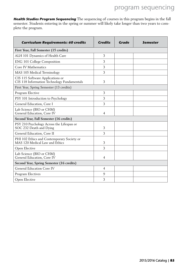**Health Studies Program Sequencing** The sequencing of courses in this program begins in the fall semester. Students entering in the spring or summer will likely take longer than two years to complete the program.

| <b>Curriculum Requirements: 60 credits</b>                                      | Credits        | Grade | Semester |
|---------------------------------------------------------------------------------|----------------|-------|----------|
| First Year, Fall Semester (15 credits)                                          |                |       |          |
| ALH 101 Dynamics of Health Care                                                 | 3              |       |          |
| ENG 101 College Composition                                                     | 3              |       |          |
| Core IV Mathematics                                                             | 3              |       |          |
| MAS 105 Medical Terminology                                                     | 3              |       |          |
| CIS 115 Software Applications or<br>CIS 118 Information Technology Fundamentals | 3              |       |          |
| First Year, Spring Semester (13 credits)                                        |                |       |          |
| Program Elective                                                                | 3              |       |          |
| PSY 101 Introduction to Psychology                                              | 3              |       |          |
| General Education, Core I                                                       | 3              |       |          |
| Lab Science (BIO or CHM)<br>General Education, Core IV                          | 4              |       |          |
| Second Year, Fall Semester (16 credits)                                         |                |       |          |
| PSY 210 Psychology Across the Lifespan or<br>SOC 232 Death and Dying            | 3              |       |          |
| General Education, Core II                                                      | 3              |       |          |
| PHI 102 Ethics and Contemporary Society or<br>MAS 120 Medical Law and Ethics    | 3              |       |          |
| Open Elective                                                                   | 3              |       |          |
| Lab Science (BIO or CHM)<br>General Education, Core IV                          | $\overline{4}$ |       |          |
| Second Year, Spring Semester (16 credits)                                       |                |       |          |
| <b>General Education Core IV</b>                                                | 4              |       |          |
| Program Electives                                                               | 9              |       |          |
| Open Elective                                                                   | 3              |       |          |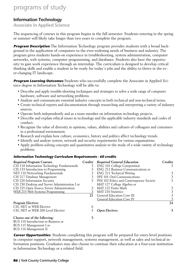### Information Technology

Associate in Applied Science

The sequencing of courses in this program begins in the fall semester. Students entering in the spring or summer will likely take longer than two years to complete the program.

**Program Description** The Information Technology program provides students with a broad background in the application of computers to the ever-widening needs of business and industry. The program gives students hands-on experience in troubleshooting, system administration, computer networks, web systems, computer programming, and databases. Students also have the opportunity to gain work experience through an internship. The curriculum is designed to develop critical thinking skills and enable a student to be ready for today's jobs and the ability to thrive in the ever-changing IT landscape.

**Program Learning Outcomes** Students who successfully complete the Associate in Applied Science degree in Information Technology will be able to:

- Describe and apply trouble-shooting techniques and strategies to solve a wide range of computer hardware, software and networking problems.
- Analyze and communicate essential industry concepts in both technical and non-technical terms.
- Create technical reports and documentation through researching and interpreting a variety of industry sources.
- Operate both independently and as a team member on information technology projects.
- Describe and explain ethical issues in technology and the applicable industry standards and codes of conduct.
- Recognize the value of diversity in opinions, values, abilities and cultures of colleagues and customers in a professional environment.
- Research and explain how culture, economics, history and politics affect technology trends.
- Identify and analyze system, network and security requirements for various organizations.
- Apply problem-solving concepts and quantitative analysis to the study of a wide variety of technology problems.

#### **Information Technology Curriculum Requirements - 60 credits**

| <b>Required Program Courses</b>                | Credits | <b>Required General Education</b>       | Credits |
|------------------------------------------------|---------|-----------------------------------------|---------|
| CIS 118 Information Technology Fundamentals    | 3       | <b>ENG 101 College Composition</b>      | 3       |
| CIS 133 Introduction to Programming            |         | ENG 212 Business Communications or      |         |
| NET 110 Networking Fundamentals                | 3       | ENG 211 Technical Writing               | 3       |
| CIS 217 Database Management                    |         | SPE 101 Oral Communications             | 3       |
| CIS 220 Information Security                   |         | PHI 102 Ethics and Contemporary Society | 3       |
| CIS 230 Desktop and Server Administration I or |         | MAT 127 College Algebra or              |         |
| CIS 235 Open Source Server Administration      |         | MAT 122 Finite Math                     | 3       |
| WEB 215 Web Systems Programming                |         | <b>MAT 210 Statistics</b>               | 3       |
|                                                | 21      | <b>General Education Core III</b>       | 3       |
|                                                |         | <b>General Education Core IV</b>        |         |
| <b>Program Electives</b>                       |         |                                         | 24      |
| CIS, NET or WEB Elective                       | 6       |                                         |         |
| CIS, NET or WEB 200 Level Elective             |         | <b>Open Electives</b>                   | 3       |
| Choose one of the following:                   | 3       |                                         |         |
| BUS 110 Introduction to Business or            |         |                                         |         |
| BUS 115 Management I or                        |         |                                         |         |
| BUS 116 Management II                          |         |                                         |         |

**Career Opportunities**: Students completing this program will be prepared for entry-level positions in computer support, network management, systems management, as well as sales and technical information positions. Graduates may also choose to continue their education at a four-year institution in Information Technology or a related field.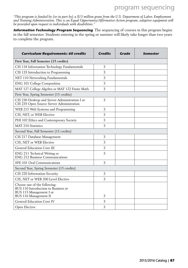*"This program is funded by (or in part by) a \$13 million grant from the U.S. Department of Labor, Employment and Training Administration. This is an Equal Opportunity/Affirmative Action program, adaptive equipment will be provided upon request to individuals with disabilities."*

**Information Technology Program Sequencing** The sequencing of courses in this program begins in the fall semester. Students entering in the spring or summer will likely take longer than two years to complete the program.

| <b>Curriculum Requirements: 60 credits</b>                                                                              | <b>Credits</b> | <b>Grade</b> | Semester |
|-------------------------------------------------------------------------------------------------------------------------|----------------|--------------|----------|
| First Year, Fall Semester (15 credits)                                                                                  |                |              |          |
| CIS 118 Information Technology Fundamentals                                                                             | 3              |              |          |
| CIS 133 Introduction to Programming                                                                                     | 3              |              |          |
| NET 110 Networking Fundamentals                                                                                         | 3              |              |          |
| ENG 101 College Composition                                                                                             | 3              |              |          |
| MAT 127 College Algebra or MAT 122 Finite Math                                                                          | 3              |              |          |
| First Year, Spring Semester (15 credits)                                                                                |                |              |          |
| CIS 230 Desktop and Server Administration I or<br>CIS 235 Open Source Server Administration                             | 3              |              |          |
| WEB 215 Web Systems and Programming                                                                                     | 3              |              |          |
| CIS, NET, or WEB Elective                                                                                               | 3              |              |          |
| PHI 102 Ethics and Contemporary Society                                                                                 | 3              |              |          |
| <b>MAT 210 Statistics</b>                                                                                               | 3              |              |          |
| Second Year, Fall Semester (15 credits)                                                                                 |                |              |          |
| CIS 217 Database Management                                                                                             | 3              |              |          |
| CIS, NET or WEB Elective                                                                                                | 3              |              |          |
| General Education Core III                                                                                              | 3              |              |          |
| ENG 211 Technical Writing or<br><b>ENG 212 Business Communications</b>                                                  | 3              |              |          |
| SPE 101 Oral Communications                                                                                             | 3              |              |          |
| Second Year, Spring Semester (15 credits)                                                                               |                |              |          |
| CIS 220 Information Security                                                                                            | 3              |              |          |
| CIS, NET or WEB 200 Level Elective                                                                                      | 3              |              |          |
| Choose one of the following:<br>BUS 110 Introduction to Business or<br>BUS 115 Management I or<br>BUS 116 Management II | 3              |              |          |
| General Education Core IV                                                                                               | 3              |              |          |
| Open Elective                                                                                                           | 3              |              |          |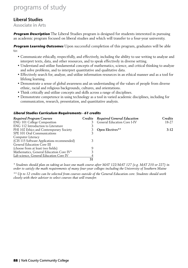### Liberal Studies

Associate in Arts

**Program Description** The Liberal Studies program is designed for students interested in pursuing an academic program focused on liberal studies and which will transfer to a four-year university.

**Program Learning Outcomes** Upon successful completion of this program, graduates will be able to:

- Communicate ethically, respectfully, and effectively, including the ability to use writing to analyze and interpret texts, data, and other resources, and to speak effectively in diverse setting.
- Understand and utilize fundamental concepts of mathematics, science, and critical thinking to analyze and solve problems, and to interpret quantitative and qualitative data.
- Effectively search for, analyze, and utilize information resources in an ethical manner and as a tool for lifelong learning.
- Demonstrate a sense of global awareness and an understanding of the values of people from diverse ethnic, racial and religious backgrounds, cultures, and orientations.
- Think critically and utilize concepts and skills across a range of disciplines.
- Demonstrate competence in using technology as a tool in varied academic disciplines, including for communication, research, presentation, and quantitative analysis.

### **Liberal Studies Curriculum Requirements - 61 credits**

| <b>Required Program Courses</b>             |    | Credits Required General Education | Credits |
|---------------------------------------------|----|------------------------------------|---------|
| <b>ENG 101 College Composition</b>          |    | <b>General Education Core I-IV</b> | 18-27   |
| ENG 112 Introduction to Literature          |    |                                    |         |
| PHI 102 Ethics and Contemporary Society     |    | <b>Open Electives**</b>            | $3-12$  |
| SPE 101 Oral Communications                 |    |                                    |         |
| Computer Literacy                           |    |                                    |         |
| (CIS 115 Software Applications recommended) |    |                                    |         |
| General Education Core III                  |    |                                    |         |
| (choose from at least two fields)           |    |                                    |         |
| Mathematics, General Education Core IV*     |    |                                    |         |
| Lab science, General Education Core IV      |    |                                    |         |
|                                             | 31 |                                    |         |

*\* Students should plan on taking at least one math course after MAT 122/MAT 127 (e.g. MAT 210 or 227) in order to satisfy the math requirements of many four-year colleges including the University of Southern Maine*

*\*\* Up to 12 credits can be selected from courses outside of the General Education core. Students should work closely with their advisor to select courses that will transfer.*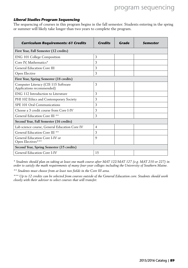### **Liberal Studies Program Sequencing**

The sequencing of courses in this program begins in the fall semester. Students entering in the spring or summer will likely take longer than two years to complete the program.

| <b>Curriculum Requirements: 61 Credits</b>                       | <b>Credits</b> | Grade | <b>Semester</b> |
|------------------------------------------------------------------|----------------|-------|-----------------|
| First Year, Fall Semester (12 credits)                           |                |       |                 |
| ENG 101 College Composition                                      | 3              |       |                 |
| Core IV, Mathematics*                                            | 3              |       |                 |
| General Education Core III                                       | 3              |       |                 |
| Open Elective                                                    | 3              |       |                 |
| First Year, Spring Semester (18 credits)                         |                |       |                 |
| Computer Literacy (CIS 115 Software<br>Applications recommended) | 3              |       |                 |
| ENG 112 Introduction to Literature                               | 3              |       |                 |
| PHI 102 Ethics and Contemporary Society                          | 3              |       |                 |
| SPE 101 Oral Communications                                      | 3              |       |                 |
| Choose a 3 credit course from Core I-IV                          | 3              |       |                 |
| General Education Core III <sup>**</sup>                         | 3              |       |                 |
| Second Year, Fall Semester (16 credits)                          |                |       |                 |
| Lab science course, General Education Core IV                    | $\overline{4}$ |       |                 |
| General Education Core III <sup>**</sup>                         | 3              |       |                 |
| General Education Core I-IV or<br>Open Electives***              | 9              |       |                 |
| Second Year, Spring Semester (15 credits)                        |                |       |                 |
| General Education Core I-IV                                      | 15             |       |                 |

*\* Students should plan on taking at least one math course after MAT 122/MAT 127 (e.g. MAT 210 or 227) in order to satisfy the math requirements of many four-year colleges including the University of Southern Maine.*

*\*\* Students must choose from at least two fields in the Core III area.*

*\*\*\* Up to 12 credits can be selected from courses outside of the General Education core. Students should work closely with their advisor to select courses that will transfer.*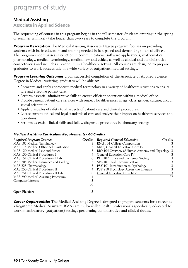### Medical Assisting

Associate in Applied Science

The sequencing of courses in this program begins in the fall semester. Students entering in the spring or summer will likely take longer than two years to complete the program.

**Program Description** The Medical Assisting Associate Degree program focuses on providing students with basic education and training needed in fast-paced and demanding medical offices. The program encompasses instruction in communications, software applications, mathematics, pharmacology, medical terminology, medical law and ethics, as well as clinical and administrative competencies and includes a practicum in a healthcare setting. All courses are designed to prepare graduates to work successfully in a wide variety of outpatient medical settings.

**Program Learning Outcomes** Upon successful completion of the Associate of Applied Science Degree in Medical Assisting, graduates will be able to:

- Recognize and apply appropriate medical terminology in a variety of healthcare situations to ensure safe and effective patient care.
- Perform essential administrative skills to ensure efficient operations within a medical office.
- Provide general patient care services with respect for differences in age, class, gender, culture, and/or sexual orientation.
- Apply principles of safety to all aspects of patient care and clinical procedures.
- Locate current ethical and legal standards of care and analyze their impact on healthcare services and operations.
- Perform essential clinical skills and follow diagnostic procedures in laboratory settings.

#### **Medical Assisting Curriculum Requirements - 60 Credits**

| <b>Required Program Courses</b>       | Credits  | <b>Required General Education</b>                  | Credits |
|---------------------------------------|----------|----------------------------------------------------|---------|
| MAS 105 Medical Terminology           |          | <b>ENG 101 College Composition</b>                 |         |
| MAS 115 Medical Office Administration |          | Math, General Education Core IV                    |         |
| MAS 120 Medical Law and Ethics        |          | BIO 104 Overview of Human Anatomy and Physiology 3 |         |
| MAS 150 Clinical Procedures I         |          | <b>General Education Core IV</b>                   |         |
| MAS 151 Clinical Procedures I Lab     | $\theta$ | PHI 102 Ethics and Contemp. Society                |         |
| MAS 205 Medical Insurance and Coding  |          | SPE 101 Oral Communication                         |         |
| MAS 225 Pharmacology                  |          | PSY 101 Introduction to Psychology                 |         |
| MAS 250 Clinical Procedures II        |          | PSY 210 Psychology Across the Lifespan             | 3       |
| MAS 251 Clinical Procedures II Lab    |          | General Education Core I-IV                        | 3       |
| MAS 290 Medical Assisting Practicum   |          |                                                    | 27      |
| Computer Literacy                     |          |                                                    |         |
|                                       | 30       |                                                    |         |
| <b>Open Elective:</b>                 |          |                                                    |         |

**Career Opportunities** The Medical Assisting Degree is designed to prepare students for a career as a Registered Medical Assistant. RMAs are multi-skilled health professionals specifically educated to work in ambulatory (outpatient) settings performing administrative and clinical duties.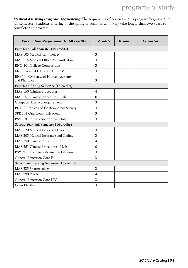**Medical Assisting Program Sequencing** The sequencing of courses in this program begins in the fall semester. Students entering in the spring or summer will likely take longer than two years to complete the program.

| <b>Curriculum Requirements: 60 credits</b>          | <b>Credits</b> | Grade | <b>Semester</b> |
|-----------------------------------------------------|----------------|-------|-----------------|
| First Year, Fall Semester (15 credits)              |                |       |                 |
| MAS 105 Medical Terminology                         | 3              |       |                 |
| MAS 115 Medical Office Administration               | 3              |       |                 |
| ENG 101 College Composition                         | 3              |       |                 |
| Math, General Education Core IV                     | 3              |       |                 |
| BIO 104 Overview of Human Anatomy<br>and Physiology | 3              |       |                 |
| First Year, Spring Semester (16 credits)            |                |       |                 |
| MAS 150 Clinical Procedures I                       | $\overline{4}$ |       |                 |
| MAS 151 Clinical Procedures I Lab                   | $\Omega$       |       |                 |
| Computer Literacy Requirement                       | 3              |       |                 |
| PHI 102 Ethics and Contemporary Society             | 3              |       |                 |
| SPE 101 Oral Communications                         | 3              |       |                 |
| PSY 101 Introduction to Psychology                  | 3              |       |                 |
| Second Year, Fall Semester (16 credits)             |                |       |                 |
| MAS 120 Medical Law and Ethics                      | 3              |       |                 |
| MAS 205 Medical Insurance and Coding                | 3              |       |                 |
| MAS 250 Clinical Procedures II                      | $\overline{4}$ |       |                 |
| MAS 251 Clinical Procedures II Lab                  | $\theta$       |       |                 |
| PSY 210 Psychology Across the Lifespan              | 3              |       |                 |
| General Education Core IV                           | 3              |       |                 |
| Second Year, Spring Semester (13 credits)           |                |       |                 |
| MAS 225 Pharmacology                                | 3              |       |                 |
| MAS 290 Practicum                                   | $\overline{4}$ |       |                 |
| General Education Core I-IV                         | 3              |       |                 |
| Open Elective                                       | 3              |       |                 |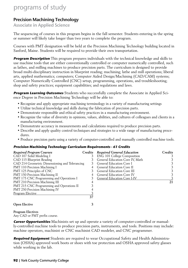### Precision Machining Technology

Associate in Applied Science

The sequencing of courses in this program begins in the fall semester. Students entering in the spring or summer will likely take longer than two years to complete the program.

Courses with PMT designation will be held at the Precision Machining Technology building located in Sanford, Maine. Students will be required to provide their own transportation.

**Program Description** This program prepares individuals with the technical knowledge and skills to use machine tools that are either conventionally controlled or computer numerically controlled, such as lathes, and milling machines to produce precision parts. The curriculum is designed to provide broad multi-disciplinary instruction in blueprint reading; machining; lathe and mill operations; liberal arts, applied mathematics; computers; Computer Aided Design/Machining (CAD/CAM) systems; Computer Numerically Controlled (CNC) setup, programming, operations, and troubleshooting; shop and safety practices; equipment capabilities; and regulations and laws.

**Program Learning Outcomes** Students who successfully complete the Associate in Applied Science Degree in Precision Machining Technology will be able to:

- Recognize and apply appropriate machining terminology in a variety of manufacturing settings
- Utilize technical knowledge and skills during the fabrication of precision parts.
- Demonstrate responsible and ethical safety practices in a manufacturing environment.
- Recognize the value of diversity in opinions, values, abilities, and cultures of colleagues and clients in a manufacturing environment.
- Demonstrate accuracy in measurements and calculations required to produce precision parts.
- Describe and apply quality control techniques and strategies to a wide range of manufacturing procedures.
- Produce precision parts using a variety of computer-controlled and manually controlled machine tools.

#### **Precision Machining Technology Curriculum Requirements - 61 Credits**

| <b>Required Program Courses</b>                |    | Credits Required General Education | Credits |
|------------------------------------------------|----|------------------------------------|---------|
| CAD 107 Solid Modeling I                       |    | <b>ENG 101 College Composition</b> |         |
| CAD 115 Blueprint Reading                      |    | General Education Core IV, Math    |         |
| CAD 214 Geometric Dimensioning and Tolerancing |    | <b>General Education Core I</b>    |         |
| PMT 110 Precision Machining I                  |    | <b>General Education Core II</b>   |         |
| PMT 125 Principles of CNC                      |    | 3 General Education Core III       |         |
| PMT 150 Precision Machining II                 |    | <b>General Education Core IV</b>   |         |
| PMT 175 CNC Programming and Operations I       |    | General Education Core I-IV        |         |
| PMT 210 Precision Machining III                |    |                                    | 21      |
| PMT 215 CNC Programming and Operations II      |    |                                    |         |
| <b>PMT 250 Precision Machining IV</b>          |    |                                    |         |
| Program Elective                               |    |                                    |         |
|                                                | 37 |                                    |         |
| <b>Open Elective</b>                           |    |                                    |         |

**Program Electives** Any CAD or PMT prefix course.

**Career Opportunities** Machinists set up and operate a variety of computer-controlled or manually-controlled machine tools to produce precision parts, instruments, and tools. Positions may include: machine operators, machinist or CNC machinist CAD modeler, and CNC programmer.

**Required Equipment** Students are required to wear Occupational Safety and Health Administration (OSHA) approved work boots or shoes with toe protection and OSHA approved safety glasses while working in the lab.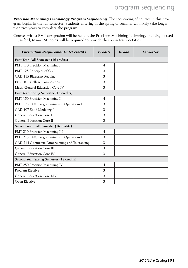**Precision Machining Technology Program Sequencing** The sequencing of courses in this program begins in the fall semester. Students entering in the spring or summer will likely take longer than two years to complete the program.

Courses with a PMT designation will be held at the Precision Machining Technology building located in Sanford, Maine. Students will be required to provide their own transportation.

| <b>Curriculum Requirements: 61 credits</b>     | <b>Credits</b> | Grade | <b>Semester</b> |
|------------------------------------------------|----------------|-------|-----------------|
| First Year, Fall Semester (16 credits)         |                |       |                 |
| PMT 110 Precision Machining I                  | $\overline{4}$ |       |                 |
| PMT 125 Principles of CNC                      | 3              |       |                 |
| CAD 115 Blueprint Reading                      | 3              |       |                 |
| ENG 101 College Composition                    | 3              |       |                 |
| Math, General Education Core IV                | 3              |       |                 |
| First Year, Spring Semester (16 credits)       |                |       |                 |
| PMT 150 Precision Machining II                 | $\overline{4}$ |       |                 |
| PMT 175 CNC Programming and Operations I       | 3              |       |                 |
| CAD 107 Solid Modeling I                       | 3              |       |                 |
| General Education Core I                       | 3              |       |                 |
| General Education Core II                      | 3              |       |                 |
| Second Year, Fall Semester (16 credits)        |                |       |                 |
| PMT 210 Precision Machining III                | $\overline{4}$ |       |                 |
| PMT 215 CNC Programming and Operations II      | 3              |       |                 |
| CAD 214 Geometric Dimensioning and Tolerancing | 3              |       |                 |
| General Education Core III                     | 3              |       |                 |
| General Education Core IV                      | 3              |       |                 |
| Second Year, Spring Semester (13 credits)      |                |       |                 |
| PMT 250 Precision Machining IV                 | $\overline{4}$ |       |                 |
| Program Elective                               | 3              |       |                 |
| General Education Core I-IV                    | 3              |       |                 |
| Open Elective                                  | 3              |       |                 |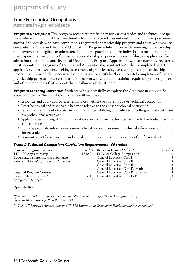### Trade & Technical Occupations

Associate in Applied Science

**Program Description** This program recognizes proficiency for various trades and technical occupations where an individual has completed a formal registered apprenticeship program (i.e. journeyman status). Individuals who have completed a registered apprenticeship program and those who wish to complete the Trade and Technical Occupations Program while concurrently meeting apprenticeship requirements are eligible for admission. It is the responsibility of the individual to make the appropriate sponsor arrangements for his/her apprenticeship experience prior to filing an application for admission to the Trade and Technical Occupations Program. Apprentices who are currently registered must submit their Program of Training and Apprenticeship contract with their completed YCCC application. Those students seeking assessment of prior learning for a completed apprenticeship program will provide the necessary documentation to verify his/her successful completion of the apprenticeship program, i.e., certification documents, a schedule of training required by the employer, and other credentials that support the enrollment of the student.

**Program Learning Outcomes** Students who successfully complete the Associate in Applied Science in Trade and Technical Occupations will be able to:

- Recognize and apply appropriate terminology within the chosen trade or technical occupation.
- Describe ethical and responsible behavior relative to the chosen technical occupation.
- Recognize the value of diversity in opinions, values, abilities, and cultures of colleagues and customers in a professional workplace.
- Apply problem-solving skills and quantitative analysis using technology relative to the trade or technical occupation.
- Utilize appropriate information resources to gather and disseminate technical information within the chosen trade.
- Demonstrate effective written and verbal communication skills in a variety of professional settings.

#### **Trade & Technical Occupations Curriculum Requirements - 60 credits**

| <b>Required Program Courses</b>                                              | Credits Required General Education    | Credits |
|------------------------------------------------------------------------------|---------------------------------------|---------|
| TTO 199 Apprenticeship                                                       | 18 or 24 ENG101 College Composition   | 3       |
| Documented apprenticeship experience                                         | General Education Core I              |         |
| $3 \text{ years} = 18 \text{ credits}, 4 \text{ years} = 24 \text{ credits}$ | General Education Core II             |         |
|                                                                              | General Education Core III            |         |
|                                                                              | General Education Core IV, Math       |         |
| <b>Required Program Courses</b>                                              | General Education Core IV, Science    |         |
| Career Related Electives*                                                    | 9 or 15 General Education Core I - IV |         |
| Computer Literacy**                                                          |                                       | 21      |
| <b>Open Elective</b>                                                         |                                       |         |

*\*Student and advisor select career-related electives that are specific to the apprenticeship focus or likely career path within the field.*

*\*\* CIS 115 Software Applications or CIS 118 Information Technology Fundamentals recommended*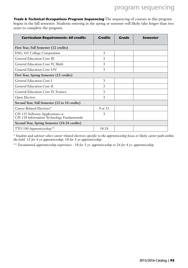**Trade & Technical Occupations Program Sequencing** The sequencing of courses in this program begins in the fall semester. Students entering in the spring or summer will likely take longer than two years to complete the program.

| <b>Curriculum Requirements: 60 credits</b>                                      | <b>Credits</b> | Grade | <b>Semester</b> |
|---------------------------------------------------------------------------------|----------------|-------|-----------------|
| First Year, Fall Semester (12 credits)                                          |                |       |                 |
| ENG 101 College Composition                                                     | 3              |       |                 |
| <b>General Education Core III</b>                                               | 3              |       |                 |
| General Education Core IV, Math                                                 | 3              |       |                 |
| General Education Core I-IV                                                     | 3              |       |                 |
| First Year, Spring Semester (12 credits)                                        |                |       |                 |
| General Education Core I                                                        | 3              |       |                 |
| General Education Core II                                                       | 3              |       |                 |
| General Education Core IV, Science                                              | 3              |       |                 |
| Open Elective                                                                   | 3              |       |                 |
| Second Year, Fall Semester (12 to 18 credits)                                   |                |       |                 |
| Career Related Electives*                                                       | 9 or 15        |       |                 |
| CIS 115 Software Applications or<br>CIS 118 Information Technology Fundamentals | 3              |       |                 |
| Second Year, Spring Semester (18-24 credits)                                    |                |       |                 |
| TTO 199 Apprenticeship**                                                        | 18-24          |       |                 |

*\* Student and advisor select career related electives specific to the apprenticeship focus or likely career path within the field. 12 for 4 yr apprenticeship, 18 for 3 yr apprenticeship*

*\*\* Documented apprenticeship experience - 18 for 3 yr. apprenticeship or 24 for 4 yr. apprenticeship*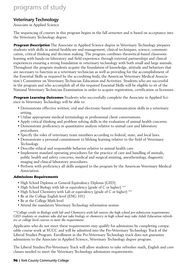### Veterinary Technology

Associate in Applied Science

The sequencing of courses in this program begins in the fall semester and is based on acceptance into the Veterinary Technology degree.

**Program Description** The Associate in Applied Science degree in Veterinary Technology prepares students with skills in animal healthcare and management, clinical techniques, science, communication, critical thinking and decision making. The program combines theoretical-based classroom learning with hands-on laboratory and field experience through external partnerships and clinical experiences ensuring a strong foundation in veterinary technology with both small and large animals. Throughout the program students acquire the foundation of knowledge, attitude and behaviors that are necessary to function as a veterinary technician as well as providing for the accomplishment of the Essential Skills as required by the accrediting body, the American Veterinary Medical Association's Committee on Veterinary Technician Education and Activities. Students who are successful in the program and who accomplish all of the required Essential Skills will be eligible to sit of the National Veterinary Technician Examination in order to acquire registration, certification or licensure.

**Program Learning Outcomes** Students who successfully complete the Associate in Applied Science in Veterinary Technology will be able to:

- Demonstrate effective written, oral and electronic-based communication skills in a veterinary setting.
- Utilize appropriate medical terminology in professional client conversations.
- Apply critical thinking and problem solving skills in the evaluation of animal health concerns.
- Demonstrate proficiency in quantitative analysis relative to animal care and laboratory procedures.
- Specify the roles of veterinary team members according to federal, state, and local laws.
- Demonstrate a personal commitment to lifelong learning relative to the field of Veterinary Technology.
- Describe ethical and responsible behavior relative to animal health care.
- Implement standard operating procedures for the practice of care and handling of animals, public health and safety concerns, medical and surgical assisting, anesthesiology, diagnostic imaging and clinical laboratory procedures.
- Perform with proficiency all skills assigned to the program by the American Veterinary Medical Association.

### **Admissions Requirements**

- High School Diploma or General Equivalency Diploma (GED)
- High School Biology with lab or equivalency (grade of C or higher) \*\*
- High School Chemistry with Lab or equivalency (grade of C or higher) \*\*
- Be at the College English level (ENG 101)
- Be at the College Math level
- Attend the mandatory Veterinary Technology information session

*\*\*College credit in Biology with lab and Chemistry with lab waives the high school pre-admission requirements. GED students or students who did not take biology or chemistry in high school may take Adult Education refreshers or college level courses to meet the requirement.*

Applicants who do not meet these requirements may qualify for admissions by completing comparable course work at YCCC and will be admitted into the Pre-Veterinary Technology Track of the Liberal Studies Program. Enrollment in the Pre-Veterinary Technology track does not guarantee admissions to the Associate in Applied Science, Veterinary Technology degree program.

The Liberal Studies/Pre-Veterinary Track will allow students to take refresher math, English and core classes needed to meet the Veterinary Technology admissions requirements.

### **96** | York County Community College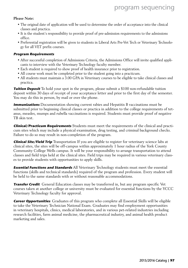#### **Please Note:**

- The original date of application will be used to determine the order of acceptance into the clinical classes and practica.
- It is the student's responsibility to provide proof of pre-admission requirements to the admissions office.
- Preferential registration will be given to students in Liberal Arts Pre-Vet Tech or Veterinary Technology for all VET prefix courses.

#### **Program Requirements**

- After successful completion of Admissions Criteria, the Admissions Office will invite qualified applicants to interview with the Veterinary Technology faculty member.
- Each student is required to show proof of health insurance prior to registration.
- All course work must be completed prior to the student going into a practicum.
- All students must maintain a 3.00 GPA in Veterinary courses to be eligible to take clinical classes and practica.

**Tuition Deposit** To hold your spot in the program, please submit a \$100 non-refundable tuition deposit within 30 days of receipt of your acceptance letter and prior to the first day of the semester. You may do this in person, by mail or over the phone.

**Immunizations** Documentation showing current rabies and Hepatitis B vaccinations must be submitted prior to beginning clinical classes or practica in addition to the college requirements of tetanus, measles, mumps and rubella vaccinations is required. Students must provide proof of negative TB skin test.

**Clinical/Practicum Requirements** Students must meet the requirements of the clinical and practicum sites which may include a physical examination, drug testing, and criminal background checks. Failure to do so may result in non-completion of the program.

**Clinical Site/Field Trip** Transportation If you are eligible to register for veterinary science labs at clinical sites, the sites will be off-campus within approximately 1 hour radius of the York County Community College Wells campus. It will be your responsibility to arrange transportation to attend classes and field trips held at the clinical sites. Field trips may be required in various veterinary classes to provide students with opportunities to apply skills.

**Essential Functions and Standards** All Veterinary Technology students must meet the essential functions (skills and technical standards) required of the program and profession. Every student will be held to the same standards with or without reasonable accommodations.

**Transfer Credit** General Education classes may be transferred in, but any program specific Vet courses taken at another college or university must be evaluated for essential functions by the YCCC Veterinary Technology faculty for approval.

**Career Opportunities** Graduates of this program who complete all Essential Skills will be eligible to take the Veterinary Technician National Exam. Graduates may find employment opportunities in veterinary hospitals, clinics, medical laboratories, and in various pet-related industries including research facilities, farm animal medicine, the pharmaceutical industry, and animal health product marketing and sales.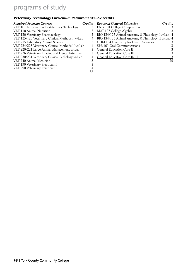### **Veterinary Technology Curriculum Requirements - 67 credits**

| <b>Required Program Courses</b>                  |    | Credits Required General Education                 | Credits |
|--------------------------------------------------|----|----------------------------------------------------|---------|
| VET 101 Introduction to Veterinary Technology    |    | <b>ENG 101 College Composition</b>                 |         |
| VET 110 Animal Nutrition                         |    | MAT 127 College Algebra                            |         |
| VET 120 Veterinary Pharmacology                  |    | BIO 124/125 Animal Anatomy & Physiology I w/Lab 4  |         |
| VET 125/126 Veterinary Clinical Methods I w/Lab  | 4  | BIO 134/135 Animal Anatomy & Physiology II w/Lab 4 |         |
| VET 215 Laboratory Animal Science                |    | CHM 104 Chemistry for Health Sciences              |         |
| VET 224/225 Veterinary Clinical Methods II w/Lab |    | SPE 101 Oral Communications                        |         |
| VET 220/221 Large Animal Management w/Lab        |    | <b>General Education Core II</b>                   |         |
| VET 226 Veterinary Imaging and Dental Intensive  |    | <b>General Education Core III</b>                  | 3.      |
| VET 230/231 Veterinary Clinical Pathology w/Lab  |    | General Education Core II-III                      |         |
| VET 240 Animal Medicine                          |    |                                                    | 29      |
| VET 190 Veterinary Practicum I                   |    |                                                    |         |
| VET 290 Veterinary Practicum II                  |    |                                                    |         |
|                                                  | 38 |                                                    |         |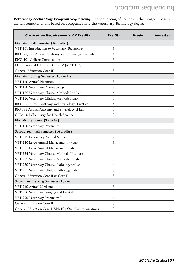**Veterinary Technology Program Sequencing** The sequencing of courses in this program begins in the fall semester and is based on acceptance into the Veterinary Technology degree.

| <b>Curriculum Requirements: 67 Credits</b>            | <b>Credits</b> | Grade | <b>Semester</b> |
|-------------------------------------------------------|----------------|-------|-----------------|
| First Year, Fall Semester (16 credits)                |                |       |                 |
| VET 101 Introduction to Veterinary Technology         | 3              |       |                 |
| BIO 124/125 Animal Anatomy and Physiology I w/Lab     | $\overline{4}$ |       |                 |
| ENG 101 College Composition                           | 3              |       |                 |
| Math, General Education Core IV (MAT 127)             | 3              |       |                 |
| <b>General Education Core III</b>                     | 3              |       |                 |
| First Year, Spring Semester (16 credits)              |                |       |                 |
| VET 110 Animal Nutrition                              | 3              |       |                 |
| VET 120 Veterinary Pharmacology                       | 2              |       |                 |
| VET 125 Veterinary Clinical Methods I w/Lab           | $\overline{4}$ |       |                 |
| VET 126 Veterinary Clinical Methods I Lab             | 0              |       |                 |
| BIO 134 Animal Anatomy and Physiology II w/Lab        | $\overline{4}$ |       |                 |
| BIO 135 Animal Anatomy and Physiology II Lab          | 0              |       |                 |
| CHM 104 Chemistry for Health Science                  | 3              |       |                 |
| First Year, Summer (3 credits)                        |                |       |                 |
| VET 190 Veterinary Practicum I                        | 3              |       |                 |
| Second Year, Fall Semester (16 credits)               |                |       |                 |
| VET 215 Laboratory Animal Medicine                    | 2              |       |                 |
| VET 220 Large Animal Management w/Lab                 | 3              |       |                 |
| VET 221 Large Animal Management Lab                   | 0              |       |                 |
| VET 224 Veterinary Clinical Methods II w/Lab          | $\overline{4}$ |       |                 |
| VET 225 Veterinary Clinical Methods II Lab            | $\overline{0}$ |       |                 |
| VET 230 Veterinary Clinical Pathology w/Lab           | $\overline{4}$ |       |                 |
| VET 231 Veterinary Clinical Pathology Lab             | 0              |       |                 |
| General Education Core II or Core III                 | 3              |       |                 |
| Second Year, Spring Semester (16 credits)             |                |       |                 |
| VET 240 Animal Medicine                               | 3              |       |                 |
| VET 226 Veterinary Imaging and Dental                 | 3              |       |                 |
| VET 290 Veterinary Practicum II                       | 4              |       |                 |
| General Education Core II                             | 3              |       |                 |
| General Education Core I, SPE 101 Oral Communications | 3              |       |                 |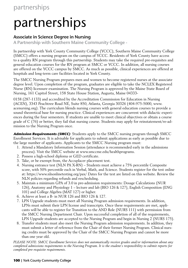# partnerships

### Associate in Science Degree in Nursing

A Partnership with Southern Maine Community College -

In partnership with York County Community College (YCCC), Southern Maine Community College (SMCC) offers a nursing program on the campus of YCCC. Residents of York County have access to a quality RN program through this partnership. Students may take the required pre-requisites and general education courses for the RN program at SMCC or YCCC. In addition, all nursing courses are offered on the YCCC campus by SMCC. As much as possible, clinical experiences are offered at hospitals and long-term care facilities located in York County.

The SMCC Nursing Program prepares men and women to become registered nurses at the associate degree level. Upon completion of the program, graduates are eligible to take the NCLEX Registered Nurse (RN) licensure examination. The Nursing Program is approved by the Maine State Board of Nursing, 161 Capitol Street, 158 State House Station, Augusta, Maine 04333-

0158 (287-1133) and accredited by the Accreditation Commission for Education in Nursing (ACEN), 3343 Peachtree Road NE, Suite 850, Atlanta, Georgia 30326 (404-975-5000, www. acenursing.org). The curriculum blends nursing courses with general education courses to provide a sound theoretical base for nursing practice. Clinical experiences are concurrent with didactic experiences during the four semesters. If students are unable to meet clinical objectives or obtain a course grade of C (76) or better, they fail that nursing course. Students may apply for reinstatement/re-admission to the Nursing Program once.

**Admission Requirements (SMCC)** Students apply to the SMCC nursing program through SMCC Enrollment Services. It is advisable for applicants to submit applications as early as possible due to the large number of applicants. Applicants to the SMCC Nursing program must:

- 1. Attend a Mandatory Information Session (attendance is recommended early in the admissions process). Visit the SMCC website at www.smccme.edu/healthprograms.
- 2. Possess a high-school diploma or GED certificate.
- 3. Take, or be exempt from, the Accuplacer placement test.
- 4. Nursing entrance test (NLN PA X-RN) Students must achieve a 75% percentile Composite score, with 50% percentile each in Verbal, Math, and Science. Students register for the test online at: https://www.nlnonlinetesting.org/pax/ Dates for the test are listed on this website. Review the NLN policies regarding refunds and rescheduling.
- 5. Maintain a minimum GPA of 3.0 in pre-admission requirements: Dosage Calculations (NUR 126), Anatomy and Physiology 1 – lecture and lab (BIO 126 & 127), English Composition (ENG 101) and College Algebra (MAT 127) or higher.
- 6. Achieve at least a B- in NUR 126 and BIO 126 & 127.
- 7. LPN Upgrade students must meet all Nursing Program admission requirements. In addition, LPNs must submit their LPN license and transcripts. Once these requirements are met, applicants will be able to register for Transition to the AND Role (NURS 111) with permission from the SMCC Nursing Department Chair. Upon successful completion of all of the requirements, LPN Upgrade students are accepted to the Nursing Program and begin in Nursing 2 (NURS 175).
- 8. Transfer students must also meet the Nursing Program admission requirements. In addition, they must submit a letter of reference from the Chair of their former Nursing Program. Clinical nursing credits must be approved by the Chair of the SMCC Nursing Program and cannot be more than one year old.

*PLEASE NOTE: SMCC Enrollment Services does not automatically receive grades and/or information about any completed admissions requirements to the Nursing Program. It is the student's responsibility to submit reports for completed pre-requisite requirements.*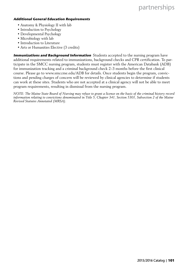# partnerships

#### **Additional General Education Requirements**

- Anatomy & Physiology II with lab
- Introduction to Psychology
- Developmental Psychology
- Microbiology with lab
- Introduction to Literature
- Arts or Humanities Elective (3 credits)

**Immunizations and Background Information** Students accepted to the nursing program have additional requirements related to immunizations, background checks and CPR certification. To participate in the SMCC nursing program, students must register with the American Databank (ADB) for immunization tracking and a criminal background check 2–3 months before the first clinical course. Please go to www.smccme.edu/ADB for details. Once students begin the program, convictions and pending charges of concern will be reviewed by clinical agencies to determine if students can work at these sites. Students who are not accepted at a clinical agency will not be able to meet program requirements, resulting in dismissal from the nursing program.

*NOTE: The Maine State Board of Nursing may refuse to grant a license on the basis of the criminal history record information relating to convictions denominated in Title 5, Chapter 341, Section 5301, Subsection 2 of the Maine Revised Statutes Annotated (MRSA).*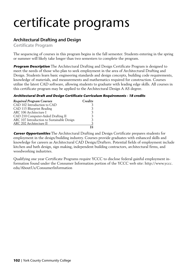# certificate programs

### Architectural Drafting and Design

Certificate Program

The sequencing of courses in this program begins in the fall semester. Students entering in the spring or summer will likely take longer than two semesters to complete the program.

**Program Description** The Architectural Drafting and Design Certificate Program is designed to meet the needs of those who plan to seek employment in the area of Architectural Drafting and Design. Students learn basic engineering standards and design concepts, building code requirements, knowledge of materials, and measurements and mathematics required for construction. Courses utilize the latest CAD software, allowing students to graduate with leading edge skills. All courses in this certificate program may be applied to the Architectural Design A AS degree.

### **Architectural Draft and Design Certificate Curriculum Requirements - 18 credits**

| <b>Required Program Courses</b>            | Credits |
|--------------------------------------------|---------|
| CAD 102 Introduction to CAD                | 3       |
| CAD 115 Blueprint Reading                  | 3       |
| ARC 106 Architecture I                     | 3       |
| CAD 210 Computer-Aided Drafting II         | 3       |
| ARC 107 Introduction to Sustainable Design | 3       |
| ARC 202 Architecture II                    | 3       |
|                                            | 18      |

**Career Opportunities** The Architectural Drafting and Design Certificate prepares students for employment in the design/building industry. Courses provide graduates with enhanced skills and knowledge for careers as Architectural CAD Design/Drafters. Potential fields of employment include kitchen and bath design, sign making, independent building contractors, architectural firms, and woodworking industries.

Qualifying one year Certificate Programs require YCCC to disclose federal gainful employment information found under the Consumer Information portion of the YCCC web site: http://www.yccc. edu/AboutUs/ConsumerInformation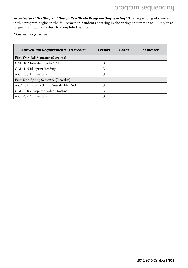**Architectural Drafting and Design Certificate Program Sequencing\*** The sequencing of courses in this program begins in the fall semester. Students entering in the spring or summer will likely take longer than two semesters to complete the program.

*\* Intended for part-time study*

| <b>Curriculum Requirements: 18 credits</b> | <b>Credits</b> | Grade | Semester |
|--------------------------------------------|----------------|-------|----------|
| First Year, Fall Semester (9 credits)      |                |       |          |
| CAD 102 Introduction to CAD                | 3              |       |          |
| CAD 115 Blueprint Reading                  | 3              |       |          |
| ARC 106 Architecture I                     | 3              |       |          |
| First Year, Spring Semester (9 credits)    |                |       |          |
| ARC 107 Introduction to Sustainable Design | 3              |       |          |
| CAD 210 Computer-Aided Drafting II         | 3              |       |          |
| ARC 202 Architecture II                    | 3              |       |          |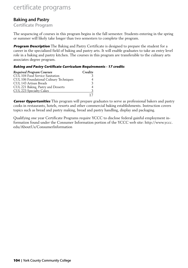# certificate programs

### Baking and Pastry

### Certificate Program

The sequencing of courses in this program begins in the fall semester. Students entering in the spring or summer will likely take longer than two semesters to complete the program.

**Program Description** The Baking and Pastry Certificate is designed to prepare the student for a career in the specialized field of baking and pastry arts. It will enable graduates to take an entry level role in a baking and pastry kitchen. The courses in this program are transferable to the culinary arts associates degree program.

### **Baking and Pastry Certificate Curriculum Requirements - 17 credits**

| <b>Required Program Courses</b>          | Credits       |
|------------------------------------------|---------------|
| CUL 104 Food Service Sanitation          |               |
| CUL 106 Foundational Culinary Techniques |               |
| CUL 143 Artisan Breads                   | $\mathcal{R}$ |
| CUL 221 Baking, Pastry and Desserts      |               |
| CUL 223 Specialty Cakes                  | ર             |
|                                          |               |

**Career Opportunities** This program will prepare graduates to serve as professional bakers and pastry cooks in restaurants, hotels, resorts and other commercial baking establishments. Instruction covers topics such as bread and pastry making, bread and pastry handling, display and packaging.

Qualifying one year Certificate Programs require YCCC to disclose federal gainful employment information found under the Consumer Information portion of the YCCC web site: http://www.yccc. edu/AboutUs/ConsumerInformation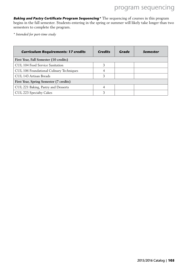**Baking and Pastry Certificate Program Sequencing\*** The sequencing of courses in this program begins in the fall semester. Students entering in the spring or summer will likely take longer than two semesters to complete the program.

*\* Intended for part-time study*

| <b>Curriculum Requirements: 17 credits</b> | <b>Credits</b> | Grade | Semester |
|--------------------------------------------|----------------|-------|----------|
| First Year, Fall Semester (10 credits)     |                |       |          |
| CUL 104 Food Service Sanitation            | 3              |       |          |
| CUL 106 Foundational Culinary Techniques   |                |       |          |
| CUL 143 Artisan Breads                     | 3              |       |          |
| First Year, Spring Semester (7 credits)    |                |       |          |
| CUL 221 Baking, Pastry and Desserts        | 4              |       |          |
| CUL 223 Specialty Cakes                    |                |       |          |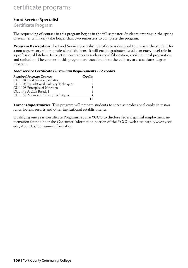# certificate programs

### Food Service Specialist

### Certificate Program

The sequencing of courses in this program begins in the fall semester. Students entering in the spring or summer will likely take longer than two semesters to complete the program.

**Program Description** The Food Service Specialist Certificate is designed to prepare the student for a non-supervisory role in professional kitchens. It will enable graduates to take an entry level role in a professional kitchen. Instruction covers topics such as meat fabrication, cooking, meal preparation and sanitation. The courses in this program are transferable to the culinary arts associates degree program.

### **Food Service Certificate Curriculum Requirements - 17 credits**

| <b>Required Program Courses</b>          | Credits |
|------------------------------------------|---------|
| CUL 104 Food Service Sanitation          |         |
| CUL 106 Foundational Culinary Techniques |         |
| CUL 108 Principles of Nutrition          |         |
| CUL 143 Artisan Breads I                 |         |
| CUL 156 Advanced Culinary Techniques     |         |
|                                          |         |

**Career Opportunities** This program will prepare students to serve as professional cooks in restaurants, hotels, resorts and other institutional establishments.

Qualifying one year Certificate Programs require YCCC to disclose federal gainful employment information found under the Consumer Information portion of the YCCC web site: http://www.yccc. edu/AboutUs/ConsumerInformation.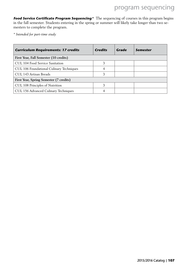# program sequencing

**Food Service Certificate Program Sequencing**<sup>\*</sup> The sequencing of courses in this program begins in the fall semester. Students entering in the spring or summer will likely take longer than two semesters to complete the program.

*\* Intended for part-time study*

| <b>Curriculum Requirements: 17 credits</b> | <b>Credits</b> | Grade | Semester |
|--------------------------------------------|----------------|-------|----------|
| First Year, Fall Semester (10 credits)     |                |       |          |
| CUL 104 Food Service Sanitation            | 3              |       |          |
| CUL 106 Foundational Culinary Techniques   | 4              |       |          |
| CUL 143 Artisan Breads                     | 3              |       |          |
| First Year, Spring Semester (7 credits)    |                |       |          |
| CUL 108 Principles of Nutrition            | 3              |       |          |
| CUL 156 Advanced Culinary Techniques       |                |       |          |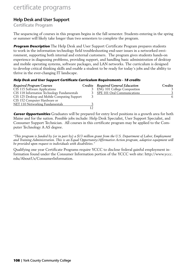# certificate programs

# Help Desk and User Support

Certificate Program

The sequencing of courses in this program begins in the fall semester. Students entering in the spring or summer will likely take longer than two semesters to complete the program.

**Program Description** The Help Desk and User Support Certificate Program prepares students to work in the information technology field troubleshooting end-user issues in a networked environment, supporting both internal and external customers. The program gives students hands-on experience in diagnosing problems, providing support, and handling basic administration of desktop and mobile operating systems, software packages, and LAN networks. The curriculum is designed to develop critical thinking skills and enable a student to be ready for today's jobs and the ability to thrive in the ever-changing IT landscape.

#### **Help Desk and User Support Certificate Curriculum Requirements - 18 credits**

| Required Program Courses                     |   | Credits Required General Education | Credits |
|----------------------------------------------|---|------------------------------------|---------|
| CIS 115 Software Applications                | 3 | <b>ENG 101 College Composition</b> |         |
| CIS 118 Information Technology Fundamentals  |   | 3 SPE 101 Oral Communications      |         |
| CIS 125 Desktop and Mobile Computing Support |   |                                    | 6       |
| CIS 152 Computer Hardware or                 |   |                                    |         |
| NET 110 Networking Fundamentals              |   |                                    |         |
|                                              |   |                                    |         |

**Career Opportunities** Graduates will be prepared for entry level positions in a growth area for both Maine and for the nation. Possible jobs include: Help Desk Specialist, User Support Specialist, and Consumer Support Technician. All courses in this certificate program may be applied to the Computer Technology A AS degree.

*"This program is funded by (or in part by) a \$13 million grant from the U.S. Department of Labor, Employment and Training Administration. This is an Equal Opportunity/Affirmative Action program, adaptive equipment will be provided upon request to individuals with disabilities."*

Qualifying one year Certificate Programs require YCCC to disclose federal gainful employment information found under the Consumer Information portion of the YCCC web site: http://www.yccc. edu/AboutUs/ConsumerInformation.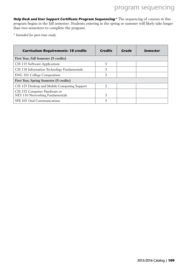**Help Desk and User Support Certificate Program Sequencing\*** The sequencing of courses in this program begins in the fall semester. Students entering in the spring or summer will likely take longer than two semesters to complete the program.

*\* Intended for part-time study*

| <b>Curriculum Requirements: 18 credits</b>                      | <b>Credits</b> | Grade | Semester |
|-----------------------------------------------------------------|----------------|-------|----------|
| First Year, Fall Semester (9 credits)                           |                |       |          |
| CIS 115 Software Applications                                   | 3              |       |          |
| CIS 118 Information Technology Fundamentals                     | 3              |       |          |
| <b>ENG 101 College Composition</b>                              | 3              |       |          |
| First Year, Spring Semester (9 credits)                         |                |       |          |
| CIS 125 Desktop and Mobile Computing Support                    | 3              |       |          |
| CIS 152 Computer Hardware or<br>NET 110 Networking Fundamentals |                |       |          |
| SPE 101 Oral Communications                                     |                |       |          |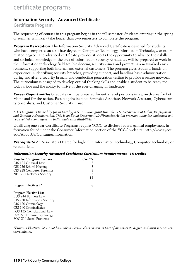# certificate programs

# Information Security - Advanced Certificate

Certificate Program

The sequencing of courses in this program begins in the fall semester. Students entering in the spring or summer will likely take longer than two semesters to complete the program.

**Program Description** The Information Security Advanced Certificate is designed for students who have completed an associate degree in Computer Technology, Information Technology, or other related degree. The advanced certificate provides students the opportunity to advance their skills and technical knowledge in the area of Information Security. Graduates will be prepared to work in the information technology field troubleshooting security issues and protecting a networked environment, supporting both internal and external customers. The program gives students hands-on experience in identifying security breaches, providing support, and handling basic administration during and after a security breach, and conducting penetration testing to provide a secure network. The curriculum is designed to develop critical thinking skills and enable a student to be ready for today's jobs and the ability to thrive in the ever-changing IT landscape.

**Career Opportunities** Graduates will be prepared for entry level positions in a growth area for both Maine and for the nation. Possible jobs include: Forensics Associate, Network Assistant, Cybersecurity Specialists, and Customer Security Liaison.

*"This program is funded by (or in part by) a \$13 million grant from the U.S. Department of Labor, Employment and Training Administration. This is an Equal Opportunity/Affirmative Action program, adaptive equipment will be provided upon request to individuals with disabilities."*

Qualifying one year Certificate Programs require YCCC to disclose federal gainful employment information found under the Consumer Information portion of the YCCC web site: http://www.yccc. edu/AboutUs/ConsumerInformation.

**Prerequisite** An Associate's Degree (or higher) in Information Technology, Computer Technology or related field.

#### **Information Security Advanced Certificate Curriculum Requirements - 18 credits**

| <b>Required Program Courses</b> | Credits |
|---------------------------------|---------|
| CJS 125 Criminal Law            |         |
| CIS 226 Ethical Hacking         | 3       |
| CIS 228 Computer Forensics      | 3       |
| <b>NET 221 Network Security</b> | 3       |
|                                 | 12      |
| Program Electives (*)           | 6       |
| <b>Program Elective List:</b>   |         |
| <b>BUS 244 Business Law</b>     |         |
| CIS 220 Information Security    |         |
| CJS 120 Criminology             |         |
| CJS 140 Criminalistics          |         |
| POS 125 Constitutional Law      |         |
| PSY 226 Forensic Psychology     |         |
| SOC 210 Social Problems         |         |

*\*Program Electives: Must not have taken elective class chosen as part of an associate degree and must meet course prerequisites.*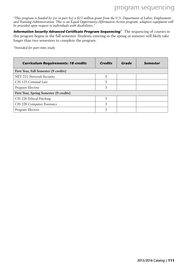# program sequencing

*"This program is funded by (or in part by) a \$13 million grant from the U.S. Department of Labor, Employment and Training Administration. This is an Equal Opportunity/Affirmative Action program, adaptive equipment will be provided upon request to individuals with disabilities."*

**Information Security Advanced Certificate Program Sequencing**\* The sequencing of courses in this program begins in the fall semester. Students entering in the spring or summer will likely take longer than two semesters to complete the program.

*\*Intended for part-time study*

| <b>Curriculum Requirements: 18 credits</b> | <b>Credits</b> | Grade | Semester |
|--------------------------------------------|----------------|-------|----------|
| First Year, Fall Semester (9 credits)      |                |       |          |
| NET 221 Network Security                   | 3              |       |          |
| CJS 125 Criminal Law                       | 3              |       |          |
| Program Elective                           | 3              |       |          |
| First Year, Spring Semester (9 credits)    |                |       |          |
| CIS 226 Ethical Hacking                    | 3              |       |          |
| CIS 228 Computer Forensics                 | 3              |       |          |
| Program Elective                           | 3              |       |          |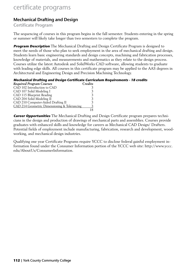# certificate programs

# Mechanical Drafting and Design

Certificate Program

The sequencing of courses in this program begins in the fall semester. Students entering in the spring or summer will likely take longer than two semesters to complete the program.

**Program Description** The Mechanical Drafting and Design Certificate Program is designed to meet the needs of those who plan to seek employment in the area of mechanical drafting and design. Students learn basic engineering standards and design concepts, machining and fabrication processes, knowledge of materials, and measurements and mathematics as they relate to the design process. Courses utilize the latest Autodesk and SolidWorks CAD software, allowing students to graduate with leading edge skills. All courses in this certificate program may be applied to the AAS degrees in Architectural and Engineering Design and Precision Machining Technology.

#### **Mechanical Drafting and Design Certificate Curriculum Requirements - 18 credits**

| <b>Required Program Courses</b>              | Credits |
|----------------------------------------------|---------|
| CAD 102 Introduction to CAD                  |         |
| CAD 107 Solid Modeling I                     |         |
| CAD 115 Blueprint Reading                    |         |
| CAD 204 Solid Modeling II                    |         |
| CAD 210 Computer-Aided Drafting II           |         |
| CAD 214 Geometric Dimensioning & Tolerancing |         |
|                                              |         |

**Career Opportunities** The Mechanical Drafting and Design Certificate program prepares technicians in the design and production of drawings of mechanical parts and assemblies. Courses provide graduates with enhanced skills and knowledge for careers as Mechanical CAD Design/ Drafters. Potential fields of employment include manufacturing, fabrication, research and development, woodworking, and mechanical design industries.

Qualifying one year Certificate Programs require YCCC to disclose federal gainful employment information found under the Consumer Information portion of the YCCC web site: http://www.yccc. edu/AboutUs/ConsumerInformation.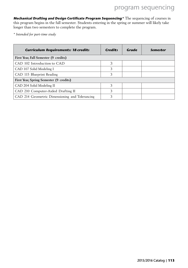**Mechanical Drafting and Design Certificate Program Sequencing\*** The sequencing of courses in this program begins in the fall semester. Students entering in the spring or summer will likely take longer than two semesters to complete the program.

*\* Intended for part-time study*

| <b>Curriculum Requirements: 18 credits</b>     | <b>Credits</b> | Grade | Semester |
|------------------------------------------------|----------------|-------|----------|
| First Year, Fall Semester (9 credits)          |                |       |          |
| CAD 102 Introduction to CAD                    | 3              |       |          |
| CAD 107 Solid Modeling I                       | 3              |       |          |
| CAD 115 Blueprint Reading                      | 3              |       |          |
| First Year, Spring Semester (9 credits)        |                |       |          |
| CAD 204 Solid Modeling II                      | 3              |       |          |
| CAD 210 Computer-Aided Drafting II             | 3              |       |          |
| CAD 214 Geometric Dimensioning and Tolerancing | 3              |       |          |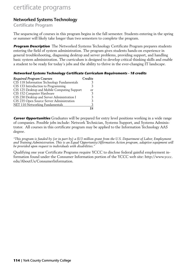# certificate programs

# Networked Systems Technology

# Certificate Program

The sequencing of courses in this program begins in the fall semester. Students entering in the spring or summer will likely take longer than two semesters to complete the program.

**Program Description** The Networked Systems Technology Certificate Program prepares students entering the field of system administration. The program gives students hands-on experience in general troubleshooting, diagnosing desktop and server problems, providing support, and handling basic system administration. The curriculum is designed to develop critical thinking skills and enable a student to be ready for today's jobs and the ability to thrive in the ever-changing IT landscape.

#### **Networked Systems Technology Certificate Curriculum Requirements - 18 credits**

| <b>Required Program Courses</b>              | Credits    |
|----------------------------------------------|------------|
| CIS 118 Information Technology Fundamentals  |            |
| CIS 133 Introduction to Programming          |            |
| CIS 125 Desktop and Mobile Computing Support | $\alpha$ r |
| CIS 152 Computer Hardware                    |            |
| CIS 230 Desktop and Server Administration I  |            |
| CIS 235 Open Source Server Administration    |            |
| NET 110 Networking Fundamentals              |            |
|                                              |            |

**Career Opportunities** Graduates will be prepared for entry level positions working in a wide range of companies. Possible jobs include: Network Technician, Systems Support, and Systems Administrator. All courses in this certificate program may be applied to the Information Technology AAS degree.

*"This program is funded by (or in part by) a \$13 million grant from the U.S. Department of Labor, Employment and Training Administration. This is an Equal Opportunity/Affirmative Action program, adaptive equipment will be provided upon request to individuals with disabilities."*

Qualifying one year Certificate Programs require YCCC to disclose federal gainful employment information found under the Consumer Information portion of the YCCC web site: http://www.yccc. edu/AboutUs/ConsumerInformation.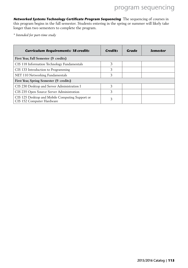**Networked Systems Technology Certificate Program Sequencing** The sequencing of courses in this program begins in the fall semester. Students entering in the spring or summer will likely take longer than two semesters to complete the program.

*\* Intended for part-time study*

| <b>Curriculum Requirements: 18 credits</b>                                   | <b>Credits</b> | Grade | Semester |
|------------------------------------------------------------------------------|----------------|-------|----------|
| First Year, Fall Semester (9 credits)                                        |                |       |          |
| CIS 118 Information Technology Fundamentals                                  | 3              |       |          |
| CIS 133 Introduction to Programming                                          | 3              |       |          |
| NET 110 Networking Fundamentals                                              | 3              |       |          |
| First Year, Spring Semester (9 credits)                                      |                |       |          |
| CIS 230 Desktop and Server Administration I                                  | 3              |       |          |
| CIS 235 Open Source Server Administration                                    | 3              |       |          |
| CIS 125 Desktop and Mobile Computing Support or<br>CIS 152 Computer Hardware |                |       |          |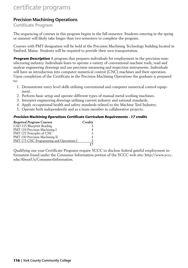# certificate programs

# Precision Machining Operations

# Certificate Program

The sequencing of courses in this program begins in the fall semester. Students entering in the spring or summer will likely take longer than two semesters to complete the program.

Courses with PMT designation will be held at the Precision Machining Technology building located in Sanford, Maine. Students will be required to provide their own transportation.

**Program Description** A program that prepares individuals for employment in the precision manufacturing industry. Individuals learn to operate a variety of conventional machine tools, read and analyze engineering drawings and use precision measuring and inspection instruments. Individuals will have an introduction into computer numerical control (CNC) machines and their operation. Upon completion of the Certificate in the Precision Machining Operations the graduate is prepared to:

- 1. Demonstrate entry level skills utilizing conventional and computer numerical control equipment.
- 2. Perform basic setup and operate different types of manual metal working machines.
- 3. Interpret engineering drawings utilizing current industry and national standards.
- 4. Apply occupational health and safety standards related to the Machine Tool Industry.
- 5. Operate both independently and as a team member in collaborative projects.

# **Precision Machining Operations Certificate Curriculum Requirements - 17 credits**

| <b>Required Program Courses</b>                 | Credits |
|-------------------------------------------------|---------|
| CAD 115 Blueprint Reading                       |         |
| PMT 110 Precision Machining I                   |         |
| PMT 125 Principles of CNC                       |         |
| PMT 150 Precision Machining II                  |         |
| <b>PMT 175 CNC Programming and Operations I</b> |         |
|                                                 |         |

Qualifying one year Certificate Programs require YCCC to disclose federal gainful employment information found under the Consumer Information portion of the YCCC web site: http://www.yccc. edu/AboutUs/ConsumerInformation.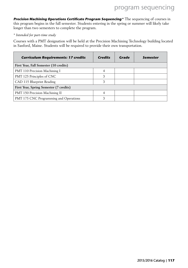**Precision Machining Operations Certificate Program Sequencing\*** The sequencing of courses in this program begins in the fall semester. Students entering in the spring or summer will likely take longer than two semesters to complete the program.

#### *\* Intended for part-time study*

Courses with a PMT designation will be held at the Precision Machining Technology building located in Sanford, Maine. Students will be required to provide their own transportation.

| <b>Curriculum Requirements: 17 credits</b> | <b>Credits</b> | Grade | Semester |
|--------------------------------------------|----------------|-------|----------|
| First Year, Fall Semester (10 credits)     |                |       |          |
| PMT 110 Precision Machining I              | 4              |       |          |
| PMT 125 Principles of CNC                  | 3              |       |          |
| CAD 115 Blueprint Reading                  | 3              |       |          |
| First Year, Spring Semester (7 credits)    |                |       |          |
| PMT 150 Precision Machining II             | 4              |       |          |
| PMT 175 CNC Programming and Operations     |                |       |          |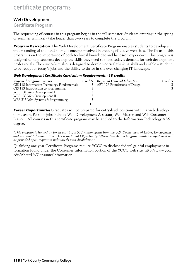# certificate programs

# Web Development

# Certificate Program

The sequencing of courses in this program begins in the fall semester. Students entering in the spring or summer will likely take longer than two years to complete the program.

**Program Description** The Web Development Certificate Program enables students to develop an understanding of the fundamental concepts involved in creating effective web sites. The focus of this program is on the importance of both technical knowledge and hands-on experience. This program is designed to help students develop the skills they need to meet today's demand for web development professionals. The curriculum also is designed to develop critical thinking skills and enable a student to be ready for today's jobs and the ability to thrive in the ever-changing IT landscape.

#### **Web Development Certificate Curriculum Requirements - 18 credits**

| Required Program Courses                    | Credits Required General Education | Credits |
|---------------------------------------------|------------------------------------|---------|
| CIS 118 Information Technology Fundamentals | 3 ART 126 Foundations of Design    |         |
| CIS 133 Introduction to Programming         |                                    |         |
| WEB 131 Web Development I                   |                                    |         |
| WEB 133 Web Development II                  |                                    |         |
| WEB 215 Web Systems & Programming           |                                    |         |
|                                             |                                    |         |

**Career Opportunities** Graduates will be prepared for entry-level positions within a web development team. Possible jobs include: Web Development Assistant, Web Master, and Web Customer Liaison. All courses in this certificate program may be applied to the Information Technology AAS degree.

*"This program is funded by (or in part by) a \$13 million grant from the U.S. Department of Labor, Employment and Training Administration. This is an Equal Opportunity/Affirmative Action program, adaptive equipment will be provided upon request to individuals with disabilities."*

Qualifying one year Certificate Programs require YCCC to disclose federal gainful employment information found under the Consumer Information portion of the YCCC web site: http://www.yccc. edu/AboutUs/ConsumerInformation.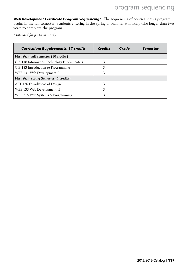**Web Development Certificate Program Sequencing\*** The sequencing of courses in this program begins in the fall semester. Students entering in the spring or summer will likely take longer than two years to complete the program.

*\* Intended for part-time study*

| <b>Curriculum Requirements: 17 credits</b>  | Credits | Grade | Semester |
|---------------------------------------------|---------|-------|----------|
| First Year, Fall Semester (10 credits)      |         |       |          |
| CIS 118 Information Technology Fundamentals | 3       |       |          |
| CIS 133 Introduction to Programming         | 3       |       |          |
| WEB 131 Web Development I                   | 3       |       |          |
| First Year, Spring Semester (7 credits)     |         |       |          |
| ART 126 Foundations of Design               | 3       |       |          |
| WEB 133 Web Development II                  | 3       |       |          |
| WEB 215 Web Systems & Programming           | 3       |       |          |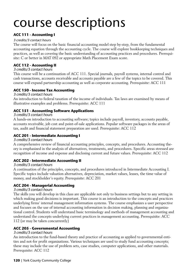# **ACC 111 - Accounting I**

### 3 credits/3 contact hours

The course will focus on the basic financial accounting model step by-step, from the fundamental accounting equation through the accounting cycle. The course will explore bookkeeping techniques and practices, as well as covering the basic understanding of accounting practices and procedures. Prerequisite: C or better in MAT 092 or appropriate Math Placement Exam score.

# **ACC 112 - Accounting II**

#### 3 credits/3 contact hours

This course will be a continuation of ACC 111. Special journals, payroll systems, internal control and cash transactions, accounts receivable and accounts payable are a few of the topics to be covered. This course will expand partnership accounting as well as corporate accounting. Prerequisite: ACC 111

# **ACC 150 - Income Tax Accounting**

#### 3 credits/3 contact hours

An introduction to federal taxation of the income of individuals. Tax laws are examined by means of illustrative examples and problems. Prerequisite: ACC 111

# **ACC 151 - Accounting Software Applications**

#### 3 credits/3 contact hours

A hands-on introduction to accounting software; topics include payroll, inventory, accounts payable, accounts receivable, job cost and point-of-sale applications. Popular software packages in the areas of tax, audit and financial statement preparation are used. Prerequisite: ACC 112

# **ACC 201 - Intermediate Accounting I**

#### 3 credits/3 contact hours

A comprehensive review of financial accounting principles, concepts, and procedures. Accounting theory is emphasized in the analysis of alternatives, treatments, and procedures. Specific areas stressed are recognition of income and expense and disclosing current and future values. Prerequisite: ACC 112

# **ACC 202 - Intermediate Accounting II**

#### 3 credits/3 contact hours

A continuation of the principles, concepts, and procedures introduced in Intermediate Accounting I. Specific topics include valuation alternatives, depreciation, market values, leases, the time value of money, and stockholder's equity. Prerequisite: ACC 201

# **ACC 204 - Managerial Accounting**

#### 3 credits/3 contact hours

The skills you will develop in this class are applicable not only to business settings but to any setting in which making good decisions is important. This course is an introduction to the concepts and practices underlying firms' internal management information systems. The course emphasizes a user perspective and focuses on the use of internal accounting information in decision making, planning and organizational control. Students will understand basic terminology and methods of management accounting and understand the concepts underlying current practices in management accounting. Prerequisite: ACC 112 (or may be taken concurrently)

# **ACC 205 - Governmental Accounting**

#### 3 credits/3 contact hours

An introduction to the fund-based theory and practice of accounting as applied to governmental entities and not-for profit organizations. Various techniques are used to study fund accounting concepts; these may include the use of problem sets, case studies, computer applications, and other materials. Prerequisite: ACC 112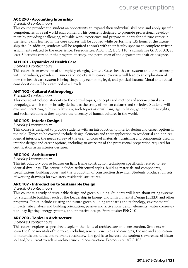# **ACC 290 - Accounting Internship**

#### 3 credits/3 contact hours

This course provides the student an opportunity to expand their individual skill base and apply specific competencies in a real world environment. This course is designed to promote professional development by providing challenging, valuable work experience and prepare students for a future career in the field. Skills learned in the core courses will be applied while performing 135 hours at the internship site. In addition, students will be required to work with their faculty sponsor to complete written assignments related to the experience. Prerequisites: ACC 112, BUS 110, a cumulative GPA of 3.0, at least 30 credits earned in the program of study, and permission of the department chair or designee.

# **ALH 101 - Dynamics of Health Care**

#### 3 credits/3 contact hours

This course is an overview of the rapidly changing United States health care system and its relationship with individuals, providers, insurers and society. A historical overview will lead to an exploration of how the health care system is being shaped by economic, legal, and political factors. Moral and ethical considerations will be examined at all levels.

# **ANT 102 - Cultural Anthropology**

#### 3 credits/3 contact hours

This course introduces students to the central topics, concepts and methods of socio-cultural anthropology, which can be broadly defined as the study of human cultures and societies. Students will examine, practicing cultural relativism, such topics as ritual, language, religion, gender, human rights, and social relations as they explore the diversity of human cultures in the world.

### **ARC 105 - Interior Design I**

#### 3 credits/3 contact hours

This course is designed to provide students with an introduction to interior design and career options in the field. Topics to be covered include design elements and their application to residential and non-residential interiors; the needs survey of the user; choices of materials, furnishing and components used in interior design; and career options, including an overview of the professional preparation required for certification as an interior designer.

#### **ARC 106 - Architecture I**

#### 3 credits/3 contact hours

This introductory course focuses on light frame construction techniques specifically related to residential dwellings. The course includes architectural styles, building materials and components, specifications, building codes, and the production of construction drawings. Students produce full sets of working drawings for two-story residential structures.

### **ARC 107 - Introduction to Sustainable Design**

#### 3 credits/3 contact hours

This course is a study of sustainable design and green building. Students will learn about rating systems for sustainable buildings such as the Leadership in Energy and Environmental Design (LEED) and other programs. Topics include existing and future green building standards and technology, environmental impacts, site analysis and building orientation, passive and active solar design elements, water conservation, day lighting, energy systems, and innovative design. Prerequisite: ENG 101

# **ARC 200 - Topics in Architecture**

### 3 credits/3 contact hours

This course explores a specialized topic in the fields of architecture and construction. Students will learn the fundamentals of the topic, including general principles and concepts, the use and application of materials and tools, and relevant vocabulary. The goal is to increase the student's awareness of historical and/or current trends in architecture and construction. Prerequisite: ARC 106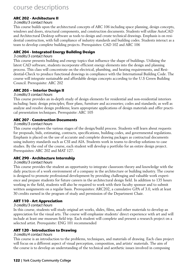# **ARC 202 - Architecture II**

#### 3 credits/3 contact hours

This course builds upon the architectural concepts of ARC 106 including space planning, design concepts, windows and doors, structural components, and construction documents. Students will utilize AutoCAD and Architectural Desktop software as tools to design and create technical drawings. Emphasis is on residential construction, with full compliance of industry standards and building codes. Students interact as a team to develop complete building projects. Prerequisites: CAD 102 and ARC 106

### **ARC 204 - Integrated Energy Building Design**

#### 3 credits/3 contact hours

This course presents building and energy topics that influence the shape of buildings. Utilizing the latest CAD software, students incorporate efficient energy elements into the design and planning process. This class will concentrate on the electrical, plumbing, and heating requirements, and Residential-Check to produce functional drawings in compliance with the International Building Code. The course will integrate sustainable and affordable design concepts according to the U.S Green Building Council. Prerequisite: ARC 202

# **ARC 205 – Interior Design II**

#### 3 credits/3 contact hours

This course provides an in-depth study of design elements for residential and non-residential interiors including: basic design principles; floor plans, furniture and accessories; codes and standards; as well as analyze and resolve design problems; learn appropriate applications of design materials and offer practical presentation techniques. Prerequisite: ARC 105

# **ARC 207 - Construction Documents**

### 3 credits/3 contact hours

This course explores the various stages of the design/build process. Students will learn about requests for proposals, bids, estimating, contracts, specifications, building codes, and governmental regulations. Emphasis is placed on the use of accurate and complete drawing packages as contractual documents using industry standards such as CSI and AIA. Students work in teams to develop solutions to case studies. By the end of the course, each student will develop a portfolio for an entire design project. Prerequisites: ARC 202 and MAT 127.

# **ARC 290 - Architecture Internship**

#### 3 credits/3 contact hours

This course provides the student an opportunity to integrate classroom theory and knowledge with the daily practices of a work environment of a company in the architecture or building industry. The course is designed to promote professional development by providing challenging and valuable work experience and prepare students for future careers in the architectural design field. In addition to 135 hours working in the field, students will also be required to work with their faculty sponsor and to submit written assignments on a regular basis. Prerequisites: ARC202, a cumulative GPA of 3.0, with at least 30 credits earned in the program of study and permission of the Department Chair.

# **ART 110 - Art Appreciation**

#### 3 credits/3 contact hours

In this course, students will study original art works, slides, films, and other materials to develop an appreciation for the visual arts. The course will emphasize students' direct experience with art and will include at least one museum field trip. Each student will complete and present a research project on a selected artist. Prerequisite: ENG 101 recommended

# **ART 120 - Introduction to Drawing**

#### 3 credits/4 contact hours

This course is an introduction to the problems, techniques, and materials of drawing. Each class project will focus on a different aspect of visual perception, composition, and artists' materials. The aim of the course is to develop an understanding of the technical and aesthetic issues involved in composing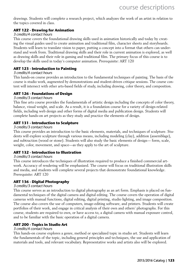drawings. Students will complete a research project, which analyzes the work of an artist in relation to the topics covered in class.

### **ART 122 - Drawing for Animation**

#### 3 credits/4 contact hours

This course covers the foundational drawing skills used in animation historically and today by creating the visual guides used to create animation and traditional film, character sheets and storyboards. Students will learn to translate vision to paper, putting a concept into a format that others can understand and work from. Traditional drawing skills and their role in current animation is explored, as well as drawing skills and their role in gaming and traditional film. The primary focus of this course is to develop the skills used in today's computer animation. Prerequisite: ART 120

# **ART 123 - Introduction to Painting**

#### 3 credits/4 contact hours

This hands-on course provides an introduction to the fundamental techniques of painting. The basis of the course is studio work, augmented by demonstrations and student-driven critique sessions. The course content will intersect with other arts-based fields of study, including drawing, color theory, and composition.

### **ART 126 - Foundations of Design**

#### 3 credits/3 contact hours

This fine arts course provides the fundamentals of artistic design including the concepts of color theory, balance, visual weight, and scale. As a result, it is a foundation course for a variety of design-related fields, including web design and other forms of digital media and publication design. Students will complete hands-on art projects as they study and practice the elements of design.

# **ART 131 - Introduction to Sculpture**

#### 3 credits/3 contact hours

This course provides an introduction to the basic elements, materials, and techniques of sculpture. Students will explore sculpture through various means, including modeling (clay), addition (assemblage), and subtraction (wood or stone). Students will also study the basic elements of design— form, scale, weight, color, movement, and space—as they apply to the art of sculpture.

# **ART 132 - Introduction to Illustration**

#### 3 credits/3 contact hours

This course introduces the techniques of illustration required to produce a finished commercial artwork. Accuracy of rendering will be emphasized. The course will focus on traditional illustration skills and media, and students will complete several projects that demonstrate foundational knowledge. Prerequisite: ART 120

# **ART 136 - Digital Photography**

#### 3 credits/3 contact hours

This course serves as an introduction to digital photography as an art form. Emphasis is placed on fundamental techniques of the digital camera and digital editing. The course covers the operation of digital cameras with manual functions, digital editing, digital printing, studio lighting, and image composition. The course also covers the use of computers, image-editing software, and printers. Students will create portfolios of their work, and engage in critical analysis of their own and others' photographs. For this course, students are required to own, or have access to, a digital camera with manual exposure control, and to be familiar with the basic operation of a digital camera.

# **ART 200 - Topics in Studio Art**

#### 3 credits/4 contact hours

This hands-on course explores a genre, method or specialized topic in studio art. Students will learn the fundamentals of the topic, including general principles and techniques, the use and application of materials and tools, and relevant vocabulary. Representative works and artists also will be explored.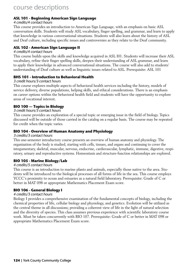### **ASL 101 - Beginning American Sign Language**

#### 4 credits/4 contact hours

This course provides an introduction to American Sign Language, with an emphasis on basic ASL conversation skills. Students will study ASL vocabulary, finger spelling, and grammar, and learn to apply that knowledge in various conversational situations. Students will also learn about the history of ASL and Deaf culture, including specific issues and controversies as they relate to the Deaf community.

### **ASL 102 - American Sign Language II**

#### 4 credits/4 contact hours

This course builds upon the skills and knowledge acquired in ASL I01. Students will increase their ASL vocabulary, refine their finger spelling skills, deepen their understanding of ASL grammar, and learn to apply their knowledge in advanced conversational situations. The course will also add to students' understanding of Deaf culture as well as linguistic issues related to ASL. Prerequisite: ASL 101

#### **BHS 101 - Introduction to Behavioral Health**

#### 3 credit hours/3 contact hours

This course explores multiple aspects of behavioral health services including the history, models of service delivery, diverse populations, helping skills, and ethical considerations. There is an emphasis on career options within the behavioral health field and students will have the opportunity to explore areas of vocational interest.

#### **BIO 100 — Topics in Biology**

#### 3 credit hours/3 contact hours

This course provides an exploration of a special topic or emerging issue in the field of biology. Topics discussed will be outside of those carried in the catalog on a regular basis. The course may be repeated for credit when the topic varies.

#### **BIO 104 - Overview of Human Anatomy and Physiology**

#### 3 credits/3 contact hours

This one-semester introductory course presents an overview of human anatomy and physiology. The organization of the body is studied, starting with cells, tissues, and organs and continuing to cover the integumentary, skeletal, muscular, nervous, endocrine, cardiovascular, lymphatic, immune, digestive, respiratory, urinary and reproductive systems. Homeostasis and structure-function relationships are explored.

# **BIO 105 - Marine Biology/Lab**

#### 4 credits/5 contact hours

This course is an introduction to marine plants and animals, especially those native to the area. Students will be introduced to the biological processes of all forms of life in the sea. This course employs YCCC's proximity to ocean and estuaries as a natural field laboratory. Prerequisite: Grade of C or better in MAT 098 or appropriate Mathematics Placement Exam score.

# **BIO 106 - General Biology I**

### 4 credits/3 contact hours

Biology I provides a comprehensive examination of the fundamental concepts of biology, including the chemical properties of life, cellular biology and physiology, and genetics. Evolution will be utilized as the central theme in all discussions; providing a coherent view of life in the light of natural selection and the diversity of species. This class assumes previous experience with scientific laboratory course work. Must be taken concurrently with BIO 107. Prerequisite: Grade of C or better in MAT 098 or appropriate Mathematics Placement Exam score.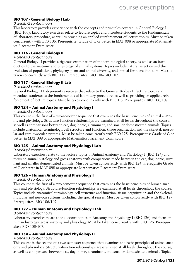# **BIO 107 - General Biology I Lab**

#### 0 credits/2 contact hours

This laboratory provides experience with the concepts and principles covered in General Biology I (BIO 106). Laboratory exercises relate to lecture topics and introduce students to the fundamentals of laboratory procedure, as well as providing an applied reinforcement of lecture topics. Must be taken concurrently with BIO 106. Prerequisite: Grade of C or better in MAT 098 or appropriate Mathematics Placement Exam score.

#### **BIO 116 - General Biology II**

#### 4 credits/3 contact hours

General Biology II provides a rigorous examination of modern biological theory, as well as an introduction to the anatomy and physiology of animal systems. Topics include natural selection and the evolution of populations, phylogeny, plant and animal diversity, and animal form and function. Must be taken concurrently with BIO 117. Prerequisites: BIO 106/BIO 107.

#### **BIO 117 - General Biology II Lab**

#### 0 credits/2 contact hours

General Biology II Lab presents exercises that relate to the General Biology II lecture topics and introduce students to the fundamentals of laboratory procedure, as well as providing an applied reinforcement of lecture topics. Must be taken concurrently with BIO 1 6. Prerequisites: BIO 106/107.

#### **BIO 124 – Animal Anatomy and Physiology I**

#### 4 credits/3 contact hours

This course is the first of a two-semester sequence that examines the basic principles of animal anatomy and physiology. Structure-function relationships are examined at all levels throughout the course, as well as comparisons between cat, dog, horse, a ruminant, and smaller domesticated animals. Topics include anatomical terminology, cell structure and function, tissue organization and the skeletal, muscular and cardiovascular systems. Must be taken concurrently with BIO 125. Prerequisites: Grade of C or better in MAT 098 or appropriate Mathematics Placement Exam score

#### **BIO 125 – Animal Anatomy and Physiology I Lab**

#### 0 credits/2 contact hours

Laboratory exercises relate to the lecture topics in Animal Anatomy and Physiology I (BIO 124) and focus on animal histology and gross anatomy with comparisons made between the cat, dog, horse, ruminant and smaller domesticated animals. Must be taken concurrently with BIO 124. Prerequisite Grade of C or better in MAT 098 or appropriate Mathematics Placement Exam score.

#### **BIO 126 – Human Anatomy and Physiology I**

#### 4 credits/3 contact hours

This course is the first of a two-semester sequence that examines the basic principles of human anatomy and physiology. Structure-function relationships are examined at all levels throughout the course. Topics include anatomical terminology, cell structure and function, tissue organization and the skeletal, muscular and nervous systems, including the special senses. Must be taken concurrently with BIO 127. Prerequisites: BIO 106/107.

#### **BIO 127 – Human Anatomy and Physiology I Lab**

#### 0 credits/2 contact hours

Laboratory exercises relate to the lecture topics in Anatomy and Physiology I (BIO 126) and focus on human histology, gross anatomy and physiology. Must be taken concurrently with BIO 126. Prerequisites: BIO 106/107.

#### **BIO 134 – Animal Anatomy and Physiology II**

#### 4 credits/3 contact hours

This course is the second of a two-semester sequence that examines the basic principles of animal anatomy and physiology. Structure-function relationships are examined at all levels throughout the course, as well as comparisons between cat, dog, horse, a ruminant, and smaller domesticated animals. Topics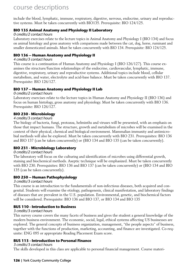include the blood, lymphatic, immune, respiratory, digestive, nervous, endocrine, urinary and reproductive systems. Must be taken concurrently with BIO135. Prerequisite: BIO 124/125.

# **BIO 135 Animal Anatomy and Physiology II Laboratory**

### 0 credits/2 contact hours

Laboratory exercises relate to the lecture topics in Animal Anatomy and Physiology I (BIO 134) and focus on animal histology and gross anatomy with comparisons made between the cat, dog, horse, ruminant and smaller domesticated animals. Must be taken concurrently with BIO 134. Prerequisite: BIO 124/125.

# **BIO 136 – Human Anatomy and Physiology II**

#### 4 credits/3 contact hours

This course is a continuation of Human Anatomy and Physiology I (BIO 126/127). This course examines the structure/function relationships of the endocrine, cardiovascular, lymphatic, immune, digestive, respiratory, urinary and reproductive systems. Additional topics include blood, cellular metabolism, and water, electrolyte and acid-base balance. Must be taken concurrently with BIO 137. Prerequisite: BIO 126/127.

# **BIO 137 – Human Anatomy and Physiology II Lab**

### 0 credits/2 contact hours

Laboratory exercises relate to the lecture topics in Human Anatomy and Physiology II (BIO 136) and focus on human histology, gross anatomy and physiology. Must be taken concurrently with BIO 136. Prerequisite: BIO 126/127.

# **BIO 230 - Microbiology**

### 4 credits/3 contact hours

The biology of bacteria, fungi, protozoa, helminths and viruses will be presented, with an emphasis on those that impact humans. The structure, growth and metabolism of microbes will be examined in the context of their physical, chemical and biological environment. Mammalian immunity and antimicrobial methods will also be explored. Must be taken concurrently with BIO 231. Prerequisites: BIO 136 and BIO 137 (can be taken concurrently) or (BIO 134 and BIO 135 (can be taken concurrently).

# **BIO 231 - Microbiology Laboratory**

# 0 credits/2 contact hours

The laboratory will focus on the culturing and identification of microbes using differential growth, staining and biochemical methods. Aseptic technique will be emphasized. Must be taken concurrently with BIO 230. Prerequisites: BIO 136 and BIO 137 (can be taken concurrently) or (BIO 134 and BIO 135 (can be taken concurrently).

# **BIO 250 – Human Pathophysiology**

# 3 credits/3 contact hours

This course is an introduction to the fundamentals of non-infectious diseases, both acquired and congenital. Students will examine the etiology, pathogenesis, clinical manifestation, and laboratory findings of diseases that are prevalent in the U.S. population. Environmental, genetic, and biochemical factors will be considered. Prerequisite: BIO 136 and BIO 137, or BIO 134 and BIO 135

# **BUS 110 - Introduction to Business**

# 3 credits/3 contact hours

This survey course covers the many facets of business and gives the student a general knowledge of the modern business environment. The economic, social, legal, ethical systems affecting US businesses are explored. The general concepts of business organization, management, "the people aspects" of business, together with the functions of production, marketing, accounting, and finance are investigated. Co-requisite: ENG 095 or appropriate Reading Placement Exam score.

# **BUS 113 - Introduction to Personal Finance**

#### 3 credits/3 contact hours

The skills developed in this class are applicable to personal financial management. Course materi-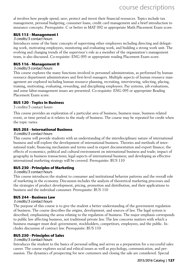al involves how people spend, save, protect and invest their financial resources. Topics include tax management, personal budgeting, consumer loans, credit card management and a brief introduction to insurance concepts. Prerequisite: C or better in MAT 092 or appropriate Math Placement Exam score.

### **BUS 115 - Management I**

### 3 credits/3 contact hours

Introduces some of the basic concepts of supervising other employees including directing and delegating work, motivating employees, monitoring and evaluating work, and building a strong work unit. The evolving and changing trends of the supervisor's role as a member of the organization's management team, is also discussed. Co-requisite: ENG 095 or appropriate reading Placement Exam score.

### **BUS 116 - Management II**

#### 3 credits/3 contact hours

This course explores the many functions involved in personnel administration, as performed by human resource department administrators and first-level managers. Multiple aspects of human resource management are explored including human resource planning, recruiting, interviewing, selecting, placing, training, motivating, evaluating, rewarding, and disciplining employees. Pay systems, job evaluations, and some labor-management issues are presented. Co-requisite: ENG 095 or appropriate Reading Placement Exam score.

### **BUS 120 - Topics in Business**

3 credits/3 contact hours

This course provides an exploration of a particular area of business, business issue, business related event, or time period as it relates to the study of business. The course may be repeated for credit when the topic varies.

### **BUS 205 - International Business**

#### 3 credits/3 contact hours

This course will provide students with an understanding of the interdisciplinary nature of international business and will explore the development of international business. Theories and methods of international trade; financing mechanism and terms used in export documentation and export finance; the effects of economics, political and cultural environment on international business and trade; impact of geography in business transactions; legal aspects of international business; and developing an effective international marketing strategy will be covered. Prerequisite: BUS 110

#### **BUS 230 - Principles of Marketing**

#### 3 credits/3 contact hours

This course introduces the student to consumer and institutional behavior patterns and the overall role of marketing in the economy. Discussion includes the analysis of theoretical marketing processes and the strategies of product development, pricing, promotion and distribution, and their applications to business and the individual consumer. Prerequisite: BUS 110

#### **BUS 244 - Business Law**

#### 3 credits/3 contact hours

The purpose of this course is to give the student a better understanding of the government regulation of business. The course describes the origins, development, and sources of law. The legal system is described, emphasizing the areas relating to the regulation of business. The major emphasis corresponds to public law affecting business, not traditional private law. The law concerns matters with which a business manager must deal: government, stockholders, competitors, employees, and the public. Includes discussion of contract law. Prerequisite: BUS 110

# **BUS 250 - Principles of Sales**

#### 3 credits/3 contact hours

Introduces the student to the basics of personal selling and serves as a preparation for a successful sales career. The course explores social and ethical issues as well as psychology, communication, and persuasion. The dynamics of prospecting for new customers and closing the sale are considered. Special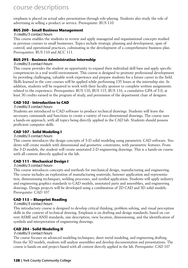emphasis is placed on actual sales presentation through role-playing. Students also study the role of advertising in selling a product or service. Prerequisite: BUS 110

### **BUS 260 - Small Business Management**

#### 3 credits/3 contact hours

This course enables the students to review and apply managerial and organizational concepts studied in previous courses to small businesses. Topics include strategic planning and development, span of control, and operational practices, culminating in the development of a comprehensive business plan. Prerequisites: BUS 110 and ACC 111.

### **BUS 293 - Business Administration Internship**

#### 3 credits/3 contact hours

This course provides the student an opportunity to expand their individual skill base and apply specific competencies in a real world environment. This course is designed to promote professional development by providing challenging, valuable work experience and prepare students for a future career in the field. Skills learned in the core courses will be applied while performing 135 hours at the internship site. In addition, students will be required to work with their faculty sponsor to complete written assignments related to the experience. Prerequisites: BUS 110, BUS 115, BUS 116, a cumulative GPA of 3.0, at least 30 credits earned in the program of study, and permission of the department chair of designee.

# **CAD 102 - Introduction to CAD**

### 3 credits/3 contact hours

Students are introduced to CAD software to produce technical drawings. Students will learn the necessary commands and functions to create a variety of two-dimensional drawings. The course uses a hands-on approach, with all topics being directly applied in the CAD lab. Students should possess proficient computer skills.

### **CAD 107 - Solid Modeling I**

#### 3 credits/3 contact hours

This course introduces the design concepts of 3-D solid modeling using parametric CAD software. Students will create models with dimensional and geometric constraints, with parametric features. From the 3-D models, the student will create annotated 2-D engineering drawings. This is a hands-on course with all content directly applied in the lab.

# **CAD 111 - Mechanical Design I**

#### 3 credits/3 contact hours

This course introduces concepts and methods for mechanical design, manufacturing and engineering. The course includes an exploration of manufacturing materials, fastener application and representation, dimensioning techniques, welding processes, and symbol application. Students will apply industry and engineering graphics standards to CAD models, annotated parts and assemblies, and engineering drawings. Design projects will be developed using a combination of 2D CAD and 3D solid models. Prerequisite: CAD 107

# **CAD 115 – Blueprint Reading**

#### 3 credits/3 contact hours

This introductory course is designed to develop critical thinking, problem solving, and visual perception skills in the context of technical drawing. Emphasis is on drafting and design standards, based on current ASME and ANSI standards, size description, view location, dimensioning, and the identification of symbols and interpretation of engineering drawings.

#### **CAD 204 - Solid Modeling II**

#### 3 credits/3 contact hours

The course focuses on advanced modeling techniques, sheet metal modeling, and engineering drafting. From the 3D models, students will analyze assemblies and develop documentation and presentations. The course is hands-on and project-based with all content directly applied in the lab. Prerequisite: CAD 107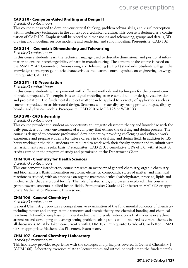#### **CAD 210 - Computer-Aided Drafting and Design II**

#### 3 credits/3 contact hours

This course is designed to develop your critical thinking, problem solving skills, and visual perception with introductory techniques in the context of a technical drawing. This course is designed as a continuation of CAD 102. Emphasis will be placed on dimensioning and tolerancing, groups and details, 3D drawing and modeling, surface modeling and rendering, and solid modeling. Prerequisite: CAD 102

#### **CAD 214 – Geometric Dimensioning and Tolerancing**

#### 3 credits/3 contact hours

In this course students learn the technical language used to describe dimensional and positional information to ensure interchangeability of parts in manufacturing. The content of the course is based on the ASME Y14.5 Geometric Dimensioning and Tolerancing (GD&T) standards. Students will gain the knowledge to interpret geometric characteristics and feature control symbols on engineering drawings. Prerequisite: CAD115

# **CAD 251 - 3D Presentation**

#### 3 credits/3 contract hours

In this course students will experiment with different methods and techniques for the presentation of project proposals. The emphasis is on digital modeling as an essential tool for design, visualization, and presentation. The fundamental subject matter can be applied to a variety of applications such as consumer products or architectural design. Students will create displays using printed output, display boards, and physical models. Prerequisite: CAD 210 or MUL 125 or WEB 133.

#### **CAD 290 - CAD Internship**

#### 3 credits/3 contact hours

This course provides the student an opportunity to integrate classroom theory and knowledge with the daily practices of a work environment of a company that utilizes the drafting and design process. The course is designed to promote professional development by providing challenging and valuable work experience and prepare students for future careers in the drafting and design field. In addition to 135 hours working in the field, students are required to work with their faculty sponsor and to submit written assignments on a regular basis. Prerequisites: CAD 210, a cumulative GPA of 3.0, with at least 30 credits earned in the program of study and permission of the Department Chair.

#### **CHM 104 - Chemistry for Health Sciences**

#### 3 credits/3 contact hours

This one-semester introductory course presents an overview of general chemistry, organic chemistry and biochemistry. Basic information on atoms, elements, compounds, states of matter, and chemical reactions is studied, with an emphasis on organic macromolecules (carbohydrates, proteins, lipids and nucleic acids) that are crucial for life. The role of water, acids, and bases is explored. This course is geared toward students in allied health fields. Prerequisite: Grade of C or better in MAT 098 or appropriate Mathematics Placement Exam score.

#### **CHM 106 - General Chemistry I**

#### 4 credits/3 contact hours

General Chemistry I provides a comprehensive examination of the fundamental concepts of chemistry including matter and energy, atomic structure and atomic theory and chemical bonding and chemical reactions. A two-fold emphasis on understanding the molecular interactions that underlie everything around us and developing and strengthening problem solving skills will be utilized as central themes in all discussions. Must be taken concurrently with CHM 107. Prerequisite: Grade of C or better in MAT 098 or appropriate Mathematics Placement Exam score.

# **CHM 107 - General Chemistry I Laboratory**

#### 0 credits/2 contact hours

This laboratory provides experience with the concepts and principles covered in General Chemistry I (CHM 106). Laboratory exercises relate to lecture topics and introduce students to the fundamentals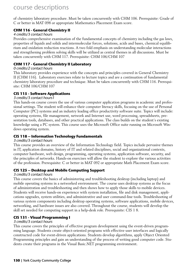of chemistry laboratory procedure. Must be taken concurrently with CHM 106. Prerequisite: Grade of C or better in MAT 098 or appropriate Mathematics Placement Exam score.

# **CHM 116 - General Chemistry II**

### 4 credits/3 contact hours

Provides comprehensive examination of the fundamental concepts of chemistry including the gas laws, properties of liquids and solids and intermolecular forces, solutions, acids and bases, chemical equilibrium and oxidation reduction reactions. A two fold emphasis on understanding molecular interactions and strengthening problem solving skills will be utilized as central themes in all discussions. Must be taken concurrently with CHM 117. Prerequisite: CHM 106/CHM 107

# **CHM 117 - General Chemistry II Laboratory**

#### 0 credits/2 contact hours

This laboratory provides experience with the concepts and principles covered in General Chemistry II (CHM 116). Laboratory exercises relate to lecture topics and are a continuation of fundamental chemistry laboratory procedure and technique. Must be taken concurrently with CHM 116. Prerequisite: CHM 106/CHM 107

# **CIS 115 - Software Applications**

### 3 credits/3 contact hours1

This hands-on course covers the use of various computer application programs in academic and professional settings. The student will enhance their computer literacy skills, focusing on the use of Personal Computer (PC) systems and an industry leading office productivity software suite. Topics will include: operating systems, file management, network and Internet use, word processing, spreadsheets, presentation tools, databases, and other practical applications. The class builds on the student's existing knowledge using a PC system. This course uses the Microsoft Office suite running on Microsoft Windows operating system.

# **CIS 118 – Information Technology Fundamentals**

#### 3 credits/3 contact hours

This course provides an overview of the Information Technology field. Topics include pervasive themes in IT, application domains, history of IT and related disciplines, social and organizational contexts, computer hardware, web design, programming, operating systems, application software, security, and the principles of networks. Hands-on exercises will allow the student to explore the various activities of the profession. Prerequisite: C or better in MAT 092 or appropriate Math Placement Exam score.

# **CIS 125 – Desktop and Mobile Computing Support**

#### 3 credits/3 contact hours

This course covers the basics of administering and troubleshooting desktop (including laptop) and mobile operating systems in a networked environment. The course uses desktop systems as the focus of administration and troubleshooting and then shows how to apply those skills to mobile devices. Students will receive hands-on experience with system installation, file and disk management, applications upgrades, system utilities, and administrative and user command-line tools. Troubleshooting of various system components including desktop operating systems, software applications, mobile devices, networking, and hardware issues are also covered. Throughout the course, students will develop the skill set needed for computing support in a help-desk role. Prerequisite: CIS 1 8.

# **CIS 131 - Visual Programming I**

#### 3 credits/3 contact hours

This course covers the principles of effective program development using the event-driven programming language. Students create object-oriented programs with effective user interfaces and logically constructed code for event-driven applications. Students develop algorithms, apply Object Oriented Programming principles and gain an understanding of the process of writing good computer code. Students create their programs in the Visual Basic.NET programming environment.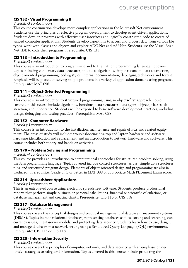# **CIS 132 - Visual Programming II**

#### 3 credits/3 contact hours

This course continuation develops more complex applications in the Microsoft.Net environment. Students use the principles of effective program development to develop event-driven applications. Students develop programs with effective user interfaces and logically constructed code to create advanced computer applications. Students develop algorithms to access and process data from various file types, work with classes and objects and explore ADO.Net and ASP.Net. Students use the Visual Basic. Net IDE to code their programs. Prerequisite: CIS 131

#### **CIS 133 – Introduction to Programming**

#### 3 credits/3 contact hours

This course is an introduction to programming and to the Python programming language. It covers topics including elementary data structures, modules, algorithms, simple recursion, data abstraction, object oriented programming, coding styles, internal documentation, debugging techniques and testing. Emphasis will be placed on solving simple problems in a variety of application domains using programs. Prerequisite: MAT 098.

### **CIS 141 – Object-Oriented Programming I**

#### 3 credits/3 contact hours

This course is an introduction to structured programming using an objects-first approach. Topics covered in this course include algorithms, functions, data structures, data types, objects, classes, abstraction, and inheritance. Students will be exposed to basic software development practices, including design, debugging and testing practices. Prerequisite: MAT 098

#### **CIS 152 - Computer Hardware**

#### 3 credits/3 contact hours

This course is an introduction to the installation, maintenance and repair of PCs and related equipment. The areas of study will include: troubleshooting desktop and laptop hardware and software, hardware identification and replacement, and an introduction to network hardware and software. This course includes both theory and hands-on activities.

#### **CIS 170 –Problem Solving and Programming**

#### 4 credits/4 contact hours

This course provides an introduction to computational approaches for structured problem solving, using the Java programming language. Topics covered include control structures, arrays, simple data structures, files, and structured program design. Elements of object-oriented design and programming are also introduced. Prerequisite: Grade of C or better in MAT 098 or appropriate Math Placement Exam score.

#### **CIS 214 - Spreadsheet Applications**

#### 3 credits/3 contact hours

This is an entry-level course using electronic spreadsheet software. Students produce professional reports that perform simple business or personal calculations, financial or scientific calculations, or database management and creating charts. Prerequisite: CIS 115 or CIS 118

#### **CIS 217 - Database Management**

#### 3 credits/3 contact hours

This course covers the conceptual designs and practical management of database management systems (DBMS). Topics include relational databases, representing databases as files, sorting and searching, concurrency issues, client-server models, and protecting data security. Students learn how to use, design, and manage databases in a network setting using a Structured Query Language (SQL) environment. Prerequisite: CIS 115 or CIS 118

#### **CIS 220 - Information Security**

#### 3 credits/3 contact hours

This course covers the principles of computer, network, and data security with an emphasis on defensive strategies to safeguard information. Topics covered in this course include protecting the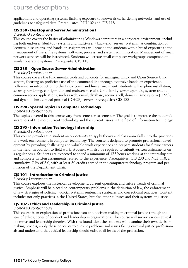applications and operating systems, limiting exposure to known risks, hardening networks, and use of guidelines to safeguard data. Prerequisites: PHI 102 and CIS 118.

### **CIS 230 - Desktop and Server Administration I**

#### 3 credits/3 contact hours

This course covers the basics of administering Windows computers in a corporate environment, including both end-user (desktop) systems and multi-user / back-end (server) systems. A combination of lectures, discussions, and hands-on assignments will provide the students with a broad exposure to the management of users, file systems, software, process, and system administration. Management of small network services will be introduced. Students will create small computer workgroups comprised of similar operating systems. Prerequisite: CIS 118

### **CIS 235 – Open Source Server Administration**

#### 3 credits/3 contact hours

This course covers the fundamental tools and concepts for managing Linux and Open Source Unix servers, focusing on proficient use of the command line through extensive hands-on experience. Following an introduction to the Linux command line environment, students will explore installation, security hardening, configuration and maintenance of a Unix-family server operating system and at common server applications, such as web, email, database, secure shell, domain name system (DNS), and dynamic host control protocol (DHCP) servers. Prerequisite: CIS 133

# **CIS 290 - Special Topics in Computer Technology**

#### 3 credits/3 contact hours

The topics covered in this course vary from semester to semester. The goal is to increase the student's awareness of the most current technology and the current issues in the field of information technology.

#### **CIS 295 - Information Technology Internship**

#### 3 credits/3 contact hours

This course provides the student an opportunity to apply theory and classroom skills into the practices of a work environment in computer technology. The course is designed to promote professional development by providing challenging and valuable work experience and prepare students for future careers in the field. In addition to field work, students will also be required to submit written assignments on a regular basis. Students are expected to spend a minimum of 135 hours working at the internship site and complete written assignments related to the experience. Prerequisites: CIS 230 and NET 110, a cumulative GPA of 3.0, with at least 30 credits earned in the computer technology program and permission of the Department Chair.

#### **CJS 101 - Introduction to Criminal Justice**

#### 3 credits/3 contact hours

This course explores the historical development, current operation, and future trends of criminal justice. Emphasis will be placed on contemporary problems in the definition of law, the enforcement of law, strategies of policing, judicial systems, sentencing strategies and correctional practices. Content includes not only practices in the United States, but also other cultures and their systems of justice.

# **CJS 102 - Ethics and Leadership in Criminal Justice**

#### 3 credits/3 contact hours

This course is an exploration of professionalism and decision making in criminal justice through the lens of ethics, codes of conduct and leadership in organizations. The course will survey various ethical dilemmas and leadership theories. With this foundation, the students will examine their own decision making process, apply these concepts to current problems and issues facing criminal justice professionals and understand that ethical leadership should exist at all levels of the profession.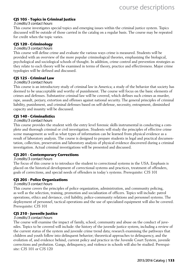# **CJS 105 - Topics in Criminal Justice**

#### 3 credits/3 contact hours

This course investigates special topics and emerging issues within the criminal justice system. Topics discussed will be outside of those carried in the catalog on a regular basis. The course may be repeated for credit when the topic varies.

### **CJS 120 - Criminology**

#### 3 credits/3 contact hours

This course will define crime and evaluate the various ways crime is measured. Students will be provided with an overview of the more popular criminological theories, emphasizing the biological, psychological and sociological schools of thought. In addition, crime control and prevention strategies as they relate to each theory will be examined in terms of theory, practice and effectiveness. Major crime typologies will be defined and discussed.

#### **CJS 125 - Criminal Law**

#### 3 credits/3 contact hours

This course is an introductory study of criminal law in America; a study of the behavior that society has deemed to be unacceptable and worthy of punishment. The course will focus on the basic elements of crimes and defenses. Substantive criminal law will be covered, which defines such crimes as murder, rape, assault, perjury, extortion and offenses against national security. The general principles of criminal liability, punishment, and criminal defenses based on self-defense, necessity, entrapment, diminished capacity and insanity will be discussed.

### **CJS 140 - Criminalistics**

#### 3 credits/3 contact hours

This course provides the student with the entry level forensic skills instrumental in conducting a complete and thorough criminal or civil investigation. Students will study the principles of effective crime scene management as well as what types of information can be learned from physical evidence as a result of laboratory analysis. The course is designed to prepare students in legal and practical documentation, collection, preservation and laboratory analysis of physical evidence discovered during a criminal investigation. Actual criminal investigations will be presented and discussed.

# **CJS 201 - Contemporary Corrections**

#### 3 credits/3 contact hours

The focus of this course is to introduce the student to correctional systems in the USA. Emphasis is placed on the historical development of correctional systems and practices, treatment of offenders, goals of corrections, and special needs of offenders in today's systems. Prerequisite: CJS 101

# **CJS 205 - Police Organizations**

#### 3 credits/3 contact hours

This course covers the principles of police organization, administration, and community policing, as well as the selection, training, promotion and socialization of officers. Topics will include: patrol operations, ethics and deviance, civil liability, police-community relations and personnel systems. The deployment of personnel, tactical operations and the use of specialized equipment will also be covered. Prerequisite: CJS 101

#### **CJS 210 - Juvenile Justice**

#### 3 credits/3 contact hours

The course will examine the impact of family, school, community and abuse on the conduct of juveniles. Topics to be covered will include: the history of the juvenile justice system, including a review of the current status of the system and juvenile crime trend data; research examining the pathways that children and youth follow into delinquent behavior; theoretical approaches to delinquency, and the evolution of, and evidence behind, current policy and practice in the Juvenile Court System, juvenile corrections and probation. Gangs, delinquency, and violence in schools will also be studied. Prerequisite: CJS 101 or CJS 120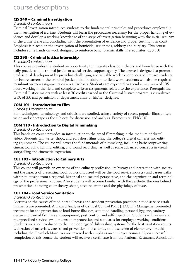# **CJS 240 – Criminal Investigation**

#### 3 credits/3 contact hours

Criminal Investigation introduces students to the fundamental principles and procedures employed in the investigation of a crime. Students will learn the procedures necessary for the proper handling of evidence and develop a working knowledge of the steps of investigation beginning with the initial security of the crime scene and concluding with the presentation of evidence and proper testimony in court. Emphasis is placed on the investigation of homicide, sex crimes, robbery and burglary. This course includes some hands on work designed to reinforce basic forensic skills. Prerequisites: CJS 101

### **CJS 290 - Criminal Justice Internship**

#### 3 credits/3 contact hours

This course provides the student an opportunity to integrate classroom theory and knowledge with the daily practices of a criminal justice or social service support agency. The course is designed to promote professional development by providing challenging and valuable work experience and prepare students for future careers in the criminal justice field. In addition to field work, students will also be required to submit written assignments on a regular basis. Students are expected to spend a minimum of 135 hours working in the field and complete written assignments related to the experience. Prerequisites: Criminal Justice majors with at least 30 credits earned in the Criminal Justice program, a cumulative GPA of 3.0 and permission of department chair or his/her designee.

#### **COM 101 - Introduction to Film**

#### 3 credits/3 contact hours

Film techniques, terminology, and criticism are studied, using a variety of recent popular films on television and videotape as the subjects for discussion and analysis. Prerequisite: ENG 101

### **COM 110 - Introduction to Digital Filmmaking**

#### 3 credits/3 contact hours

This hands-on course provides an introduction to the art of filmmaking in the medium of digital video. Students will write, shoot, and edit short films using the college's digital cameras and editing equipment. The course will cover the fundamentals of filmmaking, including basic scriptwriting, cinematography, lighting, editing, and sound recording, as well as some advanced concepts in visual storytelling and cinematic expression.

# **CUL 102 - Introduction to Culinary Arts**

#### 3 credits/3 contact hours

This course will provide an overview of the culinary profession, its history and interaction with society and the aspects of presenting food. Topics discussed will be the food service industry and career paths within it, cuisine from a regional, historical and societal perspective, and the organization and terminology of the professional kitchen. Also students will become familiar with the aesthetic theories behind presentation including color theory, shape, texture, aroma and the physiology of taste.

#### **CUL 104 - Food Service Sanitation**

#### 3 credits/3 contact hours

Lectures on the causes of food-borne illnesses and accident prevention practices in food service establishments are presented. A Hazard Analysis of Critical Control Point (HACCP) Management-oriented treatment for the prevention of food-borne illnesses, safe food handling, personal hygiene, sanitary design and care of facilities and equipment, pest control, and self-inspection. Students will review and interpret food service laws for consumer protection and standards for employee working conditions. Students are also introduced to the methodology of dishwashing systems for the best sanitation results. Utilization of materials, causes, and prevention of accidents, and discussion of elementary first aid including the Heimlich Maneuver are covered with emphasis on employee training. Upon successful completion of this course the student will receive a certificate from the National Restaurant Association.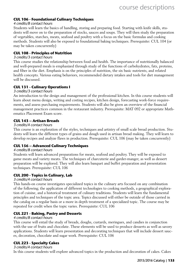# **CUL 106 - Foundational Culinary Techniques**

#### 4 credits/8 contact hours

Students will learn the basics of handling, storing and preparing food. Starting with knife skills, students will move on to the preparation of stocks, sauces and soups. They will then study the preparation of vegetables, starches, meats, seafood and poultry with a focus on the basic formulas and cooking methods. Students will also be exposed to foundational baking techniques. Prerequisite: CUL 104 (or may be taken concurrently)

#### **CUL 108 - Principles of Nutrition**

#### 3 credits/3 contact hours

This course studies the relationship between food and health. The importance of nutritionally balanced and well-prepared meals is emphasized through study of the functions of carbohydrates, fats, proteins, and fiber in the diet. Emphasis is on the principles of nutrition, the six basic nutrients, and related health concepts. Various eating behaviors, recommended dietary intakes and tools for diet management will be discussed.

### **CUL 131 - Culinary Operations I**

#### 3 credits/3 contact hours

An introduction to the design and management of the professional kitchen. In this course students will learn about menu design, writing and costing recipes, kitchen design, forecasting work-force requirements, and assess purchasing requirements. Students will also be given an overview of the financial management practices common in the restaurant industry. Prerequisite: MAT 092 or appropriate Mathematics Placement Exam score.

#### **CUL 143 – Artisan Breads**

#### 3 credits/4 contact hours

This course is an exploration of the styles, techniques and artistry of small scale bread production. Students will learn the different types of grains and dough used in artisan bread making. They will learn to develop recipes and analyze flaws in production. Prerequisite: CUL 106 (may be taken concurrently)

# **CUL 156 – Advanced Culinary Techniques**

#### 4 credits/8 contact hours

Students will learn advanced preparations for meats, seafood and poultry. They will be exposed to game meats and variety meats. The techniques of charcuterie and garder-manger, as well as dessert preparation will be explored. They will also learn banquet and buffet preparation and presentation techniques. Prerequisite: CUL 106

# **CUL 200 - Topics in Culinary, Lab**

#### 3 credits/4 contact hours

This hands-on course investigates specialized topics in the culinary arts focused on any combination of the following; the application of different technologies to cooking methods, a geographical exploration of cuisine, and a historical treatment of culinary traditions. Students will learn the fundamental principles and techniques of the topic area. Topics discussed will either be outside of those carried in the catalog on a regular basis or a more in depth treatment of a specialized topic. The course may be repeated for credit when the topic varies. Prerequisite: CUL 106

# **CUL 221 - Baking, Pastry and Desserts**

#### 4 credits/8 contact hours

This course will entail the study of breads, doughs, custards, meringues, and candies in conjunction with the use of fruits and chocolate. These elements will be used to produce desserts as well as savory applications. Students will learn presentation and decorating techniques that will include dessert sauces, decoration, chocolate and sugar work. Prerequisite: CUL 106

#### **CUL 223 - Specialty Cakes**

#### 3 credits/4 contact hours

In this course students will explore advanced topics in the production and decoration of cakes. Cakes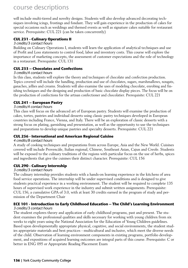will include multi-tiered and novelty designs. Students will also develop advanced decorating techniques involving icings, frostings and fondant. They will gain experience in the production of cakes for special occasions such as weddings and themed events as well as signature cakes suitable for restaurant service. Prerequisite: CUL 221 (can be taken concurrently)

# **CUL 231 - Culinary Operations II**

#### 3 credits/3 contact hours

Building on Culinary Operations I, students will learn the application of analytical techniques and use of Profit and Loss statements to control food, labor and inventory costs. This course will explore the importance of marketing concepts, the assessment of customer expectations and the role of technology in a restaurant. Prerequisite: CUL 131

# **CUL 233 – Chocolates and Confections**

### 3 credits/4 contact hours

In this class, students will explore the theory and techniques of chocolate and confection production. Topics covered will include the handling, production and use of chocolates, sugars, marshmallows, nougats, ganaches, jellies and creams. Students will also examine the uses of modeling chocolate, enrobing and finishing techniques and the designing and production of basic chocolate display pieces. The focus will be on the production of confections for the artisan confectioner and chocolatier. Prerequisite: CUL 221

# **CUL 241 – European Pastry**

### 3 credits/4 contact hours

This class will focus on the advanced art of European pastry. Students will examine the production of cakes, tortes, pastries and individual desserts using classic pastry techniques developed in European countries including France, Vienna, and Italy. There will be an exploration of classic desserts with a strong focus on plating, garnishing and presentation, as well as the opportunity to use the techniques and preparations to develop unique pastries and specialty desserts. Prerequisite: CUL 221

# **CUL 256 - International and American Regional Cuisine**

#### 4 credits/8 contact hours

A study of cooking techniques and preparations from across Europe, Asia and the New World. Cuisines covered will include Provencàle, Italian regional, Chinese, Southeast Asian, Cajun and Creole. Students will be exposed to the culinary traditions of the regions with particular focus on the use of herbs, spices and ingredients that give the cuisines their distinct character. Prerequisite: CUL 156

# **CUL 290 - Culinary Internship**

#### 3 credits/3 contact hours

The culinary internship provides students with a hands-on learning experience in the kitchens of area food service operations. The internship will be under supervised conditions and is designed to give students practical experience in a working environment. The student will be required to complete 135 hours of supervised work experience in the industry and submit written assignments. Prerequisite: CUL 156, a cumulative GPA of 3.0, with at least 30 credits earned in the program of study and permission of the Department Chair

#### **ECE 101 - Introduction to Early Childhood Education – The Child's Learning Environment** 3 credits/3 contact hours

The student explores theory and application of early childhood programs, past and present. The student examines the professional qualities and skills necessary for working with young children from six weeks to eight years using the National Association for the Education of Young Children guidelines. Based upon developmentally appropriate physical, cognitive, and social environments, the student studies appropriate materials and best practices - multicultural and inclusive, which meet the diverse needs of the child. Observation of learning environment components in existing programs, portfolio development, and expositions of acquired learning outcomes are integral parts of this course. Prerequisite: C or better in ENG 095 or Appropriate Reading Placement Exam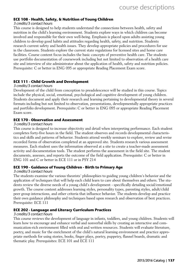#### **ECE 108 - Health, Safety, & Nutrition of Young Children**

#### 3 credits/3 contact hours

This course is designed to help students understand the connections between health, safety and nutrition in the child's learning environment. Students explore ways in which children can become involved and responsible for their own well-being. Emphasis is placed upon adults assisting young children to develop good habits and attitudes regarding health, safety, and nutrition. Students research current safety and health issues. They develop appropriate policies and procedures for use in the classroom. Students explore the current state regulations for licensed sites and home care facilities. Course content focus includes the basic concepts of preventive health care. The students use portfolio documentation of coursework including but not limited to observation of a health care site and interview of site administrator about the application of health, safety and nutrition policies. Prerequisite: C or better in ENG 095 or appropriate Reading Placement Exam score.

#### **ECE 111 - Child Growth and Development**

#### 3 credits/3 contact hours

Development of the child from conception to preadolescence will be studied in this course. Topics include the physical, social, emotional, psychological and cognitive development of young children. Students document and apply their research and learning pertaining to developmental theory in several formats including but not limited to observation, presentations, developmentally appropriate practices and portfolio development. Prerequisite: C or better in ENG 095 or appropriate Reading Placement Exam score.

#### **ECE 170 - Observation and Assessment**

#### 3 credits/3 contact hours

This course is designed to increase objectivity and detail when interpreting performance. Each student completes forty-five hours in the field. The student observes and records developmental characteristics and skills and patterns of behavior. Students attend weekly seminars to explore, review and revise recorded forms of observation completed at an approved site. Students research various assessment measures. Each student uses the information observed at a site to create a teacher-made assessment activity and documentation tools. The student performs the assessment in the field site. The student documents, assesses, and reports the outcome of the field application. Prerequisite: C or better in ENG 101 and C or better in ECE 111 or in PSY 214

### **ECE 190 - Guidance of Young Children - Birth to Primary Age**

#### 3 credits/3 contact hours

The students examine the various theorists' philosophies to guiding young children's behavior and the application of techniques that will help each child learn to care about themselves and others. The students review the diverse needs of a young child's development - specifically detailing social/emotional growth. The course content addresses learning styles, personality types, parenting styles, adult/child peer group interactions, and other criteria that influence behavior. The students develop and practice their own guidance philosophy and techniques based upon research and observation of best practices. Prerequisite: ECE 111

#### **ECE 202 - Language and Literacy Curriculum Practices**

#### 3 credits/3 contact hours

This course reviews the development of language in infants, toddlers, and young children. Students will learn how to encourage and enhance verbal and nonverbal skills by creating an interactive and communication-rich environment filled with oral and written resources. Students will evaluate literature, poetry, and music for the enrichment of the child's natural learning environment and practice appropriate methods for using stories, books, finger plays, poetry, puppetry, flannel boards, dramatic and thematic play. Prerequisites: ECE 101 and ECE 111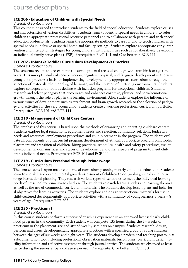# **ECE 206 - Education of Children with Special Needs**

#### 3 credits/3 contact hours

This course is designed to introduce students to the field of special education. Students explore causes and characteristics of various disabilities. Students learn to identify special needs in children, to refer children to appropriate professional resource personnel and to collaborate with parents and with special education professionals. Students learn the appropriate methods to care for and to teach children with special needs in inclusive or special home and facility settings. Students explore appropriate early intervention and interaction strategies for young children with disabilities such as collaboratively developing an individual family serve plans (IFSP). Prerequisite: ENG 101 and C or better in ECE 111

# **ECE 207 - Infant & Toddler Curriculum Development & Practices**

#### 3 credits/3 contact hours

The students review and re-examine the developmental areas of child growth from birth to age three years. This in-depth study of social-emotion, cognitive, physical, and language development in the very young child provides a basis for implementing developmentally appropriate curriculum through the selection of materials, the modeling of language, and the creation of nurturing environments. Students explore concepts and methods dealing with inclusion programs for exceptional children. Students research and select pedagogy that encourages and enhances cognitive, physical and social/emotional growth through the role of play in the learning environment. Also, students explore the influence of various issues of development such as attachment and brain growth research to the selection of pedagogy and activities for the very young child. Students create a working professional curriculum portfolio. Prerequisites: ECE 101 and ECE 111

### **ECE 210 - Management of Child Care Centers**

#### 3 credits/3 contact hours

The emphasis of this course is based upon the methods of organizing and operating childcare centers. Students explore legal regulations, equipment needs and selection, community relations, budgetary needs and resources, employment procedures and child placement in the program. The students evaluate all components of a successful program: development of ethical, appropriate program philosophy, placement and transition of children, hiring practices, schedules, health and safety procedures, use of developmental domains, ages and stages of development and other aspects of program to meet children's individual needs. Prerequisites: ECE 101 and ECE 111

### **ECE 219 - Curriculum Preschool through Primary-age**

#### 3 credits/3 contact hours

The course focus is upon major elements of curriculum planning in early childhood education. Students learn to use skill and developmental growth assessment of children to design daily, weekly and longrange instructional planning. They research various types of schedules to meet the individual learning needs of preschool to primary-age children. The students research learning styles and learning theories as well as the use of commercial curriculum materials. The students develop lesson plans and behavioral objectives for learning activities. The students explore and design instructional materials for use in child-centered developmentally appropriate activities with a community of young learners 3 years – 8 years of age. Prerequisite: ECE 202

# **ECE 255 - Practicum I**

#### 3 credits/3 contact hours

In this course students perform a supervised teaching experience in an approved licensed early childhood program in the community. Each student will complete 135 hours during the 14 weeks of practicum in the placement site and attend weekly seminars on campus. Students research, design, perform and assess developmentally appropriate practices with a specified group of young children between the ages of six weeks and eight years. The students develop a professional teaching portfolio as a documentation tool including professional observation materials, lesson plans, curriculum design, facility information and reflective assessment through journal entries. The students are observed at least twice during the semester by a college supervisor. Prerequisite: C or better in ECE 170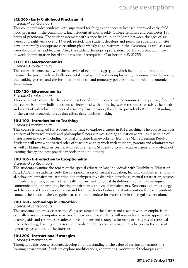# **ECE 265 - Early Childhood Practicum II**

#### 4 credits/4 contact hours

This course provides students with supervised teaching experiences in licensed approved early childhood programs in the community. Each student attends weekly College seminars and completes 180 hours of practicum. The student interacts with a specific group of children between the ages of six weeks and eight years over a 14-week period. The student develops and performs supervised on-site developmentally appropriate curriculum plans weekly as an assistant in the classroom, as well as a one week-long unit as lead teacher. Also, the student develops a professional portfolio, a practicum solo-week documentation board and a resume. Prerequisite: C or better in ECE 255

#### **ECO 110 - Macroeconomics**

#### 3 credits/3 contact hours

This course is concerned with the behavior of economic aggregate, which include total output and income, the price levels and inflation, total employment and unemployment, economic growth, money, the banking system, and the formulation of fiscal and monetary policies in the pursuit of economic stabilization.

#### **ECO 120 - Microeconomics**

#### 3 credits/3 contact hours

This course introduces the theory and practice of contemporary microeconomics. The primary focus of this course is on how individuals and societies deal with allocating scarce resources to satisfy the needs and wants of individual members of a society. Furthermore, the course provides better understanding of the various economic forces that affect daily decision-making.

#### **EDU 102 - Introduction to Teaching**

#### 3 credits/3 contact hours

This course is designed for students who want to explore a career in K-12 teaching. The course includes a survey of historical trends and philosophical perspectives shaping education as well as discussion of major issues in today, including national and state frameworks for learning (Maine Learning Results). Students will review the varied roles of teachers as they work with students, parents and administrators as well as Maine's teacher certification requirements. Students also will acquire a general knowledge of learning theory and best practice models in the field today.

#### **EDU 105 - Introduction to Exceptionality**

#### 3 credits/3 contact hours

The students examine the tenets of the special education law, Individuals with Disabilities Education Act, IDEA. The students study the categorical areas of special education, learning disabilities, emotional/behavioral impairment, attention deficit/hyperactive disorder, giftedness, mental retardation, severe/ multiple disabilities, autism, other health impairment, physical disabilities, traumatic brain injury, communication impairments, hearing impairments, and visual impairments. Students explore etiology and diagnosis of the categorical areas and learn methods of educational intervention for each. Students connect the needs of the categorical areas to the mandate for instruction in the regular curriculum.

#### **EDU 160 - Technology in Education**

#### 3 credits/4 contact hours

The students explore software and Web sites aimed at the learner and teacher with an emphasis on critically assessing computer activities for learners. The students will research and assess appropriate teaching aids and resources. Students develop plans and strategies for using other types of technical media: teaching, learning and assessment tools. Students receive a basic introduction to the current operating system and to the Internet.

#### **EDU 206 - Instructional Strategies**

#### 3 credits/3 contact hours

Throughout this course students develop an understanding of the value of serving all learners in a learning environment. Students explore modifications, adaptations, motivational techniques and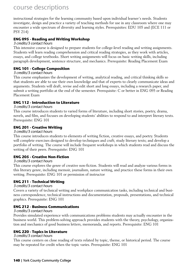instructional strategies for the learning community based upon individual learner's needs. Students investigate, design and practice a variety of teaching methods for use in any classroom where one may encounter a wide spectrum of diversity and learning styles. Prerequisites: EDU 105 and (ECE 111 or PSY 214)

# **ENG 095 - Reading and Writing Workshop**

#### 3 credits/3 contact hours

This intensive course is designed to prepare students for college-level reading and writing assignments. Students will learn reading comprehension and critical reading strategies, as they work with articles, essays, and college textbooks. Short writing assignments will focus on basic writing skills, including paragraph development, sentence structure, and mechanics. Prerequisite: Reading Placement Exam

# **ENG 101 - College Composition**

### 3 credits/3 contact hours

This course emphasizes the development of writing, analytical reading, and critical thinking skills so that students are able to use their own knowledge and that of experts to clearly communicate ideas and arguments. Students will draft, revise and edit short and long essays, including a research paper, and submit a writing portfolio at the end of the semester. Prerequisite: C or better in ENG 095 or Reading Placement Exam

# **ENG 112 - Introduction to Literature**

### 3 credits/3 contact hours

This course introduces students to varied forms of literature, including short stories, poetry, drama, novels, and film, and focuses on developing students' abilities to respond to and interpret literary texts. Prerequisite: ENG 101

# **ENG 201 - Creative Writing**

#### 3 credits/3 contact hours

This course introduces students to elements of writing fiction, creative essays, and poetry. Students will complete exercises designed to develop techniques and craft; study literary texts; and develop a portfolio of writing. The course will include frequent workshops in which students read and discuss the writing of their peers. Prerequisite: ENG 101

# **ENG 205 - Creative Non-Fiction**

#### 3 credits/3 contact hours

This course explores the genre of creative non-fiction. Students will read and analyze various forms in this literary genre, including memoir, journalism, nature writing, and practice these forms in their own writing. Prerequisite: ENG 101 or permission of instructor

# **ENG 211 - Technical Writing**

#### 3 credits/3 contact hours

Covers a variety of technical writing and workplace communication tasks, including technical and business correspondence, technical instructions and documentation, proposals, presentations, and technical graphics. Prerequisite: ENG 101

#### **ENG 212 - Business Communications**

#### 3 credits/3 contact hours

Provides simulated experience with communications problems students may actually encounter in the business world. This problem-solving approach provides students with the theory, psychology, organization and mechanics of good business letters, memoranda, and reports. Prerequisite: ENG 101

# **ENG 220 - Topics in Literature**

#### 3 credits/3 contact hours

This course centers on close reading of texts related by topic, theme, or historical period. The course may be repeated for credit when the topic varies. Prerequisite: ENG 101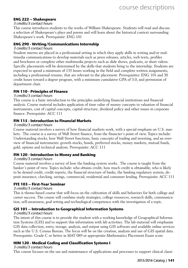### **ENG 222 – Shakespeare**

#### 3 credits/3 contact hours

This course introduces students to the works of William Shakespeare. Students will read and discuss a selection of Shakespeare's plays and poems and will learn about the historical context surrounding Shakespeare's work. Prerequisite: ENG 101

#### **ENG 290 - Writing/Communications Internship**

#### 3 credits/3 contact hours

Student interns are placed in a professional setting in which they apply skills in writing and/or multimedia communications to develop materials such as press releases, articles, web texts, profiles and brochures or complete other multimedia projects such as slide shows, podcasts, or short videos. Specific placements will be determined by the skills that students bring to the internship. Students are expected to spend a minimum of 135 hours working in the field and complete written assignments, including a professional resume, that are relevant to the placement. Prerequisites: ENG 101 and 30 credit hours toward a degree program, with a minimum cumulative GPA of 3.0, and permission of department chair.

### **FIN 110 - Principles of Finance**

#### 3 credits/3 contact hours

This course is a basic introduction to the principles underlying financial institutions and financial analysis. Course material includes application of time value of money concepts to valuation of financial instruments, cost of capital concepts, capital structure, dividend policy and other issues in corporate finance. Prerequisite: ACC 111

#### **FIN 115 - Introduction to Financial Markets**

#### 3 credits/3 contact hours

Course material involves a survey of how financial markets work, with a special emphasis on U.S. markets. The course is a survey of Wall Street finance, from the financier's point of view. Topics include: Understanding stocks, how Wall Street functions, basic concepts of trading and investing, and an overview of financial instruments: growth stocks, bonds, preferred stocks, money markets, mutual funds, gold, options and technical analysis. Prerequisite: ACC 111

#### **FIN 120 - Introduction to Money and Banking**

#### 3 credits/3 contact hours

Course material involves a survey of how the banking system works. The course is taught from the banker's point of view. Topics include: who obtains credit, how much credit is obtainable, who is likely to be denied credit, credit reports, the financial structure of banks, the banking regulatory system, deposit insurance, checking, savings, commercial, residential and consumer lending. Prerequisite: ACC 111

#### **FYE 103 – First-Year Seminar**

#### 3 credits/3 contact hours

This is theme-based course that will focus on the cultivation of skills and behaviors for both college and career success. The course will combine study strategies, college resources, research skills, communication, self-awareness, goal setting and technological competence with the investigation of a topic.

#### **GIS 101 – Introduction to Geographical Information Systems**

#### 3 credits/3 contact hours

The intent of this course is to provide the student with a working knowledge of Geographical Information Systems (GIS) and to support this information with lab activities. The lab material will emphasize GIS data collection, entry, storage, analysis, and output using GIS software and available online services such as the U.S. Census Bureau. The focus will be on the creation, analysis and use of GIS spatial data. Prerequisite: Grade C or better in MAT 089 or appropriate Mathematics Placement Exam score

# **HIM 120 - Medical Coding and Classification Systems I**

#### 3 credits/3 contact hours

This course focuses on the use and maintenance of applications and processes to support clinical classi-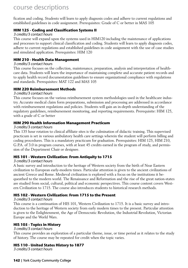fication and coding. Students will learn to apply diagnosis codes and adhere to current regulations and established guidelines in code assignment. Prerequisites: Grade of C or better in MAS 105

# **HIM 125 - Coding and Classification Systems II**

#### 3 credits/3 contact hours

This course will expand upon the systems used in HIM120 including the maintenance of applications and processes to support clinical classification and coding. Students will learn to apply diagnosis codes, adhere to current regulations and established guidelines in code assignment with the use of case studies and simulated application. Prerequisites: HIM 120

### **HIM 210 - Health Data Management**

#### 3 credits/3 contact hours

This course focuses on the collection, maintenance, preparation, analysis and interpretation of healthcare data. Students will learn the importance of maintaining complete and accurate patient records and to apply health record documentation guidelines to ensure organizational compliance with regulations and standards. Prerequisites: MAT 122 and MAS 105

### **HIM 220 Reimbursement Methods**

#### 3 credits/3 contact hours

This course focuses on the various reimbursement system methodologies used in the healthcare industry. Accurate medical claim form preparations, submission and processing are addressed in accordance with reimbursement regulations and policies. Students will gain an in-depth understanding of the regulatory guidelines, reimbursement monitoring, and reporting requirements. Prerequisite: HIM 125, with a grade of C or better

### **HIM 290 Health Information Management Practicum**

#### 3 credits/3 contact hours

This 135 hour rotation to clinical affiliate sites is the culmination of didactic training. This supervised practicum is set in various ambulatory health care settings wherein the student will perform billing and coding procedures. This is a mandatory practicum for graduation. Prerequisites: HIM 125, HIM 210, G.P.A. of 3.0 in program courses, with at least 45 credits earned in the program of study, and permission of the Department Chair or designee.

# **HIS 101 - Western Civilization: From Antiquity to 1715**

#### 3 credits/3 contact hours

A basic survey and introduction to the heritage of Western society from the birth of Near Eastern civilization to European early-modern times. Particular attention is given to the ancient civilizations of ancient Greece and Rome. Medieval civilization is explored with a focus on the institutions it bequeathed to the modern world. The Renaissance and Reformation and the rise of the great nation-states are studied from social, cultural, political and economic perspectives. This course content covers Western Civilization to 1715. The course also introduces students to historical research methods.

### **HIS 102 - Western Civilization: From 1715 to the Present**

#### 3 credits/3 contact hours

This course is a continuation of HIS 101, Western Civilization to 1715. It is a basic survey and introduction to the heritage of Western society from early modern times to the present. Particular attention is given to the Enlightenment, the Age of Democratic Revolution, the Industrial Revolution, Victorian Europe and the World Wars.

# **HIS 105 - Topics in History**

#### 3 credits/3 contact hours

This course provides an exploration of a particular theme, issue, or time period as it relates to the study of history. The course may be repeated for credit when the topic varies.

# **HIS 110 - United States History to 1877**

3 credits/3 contact hours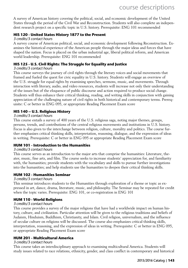A survey of American history covering the political, social, and economic development of the United States through the period of the Civil War and Reconstruction. Students will also complete an independent research project on a specific topic in U.S. history. Prerequisite: ENG 101 recommended

#### **HIS 120 - United States History 1877 to the Present**

#### 3 credits/3 contact hours

A survey course of American political, social, and economic development following Reconstruction. Examines the historical experience of the American people through the major ideas and forces that have shaped the nation. Focus is placed on the urban industrial age, liberal political reform, and American world leadership. Prerequisite: ENG 101 recommended

#### **HIS 125 - U.S. Civil Rights: The Struggle for Equality and Justice**

#### 3 credits/3 contact hours

This course surveys the journey of civil rights through the literary voices and social movements that framed and fueled the quest for civic equality in U.S. history. Students will engage an overview of the U.S. struggle for equal rights by examining speeches, sermons, music, and movements. Through interaction with literary, audio, and video resources, students will increase not only their understanding of the issues but of the eloquence of public discourse and action required to produce social change. Students will thus enhance their critical thinking, reading, and writing skills in conjunction with gaining appreciation of the challenging nature of civil rights in both historical and contemporary terms. Prerequisite: C or better in ENG 095, or appropriate Reading Placement Exam score

#### **HIS 140 – U.S. Religious History**

#### 3 credits/3 contact hours

This course entails a survey of 400 years of the U.S. religious saga, noting major themes, groups, persons, trends, and contributions of the central religious movements and institutions in U.S. history. Focus is also given to the interchange between religion, culture, morality and politics. The course further emphasizes critical thinking skills, interpretation, reasoning, dialogue, and the expression of ideas in writing. Prerequisite: C or better in ENG 095 or appropriate Reading Placement Exam score

#### **HUM 101 - Introduction to the Humanities**

#### 3 credits/3 contact hours

This course serves as an introduction to the major arts that comprise the humanities: Literature, theater, music, fine arts, and film. The course seeks to increase students' appreciation for, and familiarity with, the humanities; provide students with the vocabulary and skills to pursue further investigations into the humanities; and help students use the humanities to deepen their critical thinking skills.

#### **HUM 102 - Humanities Seminar**

#### 3 credits/3 contact hours

This seminar introduces students to the Humanities through exploration of a theme or topic as expressed in art, dance, drama, literature, music, and philosophy. The Seminar may be repeated for credit when the topic varies. Prerequisite: ENG 101, or co-registration in ENG 101

#### **HUM 110 - World Religions**

#### 3 credits/3 contact hours

This course provides a survey of the major religions that have had a worldwide impact on human history, culture, and civilization. Particular attention will be given to the religious traditions and beliefs of Judaism, Hinduism, Buddhism, Christianity, and Islam. Civil religion, universalism, and the influence of secular culture on religions will be discussed. The course also emphasizes critical thinking skills, interpretation, reasoning, and the expression of ideas in writing. Prerequisite: C or better in ENG 095, or appropriate Reading Placement Exam score

#### **HUM 201 - Multicultural America**

#### 3 credits/3 contact hours

This course takes an interdisciplinary approach to examining multicultural America. Students will study issues related to race relations, ethnicity, gender, and class conflict in contemporary and historical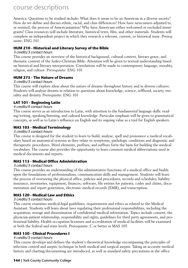America. Questions to be studied include: What does it mean to be an American in a diverse society? How do we define and discuss ethnic, racial, and class differences? How have newcomers adjusted to, or resisted, the process of Americanization? Why have Americans either welcomed or excluded immigrants? Class resources will include literature, historical texts, film, and other materials. Students will complete an independent project in which they research a relevant, current, or historical issue. Prerequisite: ENG 101

#### **HUM 210 - Historical and Literary Survey of the Bible**

#### 3 credits/3 contact hours

This course provides an overview of the historical background, cultural context, literary genre, and thematic content of the Judeo-Christian Bible. Attention will be given to textual understanding based on historical and literary interpretation. Correlations will be made to contemporary language, morality, religion, and culture. Prerequisite: ENG 101

#### **HUM 275 - The Nature of Dreams**

#### 3 credits/3 contact hours

This course will explore ideas about the nature of dreams throughout history and in diverse cultures. Students will analyze dreams in relation to questions about knowledge, science, selfhood, society, morality and divinity. Prerequisite: ENG 101

#### **LAT 101 - Beginning Latin**

#### 4 credits/4 contact hours

This course serves as an introduction to Latin, with attention to the fundamental language skills: reading/writing, speaking/listening, and cultural knowledge. Particular emphasis will be given to grammatical concepts, as well as to Latin's influence on English and its ongoing value as a tool for English speakers.

#### **MAS 105 - Medical Terminology**

#### 3 credits/3 contact hours

This course is designed for the student to learn to build, analyze, spell and pronounce a medical vocabulary based on anatomical systems as they relate to symptoms, pathologic conditions and diagnostic and therapeutic procedures. Word elements, prefixes, and suffixes form the basis for building the medical vocabulary. The course also provides the opportunity to learn common medical abbreviations used in medical documents and reports.

#### **MAS 115 - Medical Office Administration**

#### 3 credits/3 contact hours

This course provides an understanding of the administrative functions of a medical office and builds upon the foundations of professionalism, communication skills and management. Students will learn the process of overseeing the physical office, policies and procedures, records and schedules, liability insurance, inventories, equipment, finances, software, file entries for patients, codes and claims, documentation and report generation, electronic medical records (EMR), and transcription.

#### **MAS 120 - Medical Law and Ethics**

#### 3 credits/3 contact hours

This course examines medical-legal guidelines, requirements and ethics as related to the Medical Assistant. Students will learn about laws regulating their professional responsibilities, including the acquisition, storage and dissemination of confidential medical information. Topics include consent, the physician-patient relationship, responsibility and rights, guidelines for third party agreements, and professional liability. Health occupation licensure and accreditation of medical facilities will be examined at both the federal and state levels. Prerequisite: C or better in MAS 105

#### **MAS 150 - Clinical Procedures I**

#### 4 credits/3 contact hours

This course develops and defines the student's theoretical knowledge encompassing the principles of infection control and aseptic technique in both medical and surgical asepsis. Taking an accurate medical history and charting/documenting are introduced, as well as standard safety precautions in the office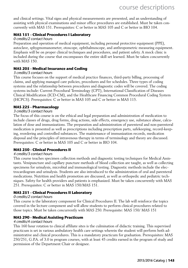and clinical settings. Vital signs and physical measurements are presented, and an understanding of assisting with physical examinations and minor office procedures are established. Must be taken concurrently with MAS 151. Prerequisites: C or better in MAS 105 and C or better in BIO 104.

#### **MAS 151 - Clinical Procedures I Laboratory**

#### 0 credits/2 contact hours

Preparation and operation of medical equipment, including personal protective equipment (PPE), autoclave, sphygmomanometer, otoscope, ophthalmoscope, and anthropometric measuring equipment. Emphasis will be on proper clinical techniques and procedures, and patient safety. A mock clinic is included during the course that encompasses the entire skill set learned. Must be taken concurrently with MAS 150.

#### **MAS 205 - Medical Insurance and Coding**

#### 3 credits/3 contact hours

This course focuses on the support of medical practice finances, third-party billing, processing of claims, and applying managed care policies, procedures and fee schedules. Three types of coding systems and the relationship between procedures and diagnostic codes will be covered. The coding systems include: Current Procedural Terminology (CPT), International Classification of Diseases Clinical Modification (ICD-CM), and the Healthcare Financing Common Procedural Coding System (HCPCS). Prerequisites: C or better in MAS 105 and C or better in MAS 115.

#### **MAS 225 - Pharmacology**

#### 3 credits/3 contact hours

The focus of this course is on the ethical and legal preparation and administration of medication to include classes of drugs, drug forms, drug actions, side effects, emergency use, substance abuse, calculation of dose and immunizations. The preparation and administration of parenteral and non-parenteral medication is presented as well as prescriptions including prescription parts, safekeeping, record-keeping, reordering and controlled substances. The maintenance of immunization records, medication disposal and the principles of intravenous therapy in terms of terminology and theory are discussed. Prerequisites: C or better in MAS 105 and C or better in BIO 104.

#### **MAS 250 - Clinical Procedures II**

#### 4 credits/3 contact hours

This course teaches specimen collection methods and diagnostic testing techniques for Medical Assistants. Venipuncture and capillary puncture methods of blood collection are taught, as well as collecting specimens for urinalysis, microbial and immunological testing. Diagnostic methods include the electrocardiogram and urinalysis. Students are also introduced to the administration of oral and parenteral medications. Nutrition and health promotion are discussed, as well as orthopedic and pediatric techniques. Safety for health providers and patients is emphasized. Must be taken concurrently with MAS 251. Prerequisites: C or better in MAS 150/MAS 151.

#### **MAS 251 - Clinical Procedures II Laboratory**

#### 0 credits/2 contact hours

This course is the laboratory component for Clinical Procedures II. The lab will reinforce the topics covered in the lecture component and will allow students to perform clinical procedures related to those topics. Must be taken concurrently with MAS 250. Prerequisite: MAS 150/ MAS 151

#### **MAS 290 - Medical Assisting Practicum**

#### 4 credits/4 contact hours

This 160 hour rotation to clinical affiliate sites is the culmination of didactic training. This supervised practicum is set in various ambulatory health care settings wherein the student will perform both administrative and clinical procedures. This is a mandatory practicum for graduation. Prerequisites: MAS 250/251, G.P.A. of 3.0 in program courses, with at least 45 credits earned in the program of study and permission of the Department Chair or designee.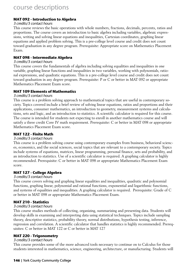#### **MAT 092 - Introduction to Algebra**

#### 3 credits/3 contact hours

This course reviews the basic operations with whole numbers, fractions, decimals, percents, ratios and proportions. The course covers an introduction to basic algebra including variables, algebraic expressions, writing and solving linear equations and inequalities, Cartesian coordinates, graphing linear equations and applied problem solving. This is a pre-college level course and credit does not count toward graduation in any degree program. Prerequisite: Appropriate score on Mathematics Placement Exam.

#### **MAT 098 - Intermediate Algebra**

#### 3 credits/3 contact hours

This course covers the fundamentals of algebra including solving equalities and inequalities in one variable, graphing linear functions and inequalities in two variables, working with polynomials, rational expressions, and quadratic equations. This is a pre-college level course and credit does not count toward graduation in any degree program. Prerequisite: P or C or better in MAT 092 or appropriate Mathematics Placement Exam score.

#### **MAT 109 Elements of Mathematics**

#### 3 credits/3 contact hours

This course is a problem solving approach to mathematical topics that are useful in contemporary society. Topics covered include a brief review of solving linear equations, ratios and proportions and their applications, consumer mathematics, an introduction to geometry, measurement systems and calculations, sets and logic, and an introduction to statistics. A scientific calculator is required for this course. The course is intended for students not expecting to enroll in another mathematics course and will satisfy a three credit Core IV math requirement. Prerequisite: C or better in MAT 098 or appropriate Mathematics Placement Exam score.

#### **MAT 122 - Finite Math**

#### 3 credits/3 contact hours

This course is a problem solving course using contemporary examples from business, behavioral sciences, economics, and the social sciences, social topics that are relevant to a contemporary society. Topics include systems of equations, matrices, linear programming, personal finance, sets and probability, and an introduction to statistics. Use of a scientific calculator is required. A graphing calculator is highly recommended. Prerequisite: C or better in MAT 098 or appropriate Mathematics Placement Exam score.

#### **MAT 127 - College Algebra**

#### 3 credits/3 contact hours

This course covers solving and graphing linear equalities and inequalities, quadratic and polynomial functions, graphing linear, polynomial and rational functions, exponential and logarithmic functions, and systems of equalities and inequalities. A graphing calculator is required. Prerequisite: Grade of C or better in MAT 098 or appropriate Mathematics Placement Exam.

#### **MAT 210 - Statistics**

#### 3 credits/3 contact hours

This course studies methods of collecting, organizing, summarizing and presenting data. Students will develop skills in examining and interpreting data using statistical techniques. Topics include sampling theory, descriptive statistics, probability theory, normal distributions, hypothesis testing, inference, regression and correlation. A scientific calculator that handles statistics is highly recommended. Prerequisites: C or better in MAT 122 or C or better in MAT 127

#### **MAT 220 - Trigonometry**

#### 3 credits/3 contact hours

This course provides some of the more advanced tools necessary to continue on to Calculus for those students interested in mathematics, science, engineering, architecture, or manufacturing. Students will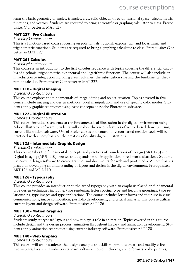learn the basic geometry of angles, triangles, arcs, solid objects, three dimensional space, trigonometric functions, and vectors. Students are required to bring a scientific or graphing calculator to class. Prerequisite: C or better in MAT 127

#### **MAT 227 - Pre-Calculus**

#### 3 credits/3 contact hours

This is a function-based course focusing on polynomials, rational, exponential, and logarithmic and trigonometric functions. Students are required to bring a graphing calculator to class. Prerequisite: C or better in MAT 127

#### **MAT 251 Calculus**

#### 4 credits/4 contact hours

This course is an introduction to the first calculus sequence with topics covering the differential calculus of algebraic, trigonometric, exponential and logarithmic functions. The course will also include an introduction to integration including areas, volumes, the substitution rule and the fundamental theorem of calculus. Prerequisite: C or better in MAT 227.

#### **MUL 110 - Digital Imaging**

#### 3 credits/3 contact hours

This course explores the fundamentals of image editing and object creation. Topics covered in this course include imaging and design methods, pixel manipulation, and use of specific color modes. Students apply graphic techniques using basic concepts of Adobe Photoshop software.

#### **MUL 122 - Digital Illustration**

#### 3 credits/3 contact hours

This course introduces students to the fundamentals of illustration in the digital environment using Adobe Illustrator software. Students will explore the various features of vector based drawings using current illustration software. Use of Bezier curves and control of vector based creation tools will be practiced with an emphasis on the creation of quality digital illustrations.

#### **MUL 125 - Intermediate Graphic Design**

#### 3 credits/3 contact hours

This course takes the fundamental concepts and practices of Foundations of Design (ART 126) and Digital Imaging (MUL 110) courses and expands on their application in real world situations. Students use current design software to create graphics and documents for web and print media. An emphasis is placed on developing an understanding of layout and design in the digital environment. Prerequisites: ART 126 and MUL 110

#### **MUL 126 - Typography**

#### 3 credits/3 contact hours

This course provides an introduction to the art of typography with an emphasis placed on fundamental type design techniques including: type rendering, letter spacing, type and headline groupings, type relationships, type images and type applications. The course includes letter forms and their use in visual communications, image composition, portfolio development, and critical analysis. This course utilizes current layout and design software. Prerequisite: ART 126

#### **MUL 130 - Motion Graphics**

#### 3 credits/3 contact hours

Students study storyboard layout and how it plays a role in animation. Topics covered in this course include design and the design process, animation throughout history, and animation development. Students apply animation techniques using current industry software. Prerequisite: ART 120

#### **MUL 140 - Web Graphics**

#### 3 credits/3 contact hours

This course will teach students the design concepts and skills required to create and modify effective web graphics, using industry standard software. Topics include: graphic formats, color palettes,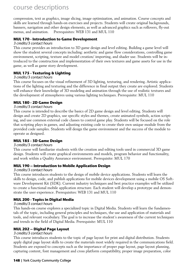compression, text as graphics, image slicing, image optimization, and animation. Course concepts and skills are learned through hands-on exercises and projects. Students will create original backgrounds, banners, navigation and other design elements, as well as advanced graphics such as rollovers, fly-out menus, and animation. Prerequisites: WEB 131 and MUL 110

#### **MUL 170 - Introduction to Game Development**

#### 3 credits/3 contact hours

This course provides an introduction to 3D game design and level editing. Building a game level will show the student several concepts including: aesthetic and game flow considerations, controlling game environment, scripting, texture and model creation/ importing, and shader use. Students will be introduced to the construction and implementation of their own textures and game assets for use in the game, as well as game story development.

#### **MUL 175 - Texturing & Lighting**

#### 3 credits/3 contact hours

This course focuses on the visual refinement of 3D lighting, texturing, and rendering. Artistic applications of the lighting and texturing and the difference in final output they create are explored. Students will enhance their knowledge of 3D modeling and animation through the use of realistic textures and the development of atmospheres using various lighting techniques. Prerequisite: MUL 110

#### **MUL 180 - 2D Game Design**

#### 3 credits/3 contact hours

This course is intended to describe the basics of 2D game design and level editing. Students will design and create 2D graphics, use specific styles and themes, create animated symbols, action scripting, and use common external code classes to control game play. Students will be focused on the role that scripting plays in games, and adjusting existing code to create their own unique module from the provided code samples. Students will design the game environment and the success of the module to operate as designed.

#### **MUL 185 - 3D Game Design**

#### 3 credits/3 contact hours

This course will familiarize students with the creation and editing tools used in commercial 3D game design. Students will create graphical environments and models, program behavior and functionality, and work within a Quality Assurance environment. Prerequisite: MUL 170

#### **MUL 190 – Introduction to Mobile Application Design**

#### 3 credits/3 contact hours

This course introduces students to the design of mobile device applications. Students will learn the skills to design, code, and publish applications for mobile devices development using a mobile OS Software Development Kit (SDK). Current industry techniques and best practice examples will be utilized to create a functional mobile application structure. Each student will develop a prototype and demonstrate the user experience. Prerequisites: WEB 131 and MUL 110

#### **MUL 200 - Topics in Digital Media**

#### 3 credits/3 contact hours

This hands-on course explores a specialized topic in Digital Media. Students will learn the fundamentals of the topic, including general principles and techniques, the use and application of materials and tools, and relevant vocabulary. The goal is to increase the student's awareness of the current techniques and trends in the field of Digital Media. Prerequisite: MUL 110

#### **MUL 202 – Digital Page Layout**

#### 3 credits/3 contact hours

This course introduces students to the topic of page layout for print and digital distribution. Students apply digital page layout skills to create the materials most widely required in the communications field. Students are exposed to concepts such as the importance of proper page layout, page layout planning, capturing content, font management and cross platform compatibility, proper image preparation, color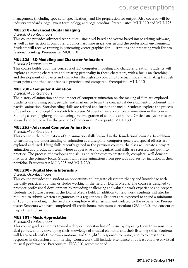management (including spot color specification), and file preparation for output. Also covered will be industry standards, page layout terminology, and page proofing. Prerequisites: MUL 110 and MUL 125

#### **MUL 210 - Advanced Digital Imaging**

#### 3 credits/3 contact hours

This course provides advanced techniques using pixel based and vector based image editing software, as well as instruction in computer graphics hardware usage, design and the professional environment. Students will receive training in generating vector graphics for illustrations and preparing work for professional printing. Prerequisite: MUL 110

#### **MUL 225 - 3D Modeling and Character Animation**

#### 3 credits/3 contact hours

This course builds upon the concepts of 3D computer modeling and character creation. Students will explore animating characters and creating personality in those characters, with a focus on sketching and development of objects and characters through storyboarding to actual models. Animating through pivot points and the use of bones is practiced and compared. Prerequisite: MUL 110

#### **MUL 230 - Computer Animation**

#### 3 credits/4 contact hours

The history of animation and the impact of computer animation on the making of film are explored. Students use drawing pads, pencils, and markers to begin the conceptual development of coherent, impactful animation. Storyboarding skills are refined and further enhanced. Students explore the process of developing a concept from sketch to screen. Students create a complete animation in this course. Building a scene, lighting and texturing, and integration of sound is explored. Critical analysis skills are learned and employed in the practice of the course. Prerequisite: MUL 130

#### **MUL 265 - Advanced Computer Animation**

#### 3 credits/4 contact hours

This course is the culmination of the animation skills learned in the foundational courses. In addition to furthering the understanding of animation as a discipline, computer generated special effects are explored and used. Using skills recently gained in the previous courses, the class will create a project animation as a production team where cooperative and organizational skills are stressed and put into practice. The process of developing the skills and techniques to create rich, complete, well done animation is the primary focus. Student will refine animations from previous courses for inclusion in their portfolio. Prerequisites: MUL 225 and MUL 230

#### **MUL 290 - Digital Media Internship**

#### 3 credits/3contact hours

This course provides the student an opportunity to integrate classroom theory and knowledge with the daily practices of a firm or studio working in the field of Digital Media. The course is designed to promote professional development by providing challenging and valuable work experience and prepare students for future careers in the Digital Media field. In addition to field work, students will also be required to submit written assignments on a regular basis. Students are expected to spend a minimum of 135 hours working in the field and complete written assignments related to the experience. Prerequisite: Students who have completed 45 credit hours, minimum curriculum GPA of 3.0, and consent of Department Chair.

#### **MUS 101 - Music Appreciation**

#### 3 credits/3 contact hours

This course guides students toward a deeper understanding of music by exposing them to various musical genres, and by developing their knowledge of musical elements and their listening skills. Students will learn to identify their own emotional and thoughtful responses to music, and to express those responses in discussion and in writing. Coursework will include attendance of at least one live or virtual musical performance. Prerequisite: ENG 101 recommended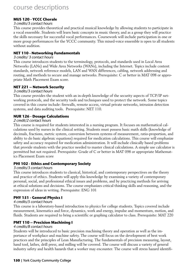#### **MUS 120 - YCCC Chorale**

#### 3 credits/3 contact hours

This course provides theoretical and practical musical knowledge by allowing students to participate in a vocal ensemble. Students will learn basic concepts in music theory, and as a group they will practice the skills necessary for successful vocal performances. Coursework will include participation in one or more group performances for the YCCC community. This mixed-voice ensemble is open to all students without audition.

#### **NET 110 - Networking Fundamentals**

#### 3 credits/ 3 contact hours

This course introduces students to the terminology, protocols, and standards used in Local Area Networks (LANs) and Wide Area Networks (WANs), including the Internet. Topics include content standards, network reference models, LAN and WAN differences, cabling, network addressing and routing, and methods to secure and manage networks. Prerequisite: C or better in MAT 098 or appropriate Math Placement Exam score.

#### **NET 221 – Network Security**

#### 3 credits/3 contact hours

This course provides the student with an in-depth knowledge of the security aspects of TCP/IP networking protocols, and the security tools and techniques used to protect the network. Some topics covered in this course include: firewalls, remote access, virtual private networks, intrusion detection systems, and data auditing tools. Prerequisite: NET 110.

#### **NUR 126 - Dosage Calculations**

#### 2 credit/2 contact hours

This course is required for students interested in a nursing program. It focuses on mathematical calculations used by nurses in the clinical setting. Students must possess basic math skills (knowledge of decimals, fractions, metric system, conversion between systems of measurement, ratio-proportion, and ability to do basic algebraic equations) required for medication calculations. This course will emphasize safety and accuracy required for medication administration. It will include clinically based problems that provide students with the practice needed to master clinical calculations. A simple use calculator is permitted but not required. Prerequisite: Grade of C or better in MAT 098 or appropriate Mathematics Placement Exam score

#### **PHI 102 - Ethics and Contemporary Society**

#### 3 credits/3 contact hours

This course introduces students to classical, historical, and contemporary perspectives on the theory and practice of ethics. Students will apply this knowledge by examining a variety of contemporary personal, social, and professional ethical issues and problems, and by practicing methods for arriving at ethical solutions and decisions. The course emphasizes critical thinking skills and reasoning, and the expression of ideas in writing. Prerequisite: ENG 101

#### **PHY 151 - General Physics I**

#### 4 credits/5 contact hours

This course is a laboratory-based introduction to physics for college students. Topics covered include measurement, kinematics and force, dynamics, work and energy, impulse and momentum, motion, and fluids. Students are required to bring a scientific or graphing calculator to class. Prerequisite: MAT 220

#### **PMT 110 – Precision Machining I**

#### 4 credits/8 contact hours

Students will be introduced to basic precision machining theory and operation as well as the importance of workplace and machine safety. The course will focus on the development of best work practices and the principles of Lean Manufacturing. The fundamentals of precision measuring, layout, hand tool, lathes, drill press, and milling will be covered. The course will discuss a variety of general industry safety and health hazards that a worker may encounter. The course will stress hazard identifi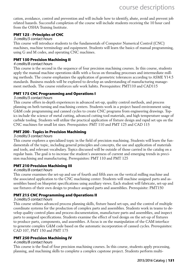cation, avoidance, control and prevention and will include how to identify, abate, avoid and prevent job related hazards. Successful completion of the course will include students receiving the 10 hour card from the OSHA Training Institute.

#### **PMT 125 - Principles of CNC**

#### 3 credits/5 contact hours

This course will introduce students to the fundamentals of Computer Numerical Control (CNC) machines, machine terminology and equipment. Students will learn the basics of manual programming, using G and M codes, and operating CNC machines.

#### **PMT 150 Precision Machining II**

#### 4 credits/8 contact hours

This course is the second in the sequence of four precision machining courses. In this course, students apply the manual machine operations skills with a focus on threading processes and intermediate milling methods. The course emphasizes the application of geometric tolerances according to ASME Y14.5 standards. Business models will be explored to develop an understanding of manufacturing management methods. The course reinforces safe work habits. Prerequisites: PMT110 and CAD115

#### **PMT 175 CNC Programming and Operations I**

#### 3 credits/5 contact hours

This course offers in-depth experiences in advanced set-up, quality control methods, and process planning on both turning and machining centers. Students work in a project based environment using G&M code programming and canned cycles to create CNC programs from engineering drawings. Topics include the science of metal cutting, advanced cutting tool materials, and high temperature usage of carbide tooling. Students will utilize the practical application of fixture design and rapid set ups on the CNC machines for small lot sizes. Prerequisites: PMT 110 and PMT 125 and CAD 115

#### **PMT 200 - Topics in Precision Machining**

#### 3 credits/3 contact hours

This course explores a specialized topic in the field of precision machining. Students will learn the fundamentals of the topic, including general principles and concepts, the use and application of materials and tools, and relevant vocabulary. Topics discussed will be outside of those carried in the catalog on a regular basis. The goal is to increase the student's awareness of current and emerging trends in precision machining and manufacturing. Prerequisites: PMT 110 and PMT 125

#### **PMT 210 Precision Machining III**

#### 4 credits/8 contact hours

This course examines the set-up and use of fourth and fifth axes on the vertical milling machine and the associated application to the CNC machining center. Students will machine assigned parts and assemblies based on blueprint specifications using auxiliary views. Each student will fabricate, set-up and use fixtures of their own design to produce assigned parts and assemblies. Prerequisite: PMT150

#### **PMT 215 CNC Programming and Operations II**

#### 3 credits/5 contact hours

This course utilizes advanced process planning skills, fixture based set-ups, and the control of multiple coordinate systems for the production of complex parts and assemblies. Students work in teams to develop quality control plans and process documentation, manufacture parts and assemblies, and inspect parts to assigned specifications. Students examine the effect of tool design on the set-up of fixtures to produce parts, components, and assemblies. A focus is on the manipulation of the CAM interface to generate complex G&M code based on the automatic incorporation of canned cycles. Prerequisites: CAD 107, PMT 150 and PMT 175

#### **PMT 250 Precision Machining IV**

#### 4 credits/8 contact hours

This course is the final of four precision machining courses. In this course, students apply processing, planning, and machining skills to complete a complex capstone project. Students perform multi-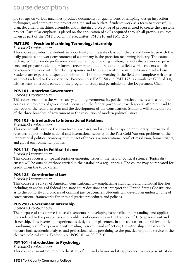ple set-ups on various machines, produce documents for quality control sampling, design inspection techniques, and complete the project on time and on budget. Students work as a team to successfully plan, document, machine, assemble, and maintain a project log of processes used to create the capstone project. Particular emphasis is placed on the application of skills acquired through all previous courses taken as part of the PMT program. Prerequisites: PMT 210 and PMT 215

#### **PMT 290 – Precision Machining Technology Internship**

#### 3 credits/3 contact hours

This course provides the student an opportunity to integrate classroom theory and knowledge with the daily practices of a work environment of a company in the precision machining industry. The course is designed to promote professional development by providing challenging and valuable work experience and prepare students for future careers in the field. In addition to field work, students will also be required to work with their faculty sponsor and to submit written assignments on a regular basis. Students are expected to spend a minimum of 135 hours working in the field and complete written assignments related to the experience. Prerequisites: PMT 150 and PMT 175, a cumulative GPA of 3.0, with at least 30 credits earned in the program of study and permission of the Department Chair.

#### **POS 101 - American Government**

#### 3 credits/3 contact hours

This course examines the American system of government: its political institutions, as well as the processes and problems of government. Focus is on the federal government with special attention paid to the roots of the federal system and the development of the Constitution. Students will study the role of the three branches of government in the resolution of modern political issues.

#### **POS 105 - Introduction to International Relations**

#### 3 credits/3 contact hours

This course will examine the structures, processes, and issues that shape contemporary international relations. Topics include national and international security in the Post Cold War era; problems of the international political economy; the impact of terrorism; international conflict resolution, human rights, and global environmental politics.

#### **POS 115 - Topics in Political Science**

#### 3 credits/3 contact hours

This course focuses on special topics or emerging issues in the field of political science. Topics discussed will be outside of those carried in the catalog on a regular basis. The course may be repeated for credit when the topic varies.

#### **POS 125 - Constitutional Law**

#### 3 credits/3 contact hours

This course is a survey of American constitutional law emphasizing civil rights and individual liberties, including an analysis of federal and state court decisions that interpret the United States Constitution as to the authority and process of criminal justice agencies. Students will develop an understanding of constitutional frameworks for criminal justice procedures and policies.

#### **POS 290 - Government Internship**

#### 3 credits/3 contact hours

The purpose of this course is to assist students in developing basic skills, understanding, and applications related to the possibilities and problems of democracy in the tradition of U.S. government and citizenship. This internship experience is designed for placement in a local, state or federal level office. Combining real life experience with reading, research, and reflection, the internship endeavors to nurture both academic analyses and professional skills pertaining to the practice of public service in the elective political arena. Prerequisite: POS 101 or SOC 210

#### **PSY 101 - Introduction to Psychology**

#### 3 credits/3 contact hours

This course is an introduction to the study of human behavior and its application to everyday situations.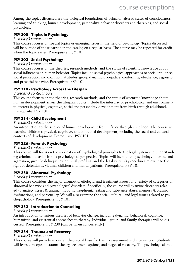Among the topics discussed are the biological foundations of behavior, altered states of consciousness, learning and thinking, human development, personality, behavior disorders and therapies, and social psychology.

#### **PSY 200 - Topics in Psychology**

#### 3 credits/3 contact hours

This course focuses on special topics or emerging issues in the field of psychology. Topics discussed will be outside of those carried in the catalog on a regular basis. The course may be repeated for credit when the topic varies. Prerequisite: PSY 101

#### **PSY 202 - Social Psychology**

#### 3 credits/3 contact hours

This course focuses on the theories, research methods, and the status of scientific knowledge about social influences on human behavior. Topics include social psychological approaches to social influence, social perception and cognition, attitudes, group dynamics, prejudice, conformity, obedience, aggression and prosocial behavior. Prerequisite: PSY 101

#### **PSY 210 - Psychology Across the Lifespan**

#### 3 credits/3 contact hours

This course focuses on the theories, research methods, and the status of scientific knowledge about human development across the lifespan. Topics include the interplay of psychological and environmental factors in physical, cognitive, social and personality development from birth through adulthood. Prerequisite: PSY 101

#### **PSY 214 - Child Development**

#### 3 credits/3 contact hours

An introduction to the science of human development from infancy through childhood. The course will examine children's physical, cognitive, and emotional development, including the social and cultural contexts of development. Prerequisite: PSY 101

#### **PSY 226 - Forensic Psychology**

#### 3 credits/3 contact hours

This course will focus on the application of psychological principles to the legal system and understanding criminal behavior from a psychological perspective. Topics will include the psychology of crime and aggression, juvenile delinquency, criminal profiling, and the legal system's procedures relevant to the right of defendants, victims, children and mental patients. Prerequisite: PSY 101

#### **PSY 230 - Abnormal Psychology**

#### 3 credits/3 contact hours

This course considers the major diagnostic, etiologic, and treatment issues for a variety of categories of abnormal behavior and psychological disorders. Specifically, the course will examine disorders related to anxiety, stress & trauma, mood, schizophrenia, eating and substance abuse, memory & organic dysfunctions, and personality. We will also examine the social, cultural, and legal issues related to psychopathology. Prerequisite: PSY 101

#### **PSY 232 - Introduction to Counseling**

#### 3 credits/3 contact hours

An introduction to various theories of behavior change, including dynamic, behavioral, cognitive, humanistic, and existential approaches to therapy. Individual, group, and family therapies will be discussed. Prerequisite: PSY 230 (can be taken concurrently)

#### **PSY 234 - Trauma and Recovery**

#### 3 credits/3 contact hours

This course will provide an overall theoretical basis for trauma assessment and intervention. Students will learn concepts of trauma theory, treatment options, and stages of recovery. The psychological and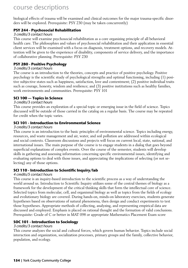biological effects of trauma will be examined and clinical outcomes for the major trauma-specific disorders will be explored. Prerequisite: PSY 230 (may be taken concurrently)

#### **PSY 244 - Psychosocial Rehabilitation**

#### 3 credits/3 contact hours

This course will examine psychosocial rehabilitation as a core organizing principle of all behavioral health care. The philosophies and values of psychosocial rehabilitation and their application in essential client services will be examined with a focus on diagnosis, treatment options, and recovery models. Attention will be given to the experience of disability, components of service delivery, and the importance of collaborative planning. Prerequisite: PSY 230

#### **PSY 280 - Positive Psychology**

#### 3 credits/3 contact hours

The course is an introduction to the theories, concepts and practice of positive psychology. Positive psychology is the scientific study of psychological strengths and optimal functioning, including (1) positive subjective states such as happiness, satisfaction, love and contentment; (2) positive individual traits such as courage, honesty, wisdom and resilience; and (3) positive institutions such as healthy families, work environments and communities. Prerequisite: PSY 101

#### **SCI 100 — Topics in Science**

#### 3 credits/3 contact hours

This course provides an exploration of a special topic or emerging issue in the field of science. Topics discussed will be outside of those carried in the catalog on a regular basis. The course may be repeated for credit when the topic varies.

#### **SCI 101 - Introduction to Environmental Science**

#### 3 credits/3 contact hours

This course is an introduction to the basic principles of environmental science. Topics including energy, resources, and waste management and air, water, and soil pollution are addressed within ecological and social contexts. Classroom discussions and projects will focus on current local, state, national, and international issues. The main purpose of the course is to engage students in a dialog that goes beyond superficial explanations of complex events. Over the course of the semester, students will develop skills in gathering and assessing information concerning specific environmental issues, identifying and evaluating options to deal with those issues, and appreciating the implications of selecting (or not selecting) any of those options.

#### **SCI 110 - Introduction to Scientific Inquiry/lab**

#### 4 credits/5 contact hours

This course is an inquiry-based introduction to the scientific process as a way of understanding the world around us. Introduction to Scientific Inquiry utilizes some of the central themes of biology as a framework for the development of the critical thinking skills that form the intellectual core of science. Selected topics from molecular, cell, and organismal biology as well as topics from the fields of ecology and evolutionary biology are covered. During hands-on, minds-on laboratory exercises, students generate hypotheses based on observations of natural phenomena, then design and conduct experiments to test those hypotheses. Appropriate methods of collecting, analyzing, and representing empirical data are discussed and employed. Emphasis is placed on rational thought and the formation of valid conclusions. Prerequisite: Grade of C or better in MAT 098 or appropriate Mathematics Placement Exam score

#### **SOC 101 - Introduction to Sociology**

#### 3 credits/3 contact hours

This course analyzes the social and cultural forces, which govern human behavior. Topics include social interaction and organization, socialization processes, primary groups and the family, collective behavior, population, and ecology.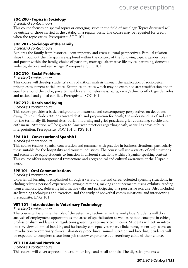#### **SOC 200 - Topics in Sociology**

#### 3 credits/3 contact hours

This course focuses on special topics or emerging issues in the field of sociology. Topics discussed will be outside of those carried in the catalog on a regular basis. The course may be repeated for credit when the topic varies. Prerequisite: SOC 101

#### **SOC 201 - Sociology of the Family**

#### 3 credits/3 contact hours

Explores the family from historical, contemporary and cross-cultural perspectives. Familial relationships throughout the life span are explored within the context of the following topics: gender roles and power within the family, choice of partners, marriage, alternative life styles, parenting, domestic violence, divorce and remarriage. Prerequisite: SOC 101

#### **SOC 210 - Social Problems**

#### 3 credits/3 contact hours

This course will develop students' skills of critical analysis through the application of sociological principles to current social issues. Examples of issues which may be examined are: stratification and inequality around the globe, poverty, health care, homelessness, aging, racial/ethnic conflict, gender roles and national and global conflict. Prerequisite: SOC 101

#### **SOC 232 - Death and Dying**

#### 3 credits/3 contact hours

This course provides a basic background on historical and contemporary perspectives on death and dying. Topics include attitudes toward death and preparation for death; the understanding of and care for the terminally ill; funeral rites; burial, mourning and grief practices; grief counseling; suicide and euthanasia. Attention will be given to American practices regarding death, as well as cross-cultural interpretation. Prerequisite: SOC 101 or PSY 101

#### **SPA 101 - Conversational Spanish I**

#### 4 credits/4 contact hours

This course teaches Spanish conversation and grammar with practice in business situations, particularly those suitable for the hospitality and tourism industries. The course will use a variety of oral situations and scenarios to equip students to function in different situations within a Spanish-speaking context. This course offers interpersonal transactions and geographical and cultural awareness of the Hispanic world.

#### **SPE 101 - Oral Communications**

#### 3 credits/3 contact hours

Experiential learning is emphasized through a variety of life and career-oriented speaking situations, including relating personal experiences, giving directions, making announcements, using exhibits, reading from a manuscript, delivering informative talks and participating in a persuasive exercise. Also included are listening techniques and exercises, and the study of nonverbal communications, and interviewing. Prerequisite: ENG 101

#### **VET 101 - Introduction to Veterinary Technology**

#### 3 credits/3 contact hours

The course will examine the role of the veterinary technician in the workplace. Students will do an analysis of employment opportunities and areas of specialization as well as related concepts in ethics, professionalism and laws and regulations governing veterinary technicians. Students will get an introductory view of animal handling and husbandry concepts, veterinary clinic management topics and an introduction to veterinary clinical laboratory procedures, animal nutrition and breeding. Students will be expected to complete a four hour job shadow experience at a veterinary clinic of their choice.

#### **VET 110 Animal Nutrition**

#### 3 credits/3 contact hours

This course will cover aspects of nutrition for large and small animals. The digestive process will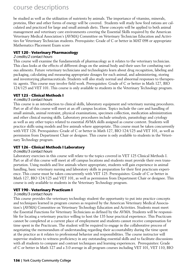be studied as well as the utilization of nutrients by animals. The importance of vitamins, minerals, proteins, fiber and other forms of energy will be covered. Students will study how feed rations are calculated and practiced for large and small animals diets. These concepts will be applied to both animal management and veterinary care environments covering the Essential Skills required by the American Veterinary Medical Association's (AVMA) Committee on Veterinary Technician Education and Activities for Veterinary Technician students. Prerequisite: Grade of C or better in MAT 098 or appropriate Mathematics Placement Exam score

#### **VET 120 - Veterinary Pharmacology**

#### 2 credits/2 contact hours

This course will examine the fundamentals of pharmacology as it relates to the veterinary technician. This class looks at the effects of different drugs on the animal body and their uses for combating various ailments. Future veterinary technicians and technologists learn about drug recognition, labeling and packaging, calculating and measuring appropriate dosages for each animal, and administering, storing and inventorying pharmaceuticals. Students will also study normal and abnormal responses to therapeutic agents. This course may involve field work. Prerequisites: Grade of C or better in Math 127, BIO 124/125 and VET 101. This course is only available to students in the Veterinary Technology program.

#### **VET 125 - Clinical Methods I**

#### 4 credits/3 contact hours

This course is an introduction to clinical skills, laboratory equipment and veterinary nursing procedures. Part or all of this course will meet at an off campus location. Topics include the care and handling of small animals, animal restraint, physical examinations, specimen collection, medication administration and other clinical nursing skills. Laboratory procedures include urinalysis, parasitology and cytology as well as any other topics related to essential AVMA skills assigned as course content. Students will practice skills using models and live animals where appropriate. This course must be taken concurrently with VET 126. Prerequisites: Grade of C or better in Math 127, BIO 124/125 and VET 101, as well as permission from Department Chair or designee. This course is only available to students in the Veterinary Technology program.

#### **VET 126 - Clinical Methods I Laboratory**

#### 0 credits/3 contact hours

Laboratory exercises in this course will relate to the topics covered in VET 125 Clinical Methods I. Part or all of this course will meet at off campus locations and students must provide their own transportation. Using models and live animals where appropriate, students will gain experience in animal handling, basic veterinary nursing and laboratory skills in preparation for their first practicum experience. This course must be taken concurrently with VET 125. Prerequisites: Grade of C or better in Math 127, BIO 124/125 and VET 101, as well as permission from Department Chair or designee. This course is only available to students in the Veterinary Technology program.

#### **VET 190 - Veterinary Practicum I**

#### 3 credits/3 contact hours

This course provides the veterinary technology student the opportunity to put into practice concepts and techniques learned in program courses as required by the American Veterinary Medical Association's (AVMA) Committee on Veterinary Technology Education and Activities. Students must meet the Essential Functions for Veterinary Technicians as defined by the AVMA. Students will be responsible for locating a veterinary practice willing to host the 135 hour practical experience. This Practicum cannot be completed at a current place of employment and students cannot receive compensation for time spent in the Practicum. The student will be required to engage in the collaborative process of negotiating the memorandum of understanding regarding their accountability during the time spent at the practice as it relates to professional behavior and responsibilities. The course instructor will supervise students to witness proficiency in any outstanding essential skills and to facilitate discussions with all students to compare and contrast techniques and learning experiences. Prerequisites: Grade of C or better in Math 127 and a 3.0 average in all program courses including VET 101, VET 110, BIO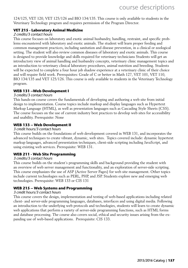124/125, VET 120, VET 125/126 and BIO 134/135. This course is only available to students in the Veterinary Technology program and requires permission of the Program Director.

#### **VET 215 - Laboratory Animal Medicine**

#### 2 credits/3 contact hours

This course focuses on laboratory and exotic animal husbandry, handling, restraint, and specific problems encountered with laboratory and exotic animals. The student will learn proper feeding and common management practices, including sanitation and disease prevention, in a clinical or zoological setting. The student will also review common diseases of laboratory and exotic animals. This course is designed to provide knowledge and skills required for veterinary technicians Students will get an introductory view of animal handling and husbandry concepts, veterinary clinic management topics and an introduction to veterinary clinical laboratory procedures, animal nutrition and breeding. Students will be expected to complete a four hour job shadow experience at a veterinary clinic of their choice and will require field work. Prerequisites: Grade of C or better in Math 127, VET 101, VET 110, BIO 134/135 and VET 125/126. This course is only available to students in the Veterinary Technology program.

#### **WEB 131 –Web Development I**

#### 3 credits/3 contact hours

This hands-on course covers the fundamentals of developing and authoring a web site from initial design to implementation. Course topics include markup and display languages such as Hypertext Markup Language (HTML), as well as presentation languages such as Cascading Style Sheets (CSS). The course focuses on the use of current industry best practices to develop web sites for accessibility and usability. Prerequisite: None

#### **WEB 133 – Web Development II**

#### 3 credit hours/3 contact hours

This course builds on the foundations of web development covered in WEB 131, and incorporates the advanced techniques to create vibrant, dynamic, web sites. Topics covered include: dynamic hypertext markup languages, advanced presentation techniques, client-side scripting including JavaScript, and using existing web services. Prerequisite: WEB 131.

#### **WEB 211 - Web Site Programming**

#### 3 credits/3 contact hours

This course builds on the student's programming skills and background providing the student with an overview of web server management and functionality, and an exploration of server-side scripting. This course emphasizes the use of ASP (Active Server Pages) for web site management. Other topics include current technologies such as PERL, PHP, and JSP. Students explore new and emerging web technologies. Prerequisite: WEB 133 or CIS 131

#### **WEB 215 – Web Systems and Programming**

#### 3 credit hours/3 contact hours

This course covers the design, implementation and testing of web-based applications including related client- and server-side programming languages, databases, interfaces and using digital media. Following an introduction to the underlying web protocols and technologies, students will learn to create dynamic web applications that perform a variety of server-side programming functions, such as HTML forms and database processing. The course also covers social, ethical and security issues arising from the expanding use of web-based applications. Prerequisite: CIS 133.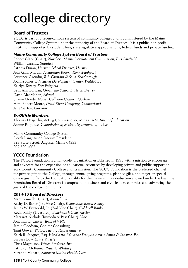#### Board of Trustees

YCCC is part of a seven-campus system of community colleges and is administered by the Maine Community College System under the authority of the Board of Trustees. It is a public, non-profit institution supported by student fees, state legislative appropriations, federal funds and private funding.

#### **Maine Community College System Board of Trustees**

Robert Clark (Chair), *Northern Maine Development Commission, Fort Fairfield* William Cassidy, *Standish* Patricia Duran, *Hermon School District, Hermon* Jean Ginn Marvin, *Nonantum Resort, Kennebunkport* Laurence Grondin, *R.J. Grondin & Sons, Scarborough* Joanna Jones, *Education Development Center, Waldoboro* Kaitlyn Kinsey, *Fort Fairfield* Beth Ann Lorigan, *Greenville School District, Brewer* David MacMahon, *Poland* Shawn Moody, *Moody Collision Centers, Gorham* Hon. Robert Moore, *Dead River Company, Cumberland* Jane Sexton, *Gorham*

#### **Ex-Officio Members**

Thomas Desjardin, Acting Commissioner, *Maine Department of Education* Jeanne Paquette, *Commissioner, Maine Department of Labor*

Maine Community College System Derek Langhauser, Interim President 323 State Street, Augusta, Maine 04333 207.629.4007

#### YCCC Foundation

The YCCC Foundation is a non-profit organization established in 1995 with a mission to encourage and advocate for the expansion of educational resources by developing private and public support of York County Community College and its mission. The YCCC Foundation is the preferred channel for private gifts to the College, through annual giving programs, planned gifts, and major or special campaigns. Gifts to the Foundation qualify for the maximum tax deduction allowed under the law. The Foundation Board of Directors is comprised of business and civic leaders committed to advancing the goals of the college community.

#### **2014-15 Board of Directors**

Marc Brunelle (Chair), *Kennebunk* Kathy D. Baker (1st Vice Chair), *Kennebunk Beach Realty* James W. Fitzgerald, Jr. (2nd Vice Chair), *Coldwell Banker* Kevin Reilly (Treasurer), *Benchmark Construction* Margaret Nichols (Immediate Past Chair), *York* Jonathan L. Carter, *Town of Wells* Jamie Goodwin, Conifer Consulting Tami Gower, *YCCC Faculty Representative* Keith R. Jacques, Esq. *Woodward Edmands Danylik Austin Smith & Jacques, P.A.* Barbara Low, *Low's Variety* Chris Magnuson, *Wasco Products, Inc.* Patrick J. McKenna, *Pratt & Whitney* Suzanne Menard, *Southern Maine Health Care*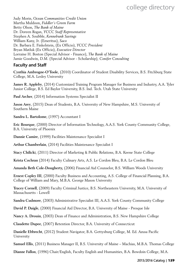Judy Morin, *Ocean Communities Credit Union* Martha Muldoon, *Fiddler's Green Farm* Betty Olson, *The Bank of Maine* Dr. Doreen Rogan, *YCCC Staff Representative* Stephen A. Soubble, *Kennebunk Savings* William Kany, Jr. (Emeritus), *Saco* Dr. Barbara E. Finkelstein, (Ex Officio), *YCCC President* Bryan Matluk (Ex Officio), *Executive Director* Lorraine H. Boston (Special Advisor - Finance), *The Bank of Maine* Jamie Goodwin, D.M. (Special Advisor - Scholarship)*, Conifer Consulting*

#### Faculty and Staff

**Cynthia Ambrogne-O'Toole**, (2010) Coordinator of Student Disability Services, B.S. Fitchburg State College, M.A. Lesley University

**James R. Appleby**, (2014) Customized Training Program Manager for Business and Industry, A.A. Tyler Junior College, B.S. Ed Baylor University, B.S. Ind. Tech. Utah State University

**Paul Archer**, (2014) Information Systems Specialist II

**Jason Arey**, (2015) Dean of Students, B.A. University of New Hampshire, M.S. University of Southern Maine

**Sandra L. Bartolome**, (1997) Accountant I

**Eric Bourque**, (2000) Director of Information Technology, A.A.S. York County Community College, B.A. University of Phoenix

**Dannie Camire**, (1999) Facilities Maintenance Specialist I

**Arthur Chamberlain**, (2014) Facilities Maintenance Specialist I

**Stacy Chilicki**, (2011) Director of Marketing & Public Relations, B.A. Keene State College

**Krista Cochran** (2014) Faculty Culinary Arts, A.S. Le Cordon Bleu, B.A. Le Cordon Bleu

**Amanda Beth Cole-Dougherty,** (2006) Financial Aid Counselor, B.S. William Woods University

**Ernest Copley III**, (2000) Faculty Business and Accounting, A.S. College of Financial Planning, B.A. College of William and Mary, M.B.A. George Mason University

**Tracey Cornell**, (2009) Faculty Criminal Justice, B.S. Northeastern University, M.A. University of Massachusetts - Lowell

**Sandra Cudmore**, (2003) Administrative Specialist III, A.A.S. York County Community College

**David P. Daigle**, (2000) Financial Aid Director, B.A. University of Maine - Presque Isle

**Nancy A. Drouin**, (2003) Dean of Finance and Administration, B.S. New Hampshire College

**Claudette Dupee**, (2007) Retention Director, B.A. University of Connecticut

**Danielle Ebbrecht**, (2012) Student Navigator, B.A. Gettysburg College, M. Ed. Azusa Pacific University

**Samuel Ellis**, (2011) Business Manager II, B.S. University of Maine – Machias, M.B.A. Thomas College

**Dianne Fallon**, (1996) Chair/English, Faculty English and Humanities, B.A. Bowdoin College, M.A.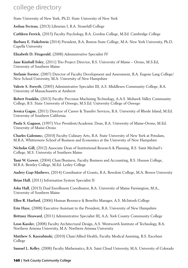State University of New York, Ph.D. State University of New York

**Joshua Fecteau**, (2013) Librarian I, B.A. Stonehill College

**Cathleen Ferrick**, (2015) Faculty Psychology, B.A. Gordon College, M.Ed. Cambridge College

**Barbara E. Finkelstein** (2014) President, B.A. Boston State College, M.A. New York University, Ph.D. Capella University

**Elizabeth D. Fitzgerald**, (2008) Administrative Specialist IV

**Jane Kimball Foley**, (2011) Trio Project Director, B.S. University of Maine – Orono, M.S.Ed, University of Southern Maine

**Stefanie Forster**, (2007) Director of Faculty Development and Assessment, B.A. Eugene Lang College/ New School University, M.A. University of New Hampshire

**Valerie S. Forsyth**, (2005) Administrative Specialist III, A.S. Middlesex Community College, B.A. University of Massachusetts at Amherst

**Robert Franklin**, (2013) Faculty Precision Machining Technology, A.A.S. Mohawk Valley Community College, B.S. State University of Oswego, M.S.Ed. University College of Oswego

**Jessica Gagne**, (2011) Director of Career & Transfer Services, B.A. University of Rhode Island, M.Ed. University of Southern California

**Paula S. Gagnon**, (1997) Vice President/Academic Dean, B.A. University of Maine-Orono, M.Ed. University of Maine-Orono

**Charles Galemm**o, (2010) Faculty Culinary Arts, B.A. State University of New York at Potsdam, M.B.A. Whittemore School of Business and Economics at the University of New Hampshire

**Nicholas Gill,** (2012) Associate Dean of Institutional Research & Planning, B.S. Saint Michael's College, M.S. University of Southern Maine

**Tami W. Gower**, (2004) Chair/Business, Faculty Business and Accounting, B.S. Husson College, M.B.A. Bentley College, M.Ed. Lesley College

**Audrey Gup-Mathews**, (2014) Coordinator of Grants, B.A. Bowdoin College, M.A. Brown University

**Brian Hall**, (2011) Information System Specialist II

**John Hall**, (2013) Dual Enrollment Coordinator, B.A. University of Maine Farmington, M.A., University of Southern Maine

**Ellen R. Harford**, (2006) Human Resource & Benefits Manager, A.S. McIntosh College

**Erin Haye**, (2008) Executive Assistant to the President, B.A. University of New Hampshire

**Brittany Heaward**, (2011) Administrative Specialist III, A.A. York County Community College

**Leon Kassler**, (2008) Faculty Architectural Design, A.S. Wentworth Institute of Technology, B.A. Northern Arizona University, M.A. Northern Arizona University

**Matthew S. Kaszubinski**, (2010) Chair/Allied Health, Faculty Medical Assisting, B.S. Excelsior College

**Samuel L. Kelley**, (2008) Faculty Mathematics, B.A. Saint Cloud University, M.A. University of Colorado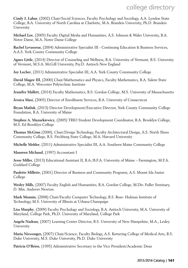**Cindy J. Lahar**, (2002) Chair/Social Sciences, Faculty Psychology and Sociology, A.A. Lyndon State College, B.A. University of North Carolina at Charlotte, M.A. Brandeis University, Ph.D. Brandeis University

**Michael Lee**, (2005) Faculty Digital Media and Humanities, A.S. Johnson & Wales University, B.A. Notre Dame, M.A. Notre Dame College

**Rachel Levasseur,** (2004) Administrative Specialist III - Continuing Education & Business Services, A.A.S. York County Community College

**Agnes Little**, (2014) Director of Counseling and Wellness, B.A. University of Vermont, B.S. University of Vermont, M.S.A. McGill University, Psy.D. Antioch New England

**Joy Locher**, (2011) Administrative Specialist III, A.A. York County Community College

**David Magee III**, (2000) Chair/Mathematics and Physics, Faculty Mathematics, B.A. Salem State College, M.A. Worcester Polytechnic Institute

**Jennifer Mallett**, (2014) Faculty Mathematics, B.S. Gordon College, M.S. University of Massachusetts

**Jessica Masi**, (2005) Director of Enrollment Services, B.A. University of Connecticut

**Bryan Matluk**, (2013) Director Development/Executive Director, York County Community College Foundation, B.A. University of Maine

**Stephen A. Mazurkiewicz**, (2005) TRIO Student Development Coordinator, B.A. Brooklyn College, M.S. Ed Brooklyn College

**Thomas McGinn** (2000), Chair/Design Technology, Faculty Architectural Design, A.S. North Shore Community College, B.S. Fitchburg State College, M.A. Harvard University

**Michelle Mehler**, (2011) Administrative Specialist III, A.A. Southern Maine Community College

**Maureen Michaud**, (1997) Accountant I

**Jesse Miller**, (2013) Educational Assistant II, B.A./B.F.A. University of Maine – Farmington, M.F.A. Goddard College

**Paulette Millette**, (2001) Director of Business and Community Programs, A.S. Mount Ida Junior College

**Wesley Mills**, (2007) Faculty English and Humanities, B.A. Gordon College, M.Div. Fuller Seminary, D. Min. Andover Newton

**Mark Monnin**, (2008) Chair/Faculty Computer Technology, B.S. Rose- Hulman Institute of Technology, M.S. University of Illinois at Urbana-Champaign

**Lisa Murphy**, (2009) Faculty Psychology and Sociology, B.A. Antioch University, M.A. University of Maryland, College Park, Ph.D. University of Maryland, College Park

**Angela Nadeau**, (2007) Learning Center Director, B.S. University of New Hampshire, M.A., Lesley University

**Maria Niswonger,** (2007) Chair/Science, Faculty Biology, A.S. Kettering College of Medical Arts, B.S. Duke University, M.S. Duke University, Ph.D. Duke University

**Patricia O'Brien**, (1995) Administrative Secretary to the Vice President/Academic Dean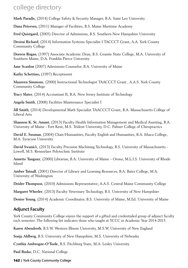**Mark Paradis**, (2014) College Safety & Security Manager, B.A. Saint Leo University

**Dana Petersen,** (2011) Manager of Facilities, B.S. Maine Maritime Academy

**Fred Quistgard,** (2005) Director of Admissions, B.S. Southern New Hampshire University

**Desirai Richard**, (2014) Information Systems Specialist I TACCCT Grant, A.A. York County Community College

**Doreen Rogan**, (1997) Associate Academic Dean, B.S. Granite State College, M.A. University of Southern Maine, D.A. Franklin Pierce University

**Jane Scanlon** (2007) Admissions Counselor, B.A. University of Maine

**Kathy Schettino,** (1997) Receptionist

**Maureen Simmons**, (2000) Instructional Technologist TAACCCT Grant , A.A.S. York County Community College

**Tracy Slater**, (2014) Accountant II, B.A. New Jersey Institute of Technology

**Angela Smith**, (2008) Facilities Maintenance Specialist I

**Jill Smith**, (2014) Developmental Math Specialist TAACCCT Grant, B.A. Massachusetts College of Liberal Arts

**Shannon K. St. Amant**, (2013) Faculty Health Information Management and Medical Assisting, B.A. University of Maine - Fort Kent, M.S. Trident University, D.C. Palmer College of Chiropractics

**David E. Susman**, (2004) Chair/Humanities, Faculty English and Humanities, B.A. Ithaca College, M.A. Syracuse University

**David Swanic**k, (2013) Faculty Precision Machining Technology, B.S. University of Massachusetts - Lowell, M.S. Rennselaer Polytechnic Institute

**Annette Tanguay**, (2000) Librarian, B.A. University of Maine – Orono, M.L.I.S. University of Rhode Island

**Amber Tatnall**, (2001) Director of Library and Learning Resources, B.A. Bates College, M.A. University of Washington

**Deidre Thompson**, (2010) Admissions Representative, A.A.S. Central Maine Community College

**Margaret Wheeler**, (2013) Faculty Veterinary Technology, B.S. University of New Hampshire

**Denise Young**, (2014) Academic Coordinator, B.S. University of Maine, M.Ed. University of Maine

#### Adjunct Faculty

York County Community College enjoys the support of a gifted and credentialed group of adjunct faculty each semester. The following list indicates those who taught at YCCC in Academic Year 2014-2015.

**Karen Abendroth**, B.S.W. Western Illinois University, M.S.W. University of New England

**Sonja Ahlberg**, B.S. University of New Hampshire, M.S. University of Nebraska

**Cynthia Ambrogne-O'Toole**, B.S. Fitchburg State, M.A. Lesley University

**Paul Basko**, D.C. National College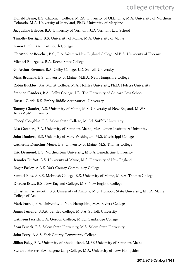- **Donald Beane,** B.S. Chapman College, M.P.A. University of Oklahoma, M.A. University of Northern Colorado, M.A. University of Maryland, Ph.D. University of Maryland
- **Jacqueline Belrose**, B.A. University of Vermont, J.D. Vermont Law School
- **Timothy Berrigan**, B.S. University of Maine, M.A. University of Maine
- **Karen Birch,** B.A. Dartmouth College
- **Christopher Boucher,** B.S., B.A. Western New England College, M.B.A. University of Phoenix
- **Michael Bourgeois**, B.A. Keene State College
- **G. Arthur Brennan**, B.A. Colby College, J.D. Suffolk University
- **Marc Brunelle**, B.S. University of Maine, M.B.A. New Hampshire College
- **Robin Buckley**, B.A. Marist College, M.A. Hofstra University, Ph.D. Hofstra University
- **Stephen Canders**, B.A. Colby College, J.D. The University of Chicago Law School
- **Russell Clark**, B.S. Embry-Riddle Aeronautical University
- **Tammy Cloutier**, A.S. University of Maine, M.S. University of New England, M.W.S. Texas A&M University
- **Cheryl Coughlin**, B.S. Salem State College, M. Ed. Suffolk University
- **Lisa Crothers**, B.A. University of Southern Maine, M.A. Union Institute & University
- **John Daubert,** B.S. University of Mary Washington, M.S. Mississippi College
- **Catherine Demchur-Merry,** B.S. University of Maine, M.S. Thomas College
- **Eric Desmond**, B.S. Northeastern University, M.B.A. Benedictine University
- **Jennifer Dufort**, B.S. University of Maine, M.S. University of New England
- **Roger Easley**, A.A.S. York County Community College
- **Samuel Ellis**, A.B.S. McIntosh College, B.S. University of Maine, M.B.A. Thomas College
- **Dierdre Estes**, B.S. New England College, M.S. New England College
- **Christian Farnsworth**, B.S. University of Arizona, M.S. Humbolt State University, M.F.A. Maine College of Art
- **Mark Farrell**, B.A. University of New Hampshire, M.A. Riviera College
- **James Ferreira**, B.S.A. Bentley College, M.B.A. Suffolk University
- **Cathleen Ferrick**, B.A. Gordon College, M.Ed. Cambridge College
- **Sean Ferrick**, B.S. Salem State University, M.S. Salem State University
- **John Ferry**, A.A.S. York County Community College
- **Jillian Foley**, B.A. University of Rhode Island, M.P.P. University of Southern Maine
- **Stefanie Forster**, B.A. Eugene Lang College, M.A. University of New Hampshire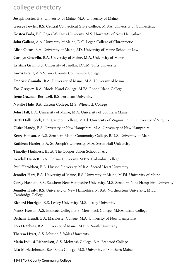**Joseph Foster**, B.S. University of Maine, M.A. University of Maine

- **George Fowler,** B.S. Central Connecticut State College, M.B.A. University of Connecticut
- **Kristen Fuda**, B.S. Roger Williams University, M.S. University of New Hampshire
- **John Gallant**, A.A. University of Maine, D.C. Logan College of Chiropractic
- **Alicia Giftos**, B.A. University of Maine, J.D. University of Maine School of Law
- **Carolyn Gosselin**, B.A. University of Maine, M.A. University of Maine
- **Kristina Gran**, B.S. University of Findlay, D.V.M. Tufts University
- **Kurtis Grant**, A.A.S. York County Community College
- **Fredrick Graunke**, B.A. University of Maine, M.A. University of Maine
- **Zoe Gregory**, B.A. Rhode Island College, M.Ed. Rhode Island College
- **Irene Guzman-Rothwell**, B.S. Fordham University
- **Natalie Hale**, B.A. Eastern College, M.S. Wheelock College
- **John Hall**, B.A. University of Maine, M.A. University of Southern Maine
- **Betty Hallenbeck**, B.A. Carleton College, M.Ed. University of Virginia, Ph.D. University of Virginia
- **Claire Handy**, B.S. University of New Hampshire, M.A. University of New Hampshire
- **Kerry Hanson**, A.A.S. Southern Maine Community College, B.U.S. University of Maine
- **Kathleen Harder**, B.A. St. Joseph's University, M.A. Seton Hall University
- **Timothy Harkness**, B.F.A. The Cooper Union School of Art
- **Kendall Harnett**, B.A. Indiana University, M.F.A. Columbia College
- **Paul Haroldsen**, B.A. Husson University, M.B.A. Sacred Heart University
- **Jennifer Hart**, B.A. University of Maine, B.S. University of Maine, M.Ed. University of Maine
- **Corey Hashem**, B.S. Southern New Hampshire University, M.S. Southern New Hampshire University

**Jennifer Healy**, B.S. University of New Hampshire, M.B.A. Northeastern University, M.Ed. Cambridge College

- **Richard Horrigan**, B.S. Lesley University, M.S. Lesley University
- **Nancy Horton**, A.S. Endicott College, B.S. Merrimack College, M.F.A. Leslie College
- **Bethany Hundt**, B.A. Macalester College, M.A. University of New Hampshire
- **Lori Hutchins**, B.A. University of Maine, M.B.A. South University
- **Theresa Hyatt**, A.S. Johnson & Wales University
- **Maria Induisi-Richardson**, A.S. McIntosh College, B.A. Bradford College
- **Lisa-Marie Johnson**, B.A. Bates College, M.S. University of Southern Maine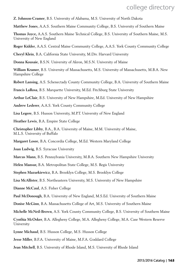- **Z. Johnson-Cramer**, B.S. University of Alabama, M.S. University of North Dakota
- **Matthew Jones**, A.A.S. Southern Maine Community College, B.S. University of Southern Maine
- **Thomas Joyce,** A.A.S. Southern Maine Technical College, B.S. University of Southern Maine, M.S. University of New England
- **Roger Kidder**, A.A.S. Central Maine Community College, A.A.S. York County Community College
- **Cheryl Klein**, B.A. California State University, M.Div. Harvard University
- **Donna Kousaie**, B.S.N. University of Akron, M.S.N. University of Maine
- **William Kramer**, B.S. University of Massachusetts, M.S. University of Massachusetts, M.B.A. New Hampshire College
- **Robert Lansing**, A.S. Schenectady County Community College, B.A. University of Southern Maine
- **Francis LaRosa**, B.S. Marquette University, M.Ed. Fitchburg State University
- **Arthur LeClair**, B.S. University of New Hampshire, M.Ed. University of New Hampshire
- **Andrew Lederer**, A.A.S. York County Community College
- **Lisa Legere**, B.S. Husson University, M.P.T. University of New England
- **Heather Lewis**, B.A. Empire State College
- **Christopher Libby**, B.A., B.A. University of Maine, M.M. University of Maine, M.L.S. University of Buffalo
- **Margaret Losee**, B.A. Concordia College, M.Ed. Western Maryland College
- **Joan Ludwig**, B.S. Syracuse University
- **Marcus Mann**, B.S. Pennsylvania University, M.B.A. Southern New Hampshire University
- **Helen Mansur,** B.A. Metropolitan State College, M.S. Regis University
- **Stephen Mazurkiewicz**, B.A. Brooklyn College, M.S. Brooklyn College
- **Lisa McAllister**, B.S. Northeastern University, M.S. University of New Hampshire
- **Dianne McCaul**, A.S. Fisher College
- **Paul McDonough**, B.A. University of New England, M.S.Ed. University of Southern Maine
- **Donise McGinn**, B.A. Massachusetts College of Art, M.S. University of Southern Maine
- **Michelle McNeil-Brown**, A.S. York County Community College, B.S. University of Southern Maine
- **Cynthia McOsker**, B.A. Allegheny College, M.A. Allegheny College, M.A. Case Western Reserve University
- **Lynne Michaud**, B.S. Husson College, M.S. Husson College
- **Jesse Miller**, B.F.A. University of Maine, M.F.A. Goddard College
- **Jean Mitchell**, B.S. University of Rhode Island, M.S. University of Rhode Island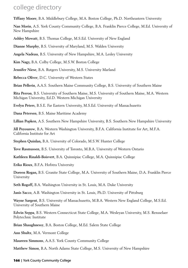**Tiffany Moore**, B.A. Middlebury College, M.A. Boston College, Ph.D. Northeastern University

**Nan Morin**, A.S. York County Community College, B.A. Franklin Pierce College, M.Ed. University of New Hampshire

**Ashley Mowatt**, B.S. Thomas College, M.S.Ed. University of New England

**Dianne Murphy**, B.S. University of Maryland, M.S. Walden University

**Angela Nadeau**, B.S. University of New Hampshire, M.A. Lesley University

**Kim Nagy,** B.A. Colby College, M.S.W. Boston College

**Jennifer Niese**, B.A. Rutgers University, M.S. University Marland

**Rebecca Oliver**, D.C. University of Western States

**Brian Pellerin**, A.A.S. Southern Maine Community College, B.S. University of Southern Maine

**Rita Perron**, B.S. University of Southern Maine, M.S. University of Southern Maine, M.A. Western Michigan University, Ed.D. Western Michigan University

**Evelyn Peters**, B.S.E. Far Eastern University, M.S.Ed. University of Massachusetts

**Dana Petersen**, B.S. Maine Maritime Academy

**Lillian Popken**, A.S. Southern New Hampshire University, B.S. Southern New Hampshire University

**Jill Poyourow**, B.A. Western Washington University, B.F.A. California Institute for Art, M.F.A. California Institute for Art

**Stephen Quinlan,** B.A. University of Colorado, M.S.W. Hunter College

**Tove Rasmussen**, B.S. University of Toronto, M.B.A. University of Western Ontario

**Kathleen Rinaldi-Boisvert**, B.A. Quinnipiac College, M.A. Quinnipiac College

**Erika Rioux**, B.F.A. Hofstra University

**Doreen Rogan,** B.S. Granite State College, M.A. University of Southern Maine, D.A. Franklin Pierce University

**Seth Rogoff,** B.A. Washington University in St. Louis, M.A. Duke University

**Janis Sacco**, A.B. Washington University in St. Louis, Ph.D. University of Pittsburg

**Wayne Sargent**, B.S. University of Massachusetts, M.B.A. Western New England College, M.S.Ed. University of Southern Maine

**Edwin Seppa**, B.S. Western Connecticut State College, M.A. Wesleyan University, M.S. Rensselaer Polytechnic Institute

**Brian Shaughnessy**, B.A. Boston College, M.Ed. Salem State College

**Ann Shultz**, M.A. Vermont College

**Maureen Simmons**, A.A.S. York County Community College

**Matthew Simon**, B.A. North Adams State College, M.S. University of New Hampshire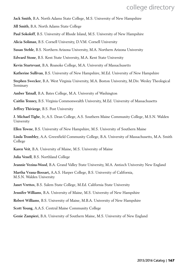**Jack Smith**, B.A. North Adams State College, M.S. University of New Hampshire

**Jill Smith**, B.A. North Adams State College

**Paul Sokoloff**, B.S. University of Rhode Island, M.S. University of New Hampshire

**Alicia Soliman**, B.S. Cornell University, D.V.M. Cornell University

**Susan Stehle**, B.S. Northern Arizona University, M.A. Northern Arizona University

**Edward Stone**, B.S. Kent State University, M.A. Kent State University

**Kevin Sturtevant**, B.A. Roanoke College, M.A. University of Massachusetts

**Katherine Sullivan**, B.S. University of New Hampshire, M.Ed. University of New Hampshire

**Stephen Swecker**, B.A. West Virginia University, M.A. Boston University, M.Div. Wesley Theological Seminary

**Amber Tatnall**, B.A. Bates College, M.A. University of Washington

**Caitlin Tenney,** B.S. Virginia Commonwealth University, M.Ed. University of Massachusetts

**Jeffrey Thivierge**, B.S. Post University

**J. Michael Tighe**, Jr, A.S. Dean College, A.S. Southern Maine Community College, M.S.N. Walden University

**Ellen Towne**, B.S. University of New Hampshire, M.S. University of Southern Maine

**Linda Trombley**, A.A. Greenfield Community College, B.A. University of Massachusetts, M.A. Smith College

**Karen Veit**, B.A. University of Maine, M.S. University of Maine

**Julia Venell**, B.S. Northland College

**Jeannie Vezina-Wood**, B.A. Grand Valley State University, M.A. Antioch University New England

**Martha Vrana-Bossart,** A.A.S. Harper College, B.S. University of California, M.S.N. Walden University

**Janet Vrettos**, B.S. Salem State College, M.Ed. California State University

**Jennifer Williams**, B.A. University of Maine, M.S. University of New Hampshire

**Robert Williams**, B.S. University of Maine, M.B.A. University of New Hampshire

**Scott Young**, A.A.S. Central Maine Community College

**Genie Zampieri**, B.A. University of Southern Maine, M.S. University of New England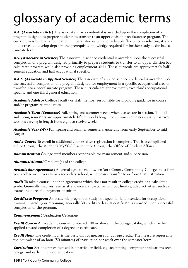# glossary of academic terms

**A.A. (Associate in Arts)** The associate in arts credential is awarded upon the completion of a program designed to prepare students to transfer to an upper division baccalaureate program. The curriculum is built on a foundation in liberal studies with considerable flexibility in selecting strands of electives to develop depth in the prerequisite knowledge required for further study at the baccalaureate level.

**A.S. (Associate in Science)** The associate in science credential is awarded upon the successful completion of a program designed primarily to prepare students to transfer to an upper division baccalaureate program while also providing employment skills. These curricula are approximately half general education and half occupational specific.

**A.A.S. (Associate in Applied Science)** The associate of applied science credential is awarded upon the successful completion of a program designed for employment in a specific occupational area or transfer into a baccalaureate program. These curricula are approximately two thirds occupational specific and one third general education.

**Academic Advisor** College faculty or staff member responsible for providing guidance in course and/or program-related issues.

**Academic Term (Semester)** Fall, spring and summer weeks when classes are in session. The fall and spring semesters are approximately fifteen weeks long. The summer semester usually has two sessions varying in length from eight to twelve weeks.

**Academic Year (AY)** Fall, spring and summer semesters, generally from early September to mid August.

**Add a Course** To enroll in additional courses after registration is complete. This is accomplished online through the student's MyYCCC account or through the Office of Student Affairs.

**Administration** College staff members responsible for management and supervision.

**Alumnus/Alumni** Graduate(s) of the college.

**Articulation Agreement** A formal agreement between York County Community College and a four year college or university or a secondary school, which eases transfer to or from that institution.

**Audit** To take a course under an agreement which does not result in college credit or a calculated grade. Generally involves regular attendance and participation, but limits graded activities, such as exams. Requires full payment of tuition.

**Certificate Program** An academic program of study in a specific field intended for occupational training, upgrading or retraining, generally 30 credits or less. A certificate is awarded upon successful completion of the program.

**Commencement** Graduation Ceremony.

**Credit Course** An academic course numbered 100 or above in the college catalog which may be applied toward completion of a degree or certificate.

**Credit Hour** The credit hour is the basic unit of measure for college credit. The measure represents the equivalent of an hour (50 minutes) of instruction per week over the semester/term.

**Curriculum** Set of courses focused in a particular field, e.g. accounting, computer applications technology, and early childhood education.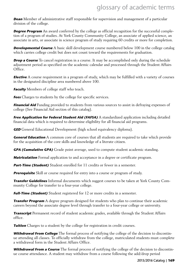**Dean** Member of administrative staff responsible for supervision and management of a particular division of the college.

**Degree Program** An award conferred by the college as official recognition for the successful completion of a program of studies. At York County Community College, an associate of applied science, an associate in arts, or associate in science program of study requiring 60 credits or more for completion.

**Developmental Course** A basic skill development course numbered below 100 in the college catalog which carries college credit but does not count toward the requirements for graduation.

**Drop a Course** To cancel registration in a course. It may be accomplished only during the schedule adjustment period as specified on the academic calendar and processed through the Student Affairs Office.

**Elective** A course requirement in a program of study, which may be fulfilled with a variety of courses in the designated discipline area numbered above 100.

**Faculty** Members of college staff who teach.

**Fees** Charges to students by the college for specific services.

**Financial Aid** Funding provided to students from various sources to assist in defraying expenses of college (See Financial Aid section of this catalog).

**Free Application for Federal Student Aid (FAFSA)** A standardized application including detailed financial data which is required to determine eligibility for all financial aid programs.

**GED** General Educational Development (high school equivalency diploma).

**General Education** A common core of courses that all students are required to take which provide for the acquisition of the core skills and knowledge of a literate citizen.

**GPA (Cumulative GPA)** Grade point average, used to compute student academic standing.

**Matriculation** Formal application to and acceptance in a degree or certificate program.

**Part-Time (Student)** Student enrolled for 11 credits or fewer in a semester.

**Prerequisite** Skill or course required for entry into a course or program of study.

**Transfer Guidelines** Informal documents which suggest courses to be taken at York County Community College for transfer to a four-year college.

**Full-Time (Student)** Student registered for 12 or more credits in a semester.

**Transfer Program** A degree program designed for students who plan to continue their academic careers beyond the associate degree level through transfer to a four-year college or university.

**Transcript** Permanent record of student academic grades, available through the Student Affairs office.

**Tuition** Charges to a student by the college for registration in credit courses.

**Withdrawal From College** The formal process of notifying the college of the decision to discontinue attending all classes. To officially withdraw from the college, matriculated students must complete a withdrawal form in the Student Affairs Office.

**Withdrawal From a Course** The formal process of notifying the college of the decision to discontinue course attendance. A student may withdraw from a course following the add/drop period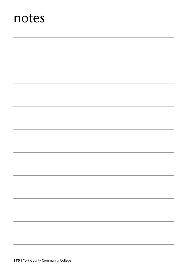## notes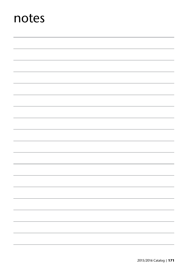## notes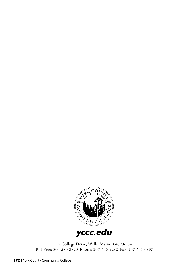

112 College Drive, Wells, Maine 04090-5341 Toll-Free: 800-580-3820 Phone: 207-646-9282 Fax: 207-641-0837